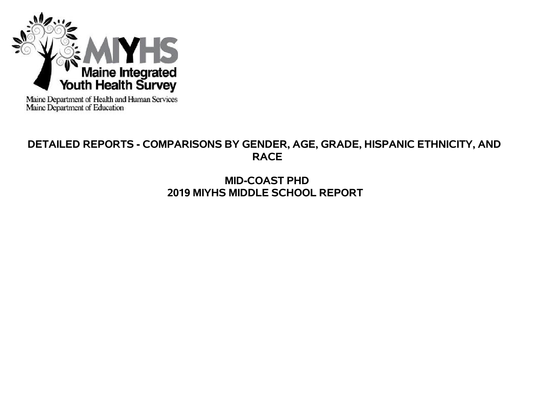

Maine Department of Health and Human Services<br>Maine Department of Education

# **DETAILED REPORTS - COMPARISONS BY GENDER, AGE, GRADE, HISPANIC ETHNICITY, AND RACE**

# **MID-COAST PHD 2019 MIYHS MIDDLE SCHOOL REPORT**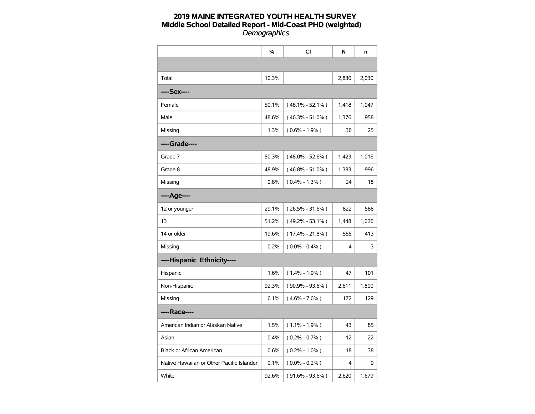|                                           | %     | <b>CI</b>           | N     | n     |
|-------------------------------------------|-------|---------------------|-------|-------|
|                                           |       |                     |       |       |
| Total                                     | 10.3% |                     | 2,830 | 2,030 |
| ----Sex----                               |       |                     |       |       |
| Female                                    | 50.1% | $(48.1\% - 52.1\%)$ | 1,418 | 1,047 |
| Male                                      | 48.6% | (46.3% - 51.0%)     | 1,376 | 958   |
| Missing                                   | 1.3%  | $(0.6\% - 1.9\%)$   | 36    | 25    |
| ----Grade----                             |       |                     |       |       |
| Grade 7                                   | 50.3% | $(48.0\% - 52.6\%)$ | 1,423 | 1,016 |
| Grade 8                                   | 48.9% | $(46.8\% - 51.0\%)$ | 1,383 | 996   |
| Missing                                   | 0.8%  | $(0.4\% - 1.3\%)$   | 24    | 18    |
| ----Age----                               |       |                     |       |       |
| 12 or younger                             | 29.1% | $(26.5\% - 31.6\%)$ | 822   | 588   |
| 13                                        | 51.2% | $(49.2\% - 53.1\%)$ | 1,448 | 1,026 |
| 14 or older                               | 19.6% | $(17.4\% - 21.8\%)$ | 555   | 413   |
| Missing                                   | 0.2%  | $(0.0\% - 0.4\%)$   | 4     | 3     |
| ----Hispanic Ethnicity----                |       |                     |       |       |
| Hispanic                                  | 1.6%  | $(1.4\% - 1.9\%)$   | 47    | 101   |
| Non-Hispanic                              | 92.3% | $(90.9\% - 93.6\%)$ | 2,611 | 1,800 |
| Missing                                   | 6.1%  | $(4.6\% - 7.6\%)$   | 172   | 129   |
| ----Race----                              |       |                     |       |       |
| American Indian or Alaskan Native         | 1.5%  | $(1.1\% - 1.9\%)$   | 43    | 85    |
| Asian                                     | 0.4%  | $(0.2\% - 0.7\%)$   | 12    | 22    |
| <b>Black or African American</b>          | 0.6%  | $(0.2\% - 1.0\%)$   | 18    | 38    |
| Native Hawaiian or Other Pacific Islander | 0.1%  | $(0.0\% - 0.2\%)$   | 4     | 9     |
| White                                     | 92.6% | (91.6% - 93.6%)     | 2,620 | 1,679 |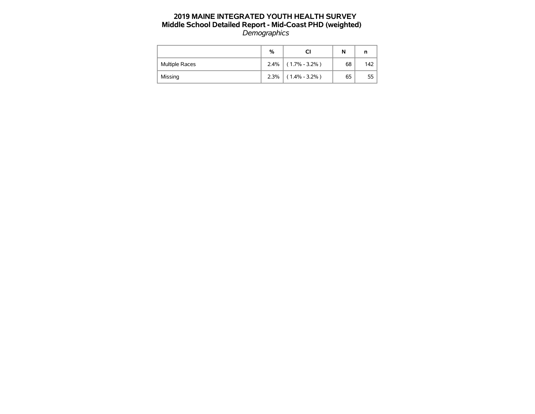|                       | %    |                       | N  | n   |
|-----------------------|------|-----------------------|----|-----|
| <b>Multiple Races</b> |      | $2.4\%$ (1.7% - 3.2%) | 68 | 142 |
| Missing               | 2.3% | $(1.4\% - 3.2\%)$     | 65 | 55  |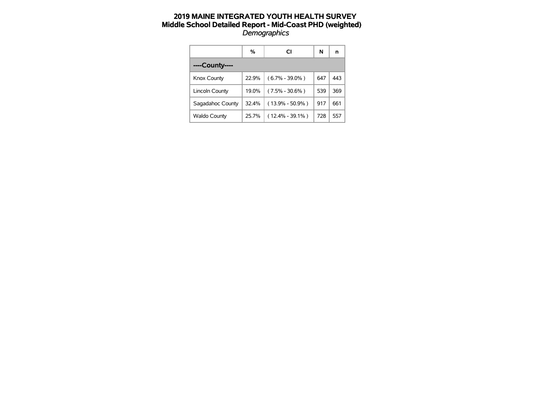|                     | %     | СI                  | N   | n   |
|---------------------|-------|---------------------|-----|-----|
| ----County----      |       |                     |     |     |
| Knox County         | 22.9% | $(6.7\% - 39.0\%)$  | 647 | 443 |
| Lincoln County      | 19.0% | $(7.5\% - 30.6\%)$  | 539 | 369 |
| Sagadahoc County    | 32.4% | $(13.9\% - 50.9\%)$ | 917 | 661 |
| <b>Waldo County</b> | 25.7% | $(12.4\% - 39.1\%)$ | 728 | 557 |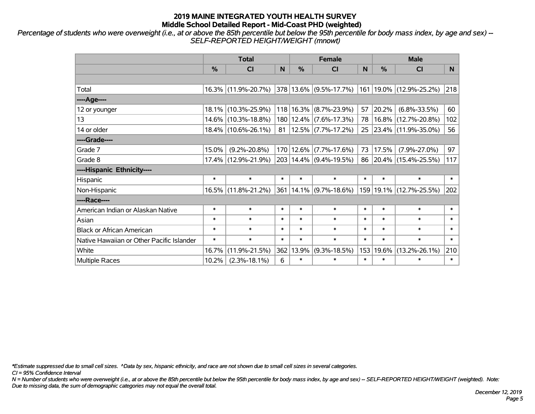*Percentage of students who were overweight (i.e., at or above the 85th percentile but below the 95th percentile for body mass index, by age and sex) -- SELF-REPORTED HEIGHT/WEIGHT (mnowt)*

|                                           | <b>Total</b> |                     |        |        | <b>Female</b>              |        | <b>Male</b> |                                                          |        |  |
|-------------------------------------------|--------------|---------------------|--------|--------|----------------------------|--------|-------------|----------------------------------------------------------|--------|--|
|                                           | %            | <b>CI</b>           | N      | %      | <b>CI</b>                  | N      | %           | <b>CI</b>                                                | N.     |  |
|                                           |              |                     |        |        |                            |        |             |                                                          |        |  |
| Total                                     |              | 16.3% (11.9%-20.7%) |        |        |                            |        |             | $ 378 13.6\% $ (9.5%-17.7%) $ 161 19.0\% $ (12.9%-25.2%) | 218    |  |
| ----Age----                               |              |                     |        |        |                            |        |             |                                                          |        |  |
| 12 or younger                             | $18.1\%$     | $(10.3\% - 25.9\%)$ |        |        | 118 16.3% (8.7%-23.9%)     | 57     | 20.2%       | $(6.8\% - 33.5\%)$                                       | 60     |  |
| 13                                        |              | 14.6% (10.3%-18.8%) |        |        | 180   12.4%   (7.6%-17.3%) | 78     |             | 16.8% (12.7%-20.8%)                                      | 102    |  |
| 14 or older                               |              | 18.4% (10.6%-26.1%) | 81     |        | $12.5\%$ (7.7%-17.2%)      | 25     |             | 23.4% (11.9%-35.0%)                                      | 56     |  |
| ----Grade----                             |              |                     |        |        |                            |        |             |                                                          |        |  |
| Grade 7                                   | 15.0%        | $(9.2\% - 20.8\%)$  |        |        | 170 12.6% (7.7%-17.6%)     | 73     | 17.5%       | $(7.9\% - 27.0\%)$                                       | 97     |  |
| Grade 8                                   |              | 17.4% (12.9%-21.9%) |        |        | 203 14.4% (9.4%-19.5%)     | 86     |             | $ 20.4\% $ (15.4%-25.5%)                                 | 117    |  |
| ----Hispanic Ethnicity----                |              |                     |        |        |                            |        |             |                                                          |        |  |
| Hispanic                                  | $\ast$       | $\ast$              | $\ast$ | $\ast$ | $\ast$                     | $\ast$ | $\ast$      | $\ast$                                                   | $\ast$ |  |
| Non-Hispanic                              | 16.5%        | $(11.8\% - 21.2\%)$ | 361    |        | $14.1\%$ (9.7%-18.6%)      |        |             | 159 19.1% (12.7%-25.5%)                                  | 202    |  |
| ----Race----                              |              |                     |        |        |                            |        |             |                                                          |        |  |
| American Indian or Alaskan Native         | $\ast$       | $\ast$              | $\ast$ | $\ast$ | $\ast$                     | $\ast$ | $\ast$      | $\ast$                                                   | $\ast$ |  |
| Asian                                     | $\ast$       | $\ast$              | $\ast$ | $\ast$ | $\ast$                     | $\ast$ | $\ast$      | $\ast$                                                   | $\ast$ |  |
| <b>Black or African American</b>          | $\ast$       | $\ast$              | $\ast$ | $\ast$ | $\ast$                     | $\ast$ | $\ast$      | $\ast$                                                   | $\ast$ |  |
| Native Hawaiian or Other Pacific Islander | $\ast$       | $\ast$              | $\ast$ | $\ast$ | $\ast$                     | $\ast$ | $\ast$      | $\ast$                                                   | $\ast$ |  |
| White                                     | 16.7%        | $(11.9\% - 21.5\%)$ | 362    | 13.9%  | $(9.3\% - 18.5\%)$         | 153    | 19.6%       | $(13.2\% - 26.1\%)$                                      | 210    |  |
| <b>Multiple Races</b>                     | 10.2%        | $(2.3\% - 18.1\%)$  | 6      | $\ast$ | $\ast$                     | $\ast$ | $\ast$      | $\ast$                                                   | $\ast$ |  |

*\*Estimate suppressed due to small cell sizes. ^Data by sex, hispanic ethnicity, and race are not shown due to small cell sizes in several categories.*

*CI = 95% Confidence Interval*

*N = Number of students who were overweight (i.e., at or above the 85th percentile but below the 95th percentile for body mass index, by age and sex) -- SELF-REPORTED HEIGHT/WEIGHT (weighted). Note: Due to missing data, the sum of demographic categories may not equal the overall total.*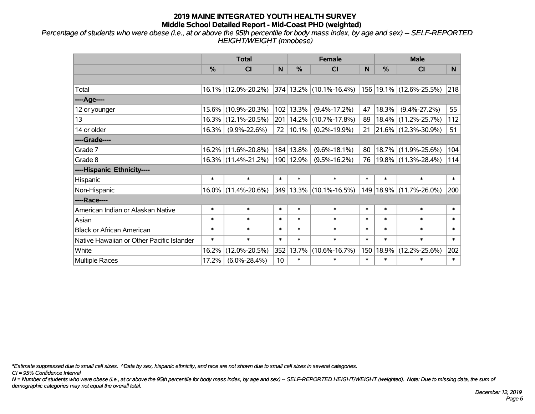*Percentage of students who were obese (i.e., at or above the 95th percentile for body mass index, by age and sex) -- SELF-REPORTED HEIGHT/WEIGHT (mnobese)*

|                                           | <b>Total</b>  |                     |        |               | <b>Female</b>               |        | <b>Male</b> |                         |        |  |
|-------------------------------------------|---------------|---------------------|--------|---------------|-----------------------------|--------|-------------|-------------------------|--------|--|
|                                           | $\frac{0}{0}$ | <b>CI</b>           | N      | $\frac{9}{6}$ | <b>CI</b>                   | N      | %           | <b>CI</b>               | N.     |  |
|                                           |               |                     |        |               |                             |        |             |                         |        |  |
| Total                                     |               | 16.1% (12.0%-20.2%) |        |               | 374 13.2% (10.1%-16.4%)     |        |             | 156 19.1% (12.6%-25.5%) | 218    |  |
| ----Age----                               |               |                     |        |               |                             |        |             |                         |        |  |
| 12 or younger                             | $15.6\%$      | $(10.9\% - 20.3\%)$ |        | 102 13.3%     | $(9.4\% - 17.2\%)$          | 47     | 18.3%       | $(9.4\% - 27.2\%)$      | 55     |  |
| 13                                        |               | 16.3% (12.1%-20.5%) |        |               | 201   14.2%   (10.7%-17.8%) | 89     | $18.4\%$    | $(11.2\% - 25.7\%)$     | 112    |  |
| 14 or older                               | 16.3%         | $(9.9\% - 22.6\%)$  |        | 72   10.1%    | $(0.2\% - 19.9\%)$          |        |             | 21 21.6% (12.3%-30.9%)  | 51     |  |
| ----Grade----                             |               |                     |        |               |                             |        |             |                         |        |  |
| Grade 7                                   | 16.2%         | $(11.6\% - 20.8\%)$ |        | 184 13.8%     | $(9.6\% - 18.1\%)$          | 80     | 18.7%       | $(11.9\% - 25.6\%)$     | 104    |  |
| Grade 8                                   |               | 16.3% (11.4%-21.2%) |        | 190   12.9%   | $(9.5\% - 16.2\%)$          | 76     |             | 19.8% (11.3%-28.4%)     | 114    |  |
| ----Hispanic Ethnicity----                |               |                     |        |               |                             |        |             |                         |        |  |
| Hispanic                                  | $\ast$        | $\ast$              | $\ast$ | $\ast$        | $\ast$                      | $\ast$ | $\ast$      | $\ast$                  | $\ast$ |  |
| Non-Hispanic                              | $16.0\%$      | $(11.4\% - 20.6\%)$ |        |               | 349 13.3% (10.1%-16.5%)     | 149    | 18.9%       | $(11.7\% - 26.0\%)$     | 200    |  |
| ----Race----                              |               |                     |        |               |                             |        |             |                         |        |  |
| American Indian or Alaskan Native         | $\ast$        | $\ast$              | $\ast$ | $\ast$        | $\ast$                      | $\ast$ | $\ast$      | $\ast$                  | $\ast$ |  |
| Asian                                     | $\ast$        | $\ast$              | $\ast$ | $\ast$        | $\ast$                      | $\ast$ | $\ast$      | $\ast$                  | $\ast$ |  |
| <b>Black or African American</b>          | $\ast$        | $\ast$              | $\ast$ | $\ast$        | $\ast$                      | $\ast$ | $\ast$      | $\ast$                  | $\ast$ |  |
| Native Hawaiian or Other Pacific Islander | $\ast$        | $\ast$              | $\ast$ | $\ast$        | $\ast$                      | $\ast$ | $\ast$      | $\ast$                  | $\ast$ |  |
| White                                     | 16.2%         | $(12.0\% - 20.5\%)$ |        | 352 13.7%     | $(10.6\% - 16.7\%)$         | 150    | 18.9%       | $(12.2\% - 25.6\%)$     | 202    |  |
| Multiple Races                            | 17.2%         | $(6.0\% - 28.4\%)$  | 10     | $\ast$        | $\ast$                      | $\ast$ | $\ast$      | $\ast$                  | $\ast$ |  |

*\*Estimate suppressed due to small cell sizes. ^Data by sex, hispanic ethnicity, and race are not shown due to small cell sizes in several categories.*

*CI = 95% Confidence Interval*

*N = Number of students who were obese (i.e., at or above the 95th percentile for body mass index, by age and sex) -- SELF-REPORTED HEIGHT/WEIGHT (weighted). Note: Due to missing data, the sum of demographic categories may not equal the overall total.*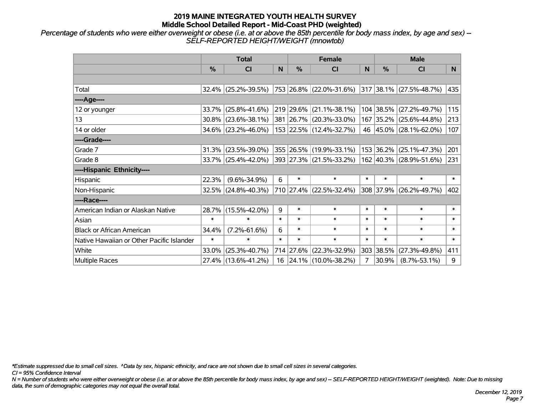*Percentage of students who were either overweight or obese (i.e. at or above the 85th percentile for body mass index, by age and sex) -- SELF-REPORTED HEIGHT/WEIGHT (mnowtob)*

|                                           |               | <b>Total</b>                                   |        |               | <b>Female</b>           |        | <b>Male</b> |                                  |        |  |
|-------------------------------------------|---------------|------------------------------------------------|--------|---------------|-------------------------|--------|-------------|----------------------------------|--------|--|
|                                           | $\frac{0}{0}$ | <b>CI</b>                                      | N      | $\frac{9}{6}$ | <b>CI</b>               | N      | %           | <b>CI</b>                        | N.     |  |
|                                           |               |                                                |        |               |                         |        |             |                                  |        |  |
| Total                                     |               | 32.4% (25.2%-39.5%) 753 26.8% (22.0%-31.6%)    |        |               |                         |        |             | $ 317 38.1\%  (27.5\% - 48.7\%)$ | 435    |  |
| ----Age----                               |               |                                                |        |               |                         |        |             |                                  |        |  |
| 12 or younger                             | 33.7%         | $(25.8\% - 41.6\%)$                            |        |               | 219 29.6% (21.1%-38.1%) |        | 104 38.5%   | $(27.2\% - 49.7\%)$              | 115    |  |
| 13                                        |               | $30.8\%$ (23.6%-38.1%)                         |        |               | 381 26.7% (20.3%-33.0%) |        |             | 167 35.2% (25.6%-44.8%)          | 213    |  |
| 14 or older                               |               | 34.6% (23.2%-46.0%)                            |        |               | 153 22.5% (12.4%-32.7%) |        |             | 46 45.0% (28.1%-62.0%)           | 107    |  |
| ----Grade----                             |               |                                                |        |               |                         |        |             |                                  |        |  |
| Grade 7                                   | 31.3%         | $(23.5\% - 39.0\%)$                            |        |               | 355 26.5% (19.9%-33.1%) |        | 153 36.2%   | $(25.1\% - 47.3\%)$              | 201    |  |
| Grade 8                                   |               | $33.7\%$ (25.4%-42.0%) 393 27.3% (21.5%-33.2%) |        |               |                         |        |             | 162 40.3% (28.9%-51.6%)          | 231    |  |
| ----Hispanic Ethnicity----                |               |                                                |        |               |                         |        |             |                                  |        |  |
| Hispanic                                  | 22.3%         | $(9.6\% - 34.9\%)$                             | 6      | $\ast$        | $\ast$                  | $\ast$ | $\ast$      | $\ast$                           | $\ast$ |  |
| Non-Hispanic                              |               | 32.5% (24.8%-40.3%)                            |        |               | 710 27.4% (22.5%-32.4%) |        |             | 308 37.9% (26.2%-49.7%)          | 402    |  |
| ----Race----                              |               |                                                |        |               |                         |        |             |                                  |        |  |
| American Indian or Alaskan Native         |               | 28.7% (15.5%-42.0%)                            | 9      | $\ast$        | $\ast$                  | $\ast$ | $\ast$      | $\ast$                           | $\ast$ |  |
| Asian                                     | $\ast$        | $\ast$                                         | $\ast$ | $\ast$        | $\ast$                  | $\ast$ | $\ast$      | $\ast$                           | $\ast$ |  |
| <b>Black or African American</b>          | 34.4%         | $(7.2\% - 61.6\%)$                             | 6      | $\ast$        | $\ast$                  | $\ast$ | $\ast$      | $\ast$                           | $\ast$ |  |
| Native Hawaiian or Other Pacific Islander | $\ast$        | $\ast$                                         | $\ast$ | $\ast$        | $\ast$                  | $\ast$ | $\ast$      | $\ast$                           | $\ast$ |  |
| White                                     | 33.0%         | $(25.3\% - 40.7\%)$                            |        | 714 27.6%     | $(22.3\% - 32.9\%)$     | 303    | 38.5%       | $(27.3\% - 49.8\%)$              | 411    |  |
| Multiple Races                            |               | 27.4% (13.6%-41.2%)                            |        |               | 16 24.1% (10.0%-38.2%)  | 7      | 30.9%       | $(8.7\% - 53.1\%)$               | 9      |  |

*\*Estimate suppressed due to small cell sizes. ^Data by sex, hispanic ethnicity, and race are not shown due to small cell sizes in several categories.*

*CI = 95% Confidence Interval*

*N = Number of students who were either overweight or obese (i.e. at or above the 85th percentile for body mass index, by age and sex) -- SELF-REPORTED HEIGHT/WEIGHT (weighted). Note: Due to missing data, the sum of demographic categories may not equal the overall total.*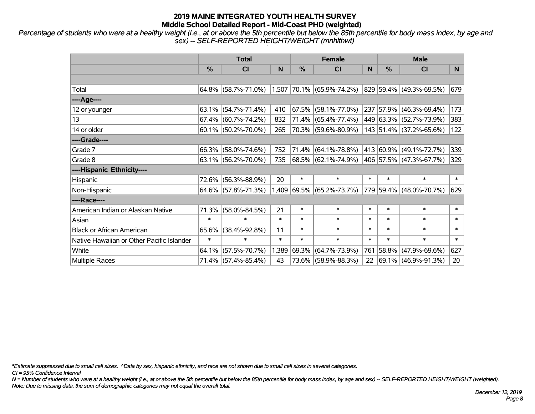*Percentage of students who were at a healthy weight (i.e., at or above the 5th percentile but below the 85th percentile for body mass index, by age and sex) -- SELF-REPORTED HEIGHT/WEIGHT (mnhlthwt)*

|                                           | <b>Total</b> |                        |        |        | <b>Female</b>             |        | <b>Male</b> |                         |        |  |
|-------------------------------------------|--------------|------------------------|--------|--------|---------------------------|--------|-------------|-------------------------|--------|--|
|                                           | %            | <b>CI</b>              | N      | %      | <b>CI</b>                 | N      | %           | <b>CI</b>               | N.     |  |
|                                           |              |                        |        |        |                           |        |             |                         |        |  |
| Total                                     |              | $64.8\%$ (58.7%-71.0%) |        |        | 1,507 70.1% (65.9%-74.2%) |        |             | 829 59.4% (49.3%-69.5%) | 679    |  |
| ----Age----                               |              |                        |        |        |                           |        |             |                         |        |  |
| 12 or younger                             | 63.1%        | $(54.7\% - 71.4\%)$    | 410    | 67.5%  | $(58.1\% - 77.0\%)$       |        | 237 57.9%   | $(46.3\% - 69.4\%)$     | 173    |  |
| 13                                        |              | $67.4\%$ (60.7%-74.2%) | 832    |        | $71.4\%$ (65.4%-77.4%)    |        |             | 449 63.3% (52.7%-73.9%) | 383    |  |
| 14 or older                               |              | 60.1% (50.2%-70.0%)    | 265    |        | 70.3% (59.6%-80.9%)       |        |             | 143 51.4% (37.2%-65.6%) | 122    |  |
| ----Grade----                             |              |                        |        |        |                           |        |             |                         |        |  |
| Grade 7                                   | 66.3%        | $(58.0\% - 74.6\%)$    | 752    |        | 71.4% (64.1%-78.8%)       |        | 413 60.9%   | $(49.1\% - 72.7\%)$     | 339    |  |
| Grade 8                                   |              | $63.1\%$ (56.2%-70.0%) | 735    |        | 68.5% (62.1%-74.9%)       |        |             | 406 57.5% (47.3%-67.7%) | 329    |  |
| ----Hispanic Ethnicity----                |              |                        |        |        |                           |        |             |                         |        |  |
| Hispanic                                  | 72.6%        | $(56.3\% - 88.9\%)$    | 20     | $\ast$ | $\ast$                    | $\ast$ | $\ast$      | $\ast$                  | $\ast$ |  |
| Non-Hispanic                              |              | 64.6% (57.8%-71.3%)    | 1,409  |        | 69.5% (65.2%-73.7%)       |        |             | 779 59.4% (48.0%-70.7%) | 629    |  |
| ----Race----                              |              |                        |        |        |                           |        |             |                         |        |  |
| American Indian or Alaskan Native         | 71.3%        | $(58.0\% - 84.5\%)$    | 21     | $\ast$ | $\ast$                    | $\ast$ | $\ast$      | $\ast$                  | $\ast$ |  |
| Asian                                     | $\ast$       | $\ast$                 | $\ast$ | $\ast$ | $\ast$                    | $\ast$ | $\ast$      | $\ast$                  | $\ast$ |  |
| <b>Black or African American</b>          | 65.6%        | $(38.4\% - 92.8\%)$    | 11     | $\ast$ | $\ast$                    | $\ast$ | $\ast$      | $\ast$                  | $\ast$ |  |
| Native Hawaiian or Other Pacific Islander | $\ast$       | $\ast$                 | $\ast$ | $\ast$ | $\ast$                    | $\ast$ | $\ast$      | $\ast$                  | $\ast$ |  |
| White                                     | 64.1%        | $(57.5\% - 70.7\%)$    | 1,389  | 69.3%  | $(64.7\% - 73.9\%)$       | 761    | 58.8%       | $(47.9\% - 69.6\%)$     | 627    |  |
| <b>Multiple Races</b>                     |              | 71.4% (57.4%-85.4%)    | 43     |        | 73.6% (58.9%-88.3%)       | 22     |             | 69.1% (46.9%-91.3%)     | 20     |  |

*\*Estimate suppressed due to small cell sizes. ^Data by sex, hispanic ethnicity, and race are not shown due to small cell sizes in several categories.*

*CI = 95% Confidence Interval*

*N = Number of students who were at a healthy weight (i.e., at or above the 5th percentile but below the 85th percentile for body mass index, by age and sex) -- SELF-REPORTED HEIGHT/WEIGHT (weighted). Note: Due to missing data, the sum of demographic categories may not equal the overall total.*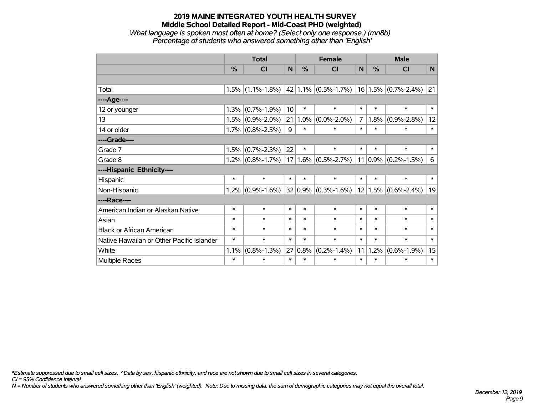#### **2019 MAINE INTEGRATED YOUTH HEALTH SURVEY Middle School Detailed Report - Mid-Coast PHD (weighted)** *What language is spoken most often at home? (Select only one response.) (mn8b)*

*Percentage of students who answered something other than 'English'*

|                                           | <b>Total</b> |                                                           |                 |               | <b>Female</b>       |                | <b>Male</b> |                         |        |
|-------------------------------------------|--------------|-----------------------------------------------------------|-----------------|---------------|---------------------|----------------|-------------|-------------------------|--------|
|                                           | %            | C <sub>l</sub>                                            | $\mathbf N$     | $\frac{0}{0}$ | <b>CI</b>           | N              | %           | <b>CI</b>               | N      |
|                                           |              |                                                           |                 |               |                     |                |             |                         |        |
| Total                                     |              | $1.5\%$ (1.1%-1.8%) $\left  42 \right  1.1\%$ (0.5%-1.7%) |                 |               |                     |                |             | $16 1.5\% $ (0.7%-2.4%) | 21     |
| ---- Age----                              |              |                                                           |                 |               |                     |                |             |                         |        |
| 12 or younger                             | 1.3%         | $(0.7\% - 1.9\%)$                                         | 10 <sup>1</sup> | $\ast$        | $\ast$              | $\ast$         | $\ast$      | $\ast$                  | $\ast$ |
| 13                                        |              | $1.5\%$ (0.9%-2.0%)                                       | 21              | 1.0%          | $(0.0\% - 2.0\%)$   | $\overline{7}$ | $1.8\%$     | $(0.9\% - 2.8\%)$       | 12     |
| 14 or older                               |              | $1.7\%$ (0.8%-2.5%)                                       | 9               | $\ast$        | $\ast$              | $\ast$         | $\ast$      | $\ast$                  | $\ast$ |
| ----Grade----                             |              |                                                           |                 |               |                     |                |             |                         |        |
| Grade 7                                   | 1.5%         | $(0.7\% - 2.3\%)$                                         | 22              | $\ast$        | $\ast$              | $\ast$         | $\ast$      | $\ast$                  | $\ast$ |
| Grade 8                                   |              | $1.2\%$ (0.8%-1.7%)                                       | 17 <sup>1</sup> |               | $1.6\%$ (0.5%-2.7%) |                |             | $11 0.9\% $ (0.2%-1.5%) | 6      |
| ----Hispanic Ethnicity----                |              |                                                           |                 |               |                     |                |             |                         |        |
| Hispanic                                  | $\ast$       | $\ast$                                                    | $\ast$          | $\ast$        | $\ast$              | $\ast$         | $\ast$      | $\ast$                  | $\ast$ |
| Non-Hispanic                              | 1.2%         | $(0.9\% - 1.6\%)$                                         |                 | 32 0.9%       | $(0.3\% - 1.6\%)$   |                |             | $12 1.5\% $ (0.6%-2.4%) | 19     |
| ----Race----                              |              |                                                           |                 |               |                     |                |             |                         |        |
| American Indian or Alaskan Native         | $\ast$       | $\ast$                                                    | $\ast$          | $\ast$        | $\ast$              | $\ast$         | $\ast$      | $\ast$                  | $\ast$ |
| Asian                                     | $\ast$       | $\ast$                                                    | $\ast$          | $\ast$        | $\ast$              | $\ast$         | $\ast$      | $\ast$                  | $\ast$ |
| <b>Black or African American</b>          | $\ast$       | $\ast$                                                    | $\ast$          | $\ast$        | $\ast$              | $\ast$         | $\ast$      | $\ast$                  | $\ast$ |
| Native Hawaiian or Other Pacific Islander | $\ast$       | $\ast$                                                    | $\ast$          | $\ast$        | $\ast$              | $\ast$         | $\ast$      | $\ast$                  | $\ast$ |
| White                                     | 1.1%         | $(0.8\% - 1.3\%)$                                         | 27              | 0.8%          | $(0.2\% - 1.4\%)$   | 11             | 1.2%        | $(0.6\% - 1.9\%)$       | 15     |
| Multiple Races                            | $\ast$       | $\ast$                                                    | $\ast$          | $\ast$        | $\ast$              | $\ast$         | $\ast$      | $\ast$                  | $\ast$ |

*\*Estimate suppressed due to small cell sizes. ^Data by sex, hispanic ethnicity, and race are not shown due to small cell sizes in several categories.*

*CI = 95% Confidence Interval*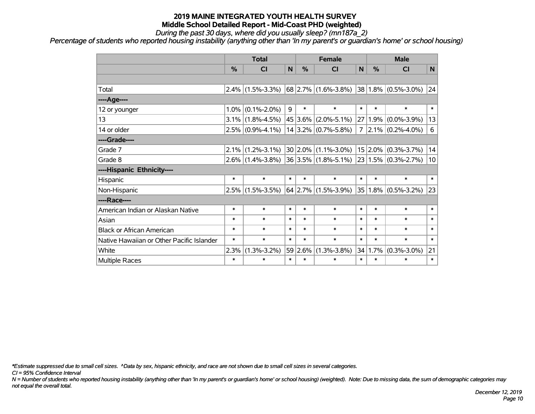*During the past 30 days, where did you usually sleep? (mn187a\_2)*

*Percentage of students who reported housing instability (anything other than 'In my parent's or guardian's home' or school housing)*

|                                           | <b>Total</b> |                                             |                |        | <b>Female</b>           |                | <b>Male</b>     |                          |        |
|-------------------------------------------|--------------|---------------------------------------------|----------------|--------|-------------------------|----------------|-----------------|--------------------------|--------|
|                                           | %            | CI                                          | N              | %      | <b>CI</b>               | N <sub>1</sub> | %               | <b>CI</b>                | N      |
|                                           |              |                                             |                |        |                         |                |                 |                          |        |
| Total                                     | 2.4%         | $(1.5\% - 3.3\%)$                           |                |        | $68$ 2.7% (1.6%-3.8%)   |                |                 | $ 38 1.8\% $ (0.5%-3.0%) | 24     |
| ----Age----                               |              |                                             |                |        |                         |                |                 |                          |        |
| 12 or younger                             | 1.0%         | $(0.1\% - 2.0\%)$                           | $\overline{9}$ | $\ast$ | $\ast$                  | $\ast$         | $\ast$          | $\ast$                   | $\ast$ |
| 13                                        | $3.1\%$      | $(1.8\% - 4.5\%)$                           |                |        | $45 3.6\% $ (2.0%-5.1%) |                | 27 1.9%         | $(0.0\% - 3.9\%)$        | 13     |
| 14 or older                               | 2.5%         | $(0.9\% - 4.1\%)$                           |                |        | $14 3.2\% $ (0.7%-5.8%) | $7^{\circ}$    |                 | $ 2.1\% $ (0.2%-4.0%)    | 6      |
| ----Grade----                             |              |                                             |                |        |                         |                |                 |                          |        |
| Grade 7                                   | 2.1%         | $(1.2\% - 3.1\%)$                           |                |        | $30 2.0\% $ (1.1%-3.0%) |                | $15 \mid 2.0\%$ | $(0.3\% - 3.7\%)$        | 14     |
| Grade 8                                   | $2.6\%$      | $(1.4\% - 3.8\%)$ 36 3.5% $(1.8\% - 5.1\%)$ |                |        |                         |                |                 | $ 23 1.5\% $ (0.3%-2.7%) | 10     |
| ----Hispanic Ethnicity----                |              |                                             |                |        |                         |                |                 |                          |        |
| Hispanic                                  | $\ast$       | $\ast$                                      | $\ast$         | $\ast$ | $\ast$                  | $\ast$         | $\ast$          | $\ast$                   | $\ast$ |
| Non-Hispanic                              | 2.5%         | $(1.5\% - 3.5\%)$                           |                |        | $64$ 2.7% (1.5%-3.9%)   |                | 35 1.8%         | $(0.5\% - 3.2\%)$        | 23     |
| ----Race----                              |              |                                             |                |        |                         |                |                 |                          |        |
| American Indian or Alaskan Native         | $\ast$       | $\ast$                                      | $\ast$         | $\ast$ | $\ast$                  | $\ast$         | $\ast$          | $\ast$                   | $\ast$ |
| Asian                                     | $\ast$       | $\ast$                                      | $\ast$         | $\ast$ | $\ast$                  | $\ast$         | $\ast$          | $\ast$                   | $\ast$ |
| <b>Black or African American</b>          | $\ast$       | $\ast$                                      | $\ast$         | $\ast$ | $\ast$                  | $\ast$         | $\ast$          | $\ast$                   | $\ast$ |
| Native Hawaiian or Other Pacific Islander | $\ast$       | $\ast$                                      | $\ast$         | $\ast$ | $\ast$                  | $\ast$         | $\ast$          | $\ast$                   | $\ast$ |
| White                                     | 2.3%         | $(1.3\% - 3.2\%)$                           | 59             | 2.6%   | $(1.3\% - 3.8\%)$       | 34             | 1.7%            | $(0.3\% - 3.0\%)$        | 21     |
| <b>Multiple Races</b>                     | $\ast$       | $\ast$                                      | $\ast$         | $\ast$ | $\ast$                  | $\ast$         | $\ast$          | $\ast$                   | $\ast$ |

*\*Estimate suppressed due to small cell sizes. ^Data by sex, hispanic ethnicity, and race are not shown due to small cell sizes in several categories.*

*CI = 95% Confidence Interval*

*N = Number of students who reported housing instability (anything other than 'In my parent's or guardian's home' or school housing) (weighted). Note: Due to missing data, the sum of demographic categories may not equal the overall total.*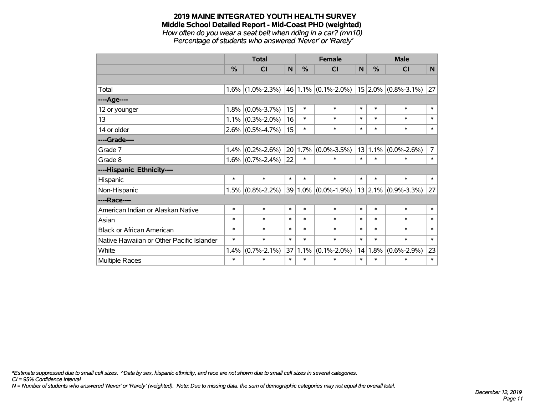#### **2019 MAINE INTEGRATED YOUTH HEALTH SURVEY Middle School Detailed Report - Mid-Coast PHD (weighted)** *How often do you wear a seat belt when riding in a car? (mn10)*

*Percentage of students who answered 'Never' or 'Rarely'*

|                                           |        | <b>Total</b>        |        |        | <b>Female</b>           |        | <b>Male</b> |                             |                |
|-------------------------------------------|--------|---------------------|--------|--------|-------------------------|--------|-------------|-----------------------------|----------------|
|                                           | $\%$   | <b>CI</b>           | N      | %      | <b>CI</b>               | N      | $\%$        | <b>CI</b>                   | N              |
|                                           |        |                     |        |        |                         |        |             |                             |                |
| Total                                     |        | $1.6\%$ (1.0%-2.3%) |        |        | $46 1.1\% $ (0.1%-2.0%) |        |             | $15$ 2.0% (0.8%-3.1%)       | 27             |
| ----Age----                               |        |                     |        |        |                         |        |             |                             |                |
| 12 or younger                             | 1.8%   | $(0.0\% - 3.7\%)$   | 15     | $\ast$ | $\ast$                  | $\ast$ | $\ast$      | $\ast$                      | $\ast$         |
| 13                                        | 1.1%   | $(0.3\% - 2.0\%)$   | 16     | $\ast$ | $\ast$                  | $\ast$ | $\ast$      | $\ast$                      | $\ast$         |
| 14 or older                               |        | $2.6\%$ (0.5%-4.7%) | 15     | $\ast$ | $\ast$                  | $\ast$ | $\ast$      | $\ast$                      | $\ast$         |
| ----Grade----                             |        |                     |        |        |                         |        |             |                             |                |
| Grade 7                                   | 1.4%   | $(0.2\% - 2.6\%)$   | 20     | 1.7%   | $(0.0\% - 3.5\%)$       |        | 13 1.1%     | $(0.0\% - 2.6\%)$           | $\overline{7}$ |
| Grade 8                                   |        | $1.6\%$ (0.7%-2.4%) | 22     | $\ast$ | $\ast$                  | $\ast$ | $\ast$      | $\ast$                      | $\ast$         |
| ----Hispanic Ethnicity----                |        |                     |        |        |                         |        |             |                             |                |
| Hispanic                                  | $\ast$ | $\ast$              | $\ast$ | $\ast$ | $\ast$                  | $\ast$ | $\ast$      | $\ast$                      | $\ast$         |
| Non-Hispanic                              | 1.5%   | $(0.8\% - 2.2\%)$   |        |        | 39 1.0% (0.0%-1.9%)     |        |             | $13$ 2.1% $(0.9\% - 3.3\%)$ | 27             |
| ----Race----                              |        |                     |        |        |                         |        |             |                             |                |
| American Indian or Alaskan Native         | $\ast$ | $\ast$              | $\ast$ | $\ast$ | $\ast$                  | $\ast$ | $\ast$      | $\ast$                      | $\ast$         |
| Asian                                     | $\ast$ | $\ast$              | $\ast$ | $\ast$ | $\ast$                  | $\ast$ | $\ast$      | $\ast$                      | $\ast$         |
| <b>Black or African American</b>          | $\ast$ | $\ast$              | $\ast$ | $\ast$ | $\ast$                  | $\ast$ | $\ast$      | $\ast$                      | $\ast$         |
| Native Hawaiian or Other Pacific Islander | $\ast$ | $\ast$              | $\ast$ | $\ast$ | $\ast$                  | $\ast$ | $\ast$      | $\ast$                      | $\ast$         |
| White                                     | 1.4%   | $(0.7\% - 2.1\%)$   | 37     | 1.1%   | $(0.1\% - 2.0\%)$       | 14     | 1.8%        | $(0.6\% - 2.9\%)$           | 23             |
| Multiple Races                            | $\ast$ | $\ast$              | $\ast$ | $\ast$ | $\ast$                  | $\ast$ | $\ast$      | $\ast$                      | $\ast$         |

*\*Estimate suppressed due to small cell sizes. ^Data by sex, hispanic ethnicity, and race are not shown due to small cell sizes in several categories.*

*CI = 95% Confidence Interval*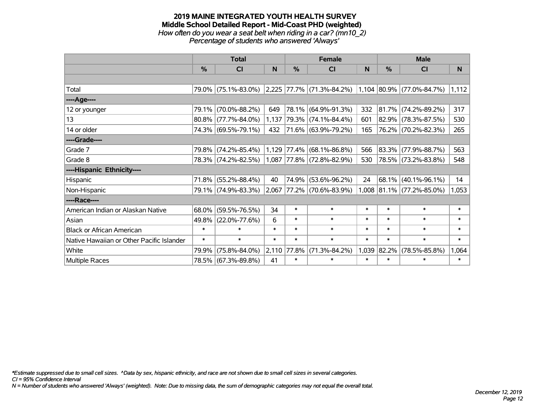#### **2019 MAINE INTEGRATED YOUTH HEALTH SURVEY Middle School Detailed Report - Mid-Coast PHD (weighted)** *How often do you wear a seat belt when riding in a car? (mn10\_2) Percentage of students who answered 'Always'*

|                                           |        | <b>Total</b>        |        |               | <b>Female</b>             |        | <b>Male</b>   |                           |          |  |
|-------------------------------------------|--------|---------------------|--------|---------------|---------------------------|--------|---------------|---------------------------|----------|--|
|                                           | $\%$   | <b>CI</b>           | N      | $\frac{0}{0}$ | <b>CI</b>                 | N      | $\frac{0}{0}$ | <b>CI</b>                 | <b>N</b> |  |
|                                           |        |                     |        |               |                           |        |               |                           |          |  |
| Total                                     |        | 79.0% (75.1%-83.0%) | 2,225  |               | $ 77.7\% $ (71.3%-84.2%)  |        |               | 1,104 80.9% (77.0%-84.7%) | 1,112    |  |
| ----Age----                               |        |                     |        |               |                           |        |               |                           |          |  |
| 12 or younger                             | 79.1%  | $(70.0\% - 88.2\%)$ | 649    |               | 78.1% (64.9%-91.3%)       | 332    | $ 81.7\% $    | $(74.2\% - 89.2\%)$       | 317      |  |
| 13                                        |        | 80.8% (77.7%-84.0%) | 1,137  |               | 79.3% (74.1%-84.4%)       | 601    |               | 82.9% (78.3%-87.5%)       | 530      |  |
| 14 or older                               |        | 74.3% (69.5%-79.1%) | 432    |               | 71.6% (63.9%-79.2%)       | 165    |               | 76.2% (70.2%-82.3%)       | 265      |  |
| ----Grade----                             |        |                     |        |               |                           |        |               |                           |          |  |
| Grade 7                                   | 79.8%  | $(74.2\% - 85.4\%)$ | 1,129  | 77.4%         | $(68.1\% - 86.8\%)$       | 566    | 83.3%         | $(77.9\% - 88.7\%)$       | 563      |  |
| Grade 8                                   |        | 78.3% (74.2%-82.5%) |        |               | 1,087 77.8% (72.8%-82.9%) | 530    |               | 78.5% (73.2%-83.8%)       | 548      |  |
| ----Hispanic Ethnicity----                |        |                     |        |               |                           |        |               |                           |          |  |
| Hispanic                                  | 71.8%  | $(55.2\% - 88.4\%)$ | 40     | 74.9%         | $(53.6\% - 96.2\%)$       | 24     | 68.1%         | $(40.1\% - 96.1\%)$       | 14       |  |
| Non-Hispanic                              |        | 79.1% (74.9%-83.3%) | 2,067  |               | 77.2% (70.6%-83.9%)       |        |               | 1,008 81.1% (77.2%-85.0%) | 1,053    |  |
| ----Race----                              |        |                     |        |               |                           |        |               |                           |          |  |
| American Indian or Alaskan Native         | 68.0%  | $(59.5\% - 76.5\%)$ | 34     | $\ast$        | $\ast$                    | $\ast$ | $\ast$        | $\ast$                    | $\ast$   |  |
| Asian                                     | 49.8%  | $(22.0\% - 77.6\%)$ | 6      | $\ast$        | $\ast$                    | $\ast$ | $\ast$        | $\ast$                    | $\ast$   |  |
| <b>Black or African American</b>          | $\ast$ | $\ast$              | $\ast$ | $\ast$        | $\ast$                    | $\ast$ | $\ast$        | $\ast$                    | $\ast$   |  |
| Native Hawaiian or Other Pacific Islander | $\ast$ | $\ast$              | $\ast$ | $\ast$        | $\ast$                    | $\ast$ | $\ast$        | $\ast$                    | $\ast$   |  |
| White                                     | 79.9%  | $(75.8\% - 84.0\%)$ | 2,110  | 77.8%         | $(71.3\% - 84.2\%)$       | 1,039  | 82.2%         | $(78.5\% - 85.8\%)$       | 1,064    |  |
| Multiple Races                            |        | 78.5% (67.3%-89.8%) | 41     | $\ast$        | $\ast$                    | $\ast$ | $\ast$        | $\ast$                    | $\ast$   |  |

*\*Estimate suppressed due to small cell sizes. ^Data by sex, hispanic ethnicity, and race are not shown due to small cell sizes in several categories.*

*CI = 95% Confidence Interval*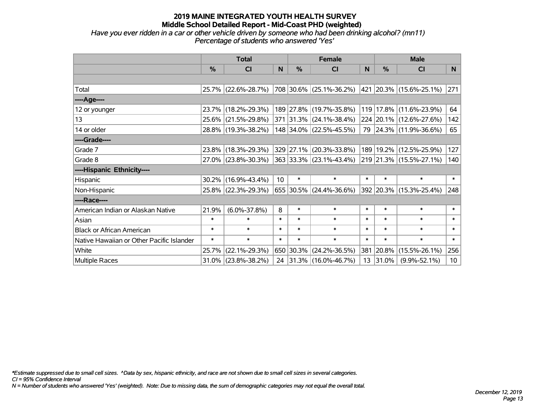*Have you ever ridden in a car or other vehicle driven by someone who had been drinking alcohol? (mn11) Percentage of students who answered 'Yes'*

|                                           | <b>Total</b>  |                     |                 |        | <b>Female</b>                |        | <b>Male</b>  |                             |                 |  |
|-------------------------------------------|---------------|---------------------|-----------------|--------|------------------------------|--------|--------------|-----------------------------|-----------------|--|
|                                           | $\frac{0}{0}$ | <b>CI</b>           | N               | $\%$   | <b>CI</b>                    | N      | $\%$         | <b>CI</b>                   | N               |  |
|                                           |               |                     |                 |        |                              |        |              |                             |                 |  |
| Total                                     |               | 25.7% (22.6%-28.7%) |                 |        | $ 708 30.6\% $ (25.1%-36.2%) |        |              | 421   20.3%   (15.6%-25.1%) | 271             |  |
| ----Age----                               |               |                     |                 |        |                              |        |              |                             |                 |  |
| 12 or younger                             |               | 23.7% (18.2%-29.3%) |                 |        | 189 27.8% (19.7%-35.8%)      | 119    |              | 17.8% (11.6%-23.9%)         | 64              |  |
| 13                                        |               | 25.6% (21.5%-29.8%) |                 |        | $371$ 31.3% (24.1%-38.4%)    |        |              | 224 20.1% (12.6%-27.6%)     | 142             |  |
| 14 or older                               |               | 28.8% (19.3%-38.2%) |                 |        | 148 34.0% (22.5%-45.5%)      |        |              | 79 24.3% (11.9%-36.6%)      | 65              |  |
| ----Grade----                             |               |                     |                 |        |                              |        |              |                             |                 |  |
| Grade 7                                   |               | 23.8% (18.3%-29.3%) |                 |        | 329 27.1% (20.3%-33.8%)      | 189    | 19.2%        | $(12.5\% - 25.9\%)$         | 127             |  |
| Grade 8                                   |               | 27.0% (23.8%-30.3%) |                 |        | $ 363 33.3\% $ (23.1%-43.4%) |        |              | 219 21.3% (15.5%-27.1%)     | 140             |  |
| ----Hispanic Ethnicity----                |               |                     |                 |        |                              |        |              |                             |                 |  |
| Hispanic                                  |               | 30.2% (16.9%-43.4%) | 10 <sup>°</sup> | $\ast$ | $\ast$                       | $\ast$ | $\ast$       | $\ast$                      | $\ast$          |  |
| Non-Hispanic                              |               | 25.8% (22.3%-29.3%) |                 |        | 655 30.5% (24.4%-36.6%)      |        |              | 392 20.3% (15.3%-25.4%)     | 248             |  |
| ----Race----                              |               |                     |                 |        |                              |        |              |                             |                 |  |
| American Indian or Alaskan Native         | 21.9%         | $(6.0\% - 37.8\%)$  | 8               | $\ast$ | $\ast$                       | $\ast$ | $\ast$       | $\ast$                      | $\ast$          |  |
| Asian                                     | $\ast$        | $\ast$              | $\ast$          | $\ast$ | $\ast$                       | $\ast$ | $\ast$       | $\ast$                      | $\ast$          |  |
| <b>Black or African American</b>          | $\ast$        | $\ast$              | $\ast$          | $\ast$ | $\ast$                       | $\ast$ | $\ast$       | $\ast$                      | $\ast$          |  |
| Native Hawaiian or Other Pacific Islander | $\ast$        | $\ast$              | $\ast$          | $\ast$ | $\ast$                       | $\ast$ | $\ast$       | $\ast$                      | $\ast$          |  |
| White                                     | 25.7%         | $(22.1\% - 29.3\%)$ |                 |        | 650 30.3% (24.2%-36.5%)      |        | 381 20.8%    | $(15.5\% - 26.1\%)$         | 256             |  |
| Multiple Races                            |               | 31.0% (23.8%-38.2%) |                 |        | 24 31.3% (16.0%-46.7%)       |        | $13$   31.0% | $(9.9\% - 52.1\%)$          | 10 <sup>°</sup> |  |

*\*Estimate suppressed due to small cell sizes. ^Data by sex, hispanic ethnicity, and race are not shown due to small cell sizes in several categories.*

*CI = 95% Confidence Interval*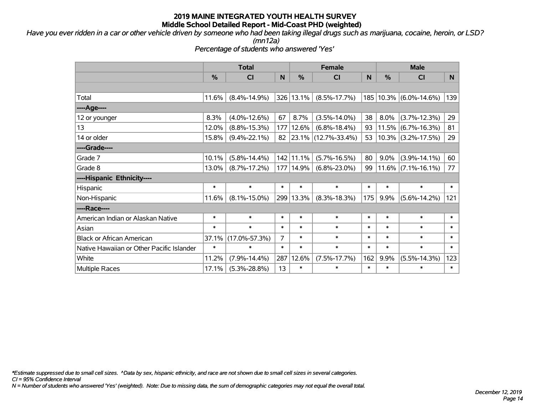*Have you ever ridden in a car or other vehicle driven by someone who had been taking illegal drugs such as marijuana, cocaine, heroin, or LSD?*

*(mn12a)*

*Percentage of students who answered 'Yes'*

|                                           | <b>Total</b> |                     |        | <b>Female</b> | <b>Male</b>              |        |               |                            |        |
|-------------------------------------------|--------------|---------------------|--------|---------------|--------------------------|--------|---------------|----------------------------|--------|
|                                           | %            | <b>CI</b>           | N      | %             | <b>CI</b>                | N      | $\frac{0}{0}$ | <b>CI</b>                  | N      |
|                                           |              |                     |        |               |                          |        |               |                            |        |
| Total                                     | 11.6%        | $(8.4\% - 14.9\%)$  |        | 326 13.1%     | $(8.5\% - 17.7\%)$       |        |               | 185   10.3%   (6.0%-14.6%) | 139    |
| ----Age----                               |              |                     |        |               |                          |        |               |                            |        |
| 12 or younger                             | 8.3%         | $(4.0\% - 12.6\%)$  | 67     | 8.7%          | $(3.5\% - 14.0\%)$       | 38     | $8.0\%$       | $(3.7\% - 12.3\%)$         | 29     |
| 13                                        | 12.0%        | $(8.8\% - 15.3\%)$  | 177    | 12.6%         | $(6.8\% - 18.4\%)$       | 93     |               | $11.5\%$ (6.7%-16.3%)      | 81     |
| 14 or older                               | 15.8%        | $(9.4\% - 22.1\%)$  | 82     |               | $ 23.1\% $ (12.7%-33.4%) | 53     |               | $10.3\%$ (3.2%-17.5%)      | 29     |
| ----Grade----                             |              |                     |        |               |                          |        |               |                            |        |
| Grade 7                                   | 10.1%        | $(5.8\% - 14.4\%)$  |        | 142 11.1%     | $(5.7\% - 16.5\%)$       | 80     | $9.0\%$       | $(3.9\% - 14.1\%)$         | 60     |
| Grade 8                                   | 13.0%        | $(8.7\% - 17.2\%)$  |        | 177 14.9%     | $(6.8\% - 23.0\%)$       | 99     |               | $11.6\%$ (7.1%-16.1%)      | 77     |
| ----Hispanic Ethnicity----                |              |                     |        |               |                          |        |               |                            |        |
| Hispanic                                  | $\ast$       | $\ast$              | $\ast$ | $\ast$        | $\ast$                   | $\ast$ | $\ast$        | $\ast$                     | $\ast$ |
| Non-Hispanic                              | 11.6%        | $(8.1\% - 15.0\%)$  |        | 299 13.3%     | $(8.3\% - 18.3\%)$       | 175    | 9.9%          | $(5.6\% - 14.2\%)$         | 121    |
| ----Race----                              |              |                     |        |               |                          |        |               |                            |        |
| American Indian or Alaskan Native         | $\ast$       | $\ast$              | $\ast$ | $\ast$        | $\ast$                   | $\ast$ | $\ast$        | $\ast$                     | $\ast$ |
| Asian                                     | $\ast$       | $\ast$              | $\ast$ | $\ast$        | $\ast$                   | $\ast$ | $\ast$        | $\ast$                     | $\ast$ |
| <b>Black or African American</b>          | 37.1%        | $(17.0\% - 57.3\%)$ | 7      | $\ast$        | $\ast$                   | $\ast$ | $\ast$        | $\ast$                     | $\ast$ |
| Native Hawaiian or Other Pacific Islander | $\ast$       | $\ast$              | $\ast$ | $\ast$        | $\ast$                   | $\ast$ | $\ast$        | $\ast$                     | $\ast$ |
| White                                     | 11.2%        | $(7.9\% - 14.4\%)$  | 287    | 12.6%         | $(7.5\% - 17.7\%)$       | 162    | 9.9%          | $(5.5\% - 14.3\%)$         | 123    |
| <b>Multiple Races</b>                     | 17.1%        | $(5.3\% - 28.8\%)$  | 13     | $\ast$        | $\ast$                   | $\ast$ | $\ast$        | $\ast$                     | $\ast$ |

*\*Estimate suppressed due to small cell sizes. ^Data by sex, hispanic ethnicity, and race are not shown due to small cell sizes in several categories.*

*CI = 95% Confidence Interval*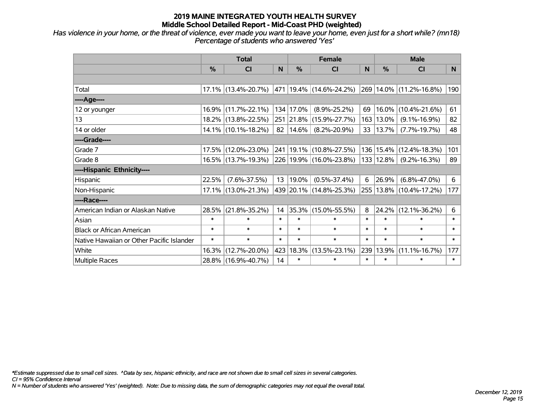*Has violence in your home, or the threat of violence, ever made you want to leave your home, even just for a short while? (mn18) Percentage of students who answered 'Yes'*

|                                           |               | <b>Total</b>           |           |           | <b>Female</b>               |        | <b>Male</b>   |                             |        |
|-------------------------------------------|---------------|------------------------|-----------|-----------|-----------------------------|--------|---------------|-----------------------------|--------|
|                                           | $\frac{0}{0}$ | CI                     | N         | %         | <b>CI</b>                   | N      | %             | <b>CI</b>                   | N      |
|                                           |               |                        |           |           |                             |        |               |                             |        |
| Total                                     |               | 17.1% (13.4%-20.7%)    |           |           | 471  19.4%  (14.6%-24.2%)   |        |               | 269 14.0% (11.2%-16.8%)     | 190    |
| ----Age----                               |               |                        |           |           |                             |        |               |                             |        |
| 12 or younger                             | 16.9%         | $(11.7\% - 22.1\%)$    |           | 134 17.0% | $(8.9\% - 25.2\%)$          | 69     | 16.0%         | $(10.4\% - 21.6\%)$         | 61     |
| 13                                        |               | 18.2% (13.8%-22.5%)    |           |           | 251 21.8% (15.9%-27.7%)     | 163    | 13.0%         | $(9.1\% - 16.9\%)$          | 82     |
| 14 or older                               |               | $14.1\%$ (10.1%-18.2%) | $82 \mid$ | $14.6\%$  | $(8.2\% - 20.9\%)$          | 33     | 13.7%         | $(7.7\% - 19.7\%)$          | 48     |
| ----Grade----                             |               |                        |           |           |                             |        |               |                             |        |
| Grade 7                                   | 17.5%         | $(12.0\% - 23.0\%)$    |           |           | 241   19.1%   (10.8%-27.5%) |        |               | 136   15.4%   (12.4%-18.3%) | 101    |
| Grade 8                                   |               | 16.5% (13.7%-19.3%)    |           |           | 226 19.9% (16.0%-23.8%)     |        | $133$   12.8% | $(9.2\% - 16.3\%)$          | 89     |
| ----Hispanic Ethnicity----                |               |                        |           |           |                             |        |               |                             |        |
| Hispanic                                  | 22.5%         | $(7.6\% - 37.5\%)$     | 13        | 19.0%     | $(0.5\% - 37.4\%)$          | 6      | 26.9%         | $(6.8\% - 47.0\%)$          | 6      |
| Non-Hispanic                              |               | 17.1% (13.0%-21.3%)    |           |           | 439   20.1%   (14.8%-25.3%) | 255    |               | $13.8\%$ (10.4%-17.2%)      | 177    |
| ----Race----                              |               |                        |           |           |                             |        |               |                             |        |
| American Indian or Alaskan Native         | 28.5%         | $(21.8\% - 35.2\%)$    | 14        | 35.3%     | $(15.0\% - 55.5\%)$         | 8      | 24.2%         | $(12.1\% - 36.2\%)$         | 6      |
| Asian                                     | $\ast$        | $\ast$                 | $\ast$    | $\ast$    | $\ast$                      | $\ast$ | $\ast$        | $\ast$                      | $\ast$ |
| <b>Black or African American</b>          | $\ast$        | $\ast$                 | $\ast$    | $\ast$    | $\ast$                      | $\ast$ | $\ast$        | $\ast$                      | $\ast$ |
| Native Hawaiian or Other Pacific Islander | $\ast$        | $\ast$                 | $\ast$    | $\ast$    | $\ast$                      | $\ast$ | $\ast$        | $\ast$                      | $\ast$ |
| White                                     | 16.3%         | $(12.7\% - 20.0\%)$    | 423       | 18.3%     | $(13.5\% - 23.1\%)$         | 239    | 13.9%         | $(11.1\% - 16.7\%)$         | 177    |
| <b>Multiple Races</b>                     |               | 28.8% (16.9%-40.7%)    | 14        | $\ast$    | $\ast$                      | $\ast$ | $\ast$        | $\ast$                      | $\ast$ |

*\*Estimate suppressed due to small cell sizes. ^Data by sex, hispanic ethnicity, and race are not shown due to small cell sizes in several categories.*

*CI = 95% Confidence Interval*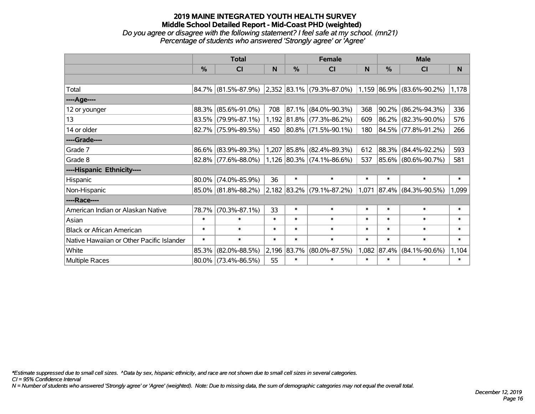*Do you agree or disagree with the following statement? I feel safe at my school. (mn21) Percentage of students who answered 'Strongly agree' or 'Agree'*

|                                           |          | <b>Total</b>           |        |               | <b>Female</b>                                            |        | <b>Male</b> |                     |        |  |
|-------------------------------------------|----------|------------------------|--------|---------------|----------------------------------------------------------|--------|-------------|---------------------|--------|--|
|                                           | $\%$     | <b>CI</b>              | N      | $\frac{0}{0}$ | <b>CI</b>                                                | N      | %           | <b>CI</b>           | N      |  |
|                                           |          |                        |        |               |                                                          |        |             |                     |        |  |
| Total                                     |          | 84.7% (81.5%-87.9%)    |        |               | $ 2,352 83.1\% $ (79.3%-87.0%) 1,159 86.9% (83.6%-90.2%) |        |             |                     | 1,178  |  |
| ----Age----                               |          |                        |        |               |                                                          |        |             |                     |        |  |
| 12 or younger                             | 88.3%    | $(85.6\% - 91.0\%)$    | 708    | 87.1%         | $(84.0\% - 90.3\%)$                                      | 368    | $ 90.2\% $  | $(86.2\% - 94.3\%)$ | 336    |  |
| 13                                        |          | 83.5% (79.9%-87.1%)    |        |               | 1,192 81.8% (77.3%-86.2%)                                | 609    |             | 86.2% (82.3%-90.0%) | 576    |  |
| 14 or older                               |          | 82.7% (75.9%-89.5%)    | 450    |               | 80.8% (71.5%-90.1%)                                      | 180    |             | 84.5% (77.8%-91.2%) | 266    |  |
| ----Grade----                             |          |                        |        |               |                                                          |        |             |                     |        |  |
| Grade 7                                   | 86.6%    | $(83.9\% - 89.3\%)$    | 1,207  |               | $ 85.8\% $ (82.4%-89.3%)                                 | 612    | $ 88.3\% $  | $(84.4\% - 92.2\%)$ | 593    |  |
| Grade 8                                   |          | $82.8\%$ (77.6%-88.0%) |        |               | $1,126$ 80.3% (74.1%-86.6%)                              | 537    |             | 85.6% (80.6%-90.7%) | 581    |  |
| ----Hispanic Ethnicity----                |          |                        |        |               |                                                          |        |             |                     |        |  |
| Hispanic                                  | 80.0%    | $(74.0\% - 85.9\%)$    | 36     | $\ast$        | $\ast$                                                   | $\ast$ | $\ast$      | $\ast$              | $\ast$ |  |
| Non-Hispanic                              |          | 85.0% (81.8%-88.2%)    |        |               | $2,182$ 83.2% (79.1%-87.2%)                              | 1,071  | $ 87.4\% $  | $(84.3\% - 90.5\%)$ | 1,099  |  |
| ----Race----                              |          |                        |        |               |                                                          |        |             |                     |        |  |
| American Indian or Alaskan Native         | 78.7%    | $(70.3\% - 87.1\%)$    | 33     | $\ast$        | $\ast$                                                   | $\ast$ | $\ast$      | $\ast$              | $\ast$ |  |
| Asian                                     | $\ast$   | $\ast$                 | $\ast$ | $\ast$        | $\ast$                                                   | $\ast$ | $\ast$      | $\ast$              | $\ast$ |  |
| <b>Black or African American</b>          | $\ast$   | $\ast$                 | $\ast$ | $\ast$        | $\ast$                                                   | $\ast$ | $\ast$      | $\ast$              | $\ast$ |  |
| Native Hawaiian or Other Pacific Islander | $\ast$   | $\ast$                 | $\ast$ | $\ast$        | $\ast$                                                   | $\ast$ | $\ast$      | $\ast$              | $\ast$ |  |
| White                                     | 85.3%    | $(82.0\% - 88.5\%)$    |        | 2,196 83.7%   | $(80.0\% - 87.5\%)$                                      | 1,082  | 87.4%       | $(84.1\% - 90.6\%)$ | 1,104  |  |
| Multiple Races                            | $80.0\%$ | $(73.4\% - 86.5\%)$    | 55     | $\ast$        | $\ast$                                                   | $\ast$ | $\ast$      | $\ast$              | $\ast$ |  |

*\*Estimate suppressed due to small cell sizes. ^Data by sex, hispanic ethnicity, and race are not shown due to small cell sizes in several categories.*

*CI = 95% Confidence Interval*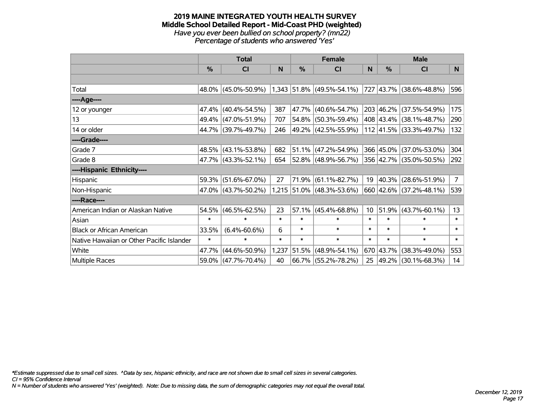#### **2019 MAINE INTEGRATED YOUTH HEALTH SURVEY Middle School Detailed Report - Mid-Coast PHD (weighted)** *Have you ever been bullied on school property? (mn22) Percentage of students who answered 'Yes'*

|                                           | <b>Total</b>  |                     |        |        | <b>Female</b>               |                 | <b>Male</b> |                          |                |
|-------------------------------------------|---------------|---------------------|--------|--------|-----------------------------|-----------------|-------------|--------------------------|----------------|
|                                           | $\frac{0}{0}$ | CI                  | N      | %      | <b>CI</b>                   | N               | %           | <b>CI</b>                | N              |
|                                           |               |                     |        |        |                             |                 |             |                          |                |
| Total                                     |               | 48.0% (45.0%-50.9%) |        |        | $1,343$ 51.8% (49.5%-54.1%) |                 |             | 727 43.7% (38.6%-48.8%)  | 596            |
| ----Age----                               |               |                     |        |        |                             |                 |             |                          |                |
| 12 or younger                             |               | 47.4% (40.4%-54.5%) | 387    | 47.7%  | $(40.6\% - 54.7\%)$         |                 |             | 203 46.2% (37.5%-54.9%)  | 175            |
| 13                                        |               | 49.4% (47.0%-51.9%) | 707    | 54.8%  | $(50.3\% - 59.4\%)$         |                 |             | 408 43.4% (38.1%-48.7%)  | 290            |
| 14 or older                               |               | 44.7% (39.7%-49.7%) | 246    |        | $ 49.2\% $ (42.5%-55.9%)    |                 |             | 112 41.5% (33.3%-49.7%)  | 132            |
| ----Grade----                             |               |                     |        |        |                             |                 |             |                          |                |
| Grade 7                                   |               | 48.5% (43.1%-53.8%) | 682    |        | $ 51.1\% $ (47.2%-54.9%)    |                 |             | 366 45.0% (37.0%-53.0%)  | 304            |
| Grade 8                                   |               | 47.7% (43.3%-52.1%) | 654    |        | $ 52.8\% $ (48.9%-56.7%)    |                 |             | 356 42.7% (35.0%-50.5%)  | 292            |
| ----Hispanic Ethnicity----                |               |                     |        |        |                             |                 |             |                          |                |
| Hispanic                                  | 59.3%         | $(51.6\% - 67.0\%)$ | 27     | 71.9%  | $(61.1\% - 82.7\%)$         | 19              |             | $ 40.3\% $ (28.6%-51.9%) | $\overline{7}$ |
| Non-Hispanic                              |               | 47.0% (43.7%-50.2%) |        |        | 1,215 51.0% (48.3%-53.6%)   |                 |             | 660 42.6% (37.2%-48.1%)  | 539            |
| ----Race----                              |               |                     |        |        |                             |                 |             |                          |                |
| American Indian or Alaskan Native         | 54.5%         | $(46.5\% - 62.5\%)$ | 23     | 57.1%  | $(45.4\% - 68.8\%)$         | 10 <sup>°</sup> |             | $51.9\%$ (43.7%-60.1%)   | 13             |
| Asian                                     | $\ast$        | $\ast$              | $\ast$ | $\ast$ | $\ast$                      | $\ast$          | $\ast$      | $\ast$                   | $\ast$         |
| <b>Black or African American</b>          | 33.5%         | $(6.4\% - 60.6\%)$  | 6      | $\ast$ | $\ast$                      | $\ast$          | $\ast$      | $\ast$                   | $\ast$         |
| Native Hawaiian or Other Pacific Islander | $\ast$        | $\ast$              | $\ast$ | $\ast$ | $\ast$                      | $\ast$          | $\ast$      | $\ast$                   | $\ast$         |
| White                                     | 47.7%         | $(44.6\% - 50.9\%)$ | 1,237  | 51.5%  | $(48.9\% - 54.1\%)$         |                 |             | 670 43.7% (38.3%-49.0%)  | 553            |
| Multiple Races                            |               | 59.0% (47.7%-70.4%) | 40     |        | $66.7\%$ (55.2%-78.2%)      | 25              |             | $ 49.2\% $ (30.1%-68.3%) | 14             |

*\*Estimate suppressed due to small cell sizes. ^Data by sex, hispanic ethnicity, and race are not shown due to small cell sizes in several categories.*

*CI = 95% Confidence Interval*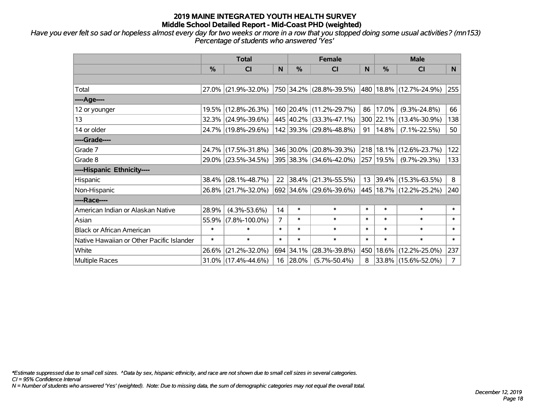*Have you ever felt so sad or hopeless almost every day for two weeks or more in a row that you stopped doing some usual activities? (mn153) Percentage of students who answered 'Yes'*

|                                           | <b>Total</b>  |                        |                | <b>Female</b> | <b>Male</b>             |        |          |                             |                |
|-------------------------------------------|---------------|------------------------|----------------|---------------|-------------------------|--------|----------|-----------------------------|----------------|
|                                           | $\frac{0}{0}$ | C <sub>l</sub>         | N              | $\frac{9}{6}$ | CI                      | N      | %        | <b>CI</b>                   | N              |
|                                           |               |                        |                |               |                         |        |          |                             |                |
| Total                                     |               | 27.0% (21.9%-32.0%)    |                |               | 750 34.2% (28.8%-39.5%) |        |          | 480 18.8% (12.7%-24.9%)     | 255            |
| ----Age----                               |               |                        |                |               |                         |        |          |                             |                |
| 12 or younger                             |               | 19.5% (12.8%-26.3%)    |                |               | 160 20.4% (11.2%-29.7%) | 86     | 17.0%    | $(9.3\% - 24.8\%)$          | 66             |
| 13                                        |               | 32.3% (24.9%-39.6%)    |                |               | 445 40.2% (33.3%-47.1%) |        |          | 300 22.1% (13.4%-30.9%)     | 138            |
| 14 or older                               |               | 24.7% (19.8%-29.6%)    |                |               | 142 39.3% (29.8%-48.8%) | 91     | $14.8\%$ | $(7.1\% - 22.5\%)$          | 50             |
| ----Grade----                             |               |                        |                |               |                         |        |          |                             |                |
| Grade 7                                   |               | 24.7% (17.5%-31.8%)    |                | 346 30.0%     | $(20.8\% - 39.3\%)$     | 218    | 18.1%    | $(12.6\% - 23.7\%)$         | 122            |
| Grade 8                                   |               | 29.0% (23.5%-34.5%)    |                |               | 395 38.3% (34.6%-42.0%) |        |          | 257   19.5%   (9.7%-29.3%)  | 133            |
| ----Hispanic Ethnicity----                |               |                        |                |               |                         |        |          |                             |                |
| Hispanic                                  |               | $38.4\%$ (28.1%-48.7%) | 22             | 38.4%         | $(21.3\% - 55.5\%)$     | 13     |          | $ 39.4\% $ (15.3%-63.5%)    | 8              |
| Non-Hispanic                              |               | 26.8% (21.7%-32.0%)    |                |               | 692 34.6% (29.6%-39.6%) |        |          | 445   18.7%   (12.2%-25.2%) | 240            |
| ----Race----                              |               |                        |                |               |                         |        |          |                             |                |
| American Indian or Alaskan Native         | 28.9%         | $(4.3\% - 53.6\%)$     | 14             | $\ast$        | $\ast$                  | $\ast$ | $\ast$   | $\ast$                      | $\ast$         |
| Asian                                     | 55.9%         | $(7.8\% - 100.0\%)$    | $\overline{7}$ | $\ast$        | $\ast$                  | $\ast$ | $\ast$   | $\ast$                      | $\ast$         |
| <b>Black or African American</b>          | $\ast$        | $\ast$                 | $\ast$         | $\ast$        | $\ast$                  | $\ast$ | $\ast$   | $\ast$                      | $\ast$         |
| Native Hawaiian or Other Pacific Islander | $\ast$        | $\ast$                 | $\ast$         | $\ast$        | $\ast$                  | $\ast$ | $\ast$   | $\ast$                      | $\ast$         |
| White                                     | 26.6%         | $(21.2\% - 32.0\%)$    |                | 694 34.1%     | $(28.3\% - 39.8\%)$     | 450    | 18.6%    | $(12.2\% - 25.0\%)$         | 237            |
| Multiple Races                            |               | 31.0% (17.4%-44.6%)    | 16             | $ 28.0\%$     | $(5.7\% - 50.4\%)$      | 8      |          | 33.8% (15.6%-52.0%)         | $\overline{7}$ |

*\*Estimate suppressed due to small cell sizes. ^Data by sex, hispanic ethnicity, and race are not shown due to small cell sizes in several categories.*

*CI = 95% Confidence Interval*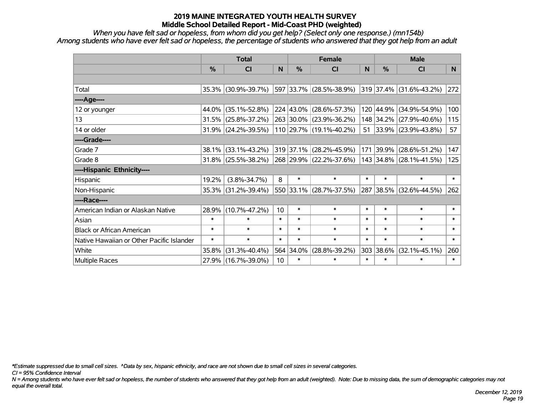*When you have felt sad or hopeless, from whom did you get help? (Select only one response.) (mn154b) Among students who have ever felt sad or hopeless, the percentage of students who answered that they got help from an adult*

|                                           | <b>Total</b> |                        |                 | <b>Female</b> | <b>Male</b>             |        |           |                         |                |
|-------------------------------------------|--------------|------------------------|-----------------|---------------|-------------------------|--------|-----------|-------------------------|----------------|
|                                           | %            | CI                     | N               | $\frac{0}{0}$ | <b>CI</b>               | N      | %         | <b>CI</b>               | N <sub>1</sub> |
|                                           |              |                        |                 |               |                         |        |           |                         |                |
| Total                                     |              | 35.3% (30.9%-39.7%)    |                 |               | 597 33.7% (28.5%-38.9%) |        |           | 319 37.4% (31.6%-43.2%) | 272            |
| ----Age----                               |              |                        |                 |               |                         |        |           |                         |                |
| 12 or younger                             | 44.0%        | $(35.1\% - 52.8\%)$    |                 |               | 224 43.0% (28.6%-57.3%) |        | 120 44.9% | $(34.9\% - 54.9\%)$     | 100            |
| 13                                        | 31.5%        | $(25.8\% - 37.2\%)$    |                 |               | 263 30.0% (23.9%-36.2%) |        |           | 148 34.2% (27.9%-40.6%) | 115            |
| 14 or older                               |              | 31.9% (24.2%-39.5%)    |                 |               | 110 29.7% (19.1%-40.2%) |        |           | 51 33.9% (23.9%-43.8%)  | 57             |
| ----Grade----                             |              |                        |                 |               |                         |        |           |                         |                |
| Grade 7                                   | 38.1%        | $(33.1\% - 43.2\%)$    |                 |               | 319 37.1% (28.2%-45.9%) |        | 171 39.9% | $(28.6\% - 51.2\%)$     | 147            |
| Grade 8                                   |              | $31.8\%$ (25.5%-38.2%) |                 |               | 268 29.9% (22.2%-37.6%) |        |           | 143 34.8% (28.1%-41.5%) | 125            |
| ----Hispanic Ethnicity----                |              |                        |                 |               |                         |        |           |                         |                |
| Hispanic                                  | 19.2%        | $(3.8\% - 34.7\%)$     | 8               | $\ast$        | $\ast$                  | $\ast$ | $\ast$    | $\ast$                  | $\ast$         |
| Non-Hispanic                              | 35.3%        | $(31.2\% - 39.4\%)$    |                 |               | 550 33.1% (28.7%-37.5%) |        | 287 38.5% | $(32.6\% - 44.5\%)$     | 262            |
| ----Race----                              |              |                        |                 |               |                         |        |           |                         |                |
| American Indian or Alaskan Native         | 28.9%        | $(10.7\% - 47.2\%)$    | 10              | $\ast$        | $\ast$                  | $\ast$ | $\ast$    | $\ast$                  | $\ast$         |
| Asian                                     | $\ast$       | $\ast$                 | $\ast$          | $\ast$        | $\ast$                  | $\ast$ | $\ast$    | $\ast$                  | $\ast$         |
| <b>Black or African American</b>          | $\ast$       | $\ast$                 | $\ast$          | $\ast$        | $\ast$                  | $\ast$ | $\ast$    | $\ast$                  | $\ast$         |
| Native Hawaiian or Other Pacific Islander | $\ast$       | $\ast$                 | $\ast$          | $\ast$        | $\ast$                  | $\ast$ | $\ast$    | $\ast$                  | $\ast$         |
| White                                     | 35.8%        | $(31.3\% - 40.4\%)$    |                 | 564 34.0%     | $(28.8\% - 39.2\%)$     | 303    | 38.6%     | $(32.1\% - 45.1\%)$     | 260            |
| Multiple Races                            |              | 27.9% (16.7%-39.0%)    | 10 <sup>1</sup> | $\ast$        | $\ast$                  | $\ast$ | $\ast$    | *                       | $\ast$         |

*\*Estimate suppressed due to small cell sizes. ^Data by sex, hispanic ethnicity, and race are not shown due to small cell sizes in several categories.*

*CI = 95% Confidence Interval*

*N = Among students who have ever felt sad or hopeless, the number of students who answered that they got help from an adult (weighted). Note: Due to missing data, the sum of demographic categories may not equal the overall total.*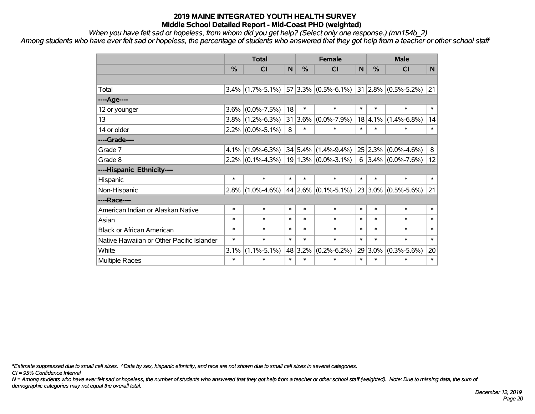*When you have felt sad or hopeless, from whom did you get help? (Select only one response.) (mn154b\_2)*

*Among students who have ever felt sad or hopeless, the percentage of students who answered that they got help from a teacher or other school staff*

|                                           | <b>Total</b>  |                                             |        |         | <b>Female</b>              | <b>Male</b>  |               |                              |        |
|-------------------------------------------|---------------|---------------------------------------------|--------|---------|----------------------------|--------------|---------------|------------------------------|--------|
|                                           | $\frac{0}{0}$ | <b>CI</b>                                   | N      | %       | <b>CI</b>                  | $\mathsf{N}$ | $\frac{0}{0}$ | <b>CI</b>                    | N      |
|                                           |               |                                             |        |         |                            |              |               |                              |        |
| Total                                     | $3.4\%$       | $(1.7\% - 5.1\%)$ 57 3.3% $(0.5\% - 6.1\%)$ |        |         |                            |              |               | $ 31 2.8\%  (0.5\% - 5.2\%)$ | 21     |
| ----Age----                               |               |                                             |        |         |                            |              |               |                              |        |
| 12 or younger                             | 3.6%          | $(0.0\% - 7.5\%)$                           | 18     | $\ast$  | $\ast$                     | $\ast$       | $\ast$        | $\ast$                       | $\ast$ |
| 13                                        | $3.8\%$       | $(1.2\% - 6.3\%)$                           | 31     | 3.6%    | $(0.0\% - 7.9\%)$          | 18           | $ 4.1\%$      | $(1.4\% - 6.8\%)$            | 14     |
| 14 or older                               | $2.2\%$       | $(0.0\% - 5.1\%)$                           | 8      | $\ast$  | $\ast$                     | $\ast$       | $\ast$        | $\ast$                       | $\ast$ |
| ----Grade----                             |               |                                             |        |         |                            |              |               |                              |        |
| Grade 7                                   | 4.1%          | $(1.9\% - 6.3\%)$                           |        |         | $34 5.4\% (1.4\% - 9.4\%)$ |              | 25 2.3%       | $(0.0\% - 4.6\%)$            | 8      |
| Grade 8                                   | $2.2\%$       | $(0.1\% - 4.3\%)$                           |        |         | $19 1.3\% $ (0.0%-3.1%)    |              |               | $6$   3.4%   (0.0%-7.6%)     | 12     |
| ----Hispanic Ethnicity----                |               |                                             |        |         |                            |              |               |                              |        |
| Hispanic                                  | $\ast$        | $\ast$                                      | $\ast$ | $\ast$  | $\ast$                     | $\ast$       | $\ast$        | $\ast$                       | $\ast$ |
| Non-Hispanic                              | $2.8\%$       | $(1.0\% - 4.6\%)$                           |        |         | $44$ 2.6% (0.1%-5.1%)      |              | 23 3.0%       | $(0.5\% - 5.6\%)$            | 21     |
| ----Race----                              |               |                                             |        |         |                            |              |               |                              |        |
| American Indian or Alaskan Native         | $\ast$        | $\ast$                                      | $\ast$ | $\ast$  | $\ast$                     | $\ast$       | $\ast$        | $\ast$                       | $\ast$ |
| Asian                                     | $\ast$        | $\ast$                                      | $\ast$ | $\ast$  | $\ast$                     | $\ast$       | $\ast$        | $\ast$                       | $\ast$ |
| <b>Black or African American</b>          | $\ast$        | $\ast$                                      | $\ast$ | $\ast$  | $\ast$                     | $\ast$       | $\ast$        | $\ast$                       | $\ast$ |
| Native Hawaiian or Other Pacific Islander | $\ast$        | $\ast$                                      | $\ast$ | $\ast$  | $\ast$                     | $\ast$       | $\ast$        | $\ast$                       | $\ast$ |
| White                                     | 3.1%          | $(1.1\% - 5.1\%)$                           |        | 48 3.2% | $(0.2\% - 6.2\%)$          |              | $29 3.0\%$    | $(0.3\% - 5.6\%)$            | 20     |
| <b>Multiple Races</b>                     | $\ast$        | $\ast$                                      | $\ast$ | $\ast$  | $\ast$                     | $\ast$       | $\ast$        | $\ast$                       | $\ast$ |

*\*Estimate suppressed due to small cell sizes. ^Data by sex, hispanic ethnicity, and race are not shown due to small cell sizes in several categories.*

*CI = 95% Confidence Interval*

*N = Among students who have ever felt sad or hopeless, the number of students who answered that they got help from a teacher or other school staff (weighted). Note: Due to missing data, the sum of demographic categories may not equal the overall total.*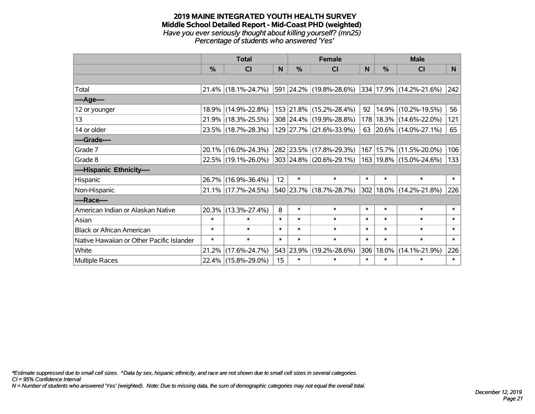#### **2019 MAINE INTEGRATED YOUTH HEALTH SURVEY Middle School Detailed Report - Mid-Coast PHD (weighted)** *Have you ever seriously thought about killing yourself? (mn25) Percentage of students who answered 'Yes'*

|                                           |               | <b>Total</b>        |        | <b>Female</b> |                         |        |        | <b>Male</b>                 |        |
|-------------------------------------------|---------------|---------------------|--------|---------------|-------------------------|--------|--------|-----------------------------|--------|
|                                           | $\frac{0}{0}$ | CI                  | N      | %             | <b>CI</b>               | N      | %      | <b>CI</b>                   | N.     |
|                                           |               |                     |        |               |                         |        |        |                             |        |
| Total                                     |               | 21.4% (18.1%-24.7%) |        |               | 591 24.2% (19.8%-28.6%) |        |        | 334   17.9%   (14.2%-21.6%) | 242    |
| ----Age----                               |               |                     |        |               |                         |        |        |                             |        |
| 12 or younger                             | $18.9\%$      | $(14.9\% - 22.8\%)$ |        |               | 153 21.8% (15.2%-28.4%) | 92     |        | 14.9% (10.2%-19.5%)         | 56     |
| 13                                        |               | 21.9% (18.3%-25.5%) |        |               | 308 24.4% (19.9%-28.8%) | 178    |        | 18.3%   (14.6%-22.0%)       | 121    |
| 14 or older                               |               | 23.5% (18.7%-28.3%) |        |               | 129 27.7% (21.6%-33.9%) |        |        | 63 20.6% (14.0%-27.1%)      | 65     |
| ----Grade----                             |               |                     |        |               |                         |        |        |                             |        |
| Grade 7                                   | $20.1\%$      | $(16.0\% - 24.3\%)$ |        |               | 282 23.5% (17.8%-29.3%) | 167    | 15.7%  | $(11.5\% - 20.0\%)$         | 106    |
| Grade 8                                   |               | 22.5% (19.1%-26.0%) |        |               | 303 24.8% (20.6%-29.1%) |        |        | 163   19.8%   (15.0%-24.6%) | 133    |
| ----Hispanic Ethnicity----                |               |                     |        |               |                         |        |        |                             |        |
| Hispanic                                  |               | 26.7% (16.9%-36.4%) | 12     | $\ast$        | $\ast$                  | $\ast$ | $\ast$ | $\ast$                      | $\ast$ |
| Non-Hispanic                              |               | 21.1% (17.7%-24.5%) |        |               | 540 23.7% (18.7%-28.7%) | 302    |        | $18.0\%$ (14.2%-21.8%)      | 226    |
| ----Race----                              |               |                     |        |               |                         |        |        |                             |        |
| American Indian or Alaskan Native         | 20.3%         | $(13.3\% - 27.4\%)$ | 8      | $\ast$        | $\ast$                  | $\ast$ | $\ast$ | $\ast$                      | $\ast$ |
| Asian                                     | $\ast$        | $\ast$              | $\ast$ | $\ast$        | $\ast$                  | $\ast$ | $\ast$ | $\ast$                      | $\ast$ |
| <b>Black or African American</b>          | $\ast$        | $\ast$              | $\ast$ | $\ast$        | $\ast$                  | $\ast$ | $\ast$ | $\ast$                      | $\ast$ |
| Native Hawaiian or Other Pacific Islander | $\ast$        | $\ast$              | $\ast$ | $\ast$        | $\ast$                  | $\ast$ | $\ast$ | $\ast$                      | $\ast$ |
| White                                     | 21.2%         | $(17.6\% - 24.7\%)$ |        | 543 23.9%     | $(19.2\% - 28.6\%)$     | 306    | 18.0%  | $(14.1\% - 21.9\%)$         | 226    |
| <b>Multiple Races</b>                     |               | 22.4% (15.8%-29.0%) | 15     | $\ast$        | $\ast$                  | $\ast$ | $\ast$ | $\ast$                      | $\ast$ |

*\*Estimate suppressed due to small cell sizes. ^Data by sex, hispanic ethnicity, and race are not shown due to small cell sizes in several categories.*

*CI = 95% Confidence Interval*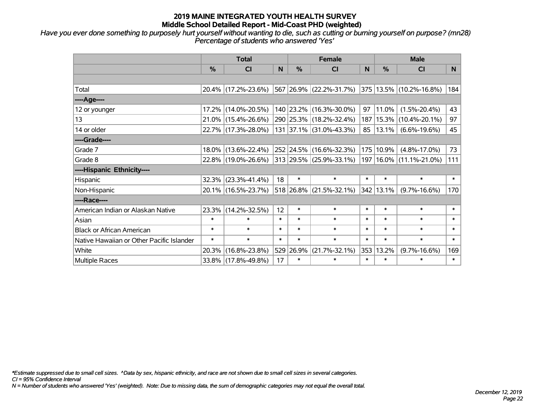*Have you ever done something to purposely hurt yourself without wanting to die, such as cutting or burning yourself on purpose? (mn28) Percentage of students who answered 'Yes'*

|                                           | <b>Total</b> |                        |        | <b>Female</b> | <b>Male</b>             |        |               |                         |                |
|-------------------------------------------|--------------|------------------------|--------|---------------|-------------------------|--------|---------------|-------------------------|----------------|
|                                           | %            | CI                     | N      | $\frac{0}{0}$ | <b>CI</b>               | N      | $\frac{0}{0}$ | <b>CI</b>               | N <sub>1</sub> |
|                                           |              |                        |        |               |                         |        |               |                         |                |
| Total                                     |              | 20.4% (17.2%-23.6%)    |        |               | 567 26.9% (22.2%-31.7%) |        |               | 375 13.5% (10.2%-16.8%) | 184            |
| ----Age----                               |              |                        |        |               |                         |        |               |                         |                |
| 12 or younger                             | 17.2%        | $(14.0\% - 20.5\%)$    |        |               | 140 23.2% (16.3%-30.0%) | 97     | 11.0%         | $(1.5\% - 20.4\%)$      | 43             |
| 13                                        |              | $21.0\%$ (15.4%-26.6%) |        |               | 290 25.3% (18.2%-32.4%) | 187    | 15.3%         | $(10.4\% - 20.1\%)$     | 97             |
| 14 or older                               |              | 22.7% (17.3%-28.0%)    |        |               | 131 37.1% (31.0%-43.3%) | 85     | 13.1%         | $(6.6\% - 19.6\%)$      | 45             |
| ----Grade----                             |              |                        |        |               |                         |        |               |                         |                |
| Grade 7                                   |              | 18.0% (13.6%-22.4%)    |        |               | 252 24.5% (16.6%-32.3%) | 175    | 10.9%         | $(4.8\% - 17.0\%)$      | 73             |
| Grade 8                                   |              | 22.8% (19.0%-26.6%)    |        |               | 313 29.5% (25.9%-33.1%) | 197    |               | $16.0\%$ (11.1%-21.0%)  | 111            |
| ----Hispanic Ethnicity----                |              |                        |        |               |                         |        |               |                         |                |
| Hispanic                                  | 32.3%        | $(23.3\% - 41.4\%)$    | 18     | $\ast$        | $\ast$                  | $\ast$ | $\ast$        | $\ast$                  | $\ast$         |
| Non-Hispanic                              |              | 20.1% (16.5%-23.7%)    |        |               | 518 26.8% (21.5%-32.1%) |        | 342 13.1%     | $(9.7\% - 16.6\%)$      | 170            |
| ----Race----                              |              |                        |        |               |                         |        |               |                         |                |
| American Indian or Alaskan Native         |              | 23.3% (14.2%-32.5%)    | 12     | $\ast$        | $\ast$                  | $\ast$ | $\ast$        | $\ast$                  | $\ast$         |
| Asian                                     | $\ast$       | $\ast$                 | $\ast$ | $\ast$        | $\ast$                  | $\ast$ | $\ast$        | $\ast$                  | $\ast$         |
| <b>Black or African American</b>          | $\ast$       | $\ast$                 | $\ast$ | $\ast$        | $\ast$                  | $\ast$ | $\ast$        | $\ast$                  | $\ast$         |
| Native Hawaiian or Other Pacific Islander | $\ast$       | $\ast$                 | $\ast$ | $\ast$        | $\ast$                  | $\ast$ | $\ast$        | $\ast$                  | $\ast$         |
| White                                     | 20.3%        | $(16.8\% - 23.8\%)$    |        | 529 26.9%     | $(21.7\% - 32.1\%)$     | 353    | 13.2%         | $(9.7\% - 16.6\%)$      | 169            |
| Multiple Races                            |              | 33.8% (17.8%-49.8%)    | 17     | $\ast$        | $\ast$                  | $\ast$ | $\ast$        | $\ast$                  | $\ast$         |

*\*Estimate suppressed due to small cell sizes. ^Data by sex, hispanic ethnicity, and race are not shown due to small cell sizes in several categories.*

*CI = 95% Confidence Interval*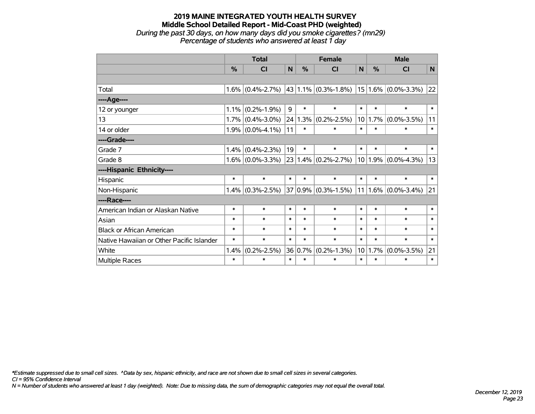#### **2019 MAINE INTEGRATED YOUTH HEALTH SURVEY Middle School Detailed Report - Mid-Coast PHD (weighted)** *During the past 30 days, on how many days did you smoke cigarettes? (mn29) Percentage of students who answered at least 1 day*

|                                           | <b>Total</b> |                     |        |         | <b>Female</b>                                             | <b>Male</b> |         |                          |        |
|-------------------------------------------|--------------|---------------------|--------|---------|-----------------------------------------------------------|-------------|---------|--------------------------|--------|
|                                           | %            | <b>CI</b>           | N      | %       | <b>CI</b>                                                 | N           | %       | <b>CI</b>                | N      |
|                                           |              |                     |        |         |                                                           |             |         |                          |        |
| Total                                     |              | $1.6\%$ (0.4%-2.7%) |        |         | $ 43 1.1\% $ (0.3%-1.8%)                                  |             |         | $ 15 1.6\% $ (0.0%-3.3%) | 22     |
| ----Age----                               |              |                     |        |         |                                                           |             |         |                          |        |
| 12 or younger                             | 1.1%         | $(0.2\% - 1.9\%)$   | 9      | $\ast$  | $\ast$                                                    | $\ast$      | $\ast$  | $\ast$                   | $\ast$ |
| 13                                        |              | $1.7\%$ (0.4%-3.0%) |        | 24 1.3% | $(0.2\% - 2.5\%)$                                         | 10          | 1.7%    | $(0.0\% - 3.5\%)$        | 11     |
| 14 or older                               |              | $1.9\%$ (0.0%-4.1%) | 11     | $\ast$  | $\ast$                                                    | $\ast$      | $\ast$  | $\ast$                   | $\ast$ |
| ----Grade----                             |              |                     |        |         |                                                           |             |         |                          |        |
| Grade 7                                   | 1.4%         | $(0.4\% - 2.3\%)$   | 19     | $\ast$  | $\ast$                                                    | $\ast$      | $\ast$  | $\ast$                   | $\ast$ |
| Grade 8                                   |              | $1.6\%$ (0.0%-3.3%) |        |         | $\left  23 \right  1.4\% \left  (0.2\% - 2.7\% ) \right $ |             | 10 1.9% | $(0.0\% - 4.3\%)$        | 13     |
| ----Hispanic Ethnicity----                |              |                     |        |         |                                                           |             |         |                          |        |
| Hispanic                                  | $\ast$       | $\ast$              | $\ast$ | $\ast$  | $\ast$                                                    | $\ast$      | $\ast$  | $\ast$                   | $\ast$ |
| Non-Hispanic                              |              | $1.4\%$ (0.3%-2.5%) |        |         | $37 0.9\% $ (0.3%-1.5%)                                   | 11          |         | $1.6\%$ (0.0%-3.4%)      | 21     |
| ----Race----                              |              |                     |        |         |                                                           |             |         |                          |        |
| American Indian or Alaskan Native         | $\ast$       | $\ast$              | $\ast$ | $\ast$  | $\ast$                                                    | $\ast$      | $\ast$  | $\ast$                   | $\ast$ |
| Asian                                     | $\ast$       | $\ast$              | $\ast$ | $\ast$  | $\ast$                                                    | $\ast$      | $\ast$  | $\ast$                   | $\ast$ |
| <b>Black or African American</b>          | $\ast$       | $\ast$              | $\ast$ | $\ast$  | $\ast$                                                    | $\ast$      | $\ast$  | $\ast$                   | $\ast$ |
| Native Hawaiian or Other Pacific Islander | $\ast$       | $\ast$              | $\ast$ | $\ast$  | $\ast$                                                    | $\ast$      | $\ast$  | $\ast$                   | $\ast$ |
| White                                     | 1.4%         | $(0.2\% - 2.5\%)$   |        | 36 0.7% | $(0.2\% - 1.3\%)$                                         | 10          | 1.7%    | $(0.0\% - 3.5\%)$        | 21     |
| Multiple Races                            | $\ast$       | $\ast$              | $\ast$ | $\ast$  | $\ast$                                                    | $\ast$      | $\ast$  | $\ast$                   | $\ast$ |

*\*Estimate suppressed due to small cell sizes. ^Data by sex, hispanic ethnicity, and race are not shown due to small cell sizes in several categories.*

*CI = 95% Confidence Interval*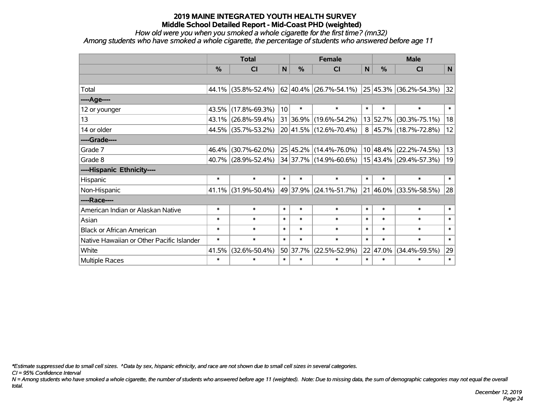*How old were you when you smoked a whole cigarette for the first time? (mn32)*

*Among students who have smoked a whole cigarette, the percentage of students who answered before age 11*

|                                           | <b>Total</b> |                     |                 | <b>Female</b> | <b>Male</b>                |              |               |                              |              |
|-------------------------------------------|--------------|---------------------|-----------------|---------------|----------------------------|--------------|---------------|------------------------------|--------------|
|                                           | %            | <b>CI</b>           | N               | %             | <b>CI</b>                  | $\mathsf{N}$ | $\frac{0}{0}$ | <b>CI</b>                    | $\mathsf{N}$ |
|                                           |              |                     |                 |               |                            |              |               |                              |              |
| Total                                     |              | 44.1% (35.8%-52.4%) |                 |               | $62 40.4\% $ (26.7%-54.1%) |              |               | 25 45.3% (36.2%-54.3%)       | 32           |
| ---- Age----                              |              |                     |                 |               |                            |              |               |                              |              |
| 12 or younger                             |              | 43.5% (17.8%-69.3%) | 10 <sup>1</sup> | $\ast$        | $\ast$                     | $\ast$       | $\ast$        | $\ast$                       | $\ast$       |
| 13                                        |              | 43.1% (26.8%-59.4%) |                 | 31 36.9%      | $(19.6\% - 54.2\%)$        |              | 13 52.7%      | $(30.3\% - 75.1\%)$          | 18           |
| 14 or older                               |              | 44.5% (35.7%-53.2%) |                 |               | 20 41.5% (12.6%-70.4%)     |              |               | $8 45.7\% (18.7\% - 72.8\%)$ | 12           |
| ----Grade----                             |              |                     |                 |               |                            |              |               |                              |              |
| Grade 7                                   | $46.4\%$     | $(30.7\% - 62.0\%)$ |                 | 25 45.2%      | $(14.4\% - 76.0\%)$        |              |               | 10 48.4% (22.2%-74.5%)       | 13           |
| Grade 8                                   |              | 40.7% (28.9%-52.4%) |                 |               | 34 37.7% (14.9%-60.6%)     |              |               | 15 43.4% (29.4%-57.3%)       | 19           |
| ----Hispanic Ethnicity----                |              |                     |                 |               |                            |              |               |                              |              |
| Hispanic                                  | $\ast$       | $\ast$              | $\ast$          | $\ast$        | $\ast$                     | $\ast$       | $\ast$        | $\ast$                       | $\ast$       |
| Non-Hispanic                              |              | 41.1% (31.9%-50.4%) |                 | 49 37.9%      | $(24.1\% - 51.7\%)$        | 21           | $ 46.0\% $    | $(33.5\% - 58.5\%)$          | 28           |
| ----Race----                              |              |                     |                 |               |                            |              |               |                              |              |
| American Indian or Alaskan Native         | $\ast$       | $\ast$              | $\ast$          | $\ast$        | $\ast$                     | $\ast$       | $\ast$        | $\ast$                       | $\ast$       |
| Asian                                     | $\ast$       | $\ast$              | $\ast$          | $\ast$        | $\ast$                     | $\ast$       | $\ast$        | $\ast$                       | $\ast$       |
| <b>Black or African American</b>          | $\ast$       | $\ast$              | $\ast$          | $\ast$        | $\ast$                     | $\ast$       | $\ast$        | $\ast$                       | $\ast$       |
| Native Hawaiian or Other Pacific Islander | $\ast$       | $\ast$              | $\ast$          | $\ast$        | $\ast$                     | $\ast$       | $\ast$        | $\ast$                       | $\ast$       |
| White                                     | 41.5%        | $(32.6\% - 50.4\%)$ |                 | 50 37.7%      | $(22.5\% - 52.9\%)$        |              | $22   47.0\%$ | $(34.4\% - 59.5\%)$          | 29           |
| Multiple Races                            | $\ast$       | $\ast$              | $\ast$          | $\ast$        | $\ast$                     | $\ast$       | $\ast$        | $\ast$                       | $\ast$       |

*\*Estimate suppressed due to small cell sizes. ^Data by sex, hispanic ethnicity, and race are not shown due to small cell sizes in several categories.*

*CI = 95% Confidence Interval*

*N = Among students who have smoked a whole cigarette, the number of students who answered before age 11 (weighted). Note: Due to missing data, the sum of demographic categories may not equal the overall total.*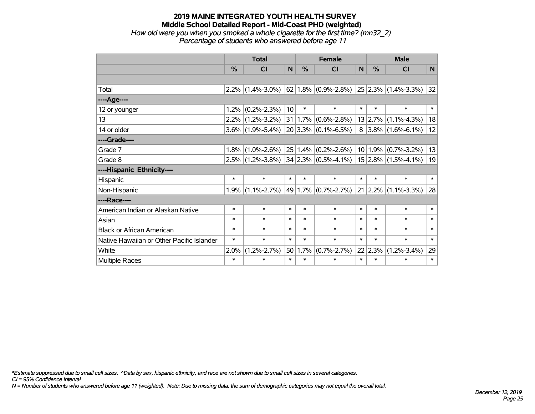### **2019 MAINE INTEGRATED YOUTH HEALTH SURVEY Middle School Detailed Report - Mid-Coast PHD (weighted)** *How old were you when you smoked a whole cigarette for the first time? (mn32\_2)*

*Percentage of students who answered before age 11*

|                                           | <b>Total</b>  |                     |        | <b>Female</b> |                                                   |        | <b>Male</b> |                                                |        |  |
|-------------------------------------------|---------------|---------------------|--------|---------------|---------------------------------------------------|--------|-------------|------------------------------------------------|--------|--|
|                                           | $\frac{0}{0}$ | <b>CI</b>           | N      | $\%$          | <b>CI</b>                                         | N      | $\%$        | <b>CI</b>                                      | N      |  |
|                                           |               |                     |        |               |                                                   |        |             |                                                |        |  |
| Total                                     |               | $2.2\%$ (1.4%-3.0%) |        |               |                                                   |        |             | $62 1.8\% $ (0.9%-2.8%) 25 2.3% (1.4%-3.3%) 32 |        |  |
| ----Age----                               |               |                     |        |               |                                                   |        |             |                                                |        |  |
| 12 or younger                             | 1.2%          | $(0.2\% - 2.3\%)$   | 10     | $\ast$        | $\ast$                                            | $\ast$ | $\ast$      | $\ast$                                         | $\ast$ |  |
| 13                                        | 2.2%          | $(1.2\% - 3.2\%)$   | 31     |               | $1.7\%$ (0.6%-2.8%)                               |        |             | $13 2.7\% $ (1.1%-4.3%)                        | 18     |  |
| 14 or older                               |               | $3.6\%$ (1.9%-5.4%) |        |               | $20 3.3\% $ (0.1%-6.5%)                           |        |             | $8$   3.8%   (1.6%-6.1%)                       | 12     |  |
| ----Grade----                             |               |                     |        |               |                                                   |        |             |                                                |        |  |
| Grade 7                                   | 1.8%          | $(1.0\% - 2.6\%)$   |        |               | $25 1.4\% $ (0.2%-2.6%)                           |        | 10 1.9%     | $(0.7\% - 3.2\%)$                              | 13     |  |
| Grade 8                                   |               | $2.5\%$ (1.2%-3.8%) |        |               | $34 2.3\% $ (0.5%-4.1%)   15   2.8%   (1.5%-4.1%) |        |             |                                                | 19     |  |
| ----Hispanic Ethnicity----                |               |                     |        |               |                                                   |        |             |                                                |        |  |
| Hispanic                                  | $\ast$        | $\ast$              | $\ast$ | $\ast$        | $\ast$                                            | $\ast$ | $\ast$      | $\ast$                                         | $\ast$ |  |
| Non-Hispanic                              | 1.9%          | $(1.1\% - 2.7\%)$   |        |               | 49 1.7% (0.7%-2.7%)                               |        |             | $\vert$ 21 $\vert$ 2.2% $\vert$ (1.1%-3.3%)    | 28     |  |
| ----Race----                              |               |                     |        |               |                                                   |        |             |                                                |        |  |
| American Indian or Alaskan Native         | $\ast$        | $\ast$              | $\ast$ | $\ast$        | $\ast$                                            | $\ast$ | $\ast$      | $\ast$                                         | $\ast$ |  |
| Asian                                     | *             | $\ast$              | $\ast$ | $\ast$        | $\ast$                                            | $\ast$ | $\ast$      | $\ast$                                         | $\ast$ |  |
| <b>Black or African American</b>          | $\ast$        | $\ast$              | $\ast$ | $\ast$        | $\ast$                                            | $\ast$ | $\ast$      | $\ast$                                         | $\ast$ |  |
| Native Hawaiian or Other Pacific Islander | $\ast$        | $\ast$              | $\ast$ | $\ast$        | $\ast$                                            | $\ast$ | $\ast$      | $\ast$                                         | $\ast$ |  |
| White                                     | 2.0%          | $(1.2\% - 2.7\%)$   | 50     | 1.7%          | $(0.7\% - 2.7\%)$                                 |        | 22 2.3%     | $(1.2\% - 3.4\%)$                              | 29     |  |
| Multiple Races                            | $\ast$        | $\ast$              | $\ast$ | $\ast$        | $\ast$                                            | $\ast$ | $\ast$      | $\ast$                                         | $\ast$ |  |

*\*Estimate suppressed due to small cell sizes. ^Data by sex, hispanic ethnicity, and race are not shown due to small cell sizes in several categories.*

*CI = 95% Confidence Interval*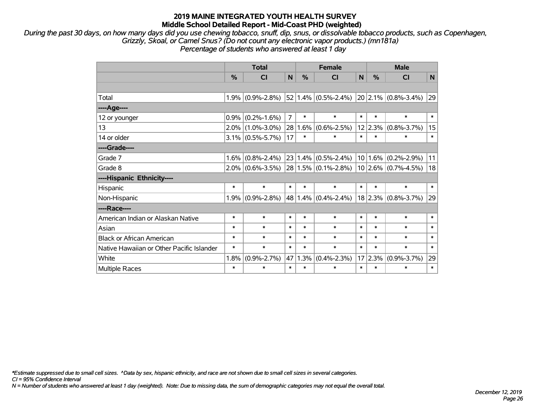*During the past 30 days, on how many days did you use chewing tobacco, snuff, dip, snus, or dissolvable tobacco products, such as Copenhagen, Grizzly, Skoal, or Camel Snus? (Do not count any electronic vapor products.) (mn181a) Percentage of students who answered at least 1 day*

|                                           | <b>Total</b> |                     |                |        | <b>Female</b>           |        |               | <b>Male</b>                                 |        |  |  |
|-------------------------------------------|--------------|---------------------|----------------|--------|-------------------------|--------|---------------|---------------------------------------------|--------|--|--|
|                                           | %            | <b>CI</b>           | N              | %      | CI                      | N      | $\frac{0}{0}$ | CI                                          | N      |  |  |
|                                           |              |                     |                |        |                         |        |               |                                             |        |  |  |
| Total                                     |              | $1.9\%$ (0.9%-2.8%) |                |        | $52 1.4\% $ (0.5%-2.4%) |        |               | $\vert$ 20 $\vert$ 2.1% $\vert$ (0.8%-3.4%) | 29     |  |  |
| ----Age----                               |              |                     |                |        |                         |        |               |                                             |        |  |  |
| 12 or younger                             | 0.9%         | $(0.2\% - 1.6\%)$   | $\overline{7}$ | $\ast$ | $\ast$                  | $\ast$ | $\ast$        | $\ast$                                      | $\ast$ |  |  |
| 13                                        |              | $2.0\%$ (1.0%-3.0%) | 28             | 1.6%   | $(0.6\text{-}2.5\%)$    |        | $12$  2.3%    | $(0.8\% - 3.7\%)$                           | 15     |  |  |
| 14 or older                               |              | $3.1\%$ (0.5%-5.7%) | 17             | $\ast$ | $\ast$                  | $\ast$ | $\ast$        | $\ast$                                      | $\ast$ |  |  |
| ----Grade----                             |              |                     |                |        |                         |        |               |                                             |        |  |  |
| Grade 7                                   | 1.6%         | $(0.8\% - 2.4\%)$   |                |        | $23 1.4\% $ (0.5%-2.4%) |        | $10 1.6\% $   | $(0.2\% - 2.9\%)$                           | 11     |  |  |
| Grade 8                                   |              | $2.0\%$ (0.6%-3.5%) |                |        | $28 1.5\% $ (0.1%-2.8%) |        |               | $10 2.6\% $ (0.7%-4.5%)                     | 18     |  |  |
| ----Hispanic Ethnicity----                |              |                     |                |        |                         |        |               |                                             |        |  |  |
| Hispanic                                  | $\ast$       | $\ast$              | $\ast$         | $\ast$ | $\ast$                  | $\ast$ | $\ast$        | $\ast$                                      | $\ast$ |  |  |
| Non-Hispanic                              | 1.9%         | $(0.9\% - 2.8\%)$   |                |        | $48 1.4\% $ (0.4%-2.4%) |        | $ 18 2.3\% $  | $(0.8\% - 3.7\%)$                           | 29     |  |  |
| ----Race----                              |              |                     |                |        |                         |        |               |                                             |        |  |  |
| American Indian or Alaskan Native         | $\ast$       | $\ast$              | $\ast$         | $\ast$ | $\ast$                  | $\ast$ | $\ast$        | $\ast$                                      | $\ast$ |  |  |
| Asian                                     | $\ast$       | $\ast$              | $\ast$         | $\ast$ | $\ast$                  | $\ast$ | $\ast$        | $\ast$                                      | $\ast$ |  |  |
| <b>Black or African American</b>          | $\ast$       | $\ast$              | $\ast$         | $\ast$ | $\ast$                  | $\ast$ | $\ast$        | $\ast$                                      | $\ast$ |  |  |
| Native Hawaiian or Other Pacific Islander | $\ast$       | $\ast$              | $\ast$         | $\ast$ | $\ast$                  | $\ast$ | $\ast$        | $\ast$                                      | $\ast$ |  |  |
| White                                     | 1.8%         | $(0.9\% - 2.7\%)$   | 47             | 1.3%   | $(0.4\% - 2.3\%)$       |        | 17 2.3%       | $(0.9\% - 3.7\%)$                           | 29     |  |  |
| Multiple Races                            | $\ast$       | $\ast$              | $\ast$         | $\ast$ | $\ast$                  | $\ast$ | $\ast$        | $\ast$                                      | $\ast$ |  |  |

*\*Estimate suppressed due to small cell sizes. ^Data by sex, hispanic ethnicity, and race are not shown due to small cell sizes in several categories.*

*CI = 95% Confidence Interval*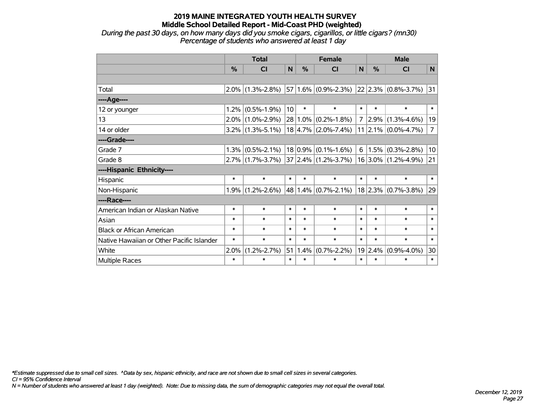*During the past 30 days, on how many days did you smoke cigars, cigarillos, or little cigars? (mn30) Percentage of students who answered at least 1 day*

|                                           |               | <b>Total</b>        | <b>Female</b> |            |                              | <b>Male</b>    |        |                               |                |
|-------------------------------------------|---------------|---------------------|---------------|------------|------------------------------|----------------|--------|-------------------------------|----------------|
|                                           | $\frac{0}{0}$ | <b>CI</b>           | N             | %          | <b>CI</b>                    | N              | $\%$   | <b>CI</b>                     | N              |
|                                           |               |                     |               |            |                              |                |        |                               |                |
| Total                                     |               | $2.0\%$ (1.3%-2.8%) |               |            | $57 1.6\% $ (0.9%-2.3%)      |                |        | $ 22 2.3\% $ (0.8%-3.7%)      | 31             |
| ----Age----                               |               |                     |               |            |                              |                |        |                               |                |
| 12 or younger                             | 1.2%          | $(0.5\% - 1.9\%)$   | 10            | $\ast$     | $\ast$                       | $\ast$         | $\ast$ | $\ast$                        | $\ast$         |
| 13                                        | $2.0\%$       | $(1.0\% - 2.9\%)$   |               | $28 1.0\%$ | $(0.2\% - 1.8\%)$            | $\overline{7}$ | 2.9%   | $(1.3\% - 4.6\%)$             | 19             |
| 14 or older                               |               | $3.2\%$ (1.3%-5.1%) |               |            | $18 4.7\% $ (2.0%-7.4%)      |                |        | $11$   2.1% $(0.0\% - 4.7\%)$ | $\overline{7}$ |
| ----Grade----                             |               |                     |               |            |                              |                |        |                               |                |
| Grade 7                                   | 1.3%          | $(0.5\% - 2.1\%)$   |               |            | $18 0.9\% $ (0.1%-1.6%)      | 6              | 1.5%   | $(0.3\% - 2.8\%)$             | 10             |
| Grade 8                                   |               | $2.7\%$ (1.7%-3.7%) |               |            | $ 37 2.4\%  (1.2\% - 3.7\%)$ |                |        | $16 3.0\% $ (1.2%-4.9%)       | 21             |
| ----Hispanic Ethnicity----                |               |                     |               |            |                              |                |        |                               |                |
| Hispanic                                  | $\ast$        | $\ast$              | $\ast$        | $\ast$     | $\ast$                       | $\ast$         | $\ast$ | $\ast$                        | $\ast$         |
| Non-Hispanic                              | 1.9%          | $(1.2\% - 2.6\%)$   |               |            | 48   1.4% $ (0.7\% - 2.1\%)$ |                |        | $18$ 2.3% (0.7%-3.8%)         | 29             |
| ----Race----                              |               |                     |               |            |                              |                |        |                               |                |
| American Indian or Alaskan Native         | $\ast$        | $\ast$              | $\ast$        | $\ast$     | $\ast$                       | $\ast$         | $\ast$ | $\ast$                        | $\ast$         |
| Asian                                     | $\ast$        | $\ast$              | $\ast$        | $\ast$     | $\ast$                       | $\ast$         | $\ast$ | $\ast$                        | $\ast$         |
| <b>Black or African American</b>          | $\ast$        | $\ast$              | $\ast$        | $\ast$     | $\ast$                       | $\ast$         | $\ast$ | $\ast$                        | $\ast$         |
| Native Hawaiian or Other Pacific Islander | $\ast$        | $\ast$              | $\ast$        | $\ast$     | $\ast$                       | $\ast$         | $\ast$ | $\ast$                        | $\ast$         |
| White                                     | 2.0%          | $(1.2\% - 2.7\%)$   | 51            | 1.4%       | $(0.7\% - 2.2\%)$            | 19             | 2.4%   | $(0.9\% - 4.0\%)$             | 30             |
| Multiple Races                            | $\ast$        | $\ast$              | $\ast$        | $\ast$     | $\ast$                       | $\ast$         | $\ast$ | $\ast$                        | $\pmb{\ast}$   |

*\*Estimate suppressed due to small cell sizes. ^Data by sex, hispanic ethnicity, and race are not shown due to small cell sizes in several categories.*

*CI = 95% Confidence Interval*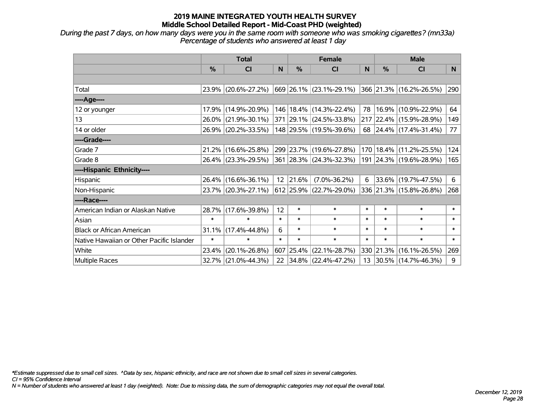*During the past 7 days, on how many days were you in the same room with someone who was smoking cigarettes? (mn33a) Percentage of students who answered at least 1 day*

|                                           | <b>Total</b> |                     |        |           | <b>Female</b>                                                |        | <b>Male</b> |                         |        |  |
|-------------------------------------------|--------------|---------------------|--------|-----------|--------------------------------------------------------------|--------|-------------|-------------------------|--------|--|
|                                           | $\%$         | <b>CI</b>           | N      | $\%$      | <b>CI</b>                                                    | N      | $\%$        | <b>CI</b>               | N      |  |
|                                           |              |                     |        |           |                                                              |        |             |                         |        |  |
| Total                                     |              | 23.9% (20.6%-27.2%) |        |           | $ 669 26.1\% (23.1\% - 29.1\%) 366 21.3\% (16.2\% - 26.5\%)$ |        |             |                         | 290    |  |
| ----Age----                               |              |                     |        |           |                                                              |        |             |                         |        |  |
| 12 or younger                             | 17.9%        | $(14.9\% - 20.9\%)$ |        |           | 146   18.4%   (14.3%-22.4%)                                  | 78     |             | 16.9% (10.9%-22.9%)     | 64     |  |
| 13                                        | 26.0%        | $(21.9\% - 30.1\%)$ |        |           | 371 29.1% (24.5%-33.8%)                                      |        |             | 217 22.4% (15.9%-28.9%) | 149    |  |
| 14 or older                               |              | 26.9% (20.2%-33.5%) |        |           | 148 29.5% (19.5%-39.6%)                                      |        |             | 68 24.4% (17.4%-31.4%)  | 77     |  |
| ----Grade----                             |              |                     |        |           |                                                              |        |             |                         |        |  |
| Grade 7                                   | 21.2%        | $(16.6\% - 25.8\%)$ |        |           | 299 23.7% (19.6%-27.8%)                                      | 170    |             | 18.4% (11.2%-25.5%)     | 124    |  |
| Grade 8                                   |              | 26.4% (23.3%-29.5%) |        |           | 361 28.3% (24.3%-32.3%)                                      |        |             | 191 24.3% (19.6%-28.9%) | 165    |  |
| ----Hispanic Ethnicity----                |              |                     |        |           |                                                              |        |             |                         |        |  |
| Hispanic                                  | 26.4%        | $(16.6\% - 36.1\%)$ |        | 12 21.6%  | $(7.0\% - 36.2\%)$                                           | 6      |             | 33.6% (19.7%-47.5%)     | 6      |  |
| Non-Hispanic                              |              | 23.7% (20.3%-27.1%) |        |           | $ 612 25.9\%  (22.7\% - 29.0\%)$                             |        |             | 336 21.3% (15.8%-26.8%) | 268    |  |
| ----Race----                              |              |                     |        |           |                                                              |        |             |                         |        |  |
| American Indian or Alaskan Native         | 28.7%        | $(17.6\% - 39.8\%)$ | 12     | $\ast$    | $\ast$                                                       | $\ast$ | $\ast$      | $\ast$                  | $\ast$ |  |
| Asian                                     | $\ast$       | $\ast$              | $\ast$ | $\ast$    | $\ast$                                                       | $\ast$ | $\ast$      | $\ast$                  | $\ast$ |  |
| <b>Black or African American</b>          | 31.1%        | $(17.4\% - 44.8\%)$ | 6      | $\ast$    | $\ast$                                                       | $\ast$ | $\ast$      | $\ast$                  | $\ast$ |  |
| Native Hawaiian or Other Pacific Islander | $\ast$       | $\ast$              | $\ast$ | $\ast$    | $\ast$                                                       | $\ast$ | $\ast$      | $\ast$                  | $\ast$ |  |
| White                                     | 23.4%        | $(20.1\% - 26.8\%)$ |        | 607 25.4% | $(22.1\% - 28.7\%)$                                          |        | 330 21.3%   | $(16.1\% - 26.5\%)$     | 269    |  |
| <b>Multiple Races</b>                     | 32.7%        | $(21.0\% - 44.3\%)$ |        |           | 22 34.8% (22.4%-47.2%)                                       | 13     |             | 30.5% (14.7%-46.3%)     | 9      |  |

*\*Estimate suppressed due to small cell sizes. ^Data by sex, hispanic ethnicity, and race are not shown due to small cell sizes in several categories.*

*CI = 95% Confidence Interval*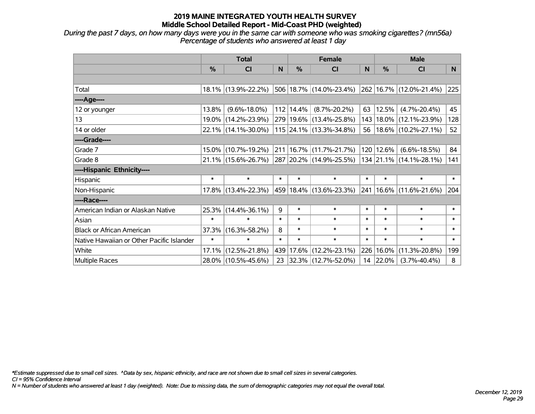*During the past 7 days, on how many days were you in the same car with someone who was smoking cigarettes? (mn56a) Percentage of students who answered at least 1 day*

|                                           | <b>Total</b> |                        |        |             | <b>Female</b>             |        | <b>Male</b> |                         |        |  |
|-------------------------------------------|--------------|------------------------|--------|-------------|---------------------------|--------|-------------|-------------------------|--------|--|
|                                           | %            | CI                     | N      | %           | <b>CI</b>                 | N      | %           | <b>CI</b>               | N      |  |
|                                           |              |                        |        |             |                           |        |             |                         |        |  |
| Total                                     |              | 18.1% (13.9%-22.2%)    |        |             | 506 18.7% (14.0%-23.4%)   |        |             | 262 16.7% (12.0%-21.4%) | 225    |  |
| ----Age----                               |              |                        |        |             |                           |        |             |                         |        |  |
| 12 or younger                             | 13.8%        | $(9.6\% - 18.0\%)$     |        | 112   14.4% | $(8.7\% - 20.2\%)$        | 63     | 12.5%       | $(4.7\% - 20.4\%)$      | 45     |  |
| 13                                        |              | 19.0% (14.2%-23.9%)    |        |             | 279 19.6% (13.4%-25.8%)   | 143    |             | $18.0\%$ (12.1%-23.9%)  | 128    |  |
| 14 or older                               |              | 22.1% (14.1%-30.0%)    |        |             | $115$ 24.1% (13.3%-34.8%) | 56     |             | $18.6\%$ (10.2%-27.1%)  | 52     |  |
| ----Grade----                             |              |                        |        |             |                           |        |             |                         |        |  |
| Grade 7                                   |              | 15.0% (10.7%-19.2%)    |        |             | 211 16.7% (11.7%-21.7%)   | 120    | 12.6%       | $(6.6\% - 18.5\%)$      | 84     |  |
| Grade 8                                   |              | $21.1\%$ (15.6%-26.7%) |        |             | 287 20.2% (14.9%-25.5%)   |        |             | 134 21.1% (14.1%-28.1%) | 141    |  |
| ----Hispanic Ethnicity----                |              |                        |        |             |                           |        |             |                         |        |  |
| Hispanic                                  | $\ast$       | $\ast$                 | $\ast$ | $\ast$      | $\ast$                    | $\ast$ | $\ast$      | $\ast$                  | $\ast$ |  |
| Non-Hispanic                              |              | 17.8% (13.4%-22.3%)    |        |             | 459 18.4% (13.6%-23.3%)   | 241    |             | $16.6\%$ (11.6%-21.6%)  | 204    |  |
| ----Race----                              |              |                        |        |             |                           |        |             |                         |        |  |
| American Indian or Alaskan Native         |              | 25.3% (14.4%-36.1%)    | 9      | $\ast$      | $\ast$                    | $\ast$ | $\ast$      | $\ast$                  | $\ast$ |  |
| Asian                                     | $\ast$       | $\ast$                 | $\ast$ | $\ast$      | $\ast$                    | $\ast$ | $\ast$      | $\ast$                  | $\ast$ |  |
| <b>Black or African American</b>          | 37.3%        | $(16.3\% - 58.2\%)$    | 8      | $\ast$      | $\ast$                    | $\ast$ | $\ast$      | $\ast$                  | $\ast$ |  |
| Native Hawaiian or Other Pacific Islander | $\ast$       | $\ast$                 | $\ast$ | $\ast$      | $\ast$                    | $\ast$ | $\ast$      | $\ast$                  | $\ast$ |  |
| White                                     | 17.1%        | $(12.5\% - 21.8\%)$    | 439    | $17.6\%$    | $(12.2\% - 23.1\%)$       | 226    | 16.0%       | $(11.3\% - 20.8\%)$     | 199    |  |
| Multiple Races                            |              | 28.0% (10.5%-45.6%)    | 23     |             | $ 32.3\% $ (12.7%-52.0%)  | 14     | 22.0%       | $(3.7\% - 40.4\%)$      | 8      |  |

*\*Estimate suppressed due to small cell sizes. ^Data by sex, hispanic ethnicity, and race are not shown due to small cell sizes in several categories.*

*CI = 95% Confidence Interval*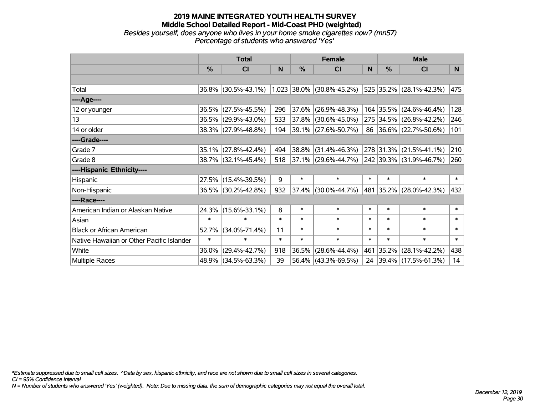#### **2019 MAINE INTEGRATED YOUTH HEALTH SURVEY Middle School Detailed Report - Mid-Coast PHD (weighted)** *Besides yourself, does anyone who lives in your home smoke cigarettes now? (mn57) Percentage of students who answered 'Yes'*

|                                           | <b>Total</b>  |                                               |        |        | <b>Female</b>            |        | <b>Male</b>   |                          |        |  |
|-------------------------------------------|---------------|-----------------------------------------------|--------|--------|--------------------------|--------|---------------|--------------------------|--------|--|
|                                           | $\frac{0}{0}$ | CI                                            | N      | $\%$   | CI                       | N      | $\frac{0}{0}$ | <b>CI</b>                | N      |  |
|                                           |               |                                               |        |        |                          |        |               |                          |        |  |
| Total                                     |               | 36.8% (30.5%-43.1%) 1,023 38.0% (30.8%-45.2%) |        |        |                          |        |               | 525 35.2% (28.1%-42.3%)  | 475    |  |
| ----Age----                               |               |                                               |        |        |                          |        |               |                          |        |  |
| 12 or younger                             | 36.5%         | $(27.5\% - 45.5\%)$                           | 296    | 37.6%  | $(26.9\% - 48.3\%)$      |        |               | 164 35.5% (24.6%-46.4%)  | 128    |  |
| 13                                        |               | 36.5% (29.9%-43.0%)                           | 533    |        | 37.8% (30.6%-45.0%)      |        |               | 275 34.5% (26.8%-42.2%)  | 246    |  |
| 14 or older                               |               | 38.3% (27.9%-48.8%)                           | 194    |        | $ 39.1\% $ (27.6%-50.7%) |        |               | 86 36.6% (22.7%-50.6%)   | 101    |  |
| ----Grade----                             |               |                                               |        |        |                          |        |               |                          |        |  |
| Grade 7                                   | 35.1%         | $(27.8\% - 42.4\%)$                           | 494    | 38.8%  | $(31.4\% - 46.3\%)$      |        | 278 31.3%     | $(21.5\% - 41.1\%)$      | 210    |  |
| Grade 8                                   |               | 38.7% (32.1%-45.4%)                           | 518    |        | $ 37.1\% $ (29.6%-44.7%) |        |               | 242 39.3% (31.9%-46.7%)  | 260    |  |
| ----Hispanic Ethnicity----                |               |                                               |        |        |                          |        |               |                          |        |  |
| Hispanic                                  | 27.5%         | $(15.4\% - 39.5\%)$                           | 9      | $\ast$ | $\ast$                   | $\ast$ | $\ast$        | $\ast$                   | $\ast$ |  |
| Non-Hispanic                              |               | 36.5% (30.2%-42.8%)                           | 932    |        | $37.4\%$ (30.0%-44.7%)   |        |               | 481 35.2% (28.0%-42.3%)  | 432    |  |
| ----Race----                              |               |                                               |        |        |                          |        |               |                          |        |  |
| American Indian or Alaskan Native         |               | 24.3% (15.6%-33.1%)                           | 8      | $\ast$ | $\ast$                   | $\ast$ | $\ast$        | $\ast$                   | $\ast$ |  |
| Asian                                     | $\ast$        | $\ast$                                        | $\ast$ | $\ast$ | $\ast$                   | $\ast$ | $\ast$        | $\ast$                   | $\ast$ |  |
| <b>Black or African American</b>          | 52.7%         | $(34.0\% - 71.4\%)$                           | 11     | $\ast$ | $\ast$                   | $\ast$ | $\ast$        | $\ast$                   | $\ast$ |  |
| Native Hawaiian or Other Pacific Islander | $\ast$        | $\ast$                                        | $\ast$ | $\ast$ | $\ast$                   | $\ast$ | $\ast$        | $\ast$                   | $\ast$ |  |
| White                                     | 36.0%         | $(29.4\% - 42.7\%)$                           | 918    | 36.5%  | $(28.6\% - 44.4\%)$      | 461    | $ 35.2\% $    | $(28.1\% - 42.2\%)$      | 438    |  |
| Multiple Races                            |               | 48.9% (34.5%-63.3%)                           | 39     |        | $56.4\%$ (43.3%-69.5%)   | 24     |               | $ 39.4\% $ (17.5%-61.3%) | 14     |  |

*\*Estimate suppressed due to small cell sizes. ^Data by sex, hispanic ethnicity, and race are not shown due to small cell sizes in several categories.*

*CI = 95% Confidence Interval*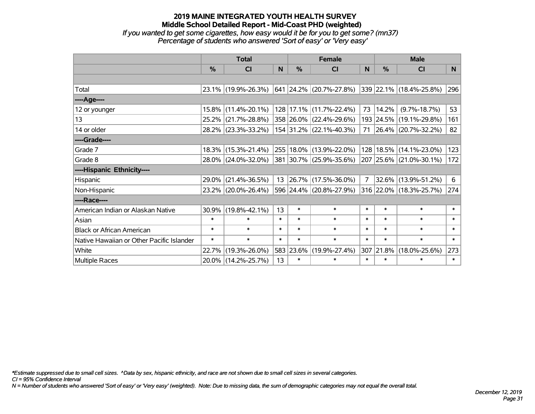*If you wanted to get some cigarettes, how easy would it be for you to get some? (mn37) Percentage of students who answered 'Sort of easy' or 'Very easy'*

|                                           | <b>Total</b> |                     |        |               | <b>Female</b>            |        | <b>Male</b> |                         |          |  |
|-------------------------------------------|--------------|---------------------|--------|---------------|--------------------------|--------|-------------|-------------------------|----------|--|
|                                           | %            | CI                  | N      | $\frac{9}{6}$ | CI                       | N      | %           | <b>CI</b>               | <b>N</b> |  |
|                                           |              |                     |        |               |                          |        |             |                         |          |  |
| Total                                     |              | 23.1% (19.9%-26.3%) |        |               | 641 24.2% (20.7%-27.8%)  |        |             | 339 22.1% (18.4%-25.8%) | 296      |  |
| ----Age----                               |              |                     |        |               |                          |        |             |                         |          |  |
| 12 or younger                             | $15.8\%$     | $(11.4\% - 20.1\%)$ |        |               | 128 17.1% (11.7%-22.4%)  | 73     | 14.2%       | $(9.7\% - 18.7\%)$      | 53       |  |
| 13                                        | $25.2\%$     | $(21.7\% - 28.8\%)$ |        |               | 358 26.0% (22.4%-29.6%)  |        | 193 24.5%   | $(19.1\% - 29.8\%)$     | 161      |  |
| 14 or older                               |              | 28.2% (23.3%-33.2%) |        |               | 154 31.2% (22.1%-40.3%)  |        |             | 71 26.4% (20.7%-32.2%)  | 82       |  |
| ----Grade----                             |              |                     |        |               |                          |        |             |                         |          |  |
| Grade 7                                   | 18.3%        | $(15.3\% - 21.4\%)$ |        |               | 255 18.0% (13.9%-22.0%)  | 128    | 18.5%       | $(14.1\% - 23.0\%)$     | 123      |  |
| Grade 8                                   |              | 28.0% (24.0%-32.0%) |        |               | 381 30.7% (25.9%-35.6%)  |        |             | 207 25.6% (21.0%-30.1%) | 172      |  |
| ----Hispanic Ethnicity----                |              |                     |        |               |                          |        |             |                         |          |  |
| Hispanic                                  | 29.0%        | $(21.4\% - 36.5\%)$ | 13     |               | $ 26.7\% $ (17.5%-36.0%) | 7      | 32.6%       | $(13.9\% - 51.2\%)$     | 6        |  |
| Non-Hispanic                              | $23.2\%$     | $(20.0\% - 26.4\%)$ |        |               | 596 24.4% (20.8%-27.9%)  |        |             | 316 22.0% (18.3%-25.7%) | 274      |  |
| ----Race----                              |              |                     |        |               |                          |        |             |                         |          |  |
| American Indian or Alaskan Native         | 30.9%        | $(19.8\% - 42.1\%)$ | 13     | $\ast$        | $\ast$                   | $\ast$ | $\ast$      | $\ast$                  | $\ast$   |  |
| Asian                                     | $\ast$       | $\ast$              | $\ast$ | $\ast$        | $\ast$                   | $\ast$ | $\ast$      | $\ast$                  | $\ast$   |  |
| <b>Black or African American</b>          | $\ast$       | $\ast$              | $\ast$ | $\ast$        | $\ast$                   | $\ast$ | $\ast$      | $\ast$                  | $\ast$   |  |
| Native Hawaiian or Other Pacific Islander | $\ast$       | $\ast$              | $\ast$ | $\ast$        | $\ast$                   | $\ast$ | $\ast$      | $\ast$                  | $\ast$   |  |
| White                                     | 22.7%        | $(19.3\% - 26.0\%)$ |        | 583 23.6%     | $(19.9\% - 27.4\%)$      |        | 307 21.8%   | $(18.0\% - 25.6\%)$     | 273      |  |
| Multiple Races                            |              | 20.0% (14.2%-25.7%) | 13     | $\ast$        | $\ast$                   | $\ast$ | $\ast$      | $\ast$                  | $\ast$   |  |

*\*Estimate suppressed due to small cell sizes. ^Data by sex, hispanic ethnicity, and race are not shown due to small cell sizes in several categories.*

*CI = 95% Confidence Interval*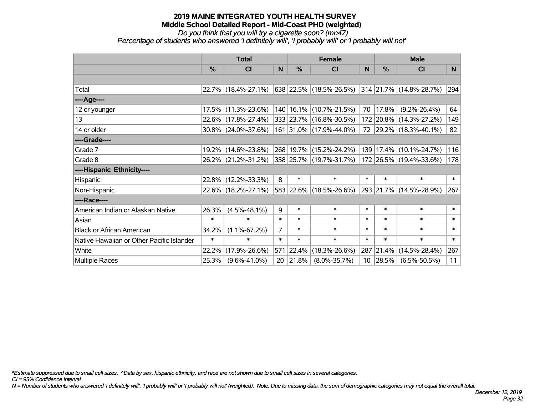# *Do you think that you will try a cigarette soon? (mn47)*

*Percentage of students who answered 'I definitely will', 'I probably will' or 'I probably will not'*

|                                           | <b>Total</b> |                     |                |           | <b>Female</b>               |        | <b>Male</b>  |                                 |              |  |
|-------------------------------------------|--------------|---------------------|----------------|-----------|-----------------------------|--------|--------------|---------------------------------|--------------|--|
|                                           | $\%$         | <b>CI</b>           | N              | $\%$      | <b>CI</b>                   | N      | $\%$         | <b>CI</b>                       | N            |  |
|                                           |              |                     |                |           |                             |        |              |                                 |              |  |
| Total                                     |              | 22.7% (18.4%-27.1%) |                |           | 638   22.5%   (18.5%-26.5%) |        |              | $ 314 21.7\% (14.8\% - 28.7\%)$ | 294          |  |
| ----Age----                               |              |                     |                |           |                             |        |              |                                 |              |  |
| 12 or younger                             |              | 17.5% (11.3%-23.6%) |                |           | 140   16.1%   (10.7%-21.5%) | 70     | 17.8%        | $(9.2\% - 26.4\%)$              | 64           |  |
| 13                                        |              | 22.6% (17.8%-27.4%) |                |           | 333 23.7% (16.8%-30.5%)     |        |              | 172 20.8% (14.3%-27.2%)         | 149          |  |
| 14 or older                               |              | 30.8% (24.0%-37.6%) |                |           | 161 31.0% (17.9%-44.0%)     |        |              | 72 29.2% (18.3%-40.1%)          | 82           |  |
| ----Grade----                             |              |                     |                |           |                             |        |              |                                 |              |  |
| Grade 7                                   |              | 19.2% (14.6%-23.8%) |                |           | 268 19.7% (15.2%-24.2%)     | 139    |              | 17.4% (10.1%-24.7%)             | 116          |  |
| Grade 8                                   |              | 26.2% (21.2%-31.2%) |                |           | 358 25.7% (19.7%-31.7%)     |        |              | 172 26.5% (19.4%-33.6%)         | 178          |  |
| ----Hispanic Ethnicity----                |              |                     |                |           |                             |        |              |                                 |              |  |
| Hispanic                                  |              | 22.8% (12.2%-33.3%) | 8              | $\ast$    | $\ast$                      | $\ast$ | $\ast$       | $\ast$                          | $\ast$       |  |
| Non-Hispanic                              |              | 22.6% (18.2%-27.1%) |                |           | 583 22.6% (18.5%-26.6%)     |        |              | 293 21.7% (14.5%-28.9%)         | 267          |  |
| ----Race----                              |              |                     |                |           |                             |        |              |                                 |              |  |
| American Indian or Alaskan Native         | 26.3%        | $(4.5\% - 48.1\%)$  | 9              | $\ast$    | $\ast$                      | $\ast$ | $\ast$       | $\ast$                          | $\ast$       |  |
| Asian                                     | $\ast$       | $\ast$              | $\ast$         | $\ast$    | $\ast$                      | $\ast$ | $\ast$       | $\ast$                          | $\ast$       |  |
| <b>Black or African American</b>          | 34.2%        | $(1.1\% - 67.2\%)$  | $\overline{7}$ | $\ast$    | $\ast$                      | $\ast$ | $\ast$       | $\ast$                          | $\ast$       |  |
| Native Hawaiian or Other Pacific Islander | $\ast$       | $\ast$              | $\ast$         | $\ast$    | $\ast$                      | $\ast$ | $\ast$       | $\ast$                          | $\pmb{\ast}$ |  |
| White                                     | 22.2%        | $(17.9\% - 26.6\%)$ |                | 571 22.4% | $(18.3\% - 26.6\%)$         |        | 287 21.4%    | $(14.5\% - 28.4\%)$             | 267          |  |
| <b>Multiple Races</b>                     | 25.3%        | $(9.6\% - 41.0\%)$  | 20             | 21.8%     | $(8.0\% - 35.7\%)$          |        | $10$   28.5% | $(6.5\% - 50.5\%)$              | 11           |  |

*\*Estimate suppressed due to small cell sizes. ^Data by sex, hispanic ethnicity, and race are not shown due to small cell sizes in several categories.*

*CI = 95% Confidence Interval*

*N = Number of students who answered 'I definitely will', 'I probably will' or 'I probably will not' (weighted). Note: Due to missing data, the sum of demographic categories may not equal the overall total.*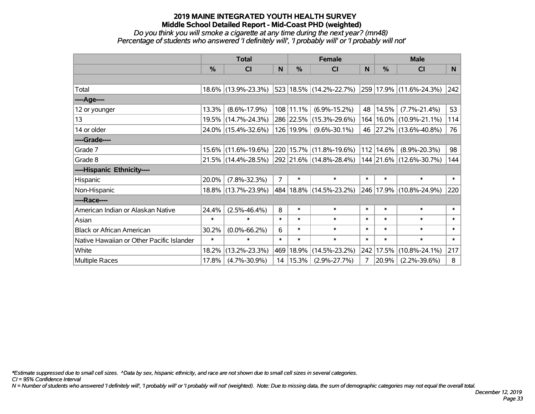#### *Do you think you will smoke a cigarette at any time during the next year? (mn48) Percentage of students who answered 'I definitely will', 'I probably will' or 'I probably will not'*

|                                           | <b>Total</b>  |                     |                |             | <b>Female</b>               |        | <b>Male</b>   |                         |        |  |
|-------------------------------------------|---------------|---------------------|----------------|-------------|-----------------------------|--------|---------------|-------------------------|--------|--|
|                                           | $\frac{0}{0}$ | C <sub>l</sub>      | N              | %           | <b>CI</b>                   | N      | $\frac{0}{0}$ | <b>CI</b>               | N.     |  |
|                                           |               |                     |                |             |                             |        |               |                         |        |  |
| Total                                     |               | 18.6% (13.9%-23.3%) |                |             | 523 18.5% (14.2%-22.7%)     |        |               | 259 17.9% (11.6%-24.3%) | 242    |  |
| ----Age----                               |               |                     |                |             |                             |        |               |                         |        |  |
| 12 or younger                             | 13.3%         | $(8.6\% - 17.9\%)$  |                | $108$ 11.1% | $(6.9\% - 15.2\%)$          | 48     | 14.5%         | $(7.7\% - 21.4\%)$      | 53     |  |
| 13                                        |               | 19.5% (14.7%-24.3%) |                |             | 286 22.5% (15.3%-29.6%)     | 164    |               | $16.0\%$ (10.9%-21.1%)  | 114    |  |
| 14 or older                               |               | 24.0% (15.4%-32.6%) |                | 126 19.9%   | $(9.6\% - 30.1\%)$          |        |               | 46 27.2% (13.6%-40.8%)  | 76     |  |
| ----Grade----                             |               |                     |                |             |                             |        |               |                         |        |  |
| Grade 7                                   | $15.6\%$      | $(11.6\% - 19.6\%)$ |                |             | 220   15.7%   (11.8%-19.6%) | 112    | 14.6%         | $(8.9\% - 20.3\%)$      | 98     |  |
| Grade 8                                   |               | 21.5% (14.4%-28.5%) |                |             | 292 21.6% (14.8%-28.4%)     |        |               | 144 21.6% (12.6%-30.7%) | 144    |  |
| ----Hispanic Ethnicity----                |               |                     |                |             |                             |        |               |                         |        |  |
| Hispanic                                  | 20.0%         | $(7.8\% - 32.3\%)$  | $\overline{7}$ | $\ast$      | $\ast$                      | $\ast$ | $\ast$        | $\ast$                  | $\ast$ |  |
| Non-Hispanic                              |               | 18.8% (13.7%-23.9%) |                |             | 484 18.8% (14.5%-23.2%)     | 246    |               | 17.9% (10.8%-24.9%)     | 220    |  |
| ----Race----                              |               |                     |                |             |                             |        |               |                         |        |  |
| American Indian or Alaskan Native         | 24.4%         | $(2.5\% - 46.4\%)$  | 8              | $\ast$      | $\ast$                      | $\ast$ | $\ast$        | $\ast$                  | $\ast$ |  |
| Asian                                     | $\ast$        | $\ast$              | $\ast$         | $\ast$      | $\ast$                      | $\ast$ | $\ast$        | $\ast$                  | $\ast$ |  |
| <b>Black or African American</b>          | 30.2%         | $(0.0\% - 66.2\%)$  | 6              | $\ast$      | $\ast$                      | $\ast$ | $\ast$        | $\ast$                  | $\ast$ |  |
| Native Hawaiian or Other Pacific Islander | $\ast$        | $\ast$              | $\ast$         | $\ast$      | $\ast$                      | $\ast$ | $\ast$        | $\ast$                  | $\ast$ |  |
| White                                     | 18.2%         | $(13.2\% - 23.3\%)$ | 469            | 18.9%       | $(14.5\% - 23.2\%)$         | 242    | 17.5%         | $(10.8\% - 24.1\%)$     | 217    |  |
| <b>Multiple Races</b>                     | 17.8%         | $(4.7\% - 30.9\%)$  |                | 14   15.3%  | $(2.9\% - 27.7\%)$          | 7      | 20.9%         | $(2.2\% - 39.6\%)$      | 8      |  |

*\*Estimate suppressed due to small cell sizes. ^Data by sex, hispanic ethnicity, and race are not shown due to small cell sizes in several categories.*

*CI = 95% Confidence Interval*

*N = Number of students who answered 'I definitely will', 'I probably will' or 'I probably will not' (weighted). Note: Due to missing data, the sum of demographic categories may not equal the overall total.*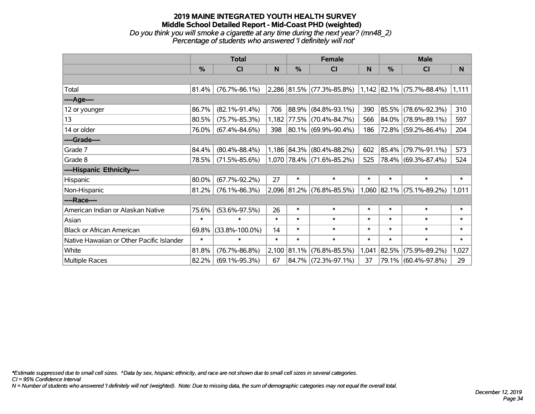# **2019 MAINE INTEGRATED YOUTH HEALTH SURVEY Middle School Detailed Report - Mid-Coast PHD (weighted)** *Do you think you will smoke a cigarette at any time during the next year? (mn48\_2) Percentage of students who answered 'I definitely will not'*

|                                           | <b>Total</b>  |                      |             |        | <b>Female</b>               |        | <b>Male</b>   |                             |        |  |
|-------------------------------------------|---------------|----------------------|-------------|--------|-----------------------------|--------|---------------|-----------------------------|--------|--|
|                                           | $\frac{9}{6}$ | <b>CI</b>            | N.          | $\%$   | <b>CI</b>                   | N      | $\frac{0}{0}$ | <b>CI</b>                   | N      |  |
|                                           |               |                      |             |        |                             |        |               |                             |        |  |
| Total                                     | 81.4%         | $(76.7\% - 86.1\%)$  |             |        | 2,286 81.5% (77.3%-85.8%)   |        |               | $1,142$ 82.1% (75.7%-88.4%) | 1,111  |  |
| ----Age----                               |               |                      |             |        |                             |        |               |                             |        |  |
| 12 or younger                             | 86.7%         | $(82.1\% - 91.4\%)$  | 706         | 88.9%  | $(84.8\% - 93.1\%)$         | 390    |               | 85.5% (78.6%-92.3%)         | 310    |  |
| 13                                        | 80.5%         | $(75.7\% - 85.3\%)$  | $1,182$ $ $ |        | 77.5% (70.4%-84.7%)         | 566    |               | 84.0% (78.9%-89.1%)         | 597    |  |
| 14 or older                               | 76.0%         | $(67.4\% - 84.6\%)$  | 398         |        | $ 80.1\% $ (69.9%-90.4%)    | 186    |               | 72.8% (59.2%-86.4%)         | 204    |  |
| ----Grade----                             |               |                      |             |        |                             |        |               |                             |        |  |
| Grade 7                                   | 84.4%         | $(80.4\% - 88.4\%)$  |             |        | $1,186$ 84.3% (80.4%-88.2%) | 602    |               | 85.4% (79.7%-91.1%)         | 573    |  |
| Grade 8                                   | 78.5%         | $(71.5\% - 85.6\%)$  |             |        | $1,070$ 78.4% (71.6%-85.2%) | 525    |               | 78.4% (69.3%-87.4%)         | 524    |  |
| ----Hispanic Ethnicity----                |               |                      |             |        |                             |        |               |                             |        |  |
| Hispanic                                  | 80.0%         | $(67.7\% - 92.2\%)$  | 27          | $\ast$ | $\ast$                      | $\ast$ | $\ast$        | $\ast$                      | $\ast$ |  |
| Non-Hispanic                              | 81.2%         | $(76.1\% - 86.3\%)$  |             |        | 2,096 81.2% (76.8%-85.5%)   |        |               | $1,060$ 82.1% (75.1%-89.2%) | 1,011  |  |
| ----Race----                              |               |                      |             |        |                             |        |               |                             |        |  |
| American Indian or Alaskan Native         | 75.6%         | $(53.6\% - 97.5\%)$  | 26          | $\ast$ | $\ast$                      | $\ast$ | $\ast$        | $\ast$                      | $\ast$ |  |
| Asian                                     | $\ast$        | $\ast$               | $\ast$      | $\ast$ | $\ast$                      | $\ast$ | $\ast$        | $\ast$                      | $\ast$ |  |
| <b>Black or African American</b>          | 69.8%         | $(33.8\% - 100.0\%)$ | 14          | $\ast$ | $\ast$                      | $\ast$ | $\ast$        | $\ast$                      | $\ast$ |  |
| Native Hawaiian or Other Pacific Islander | $\ast$        | $\ast$               | $\ast$      | $\ast$ | $\ast$                      | $\ast$ | $\ast$        | $\ast$                      | $\ast$ |  |
| White                                     | 81.8%         | $(76.7\% - 86.8\%)$  | 2,100       | 81.1%  | $(76.8\% - 85.5\%)$         | 1,041  | 82.5%         | $(75.9\% - 89.2\%)$         | 1,027  |  |
| Multiple Races                            | 82.2%         | $(69.1\% - 95.3\%)$  | 67          |        | 84.7% (72.3%-97.1%)         | 37     |               | 79.1% (60.4%-97.8%)         | 29     |  |

*\*Estimate suppressed due to small cell sizes. ^Data by sex, hispanic ethnicity, and race are not shown due to small cell sizes in several categories.*

*CI = 95% Confidence Interval*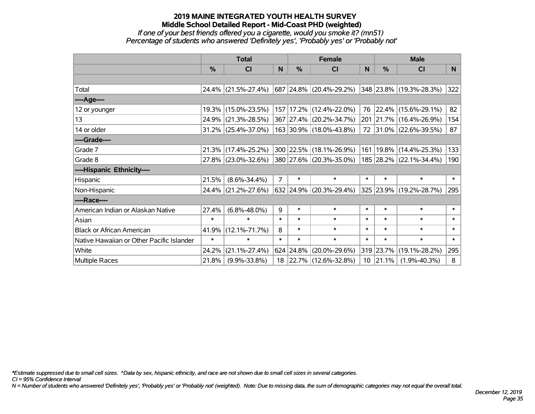#### *If one of your best friends offered you a cigarette, would you smoke it? (mn51) Percentage of students who answered 'Definitely yes', 'Probably yes' or 'Probably not'*

|                                           | <b>Total</b>  |                        |                |           | <b>Female</b>               |        | <b>Male</b>   |                         |        |  |
|-------------------------------------------|---------------|------------------------|----------------|-----------|-----------------------------|--------|---------------|-------------------------|--------|--|
|                                           | $\frac{0}{0}$ | <b>CI</b>              | N              | %         | <b>CI</b>                   | N      | $\frac{0}{0}$ | <b>CI</b>               | N.     |  |
|                                           |               |                        |                |           |                             |        |               |                         |        |  |
| Total                                     |               | 24.4% (21.5%-27.4%)    |                |           | 687 24.8% (20.4%-29.2%)     |        |               | 348 23.8% (19.3%-28.3%) | 322    |  |
| ----Age----                               |               |                        |                |           |                             |        |               |                         |        |  |
| 12 or younger                             |               | 19.3% (15.0%-23.5%)    |                |           | 157   17.2%   (12.4%-22.0%) |        | 76 22.4%      | $(15.6\% - 29.1\%)$     | 82     |  |
| 13                                        |               | 24.9% (21.3%-28.5%)    |                |           | 367 27.4% (20.2%-34.7%)     |        |               | 201 21.7% (16.4%-26.9%) | 154    |  |
| 14 or older                               |               | $31.2\%$ (25.4%-37.0%) |                |           | 163 30.9% (18.0%-43.8%)     |        |               | 72 31.0% (22.6%-39.5%)  | 87     |  |
| ----Grade----                             |               |                        |                |           |                             |        |               |                         |        |  |
| Grade 7                                   |               | 21.3% (17.4%-25.2%)    |                |           | 300 22.5% (18.1%-26.9%)     | 161    |               | 19.8% (14.4%-25.3%)     | 133    |  |
| Grade 8                                   |               | 27.8% (23.0%-32.6%)    |                |           | 380 27.6% (20.3%-35.0%)     |        |               | 185 28.2% (22.1%-34.4%) | 190    |  |
| ----Hispanic Ethnicity----                |               |                        |                |           |                             |        |               |                         |        |  |
| Hispanic                                  | 21.5%         | $(8.6\% - 34.4\%)$     | $\overline{7}$ | $\ast$    | $\ast$                      | $\ast$ | $\ast$        | $\ast$                  | $\ast$ |  |
| Non-Hispanic                              |               | 24.4% (21.2%-27.6%)    |                |           | $632$ 24.9% (20.3%-29.4%)   |        |               | 325 23.9% (19.2%-28.7%) | 295    |  |
| ----Race----                              |               |                        |                |           |                             |        |               |                         |        |  |
| American Indian or Alaskan Native         | 27.4%         | $(6.8\% - 48.0\%)$     | 9              | $\ast$    | $\ast$                      | $\ast$ | $\ast$        | $\ast$                  | $\ast$ |  |
| Asian                                     | $\ast$        | $\ast$                 | $\ast$         | $\ast$    | $\ast$                      | $\ast$ | $\ast$        | $\ast$                  | $\ast$ |  |
| <b>Black or African American</b>          | 41.9%         | $(12.1\% - 71.7\%)$    | 8              | $\ast$    | $\ast$                      | $\ast$ | $\ast$        | $\ast$                  | $\ast$ |  |
| Native Hawaiian or Other Pacific Islander | $\ast$        | $\ast$                 | $\ast$         | $\ast$    | $\ast$                      | $\ast$ | $\ast$        | $\ast$                  | $\ast$ |  |
| White                                     | 24.2%         | $(21.1\% - 27.4\%)$    |                | 624 24.8% | $(20.0\% - 29.6\%)$         |        | 319 23.7%     | $(19.1\% - 28.2\%)$     | 295    |  |
| <b>Multiple Races</b>                     | 21.8%         | $(9.9\% - 33.8\%)$     | 18             |           | $ 22.7\% $ (12.6%-32.8%)    |        | $10$ 21.1%    | $(1.9\% - 40.3\%)$      | 8      |  |

*\*Estimate suppressed due to small cell sizes. ^Data by sex, hispanic ethnicity, and race are not shown due to small cell sizes in several categories.*

*CI = 95% Confidence Interval*

*N = Number of students who answered 'Definitely yes', 'Probably yes' or 'Probably not' (weighted). Note: Due to missing data, the sum of demographic categories may not equal the overall total.*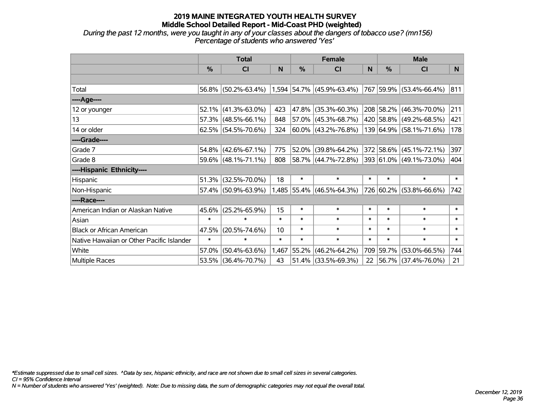*During the past 12 months, were you taught in any of your classes about the dangers of tobacco use? (mn156) Percentage of students who answered 'Yes'*

|                                           | <b>Total</b>  |                        |        |        | <b>Female</b>                                       |        | <b>Male</b>   |                          |        |
|-------------------------------------------|---------------|------------------------|--------|--------|-----------------------------------------------------|--------|---------------|--------------------------|--------|
|                                           | $\frac{0}{0}$ | CI                     | N      | %      | <b>CI</b>                                           | N      | $\frac{0}{0}$ | <b>CI</b>                | N.     |
|                                           |               |                        |        |        |                                                     |        |               |                          |        |
| Total                                     |               | 56.8% (50.2%-63.4%)    |        |        | $1,594$ 54.7% (45.9%-63.4%) 767 59.9% (53.4%-66.4%) |        |               |                          | 811    |
| ----Age----                               |               |                        |        |        |                                                     |        |               |                          |        |
| 12 or younger                             | 52.1%         | $(41.3\% - 63.0\%)$    | 423    | 47.8%  | $(35.3\% - 60.3\%)$                                 |        |               | 208 58.2% (46.3%-70.0%)  | 211    |
| 13                                        |               | $57.3\%$ (48.5%-66.1%) | 848    |        | 57.0% (45.3%-68.7%)                                 |        |               | 420 58.8% (49.2%-68.5%)  | 421    |
| 14 or older                               |               | $62.5\%$ (54.5%-70.6%) | 324    |        | $ 60.0\% $ (43.2%-76.8%)                            |        |               | 139 64.9% (58.1%-71.6%)  | 178    |
| ----Grade----                             |               |                        |        |        |                                                     |        |               |                          |        |
| Grade 7                                   |               | 54.8% (42.6%-67.1%)    | 775    | 52.0%  | $(39.8\% - 64.2\%)$                                 |        |               | 372 58.6% (45.1%-72.1%)  | 397    |
| Grade 8                                   |               | $59.6\%$ (48.1%-71.1%) | 808    |        | 58.7% (44.7%-72.8%)                                 |        |               | 393 61.0% (49.1%-73.0%)  | 404    |
| ----Hispanic Ethnicity----                |               |                        |        |        |                                                     |        |               |                          |        |
| Hispanic                                  | 51.3%         | $(32.5\% - 70.0\%)$    | 18     | $\ast$ | $\ast$                                              | $\ast$ | $\ast$        | $\ast$                   | $\ast$ |
| Non-Hispanic                              |               | 57.4% (50.9%-63.9%)    |        |        | 1,485 55.4% (46.5%-64.3%)                           |        |               | 726 60.2% (53.8%-66.6%)  | 742    |
| ----Race----                              |               |                        |        |        |                                                     |        |               |                          |        |
| American Indian or Alaskan Native         | 45.6%         | $(25.2\% - 65.9\%)$    | 15     | $\ast$ | $\ast$                                              | $\ast$ | $\ast$        | $\ast$                   | $\ast$ |
| Asian                                     | $\ast$        | $\ast$                 | $\ast$ | $\ast$ | $\ast$                                              | $\ast$ | $\ast$        | $\ast$                   | $\ast$ |
| <b>Black or African American</b>          | 47.5%         | $(20.5\% - 74.6\%)$    | 10     | $\ast$ | $\ast$                                              | $\ast$ | $\ast$        | $\ast$                   | $\ast$ |
| Native Hawaiian or Other Pacific Islander | $\ast$        | $\ast$                 | $\ast$ | $\ast$ | $\ast$                                              | $\ast$ | $\ast$        | $\ast$                   | $\ast$ |
| White                                     | 57.0%         | $(50.4\% - 63.6\%)$    | 1,467  | 55.2%  | $(46.2\% - 64.2\%)$                                 |        | 709 59.7%     | $(53.0\% - 66.5\%)$      | 744    |
| Multiple Races                            |               | 53.5% (36.4%-70.7%)    | 43     |        | 51.4% (33.5%-69.3%)                                 | 22     |               | $ 56.7\% $ (37.4%-76.0%) | 21     |

*\*Estimate suppressed due to small cell sizes. ^Data by sex, hispanic ethnicity, and race are not shown due to small cell sizes in several categories.*

*CI = 95% Confidence Interval*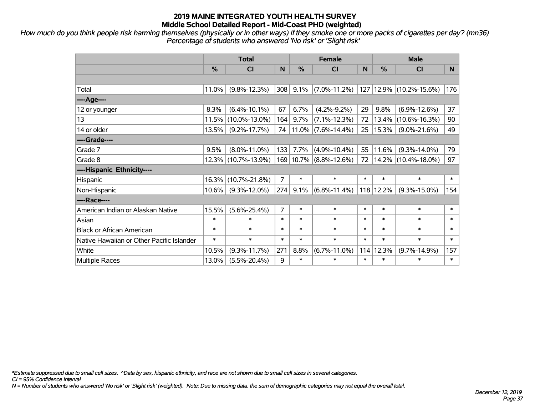*How much do you think people risk harming themselves (physically or in other ways) if they smoke one or more packs of cigarettes per day? (mn36) Percentage of students who answered 'No risk' or 'Slight risk'*

|                                           | <b>Total</b> |                     |                |        | <b>Female</b>          |        | <b>Male</b> |                         |        |  |
|-------------------------------------------|--------------|---------------------|----------------|--------|------------------------|--------|-------------|-------------------------|--------|--|
|                                           | %            | <b>CI</b>           | N              | %      | <b>CI</b>              | N      | %           | <b>CI</b>               | N.     |  |
|                                           |              |                     |                |        |                        |        |             |                         |        |  |
| Total                                     | 11.0%        | $(9.8\% - 12.3\%)$  | 308            | 9.1%   | $(7.0\% - 11.2\%)$     |        |             | 127 12.9% (10.2%-15.6%) | 176    |  |
| ----Age----                               |              |                     |                |        |                        |        |             |                         |        |  |
| 12 or younger                             | 8.3%         | $(6.4\% - 10.1\%)$  | 67             | 6.7%   | $(4.2\% - 9.2\%)$      | 29     | 9.8%        | $(6.9\% - 12.6\%)$      | 37     |  |
| 13                                        | 11.5%        | $(10.0\% - 13.0\%)$ | 164            | 9.7%   | $(7.1\% - 12.3\%)$     | 72     | 13.4%       | $(10.6\% - 16.3\%)$     | 90     |  |
| 14 or older                               | 13.5%        | $(9.2\% - 17.7\%)$  | 74             |        | $11.0\%$ (7.6%-14.4%)  | 25     | 15.3%       | $(9.0\% - 21.6\%)$      | 49     |  |
| ----Grade----                             |              |                     |                |        |                        |        |             |                         |        |  |
| Grade 7                                   | 9.5%         | $(8.0\% - 11.0\%)$  | 133            | 7.7%   | $(4.9\% - 10.4\%)$     | 55     | 11.6%       | $(9.3\% - 14.0\%)$      | 79     |  |
| Grade 8                                   | 12.3%        | $(10.7\% - 13.9\%)$ |                |        | 169 10.7% (8.8%-12.6%) | 72     |             | 14.2% (10.4%-18.0%)     | 97     |  |
| ----Hispanic Ethnicity----                |              |                     |                |        |                        |        |             |                         |        |  |
| Hispanic                                  | 16.3%        | $(10.7\% - 21.8\%)$ | 7              | $\ast$ | $\ast$                 | $\ast$ | $\ast$      | $\ast$                  | $\ast$ |  |
| Non-Hispanic                              | $10.6\%$     | $(9.3\% - 12.0\%)$  | 274            | 9.1%   | $(6.8\% - 11.4\%)$     |        | 118 12.2%   | $(9.3\% - 15.0\%)$      | 154    |  |
| ----Race----                              |              |                     |                |        |                        |        |             |                         |        |  |
| American Indian or Alaskan Native         | 15.5%        | $(5.6\% - 25.4\%)$  | $\overline{7}$ | $\ast$ | $\ast$                 | $\ast$ | $\ast$      | $\ast$                  | $\ast$ |  |
| Asian                                     | $\ast$       | $\ast$              | $\ast$         | $\ast$ | $\ast$                 | $\ast$ | $\ast$      | $\ast$                  | $\ast$ |  |
| <b>Black or African American</b>          | $\ast$       | $\ast$              | $\ast$         | $\ast$ | $\ast$                 | $\ast$ | $\ast$      | $\ast$                  | $\ast$ |  |
| Native Hawaiian or Other Pacific Islander | $\ast$       | $\ast$              | $\ast$         | $\ast$ | $\ast$                 | $\ast$ | $\ast$      | $\ast$                  | $\ast$ |  |
| White                                     | 10.5%        | $(9.3\% - 11.7\%)$  | 271            | 8.8%   | $(6.7\% - 11.0\%)$     | 114    | 12.3%       | $(9.7\% - 14.9\%)$      | 157    |  |
| <b>Multiple Races</b>                     | 13.0%        | $(5.5\% - 20.4\%)$  | 9              | $\ast$ | $\ast$                 | $\ast$ | $\ast$      | $\ast$                  | $\ast$ |  |

*\*Estimate suppressed due to small cell sizes. ^Data by sex, hispanic ethnicity, and race are not shown due to small cell sizes in several categories.*

*CI = 95% Confidence Interval*

*N = Number of students who answered 'No risk' or 'Slight risk' (weighted). Note: Due to missing data, the sum of demographic categories may not equal the overall total.*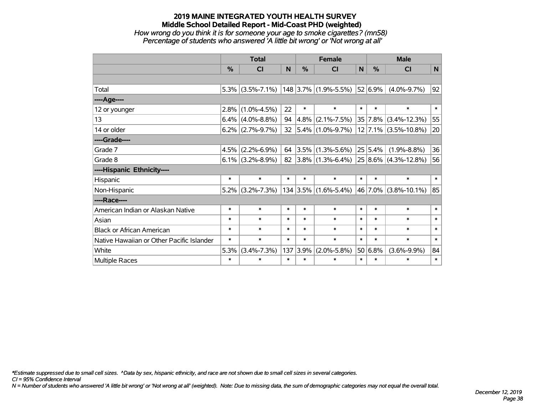#### **2019 MAINE INTEGRATED YOUTH HEALTH SURVEY Middle School Detailed Report - Mid-Coast PHD (weighted)** *How wrong do you think it is for someone your age to smoke cigarettes? (mn58) Percentage of students who answered 'A little bit wrong' or 'Not wrong at all'*

|                                           | <b>Total</b>  |                     |        |        | <b>Female</b>               |        | <b>Male</b>  |                                          |        |  |
|-------------------------------------------|---------------|---------------------|--------|--------|-----------------------------|--------|--------------|------------------------------------------|--------|--|
|                                           | $\frac{0}{0}$ | <b>CI</b>           | N      | %      | <b>CI</b>                   | N      | %            | <b>CI</b>                                | N      |  |
|                                           |               |                     |        |        |                             |        |              |                                          |        |  |
| Total                                     |               | $5.3\%$ (3.5%-7.1%) |        |        | $148$ 3.7% (1.9%-5.5%)      |        | 52 6.9%      | $(4.0\% - 9.7\%)$                        | 92     |  |
| ----Age----                               |               |                     |        |        |                             |        |              |                                          |        |  |
| 12 or younger                             |               | $2.8\%$ (1.0%-4.5%) | 22     | $\ast$ | $\ast$                      | $\ast$ | $\ast$       | $\ast$                                   | $\ast$ |  |
| 13                                        |               | $6.4\%$ (4.0%-8.8%) | 94     |        | $4.8\%$ (2.1%-7.5%)         |        |              | 35 7.8% (3.4%-12.3%)                     | 55     |  |
| 14 or older                               |               | $6.2\%$ (2.7%-9.7%) | 32     |        | $ 5.4\% $ (1.0%-9.7%)       |        |              | $12$ 7.1% (3.5%-10.8%)                   | 20     |  |
| ----Grade----                             |               |                     |        |        |                             |        |              |                                          |        |  |
| Grade 7                                   | 4.5%          | $(2.2\% - 6.9\%)$   | 64     |        | $ 3.5\% $ (1.3%-5.6%)       |        | 25 5.4%      | $(1.9\% - 8.8\%)$                        | 36     |  |
| Grade 8                                   |               | $6.1\%$ (3.2%-8.9%) |        |        |                             |        |              | 82 3.8% (1.3%-6.4%) 25 8.6% (4.3%-12.8%) | 56     |  |
| ----Hispanic Ethnicity----                |               |                     |        |        |                             |        |              |                                          |        |  |
| Hispanic                                  | $\ast$        | $\ast$              | $\ast$ | $\ast$ | $\ast$                      | $\ast$ | $\ast$       | $\ast$                                   | $\ast$ |  |
| Non-Hispanic                              |               | $5.2\%$ (3.2%-7.3%) |        |        | $134 3.5\% (1.6\% - 5.4\%)$ |        | $ 46 7.0\% $ | $(3.8\% - 10.1\%)$                       | 85     |  |
| ----Race----                              |               |                     |        |        |                             |        |              |                                          |        |  |
| American Indian or Alaskan Native         | $\ast$        | $\ast$              | $\ast$ | $\ast$ | $\ast$                      | $\ast$ | $\ast$       | $\ast$                                   | $\ast$ |  |
| Asian                                     | $\ast$        | $\ast$              | $\ast$ | $\ast$ | $\ast$                      | $\ast$ | $\ast$       | $\ast$                                   | $\ast$ |  |
| <b>Black or African American</b>          | $\ast$        | $\ast$              | $\ast$ | $\ast$ | $\ast$                      | $\ast$ | $\ast$       | $\ast$                                   | $\ast$ |  |
| Native Hawaiian or Other Pacific Islander | $\ast$        | $\ast$              | $\ast$ | $\ast$ | $\ast$                      | $\ast$ | $\ast$       | $\ast$                                   | $\ast$ |  |
| White                                     | 5.3%          | $(3.4\% - 7.3\%)$   | 137    | 3.9%   | $(2.0\% - 5.8\%)$           | 50     | 6.8%         | $(3.6\% - 9.9\%)$                        | 84     |  |
| Multiple Races                            | $\ast$        | $\ast$              | $\ast$ | $\ast$ | $\ast$                      | $\ast$ | $\ast$       | $\ast$                                   | $\ast$ |  |

*\*Estimate suppressed due to small cell sizes. ^Data by sex, hispanic ethnicity, and race are not shown due to small cell sizes in several categories.*

*CI = 95% Confidence Interval*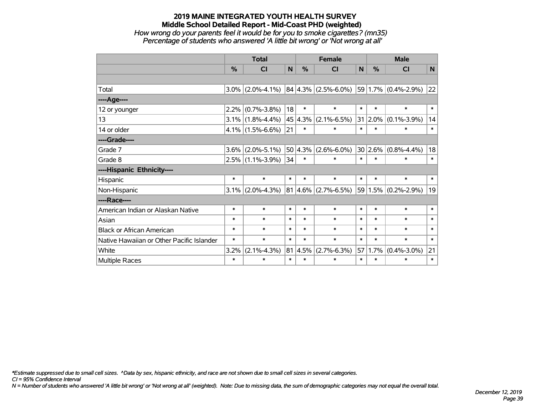## **2019 MAINE INTEGRATED YOUTH HEALTH SURVEY Middle School Detailed Report - Mid-Coast PHD (weighted)** *How wrong do your parents feel it would be for you to smoke cigarettes? (mn35)*

*Percentage of students who answered 'A little bit wrong' or 'Not wrong at all'*

|                                           | <b>Total</b>  |                     |        |               | <b>Female</b>                                     |        | <b>Male</b>    |                     |        |  |
|-------------------------------------------|---------------|---------------------|--------|---------------|---------------------------------------------------|--------|----------------|---------------------|--------|--|
|                                           | $\frac{0}{0}$ | <b>CI</b>           | N      | $\frac{0}{0}$ | <b>CI</b>                                         | N      | $\%$           | <b>CI</b>           | N      |  |
|                                           |               |                     |        |               |                                                   |        |                |                     |        |  |
| Total                                     | $3.0\%$       | $(2.0\% - 4.1\%)$   |        |               | $ 84 4.3\% $ (2.5%-6.0%) $ 59 1.7\% $ (0.4%-2.9%) |        |                |                     | 22     |  |
| ----Age----                               |               |                     |        |               |                                                   |        |                |                     |        |  |
| 12 or younger                             | 2.2%          | $(0.7\% - 3.8\%)$   | 18     | $\ast$        | $\ast$                                            | $\ast$ | $\ast$         | $\ast$              | $\ast$ |  |
| 13                                        |               | $3.1\%$ (1.8%-4.4%) |        | 45 4.3%       | $(2.1\% - 6.5\%)$                                 |        | $31   2.0\%  $ | $(0.1\% - 3.9\%)$   | 14     |  |
| 14 or older                               |               | $4.1\%$ (1.5%-6.6%) | 21     | $\ast$        | $\ast$                                            | $\ast$ | $\ast$         | $\ast$              | $\ast$ |  |
| ----Grade----                             |               |                     |        |               |                                                   |        |                |                     |        |  |
| Grade 7                                   | 3.6%          | $(2.0\% - 5.1\%)$   | 50     | 4.3%          | $(2.6\% - 6.0\%)$                                 |        | 30 2.6%        | $(0.8\% - 4.4\%)$   | 18     |  |
| Grade 8                                   |               | $2.5\%$ (1.1%-3.9%) | 34     | $\ast$        | $\ast$                                            | $\ast$ | $\ast$         | $\ast$              | $\ast$ |  |
| ----Hispanic Ethnicity----                |               |                     |        |               |                                                   |        |                |                     |        |  |
| Hispanic                                  | $\ast$        | $\ast$              | $\ast$ | $\ast$        | $\ast$                                            | $\ast$ | $\ast$         | $\ast$              | $\ast$ |  |
| Non-Hispanic                              | 3.1%          | $(2.0\% - 4.3\%)$   |        |               | $81 4.6\% $ (2.7%-6.5%)                           | 59     |                | $1.5\%$ (0.2%-2.9%) | 19     |  |
| ----Race----                              |               |                     |        |               |                                                   |        |                |                     |        |  |
| American Indian or Alaskan Native         | $\ast$        | $\ast$              | $\ast$ | $\ast$        | $\ast$                                            | $\ast$ | $\ast$         | $\ast$              | $\ast$ |  |
| Asian                                     | $\ast$        | $\ast$              | $\ast$ | $\ast$        | $\ast$                                            | $\ast$ | $\ast$         | $\ast$              | $\ast$ |  |
| <b>Black or African American</b>          | $\ast$        | $\ast$              | $\ast$ | $\ast$        | $\ast$                                            | $\ast$ | $\ast$         | $\ast$              | $\ast$ |  |
| Native Hawaiian or Other Pacific Islander | $\ast$        | $\ast$              | $\ast$ | $\ast$        | $\ast$                                            | $\ast$ | $\ast$         | $\ast$              | $\ast$ |  |
| White                                     | 3.2%          | $(2.1\% - 4.3\%)$   | 81     | 4.5%          | $(2.7\% - 6.3\%)$                                 | 57     | 1.7%           | $(0.4\% - 3.0\%)$   | 21     |  |
| <b>Multiple Races</b>                     | $\ast$        | $\ast$              | $\ast$ | $\ast$        | $\ast$                                            | $\ast$ | $\ast$         | $\ast$              | $\ast$ |  |

*\*Estimate suppressed due to small cell sizes. ^Data by sex, hispanic ethnicity, and race are not shown due to small cell sizes in several categories.*

*CI = 95% Confidence Interval*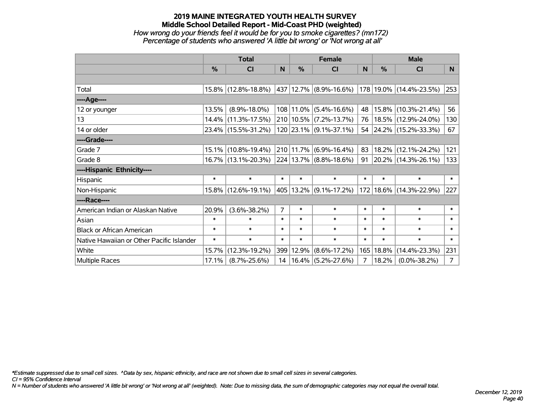#### **2019 MAINE INTEGRATED YOUTH HEALTH SURVEY Middle School Detailed Report - Mid-Coast PHD (weighted)** *How wrong do your friends feel it would be for you to smoke cigarettes? (mn172) Percentage of students who answered 'A little bit wrong' or 'Not wrong at all'*

|                                           | <b>Total</b> |                        |                |           | <b>Female</b>              |        | <b>Male</b> |                            |                |  |
|-------------------------------------------|--------------|------------------------|----------------|-----------|----------------------------|--------|-------------|----------------------------|----------------|--|
|                                           | %            | CI                     | N              | %         | <b>CI</b>                  | N      | %           | <b>CI</b>                  | N              |  |
|                                           |              |                        |                |           |                            |        |             |                            |                |  |
| Total                                     |              | 15.8% (12.8%-18.8%)    |                |           | 437   12.7%   (8.9%-16.6%) |        |             | 178 19.0% (14.4%-23.5%)    | 253            |  |
| ----Age----                               |              |                        |                |           |                            |        |             |                            |                |  |
| 12 or younger                             | 13.5%        | $(8.9\% - 18.0\%)$     |                | 108 11.0% | $(5.4\% - 16.6\%)$         | 48     | 15.8%       | $(10.3\% - 21.4\%)$        | 56             |  |
| 13                                        |              | $14.4\%$ (11.3%-17.5%) |                |           | 210 10.5% (7.2%-13.7%)     | 76     |             | 18.5% (12.9%-24.0%)        | 130            |  |
| 14 or older                               |              | 23.4% (15.5%-31.2%)    |                |           | 120 23.1% (9.1%-37.1%)     |        |             | 54 24.2% (15.2%-33.3%)     | 67             |  |
| ----Grade----                             |              |                        |                |           |                            |        |             |                            |                |  |
| Grade 7                                   |              | 15.1% (10.8%-19.4%)    |                | 210 11.7% | $(6.9\% - 16.4\%)$         | 83     | 18.2%       | $(12.1\% - 24.2\%)$        | 121            |  |
| Grade 8                                   |              | 16.7% (13.1%-20.3%)    |                |           | 224 13.7% (8.8%-18.6%)     |        |             | 91   20.2%   (14.3%-26.1%) | 133            |  |
| ----Hispanic Ethnicity----                |              |                        |                |           |                            |        |             |                            |                |  |
| Hispanic                                  | $\ast$       | $\ast$                 | $\ast$         | $\ast$    | $\ast$                     | $\ast$ | $\ast$      | $\ast$                     | $\ast$         |  |
| Non-Hispanic                              |              | 15.8% (12.6%-19.1%)    |                | 405 13.2% | $(9.1\% - 17.2\%)$         | 172    |             | 18.6% (14.3%-22.9%)        | 227            |  |
| ----Race----                              |              |                        |                |           |                            |        |             |                            |                |  |
| American Indian or Alaskan Native         | 20.9%        | $(3.6\% - 38.2\%)$     | $\overline{7}$ | $\ast$    | $\ast$                     | $\ast$ | $\ast$      | $\ast$                     | $\ast$         |  |
| Asian                                     | $\ast$       | $\ast$                 | $\ast$         | $\ast$    | $\ast$                     | $\ast$ | $\ast$      | $\ast$                     | $\ast$         |  |
| <b>Black or African American</b>          | $\ast$       | $\ast$                 | $\ast$         | $\ast$    | $\ast$                     | $\ast$ | $\ast$      | $\ast$                     | $\ast$         |  |
| Native Hawaiian or Other Pacific Islander | $\ast$       | $\ast$                 | $\ast$         | $\ast$    | $\ast$                     | $\ast$ | $\ast$      | $\ast$                     | $\ast$         |  |
| White                                     | 15.7%        | $(12.3\% - 19.2\%)$    | 399            | 12.9%     | $(8.6\% - 17.2\%)$         | 165    | 18.8%       | $(14.4\% - 23.3\%)$        | 231            |  |
| <b>Multiple Races</b>                     | 17.1%        | $(8.7\% - 25.6\%)$     |                | 14 16.4%  | $(5.2\% - 27.6\%)$         | 7      | 18.2%       | $(0.0\% - 38.2\%)$         | $\overline{7}$ |  |

*\*Estimate suppressed due to small cell sizes. ^Data by sex, hispanic ethnicity, and race are not shown due to small cell sizes in several categories.*

*CI = 95% Confidence Interval*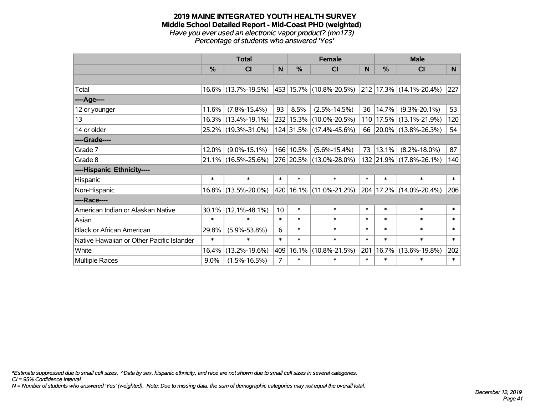#### **2019 MAINE INTEGRATED YOUTH HEALTH SURVEY Middle School Detailed Report - Mid-Coast PHD (weighted)** *Have you ever used an electronic vapor product? (mn173) Percentage of students who answered 'Yes'*

|                                           | <b>Total</b>  |                        |                | <b>Female</b> | <b>Male</b>                 |              |        |                              |        |
|-------------------------------------------|---------------|------------------------|----------------|---------------|-----------------------------|--------------|--------|------------------------------|--------|
|                                           | $\frac{0}{0}$ | <b>CI</b>              | N              | %             | <b>CI</b>                   | <sub>N</sub> | %      | <b>CI</b>                    | N      |
|                                           |               |                        |                |               |                             |              |        |                              |        |
| Total                                     |               | 16.6% (13.7%-19.5%)    |                |               | 453   15.7%   (10.8%-20.5%) |              |        | $ 212 17.3\% $ (14.1%-20.4%) | 227    |
| ----Age----                               |               |                        |                |               |                             |              |        |                              |        |
| 12 or younger                             | 11.6%         | $(7.8\% - 15.4\%)$     | 93             | 8.5%          | $(2.5\% - 14.5\%)$          | 36           | 14.7%  | $(9.3\% - 20.1\%)$           | 53     |
| 13                                        |               | 16.3% (13.4%-19.1%)    |                |               | 232 15.3% (10.0%-20.5%)     | 110          |        | 17.5% (13.1%-21.9%)          | 120    |
| 14 or older                               |               | 25.2% (19.3%-31.0%)    |                |               | 124 31.5% (17.4%-45.6%)     | 66           |        | 20.0% (13.8%-26.3%)          | 54     |
| ----Grade----                             |               |                        |                |               |                             |              |        |                              |        |
| Grade 7                                   | 12.0%         | $(9.0\% - 15.1\%)$     |                | 166 10.5%     | $(5.6\% - 15.4\%)$          | 73           | 13.1%  | $(8.2\% - 18.0\%)$           | 87     |
| Grade 8                                   |               | $21.1\%$ (16.5%-25.6%) |                |               | 276 20.5% (13.0%-28.0%)     |              |        | 132 21.9% (17.8%-26.1%)      | 140    |
| ----Hispanic Ethnicity----                |               |                        |                |               |                             |              |        |                              |        |
| Hispanic                                  | $\ast$        | $\ast$                 | $\ast$         | $\ast$        | $\ast$                      | $\ast$       | $\ast$ | $\ast$                       | $\ast$ |
| Non-Hispanic                              |               | 16.8% (13.5%-20.0%)    |                |               | 420   16.1%   (11.0%-21.2%) | 204          |        | 17.2% (14.0%-20.4%)          | 206    |
| ----Race----                              |               |                        |                |               |                             |              |        |                              |        |
| American Indian or Alaskan Native         | $30.1\%$      | $(12.1\% - 48.1\%)$    | 10             | $\ast$        | $\ast$                      | $\ast$       | $\ast$ | $\ast$                       | $\ast$ |
| Asian                                     | $\ast$        | $\ast$                 | $\ast$         | $\ast$        | $\ast$                      | $\ast$       | $\ast$ | $\ast$                       | $\ast$ |
| <b>Black or African American</b>          | 29.8%         | $(5.9\% - 53.8\%)$     | 6              | $\ast$        | $\ast$                      | $\ast$       | $\ast$ | $\ast$                       | $\ast$ |
| Native Hawaiian or Other Pacific Islander | $\ast$        | $\ast$                 | $\ast$         | $\ast$        | $\ast$                      | $\ast$       | $\ast$ | $\ast$                       | $\ast$ |
| White                                     | 16.4%         | $(13.2\% - 19.6\%)$    | 409            | 16.1%         | $(10.8\% - 21.5\%)$         | 201          | 16.7%  | $(13.6\% - 19.8\%)$          | 202    |
| Multiple Races                            | $9.0\%$       | $(1.5\% - 16.5\%)$     | $\overline{7}$ | $\ast$        | $\ast$                      | $\ast$       | $\ast$ | $\ast$                       | $\ast$ |

*\*Estimate suppressed due to small cell sizes. ^Data by sex, hispanic ethnicity, and race are not shown due to small cell sizes in several categories.*

*CI = 95% Confidence Interval*

*N = Number of students who answered 'Yes' (weighted). Note: Due to missing data, the sum of demographic categories may not equal the overall total.*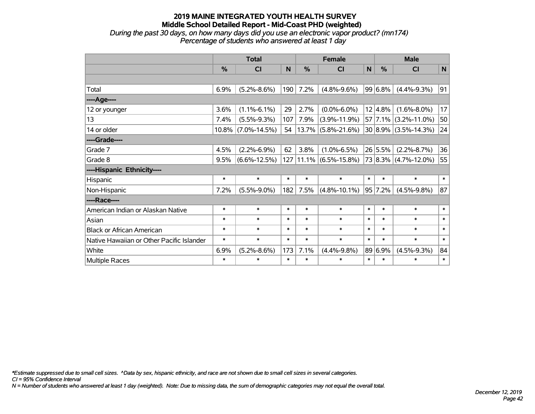*During the past 30 days, on how many days did you use an electronic vapor product? (mn174) Percentage of students who answered at least 1 day*

|                                           | <b>Total</b> |                    |        |               | <b>Female</b>         | <b>Male</b>  |             |                          |             |
|-------------------------------------------|--------------|--------------------|--------|---------------|-----------------------|--------------|-------------|--------------------------|-------------|
|                                           | %            | CI                 | N      | $\frac{0}{0}$ | <b>CI</b>             | $\mathsf{N}$ | %           | <b>CI</b>                | $\mathbf N$ |
|                                           |              |                    |        |               |                       |              |             |                          |             |
| Total                                     | 6.9%         | $(5.2\% - 8.6\%)$  | 190    | 7.2%          | $(4.8\% - 9.6\%)$     |              | 99 6.8%     | $(4.4\% - 9.3\%)$        | 91          |
| ---- Age----                              |              |                    |        |               |                       |              |             |                          |             |
| 12 or younger                             | 3.6%         | $(1.1\% - 6.1\%)$  | 29     | 2.7%          | $(0.0\% - 6.0\%)$     |              | 12 4.8%     | $(1.6\% - 8.0\%)$        | 17          |
| 13                                        | 7.4%         | $(5.5\% - 9.3\%)$  | 107    | 7.9%          | $(3.9\% - 11.9\%)$    |              | $57$   7.1% | $(3.2\% - 11.0\%)$       | 50          |
| 14 or older                               | $10.8\%$     | $(7.0\% - 14.5\%)$ | 54     | 13.7%         | $(5.8\% - 21.6\%)$    |              |             | $30 8.9\% $ (3.5%-14.3%) | 24          |
| ----Grade----                             |              |                    |        |               |                       |              |             |                          |             |
| Grade 7                                   | 4.5%         | $(2.2\% - 6.9\%)$  | 62     | 3.8%          | $(1.0\% - 6.5\%)$     |              | 26 5.5%     | $(2.2\% - 8.7\%)$        | 36          |
| Grade 8                                   | 9.5%         | $(6.6\% - 12.5\%)$ | 127    |               | $11.1\%$ (6.5%-15.8%) |              |             | 73 8.3% (4.7%-12.0%)     | 55          |
| ----Hispanic Ethnicity----                |              |                    |        |               |                       |              |             |                          |             |
| Hispanic                                  | $\ast$       | $\ast$             | $\ast$ | $\ast$        | $\ast$                | $\ast$       | $\ast$      | $\ast$                   | $\ast$      |
| Non-Hispanic                              | 7.2%         | $(5.5\% - 9.0\%)$  | 182    | 7.5%          | $(4.8\% - 10.1\%)$    |              | 95 7.2%     | $(4.5\% - 9.8\%)$        | 87          |
| ----Race----                              |              |                    |        |               |                       |              |             |                          |             |
| American Indian or Alaskan Native         | $\ast$       | $\ast$             | $\ast$ | $\ast$        | $\ast$                | $\ast$       | $\ast$      | $\ast$                   | $\ast$      |
| Asian                                     | $\ast$       | $\ast$             | $\ast$ | $\ast$        | $\ast$                | $\ast$       | $\ast$      | $\ast$                   | $\ast$      |
| <b>Black or African American</b>          | $\ast$       | $\ast$             | $\ast$ | $\ast$        | $\ast$                | $\ast$       | $\ast$      | $\ast$                   | $\ast$      |
| Native Hawaiian or Other Pacific Islander | $\ast$       | $\ast$             | $\ast$ | $\ast$        | $\ast$                | $\ast$       | $\ast$      | $\ast$                   | $\ast$      |
| White                                     | 6.9%         | $(5.2\% - 8.6\%)$  | 173    | 7.1%          | $(4.4\% - 9.8\%)$     |              | 89 6.9%     | $(4.5\% - 9.3\%)$        | 84          |
| Multiple Races                            | $\ast$       | $\ast$             | $\ast$ | $\ast$        | $\ast$                | $\ast$       | $\ast$      | $\ast$                   | $\ast$      |

*\*Estimate suppressed due to small cell sizes. ^Data by sex, hispanic ethnicity, and race are not shown due to small cell sizes in several categories.*

*CI = 95% Confidence Interval*

*N = Number of students who answered at least 1 day (weighted). Note: Due to missing data, the sum of demographic categories may not equal the overall total.*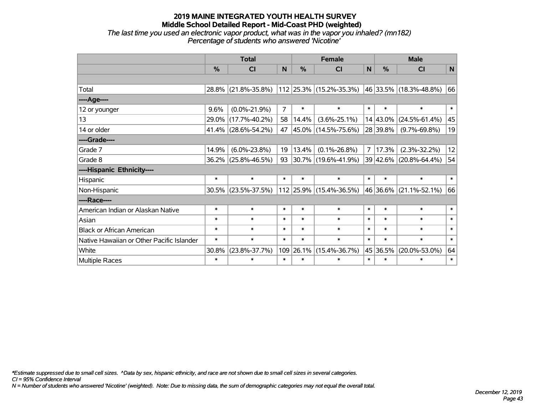*The last time you used an electronic vapor product, what was in the vapor you inhaled? (mn182) Percentage of students who answered 'Nicotine'*

|                                           | <b>Total</b> |                     |                |        | <b>Female</b>               | <b>Male</b>    |          |                        |              |
|-------------------------------------------|--------------|---------------------|----------------|--------|-----------------------------|----------------|----------|------------------------|--------------|
|                                           | %            | <b>CI</b>           | N              | %      | <b>CI</b>                   | $\mathsf{N}$   | %        | <b>CI</b>              | $\mathsf{N}$ |
|                                           |              |                     |                |        |                             |                |          |                        |              |
| Total                                     |              | 28.8% (21.8%-35.8%) |                |        | 112   25.3%   (15.2%-35.3%) |                |          | 46 33.5% (18.3%-48.8%) | 66           |
| ----Age----                               |              |                     |                |        |                             |                |          |                        |              |
| 12 or younger                             | 9.6%         | $(0.0\% - 21.9\%)$  | $\overline{7}$ | $\ast$ | $\ast$                      | $\ast$         | $\ast$   | $\ast$                 | $\ast$       |
| 13                                        | 29.0%        | $(17.7\% - 40.2\%)$ | 58             | 14.4%  | $(3.6\% - 25.1\%)$          |                | 14 43.0% | $(24.5\% - 61.4\%)$    | 45           |
| 14 or older                               |              | 41.4% (28.6%-54.2%) | 47             |        | 45.0% (14.5%-75.6%)         |                | 28 39.8% | $(9.7\% - 69.8\%)$     | 19           |
| ----Grade----                             |              |                     |                |        |                             |                |          |                        |              |
| Grade 7                                   | 14.9%        | $(6.0\% - 23.8\%)$  | 19             | 13.4%  | $(0.1\% - 26.8\%)$          | $\overline{7}$ | 17.3%    | $(2.3\% - 32.2\%)$     | 12           |
| Grade 8                                   |              | 36.2% (25.8%-46.5%) | 93             |        | 30.7% (19.6%-41.9%)         |                |          | 39 42.6% (20.8%-64.4%) | 54           |
| ----Hispanic Ethnicity----                |              |                     |                |        |                             |                |          |                        |              |
| Hispanic                                  | $\ast$       | $\ast$              | $\ast$         | $\ast$ | $\ast$                      | $\ast$         | $\ast$   | $\ast$                 | $\ast$       |
| Non-Hispanic                              |              | 30.5% (23.5%-37.5%) |                |        | $112$ 25.9% (15.4%-36.5%)   |                | 46 36.6% | $(21.1\% - 52.1\%)$    | 66           |
| ----Race----                              |              |                     |                |        |                             |                |          |                        |              |
| American Indian or Alaskan Native         | $\ast$       | $\ast$              | $\ast$         | $\ast$ | $\ast$                      | $\ast$         | $\ast$   | $\ast$                 | $\ast$       |
| Asian                                     | $\ast$       | $\ast$              | $\ast$         | $\ast$ | $\ast$                      | $\ast$         | $\ast$   | $\ast$                 | $\ast$       |
| <b>Black or African American</b>          | $\ast$       | $\ast$              | $\ast$         | $\ast$ | $\ast$                      | $\ast$         | $\ast$   | $\ast$                 | $\ast$       |
| Native Hawaiian or Other Pacific Islander | $\ast$       | $\ast$              | $\ast$         | $\ast$ | $\ast$                      | $\ast$         | $\ast$   | $\ast$                 | $\ast$       |
| White                                     | 30.8%        | $(23.8\% - 37.7\%)$ | 109            | 26.1%  | $(15.4\% - 36.7\%)$         |                | 45 36.5% | $(20.0\% - 53.0\%)$    | 64           |
| Multiple Races                            | $\ast$       | $\ast$              | $\ast$         | $\ast$ | $\ast$                      | $\ast$         | $\ast$   | ∗                      | $\ast$       |

*\*Estimate suppressed due to small cell sizes. ^Data by sex, hispanic ethnicity, and race are not shown due to small cell sizes in several categories.*

*CI = 95% Confidence Interval*

*N = Number of students who answered 'Nicotine' (weighted). Note: Due to missing data, the sum of demographic categories may not equal the overall total.*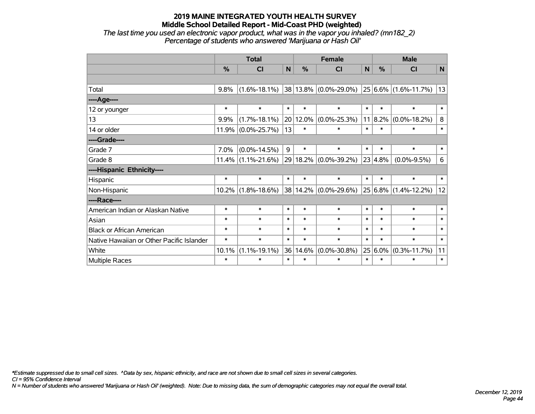*The last time you used an electronic vapor product, what was in the vapor you inhaled? (mn182\_2) Percentage of students who answered 'Marijuana or Hash Oil'*

|                                           | <b>Total</b> |                    |        |          | <b>Female</b>                                        |        | <b>Male</b> |                      |         |  |
|-------------------------------------------|--------------|--------------------|--------|----------|------------------------------------------------------|--------|-------------|----------------------|---------|--|
|                                           | $\%$         | C <sub>l</sub>     | N      | $\%$     | <b>CI</b>                                            | N      | $\%$        | CI                   | N       |  |
|                                           |              |                    |        |          |                                                      |        |             |                      |         |  |
| Total                                     | 9.8%         | $(1.6\% - 18.1\%)$ |        |          | $ 38 13.8\% $ (0.0%-29.0%) $ 25 6.6\% $ (1.6%-11.7%) |        |             |                      | 13      |  |
| ----Age----                               |              |                    |        |          |                                                      |        |             |                      |         |  |
| 12 or younger                             | $\ast$       | $\ast$             | $\ast$ | $\ast$   | $\ast$                                               | $\ast$ | $\ast$      | $\ast$               | $\ast$  |  |
| 13                                        | 9.9%         | $(1.7\% - 18.1\%)$ |        | 20 12.0% | $(0.0\% - 25.3\%)$                                   |        | $11 8.2\% $ | $(0.0\% - 18.2\%)$   | 8       |  |
| 14 or older                               | 11.9%        | $(0.0\% - 25.7\%)$ | 13     | $\ast$   | $\ast$                                               | $\ast$ | $\ast$      | $\ast$               | $\ast$  |  |
| ----Grade----                             |              |                    |        |          |                                                      |        |             |                      |         |  |
| Grade 7                                   | 7.0%         | $(0.0\% - 14.5\%)$ | 9      | $\ast$   | $\ast$                                               | $\ast$ | $\ast$      | $\ast$               | $\ast$  |  |
| Grade 8                                   | $11.4\%$     | $(1.1\% - 21.6\%)$ |        | 29 18.2% | $(0.0\% - 39.2\%)$                                   |        | 23 4.8%     | $(0.0\% - 9.5\%)$    | $\,6\,$ |  |
| ----Hispanic Ethnicity----                |              |                    |        |          |                                                      |        |             |                      |         |  |
| Hispanic                                  | $\ast$       | $\ast$             | $\ast$ | $\ast$   | $\ast$                                               | $\ast$ | $\ast$      | $\ast$               | $\ast$  |  |
| Non-Hispanic                              | $10.2\%$     | $(1.8\% - 18.6\%)$ |        | 38 14.2% | $(0.0\% - 29.6\%)$                                   |        |             | 25 6.8% (1.4%-12.2%) | 12      |  |
| ----Race----                              |              |                    |        |          |                                                      |        |             |                      |         |  |
| American Indian or Alaskan Native         | $\ast$       | $\ast$             | $\ast$ | $\ast$   | $\ast$                                               | $\ast$ | $\ast$      | $\ast$               | $\ast$  |  |
| Asian                                     | $\ast$       | $\ast$             | $\ast$ | $\ast$   | $\ast$                                               | $\ast$ | $\ast$      | $\ast$               | $\ast$  |  |
| <b>Black or African American</b>          | $\ast$       | $\ast$             | $\ast$ | $\ast$   | $\ast$                                               | $\ast$ | $\ast$      | $\ast$               | $\ast$  |  |
| Native Hawaiian or Other Pacific Islander | $\ast$       | $\ast$             | $\ast$ | $\ast$   | $\ast$                                               | $\ast$ | $\ast$      | $\ast$               | $\ast$  |  |
| White                                     | 10.1%        | $(1.1\% - 19.1\%)$ | 36     | 14.6%    | $(0.0\% - 30.8\%)$                                   |        | $25 6.0\% $ | $(0.3\% - 11.7\%)$   | 11      |  |
| Multiple Races                            | $\ast$       | $\ast$             | $\ast$ | $\ast$   | $\ast$                                               | $\ast$ | $\ast$      | $\ast$               | $\ast$  |  |

*\*Estimate suppressed due to small cell sizes. ^Data by sex, hispanic ethnicity, and race are not shown due to small cell sizes in several categories.*

*CI = 95% Confidence Interval*

*N = Number of students who answered 'Marijuana or Hash Oil' (weighted). Note: Due to missing data, the sum of demographic categories may not equal the overall total.*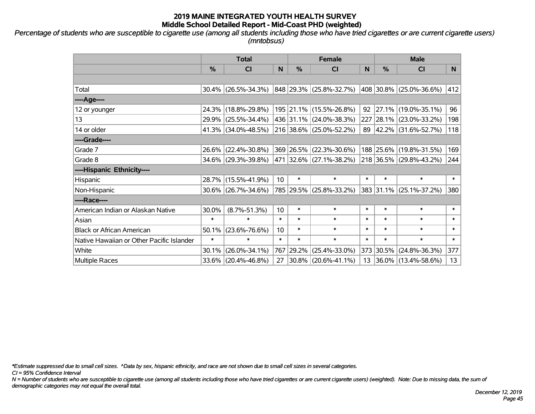*Percentage of students who are susceptible to cigarette use (among all students including those who have tried cigarettes or are current cigarette users) (mntobsus)*

|                                           | <b>Total</b>  |                        |                 |           | <b>Female</b>           |        | <b>Male</b> |                          |        |  |
|-------------------------------------------|---------------|------------------------|-----------------|-----------|-------------------------|--------|-------------|--------------------------|--------|--|
|                                           | $\frac{0}{0}$ | CI                     | N               | %         | <b>CI</b>               | N      | %           | <b>CI</b>                | N.     |  |
|                                           |               |                        |                 |           |                         |        |             |                          |        |  |
| Total                                     |               | $30.4\%$ (26.5%-34.3%) |                 |           | 848 29.3% (25.8%-32.7%) |        |             | 408 30.8% (25.0%-36.6%)  | 412    |  |
| ----Age----                               |               |                        |                 |           |                         |        |             |                          |        |  |
| 12 or younger                             |               | 24.3% (18.8%-29.8%)    |                 |           | 195 21.1% (15.5%-26.8%) | 92     |             | 27.1% (19.0%-35.1%)      | 96     |  |
| 13                                        |               | 29.9% (25.5%-34.4%)    |                 |           | 436 31.1% (24.0%-38.3%) |        |             | 227 28.1% (23.0%-33.2%)  | 198    |  |
| 14 or older                               |               | $41.3\%$ (34.0%-48.5%) |                 |           | 216 38.6% (25.0%-52.2%) |        |             | 89 42.2% (31.6%-52.7%)   | 118    |  |
| ----Grade----                             |               |                        |                 |           |                         |        |             |                          |        |  |
| Grade 7                                   |               | 26.6% (22.4%-30.8%)    |                 | 369 26.5% | $(22.3\% - 30.6\%)$     |        |             | 188 25.6% (19.8%-31.5%)  | 169    |  |
| Grade 8                                   |               | 34.6% (29.3%-39.8%)    |                 |           | 471 32.6% (27.1%-38.2%) |        |             | 218 36.5% (29.8%-43.2%)  | 244    |  |
| ----Hispanic Ethnicity----                |               |                        |                 |           |                         |        |             |                          |        |  |
| Hispanic                                  |               | 28.7% (15.5%-41.9%)    | 10 <sup>°</sup> | $\ast$    | $\ast$                  | $\ast$ | $\ast$      | $\ast$                   | $\ast$ |  |
| Non-Hispanic                              |               | $30.6\%$ (26.7%-34.6%) |                 |           | 785 29.5% (25.8%-33.2%) |        |             | 383 31.1% (25.1%-37.2%)  | 380    |  |
| ----Race----                              |               |                        |                 |           |                         |        |             |                          |        |  |
| American Indian or Alaskan Native         | 30.0%         | $(8.7\% - 51.3\%)$     | 10              | $\ast$    | $\ast$                  | $\ast$ | $\ast$      | $\ast$                   | $\ast$ |  |
| Asian                                     | $\ast$        | $\ast$                 | $\ast$          | $\ast$    | $\ast$                  | $\ast$ | $\ast$      | $\ast$                   | $\ast$ |  |
| <b>Black or African American</b>          | 50.1%         | $(23.6\% - 76.6\%)$    | 10              | $\ast$    | $\ast$                  | $\ast$ | $\ast$      | $\ast$                   | $\ast$ |  |
| Native Hawaiian or Other Pacific Islander | $\ast$        | $\ast$                 | $\ast$          | $\ast$    | $\ast$                  | $\ast$ | $\ast$      | $\ast$                   | $\ast$ |  |
| White                                     | 30.1%         | $(26.0\% - 34.1\%)$    | 767             | 29.2%     | $(25.4\% - 33.0\%)$     |        | 373 30.5%   | $(24.8\% - 36.3\%)$      | 377    |  |
| Multiple Races                            |               | $33.6\%$ (20.4%-46.8%) | 27              |           | $30.8\%$ (20.6%-41.1%)  | 13     |             | $ 36.0\% $ (13.4%-58.6%) | 13     |  |

*\*Estimate suppressed due to small cell sizes. ^Data by sex, hispanic ethnicity, and race are not shown due to small cell sizes in several categories.*

*CI = 95% Confidence Interval*

*N = Number of students who are susceptible to cigarette use (among all students including those who have tried cigarettes or are current cigarette users) (weighted). Note: Due to missing data, the sum of demographic categories may not equal the overall total.*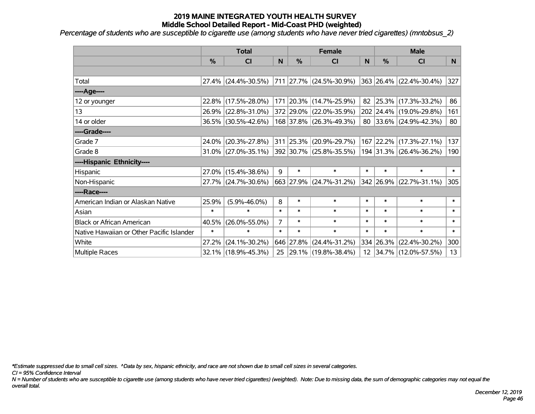*Percentage of students who are susceptible to cigarette use (among students who have never tried cigarettes) (mntobsus\_2)*

|                                           | <b>Total</b>  |                        |                | <b>Female</b> | <b>Male</b>             |        |           |                              |              |
|-------------------------------------------|---------------|------------------------|----------------|---------------|-------------------------|--------|-----------|------------------------------|--------------|
|                                           | $\frac{0}{0}$ | CI                     | N              | $\frac{9}{6}$ | CI                      | N      | %         | <b>CI</b>                    | N            |
|                                           |               |                        |                |               |                         |        |           |                              |              |
| Total                                     |               | 27.4% (24.4%-30.5%)    |                |               | 711 27.7% (24.5%-30.9%) |        |           | 363 26.4% (22.4%-30.4%)      | 327          |
| ----Age----                               |               |                        |                |               |                         |        |           |                              |              |
| 12 or younger                             | $22.8\%$      | $(17.5\% - 28.0\%)$    |                |               | 171 20.3% (14.7%-25.9%) | 82     | 25.3%     | $(17.3\% - 33.2\%)$          | 86           |
| 13                                        |               | 26.9% (22.8%-31.0%)    |                |               | 372 29.0% (22.0%-35.9%) |        |           | 202 24.4% (19.0%-29.8%)      | 161          |
| 14 or older                               |               | 36.5% (30.5%-42.6%)    |                |               | 168 37.8% (26.3%-49.3%) |        |           | 80 33.6% $(24.9\% - 42.3\%)$ | 80           |
| ----Grade----                             |               |                        |                |               |                         |        |           |                              |              |
| Grade 7                                   | 24.0%         | $(20.3\% - 27.8\%)$    |                |               | 311 25.3% (20.9%-29.7%) |        |           | 167 22.2% (17.3%-27.1%)      | 137          |
| Grade 8                                   |               | $31.0\%$ (27.0%-35.1%) |                |               | 392 30.7% (25.8%-35.5%) |        |           | 194 31.3% (26.4%-36.2%)      | 190          |
| ----Hispanic Ethnicity----                |               |                        |                |               |                         |        |           |                              |              |
| Hispanic                                  | 27.0%         | $(15.4\% - 38.6\%)$    | 9              | $\ast$        | $\ast$                  | $\ast$ | $\ast$    | $\ast$                       | $\ast$       |
| Non-Hispanic                              |               | 27.7% (24.7%-30.6%)    |                |               | 663 27.9% (24.7%-31.2%) |        |           | 342 26.9% (22.7%-31.1%)      | 305          |
| ----Race----                              |               |                        |                |               |                         |        |           |                              |              |
| American Indian or Alaskan Native         | 25.9%         | $(5.9\% - 46.0\%)$     | 8              | $\ast$        | $\ast$                  | $\ast$ | $\ast$    | $\ast$                       | $\ast$       |
| Asian                                     | $\ast$        | $\ast$                 | $\ast$         | $\ast$        | $\ast$                  | $\ast$ | $\ast$    | $\ast$                       | $\ast$       |
| <b>Black or African American</b>          | 40.5%         | $(26.0\% - 55.0\%)$    | $\overline{7}$ | $\ast$        | $\ast$                  | $\ast$ | $\ast$    | $\ast$                       | $\ast$       |
| Native Hawaiian or Other Pacific Islander | $\ast$        | $\ast$                 | $\ast$         | $\ast$        | $\ast$                  | $\ast$ | $\ast$    | $\ast$                       | $\pmb{\ast}$ |
| White                                     | 27.2%         | $(24.1\% - 30.2\%)$    |                | 646 27.8%     | $(24.4\% - 31.2\%)$     |        | 334 26.3% | $(22.4\% - 30.2\%)$          | 300          |
| Multiple Races                            |               | 32.1% (18.9%-45.3%)    |                |               | 25 29.1% (19.8%-38.4%)  |        |           | 12 34.7% (12.0%-57.5%)       | 13           |

*\*Estimate suppressed due to small cell sizes. ^Data by sex, hispanic ethnicity, and race are not shown due to small cell sizes in several categories.*

*CI = 95% Confidence Interval*

*N = Number of students who are susceptible to cigarette use (among students who have never tried cigarettes) (weighted). Note: Due to missing data, the sum of demographic categories may not equal the overall total.*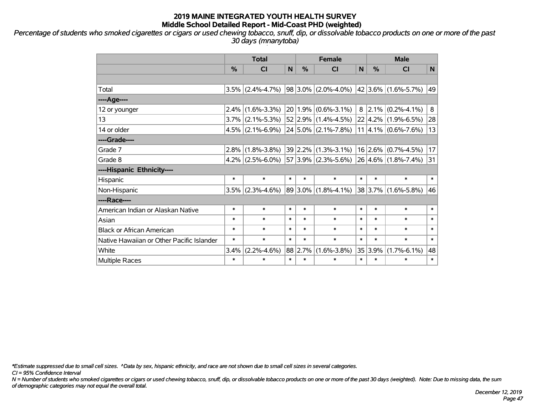*Percentage of students who smoked cigarettes or cigars or used chewing tobacco, snuff, dip, or dissolvable tobacco products on one or more of the past 30 days (mnanytoba)*

|                                           | <b>Total</b> |                     |        |        | <b>Female</b>              | <b>Male</b> |         |                                |        |
|-------------------------------------------|--------------|---------------------|--------|--------|----------------------------|-------------|---------|--------------------------------|--------|
|                                           | %            | <b>CI</b>           | N      | %      | <b>CI</b>                  | N           | %       | <b>CI</b>                      | N      |
|                                           |              |                     |        |        |                            |             |         |                                |        |
| Total                                     | 3.5%         | $(2.4\% - 4.7\%)$   |        |        | $98 3.0\% $ (2.0%-4.0%)    |             |         | 42 3.6% (1.6%-5.7%)            | 49     |
| ----Age----                               |              |                     |        |        |                            |             |         |                                |        |
| 12 or younger                             | 2.4%         | $(1.6\% - 3.3\%)$   |        |        | $20 1.9\% $ (0.6%-3.1%)    | 8           |         | $2.1\%$ (0.2%-4.1%)            | 8      |
| 13                                        |              | $3.7\%$ (2.1%-5.3%) |        |        | $52 2.9\% (1.4\% - 4.5\%)$ |             |         | $22   4.2\%   (1.9\% - 6.5\%)$ | 28     |
| 14 or older                               |              | $4.5\%$ (2.1%-6.9%) |        |        | $24 5.0\% $ (2.1%-7.8%)    |             |         | $11 4.1\%  (0.6\% - 7.6\%)$    | 13     |
| ----Grade----                             |              |                     |        |        |                            |             |         |                                |        |
| Grade 7                                   | 2.8%         | $(1.8\% - 3.8\%)$   |        |        | $39 2.2\% $ (1.3%-3.1%)    |             |         | $16$ 2.6% (0.7%-4.5%)          | 17     |
| Grade 8                                   |              | $4.2\%$ (2.5%-6.0%) |        |        | $57 3.9\% $ (2.3%-5.6%)    |             |         | $ 26 4.6\% $ (1.8%-7.4%)       | 31     |
| ----Hispanic Ethnicity----                |              |                     |        |        |                            |             |         |                                |        |
| Hispanic                                  | $\ast$       | $\ast$              | $\ast$ | $\ast$ | $\ast$                     | $\ast$      | $\ast$  | $\ast$                         | $\ast$ |
| Non-Hispanic                              | 3.5%         | $(2.3\% - 4.6\%)$   |        |        | $89 3.0\% $ (1.8%-4.1%)    |             | 38 3.7% | $(1.6\% - 5.8\%)$              | 46     |
| ----Race----                              |              |                     |        |        |                            |             |         |                                |        |
| American Indian or Alaskan Native         | $\ast$       | $\ast$              | $\ast$ | $\ast$ | $\ast$                     | $\ast$      | $\ast$  | $\ast$                         | $\ast$ |
| Asian                                     | $\ast$       | $\ast$              | $\ast$ | $\ast$ | $\ast$                     | $\ast$      | $\ast$  | $\ast$                         | $\ast$ |
| <b>Black or African American</b>          | $\ast$       | $\ast$              | $\ast$ | $\ast$ | $\ast$                     | $\ast$      | $\ast$  | $\ast$                         | $\ast$ |
| Native Hawaiian or Other Pacific Islander | $\ast$       | $\ast$              | $\ast$ | $\ast$ | $\ast$                     | $\ast$      | $\ast$  | $\ast$                         | $\ast$ |
| White                                     | 3.4%         | $(2.2\% - 4.6\%)$   | 88     | 2.7%   | $(1.6\% - 3.8\%)$          | 35          | 3.9%    | $(1.7\% - 6.1\%)$              | 48     |
| Multiple Races                            | $\ast$       | $\ast$              | $\ast$ | $\ast$ | $\ast$                     | $\ast$      | $\ast$  | $\ast$                         | $\ast$ |

*\*Estimate suppressed due to small cell sizes. ^Data by sex, hispanic ethnicity, and race are not shown due to small cell sizes in several categories.*

*CI = 95% Confidence Interval*

*N = Number of students who smoked cigarettes or cigars or used chewing tobacco, snuff, dip, or dissolvable tobacco products on one or more of the past 30 days (weighted). Note: Due to missing data, the sum of demographic categories may not equal the overall total.*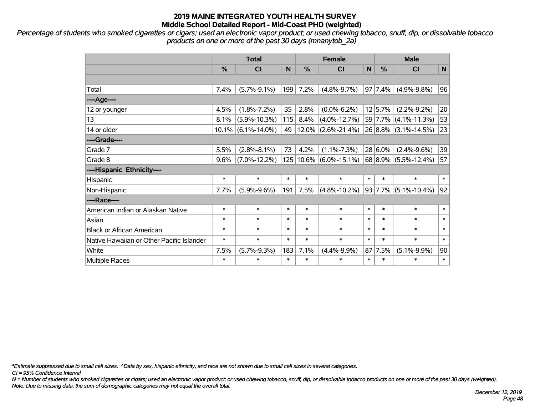*Percentage of students who smoked cigarettes or cigars; used an electronic vapor product; or used chewing tobacco, snuff, dip, or dissolvable tobacco products on one or more of the past 30 days (mnanytob\_2a)*

|                                           | <b>Total</b>  |                       |        |        | <b>Female</b>              |        | <b>Male</b> |                          |        |  |
|-------------------------------------------|---------------|-----------------------|--------|--------|----------------------------|--------|-------------|--------------------------|--------|--|
|                                           | $\frac{0}{0}$ | <b>CI</b>             | N      | %      | <b>CI</b>                  | N      | $\%$        | <b>CI</b>                | N      |  |
|                                           |               |                       |        |        |                            |        |             |                          |        |  |
| Total                                     | 7.4%          | $(5.7\% - 9.1\%)$     | 199    | 7.2%   | $(4.8\% - 9.7\%)$          |        | 97 7.4%     | $(4.9\% - 9.8\%)$        | 96     |  |
| ----Age----                               |               |                       |        |        |                            |        |             |                          |        |  |
| 12 or younger                             | 4.5%          | $(1.8\% - 7.2\%)$     | 35     | 2.8%   | $(0.0\% - 6.2\%)$          |        | 12 5.7%     | $(2.2\% - 9.2\%)$        | 20     |  |
| 13                                        | 8.1%          | $(5.9\% - 10.3\%)$    | 115    | 8.4%   | $(4.0\% - 12.7\%)$         |        | 59 7.7%     | $(4.1\% - 11.3\%)$       | 53     |  |
| 14 or older                               |               | $10.1\%$ (6.1%-14.0%) | 49     |        | $12.0\%$ (2.6%-21.4%)      |        |             | $26 8.8\% $ (3.1%-14.5%) | 23     |  |
| ----Grade----                             |               |                       |        |        |                            |        |             |                          |        |  |
| Grade 7                                   | 5.5%          | $(2.8\% - 8.1\%)$     | 73     | 4.2%   | $(1.1\% - 7.3\%)$          |        | $28 6.0\%$  | $(2.4\% - 9.6\%)$        | 39     |  |
| Grade 8                                   | 9.6%          | $(7.0\% - 12.2\%)$    |        |        | $125 10.6\% $ (6.0%-15.1%) |        | 68 8.9%     | $(5.5\% - 12.4\%)$       | 57     |  |
| ----Hispanic Ethnicity----                |               |                       |        |        |                            |        |             |                          |        |  |
| Hispanic                                  | $\ast$        | $\ast$                | $\ast$ | $\ast$ | $\ast$                     | $\ast$ | $\ast$      | $\ast$                   | $\ast$ |  |
| Non-Hispanic                              | 7.7%          | $(5.9\% - 9.6\%)$     | 191    | 7.5%   | $(4.8\% - 10.2\%)$         |        | 93 7.7%     | $(5.1\% - 10.4\%)$       | 92     |  |
| ----Race----                              |               |                       |        |        |                            |        |             |                          |        |  |
| American Indian or Alaskan Native         | $\ast$        | $\ast$                | $\ast$ | $\ast$ | $\ast$                     | $\ast$ | $\ast$      | $\ast$                   | $\ast$ |  |
| Asian                                     | $\ast$        | $\ast$                | $\ast$ | $\ast$ | $\ast$                     | $\ast$ | $\ast$      | $\ast$                   | $\ast$ |  |
| <b>Black or African American</b>          | $\ast$        | $\ast$                | $\ast$ | $\ast$ | $\ast$                     | $\ast$ | $\ast$      | $\ast$                   | $\ast$ |  |
| Native Hawaiian or Other Pacific Islander | $\ast$        | $\ast$                | $\ast$ | $\ast$ | $\ast$                     | $\ast$ | $\ast$      | $\ast$                   | $\ast$ |  |
| White                                     | 7.5%          | $(5.7\% - 9.3\%)$     | 183    | 7.1%   | $(4.4\% - 9.9\%)$          |        | 87 7.5%     | $(5.1\% - 9.9\%)$        | 90     |  |
| Multiple Races                            | $\ast$        | $\ast$                | $\ast$ | $\ast$ | $\ast$                     | $\ast$ | $\ast$      | $\ast$                   | $\ast$ |  |

*\*Estimate suppressed due to small cell sizes. ^Data by sex, hispanic ethnicity, and race are not shown due to small cell sizes in several categories.*

*CI = 95% Confidence Interval*

*N = Number of students who smoked cigarettes or cigars; used an electronic vapor product; or used chewing tobacco, snuff, dip, or dissolvable tobacco products on one or more of the past 30 days (weighted). Note: Due to missing data, the sum of demographic categories may not equal the overall total.*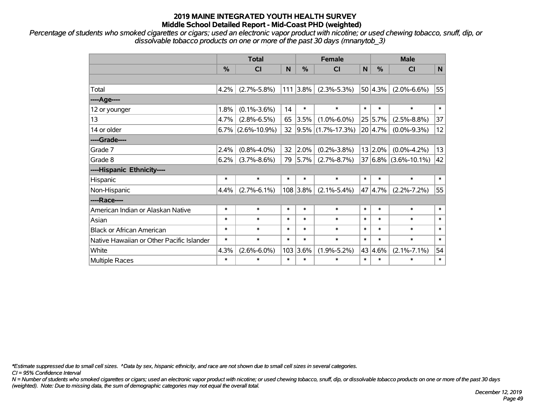*Percentage of students who smoked cigarettes or cigars; used an electronic vapor product with nicotine; or used chewing tobacco, snuff, dip, or dissolvable tobacco products on one or more of the past 30 days (mnanytob\_3)*

|                                           | <b>Total</b> |                    |        | <b>Female</b> |                        |        | <b>Male</b> |                          |              |  |
|-------------------------------------------|--------------|--------------------|--------|---------------|------------------------|--------|-------------|--------------------------|--------------|--|
|                                           | %            | CI                 | N      | %             | <b>CI</b>              | N      | $\%$        | CI                       | $\mathsf{N}$ |  |
|                                           |              |                    |        |               |                        |        |             |                          |              |  |
| Total                                     | 4.2%         | $(2.7\% - 5.8\%)$  |        | $111$ 3.8%    | $(2.3\% - 5.3\%)$      |        | 50 4.3%     | $(2.0\% - 6.6\%)$        | 55           |  |
| ----Age----                               |              |                    |        |               |                        |        |             |                          |              |  |
| 12 or younger                             | 1.8%         | $(0.1\% - 3.6\%)$  | 14     | $\ast$        | $\ast$                 | $\ast$ | $\ast$      | $\ast$                   | $\ast$       |  |
| 13                                        | 4.7%         | $(2.8\% - 6.5\%)$  | 65     | 3.5%          | $(1.0\% - 6.0\%)$      |        | 25 5.7%     | $(2.5\% - 8.8\%)$        | 37           |  |
| 14 or older                               | $6.7\%$      | $(2.6\% - 10.9\%)$ | 32     |               | $ 9.5\% $ (1.7%-17.3%) |        | 20 4.7%     | $(0.0\% - 9.3\%)$        | 12           |  |
| ----Grade----                             |              |                    |        |               |                        |        |             |                          |              |  |
| Grade 7                                   | 2.4%         | $(0.8\% - 4.0\%)$  | 32     | 2.0%          | $(0.2\% - 3.8\%)$      |        | $13 2.0\% $ | $(0.0\% - 4.2\%)$        | 13           |  |
| Grade 8                                   | 6.2%         | $(3.7\% - 8.6\%)$  | 79     | 5.7%          | $(2.7\% - 8.7\%)$      |        |             | $37 6.8\% $ (3.6%-10.1%) | 42           |  |
| ----Hispanic Ethnicity----                |              |                    |        |               |                        |        |             |                          |              |  |
| Hispanic                                  | $\ast$       | $\ast$             | $\ast$ | $\ast$        | $\ast$                 | $\ast$ | $\ast$      | $\ast$                   | $\ast$       |  |
| Non-Hispanic                              | 4.4%         | $(2.7\% - 6.1\%)$  |        | 108 3.8%      | $(2.1\% - 5.4\%)$      |        | 47 4.7%     | $(2.2\% - 7.2\%)$        | 55           |  |
| ----Race----                              |              |                    |        |               |                        |        |             |                          |              |  |
| American Indian or Alaskan Native         | $\ast$       | $\ast$             | $\ast$ | $\ast$        | $\ast$                 | $\ast$ | $\ast$      | $\ast$                   | $\ast$       |  |
| Asian                                     | $\ast$       | $\ast$             | $\ast$ | $\ast$        | $\ast$                 | $\ast$ | $\ast$      | $\ast$                   | $\ast$       |  |
| <b>Black or African American</b>          | $\ast$       | $\ast$             | $\ast$ | $\ast$        | $\ast$                 | $\ast$ | $\ast$      | $\ast$                   | $\ast$       |  |
| Native Hawaiian or Other Pacific Islander | $\ast$       | $\ast$             | $\ast$ | $\ast$        | $\ast$                 | $\ast$ | $\ast$      | $\ast$                   | $\ast$       |  |
| White                                     | 4.3%         | $(2.6\% - 6.0\%)$  |        | 103 3.6%      | $(1.9\% - 5.2\%)$      |        | 43 4.6%     | $(2.1\% - 7.1\%)$        | 54           |  |
| Multiple Races                            | $\ast$       | $\ast$             | $\ast$ | $\ast$        | $\ast$                 | $\ast$ | *           | $\ast$                   | $\ast$       |  |

*\*Estimate suppressed due to small cell sizes. ^Data by sex, hispanic ethnicity, and race are not shown due to small cell sizes in several categories.*

*CI = 95% Confidence Interval*

*N = Number of students who smoked cigarettes or cigars; used an electronic vapor product with nicotine; or used chewing tobacco, snuff, dip, or dissolvable tobacco products on one or more of the past 30 days (weighted). Note: Due to missing data, the sum of demographic categories may not equal the overall total.*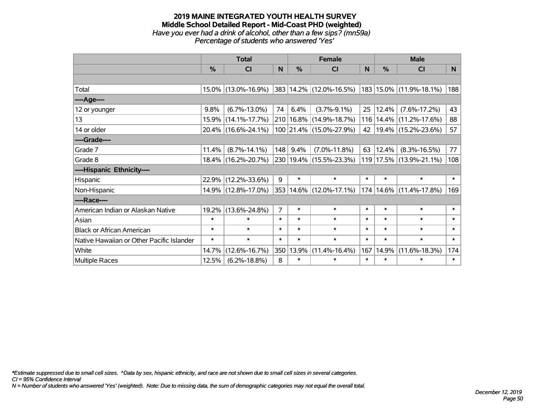#### **2019 MAINE INTEGRATED YOUTH HEALTH SURVEY Middle School Detailed Report - Mid-Coast PHD (weighted)** *Have you ever had a drink of alcohol, other than a few sips? (mn59a) Percentage of students who answered 'Yes'*

|                                           | <b>Total</b>  |                     |                |               | <b>Female</b>                  | <b>Male</b> |        |                              |          |
|-------------------------------------------|---------------|---------------------|----------------|---------------|--------------------------------|-------------|--------|------------------------------|----------|
|                                           | $\frac{0}{0}$ | CI                  | N              | $\frac{0}{0}$ | CI                             | N           | %      | <b>CI</b>                    | <b>N</b> |
|                                           |               |                     |                |               |                                |             |        |                              |          |
| Total                                     |               | 15.0% (13.0%-16.9%) |                |               | 383 14.2% (12.0%-16.5%)        |             |        | $ 183 15.0\% $ (11.9%-18.1%) | 188      |
| ----Age----                               |               |                     |                |               |                                |             |        |                              |          |
| 12 or younger                             | 9.8%          | $(6.7\% - 13.0\%)$  | 74             | 6.4%          | $(3.7\% - 9.1\%)$              | 25          | 12.4%  | $(7.6\% - 17.2\%)$           | 43       |
| 13                                        |               | 15.9% (14.1%-17.7%) |                |               | 210   16.8%   (14.9%-18.7%)    |             |        | 116   14.4%   (11.2%-17.6%)  | 88       |
| 14 or older                               |               | 20.4% (16.6%-24.1%) |                |               | 100 21.4% (15.0%-27.9%)        | 42          |        | $19.4\%$ (15.2%-23.6%)       | 57       |
| ----Grade----                             |               |                     |                |               |                                |             |        |                              |          |
| Grade 7                                   | 11.4%         | $(8.7\% - 14.1\%)$  | 148            | 9.4%          | $(7.0\% - 11.8\%)$             | 63          | 12.4%  | $(8.3\% - 16.5\%)$           | 77       |
| Grade 8                                   |               | 18.4% (16.2%-20.7%) |                |               | 230 19.4% (15.5%-23.3%)        |             |        | 119 17.5% (13.9%-21.1%)      | 108      |
| ----Hispanic Ethnicity----                |               |                     |                |               |                                |             |        |                              |          |
| Hispanic                                  | 22.9%         | $(12.2\% - 33.6\%)$ | 9              | $\ast$        | $\ast$                         | $\ast$      | $\ast$ | $\ast$                       | $\ast$   |
| Non-Hispanic                              |               | 14.9% (12.8%-17.0%) |                |               | $353 14.6\% (12.0\% - 17.1\%)$ |             |        | 174   14.6%   (11.4%-17.8%)  | 169      |
| ----Race----                              |               |                     |                |               |                                |             |        |                              |          |
| American Indian or Alaskan Native         |               | 19.2% (13.6%-24.8%) | $\overline{7}$ | $\ast$        | $\ast$                         | $\ast$      | $\ast$ | $\ast$                       | $\ast$   |
| Asian                                     | $\ast$        | $\ast$              | $\ast$         | $\ast$        | $\ast$                         | $\ast$      | $\ast$ | $\ast$                       | $\ast$   |
| <b>Black or African American</b>          | $\ast$        | $\ast$              | $\ast$         | $\ast$        | $\ast$                         | $\ast$      | $\ast$ | $\ast$                       | $\ast$   |
| Native Hawaiian or Other Pacific Islander | $\ast$        | $\ast$              | $\ast$         | $\ast$        | $\ast$                         | $\ast$      | $\ast$ | $\ast$                       | $\ast$   |
| White                                     | 14.7%         | $(12.6\% - 16.7\%)$ | 350            | 13.9%         | $(11.4\% - 16.4\%)$            | 167         | 14.9%  | $(11.6\% - 18.3\%)$          | 174      |
| <b>Multiple Races</b>                     | 12.5%         | $(6.2\% - 18.8\%)$  | 8              | $\ast$        | $\ast$                         | $\ast$      | $\ast$ | $\ast$                       | $\ast$   |

*\*Estimate suppressed due to small cell sizes. ^Data by sex, hispanic ethnicity, and race are not shown due to small cell sizes in several categories.*

*CI = 95% Confidence Interval*

*N = Number of students who answered 'Yes' (weighted). Note: Due to missing data, the sum of demographic categories may not equal the overall total.*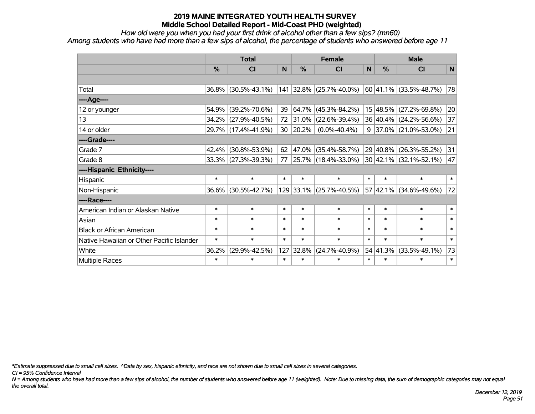*How old were you when you had your first drink of alcohol other than a few sips? (mn60)*

*Among students who have had more than a few sips of alcohol, the percentage of students who answered before age 11*

|                                           | <b>Total</b>  |                        |        |               | <b>Female</b>           | <b>Male</b>  |          |                             |        |
|-------------------------------------------|---------------|------------------------|--------|---------------|-------------------------|--------------|----------|-----------------------------|--------|
|                                           | $\frac{0}{0}$ | <b>CI</b>              | N      | $\frac{0}{0}$ | <b>CI</b>               | $\mathsf{N}$ | %        | <b>CI</b>                   | N      |
|                                           |               |                        |        |               |                         |              |          |                             |        |
| Total                                     |               | $36.8\%$ (30.5%-43.1%) |        |               | 141 32.8% (25.7%-40.0%) |              |          | $ 60 41.1\% $ (33.5%-48.7%) | 78     |
| ---- Age----                              |               |                        |        |               |                         |              |          |                             |        |
| 12 or younger                             | 54.9%         | $(39.2\% - 70.6\%)$    | 39     | 64.7%         | $(45.3\% - 84.2\%)$     |              | 15 48.5% | $(27.2\% - 69.8\%)$         | 20     |
| 13                                        |               | 34.2% (27.9%-40.5%)    | 72     | 31.0%         | $(22.6\% - 39.4\%)$     |              |          | 36 40.4% (24.2%-56.6%)      | 37     |
| 14 or older                               |               | 29.7% (17.4%-41.9%)    | 30     | 20.2%         | $(0.0\% - 40.4\%)$      |              |          | $9$ 37.0% (21.0%-53.0%)     | 21     |
| ----Grade----                             |               |                        |        |               |                         |              |          |                             |        |
| Grade 7                                   | 42.4%         | $(30.8\% - 53.9\%)$    | 62     | 47.0%         | $(35.4\% - 58.7\%)$     |              | 29 40.8% | $(26.3\% - 55.2\%)$         | 31     |
| Grade 8                                   |               | $33.3\%$ (27.3%-39.3%) | 77     |               | 25.7% (18.4%-33.0%)     |              |          | 30 42.1% (32.1%-52.1%)      | 47     |
| ----Hispanic Ethnicity----                |               |                        |        |               |                         |              |          |                             |        |
| Hispanic                                  | $\ast$        | $\ast$                 | $\ast$ | $\ast$        | $\ast$                  | $\ast$       | $\ast$   | $\ast$                      | $\ast$ |
| Non-Hispanic                              | $36.6\%$      | $(30.5\% - 42.7\%)$    |        |               | 129 33.1% (25.7%-40.5%) |              | 57 42.1% | $(34.6\% - 49.6\%)$         | 72     |
| ----Race----                              |               |                        |        |               |                         |              |          |                             |        |
| American Indian or Alaskan Native         | $\ast$        | $\ast$                 | $\ast$ | $\ast$        | $\ast$                  | $\ast$       | $\ast$   | $\ast$                      | $\ast$ |
| Asian                                     | $\ast$        | $\ast$                 | $\ast$ | $\ast$        | $\ast$                  | $\ast$       | $\ast$   | $\ast$                      | $\ast$ |
| <b>Black or African American</b>          | $\ast$        | $\ast$                 | $\ast$ | $\ast$        | $\ast$                  | $\ast$       | $\ast$   | $\ast$                      | $\ast$ |
| Native Hawaiian or Other Pacific Islander | $\ast$        | $\ast$                 | $\ast$ | $\ast$        | $\ast$                  | $\ast$       | $\ast$   | $\ast$                      | $\ast$ |
| White                                     | 36.2%         | $(29.9\% - 42.5\%)$    | 127    | 32.8%         | $(24.7\% - 40.9\%)$     |              | 54 41.3% | $(33.5\% - 49.1\%)$         | 73     |
| Multiple Races                            | $\ast$        | $\ast$                 | $\ast$ | $\ast$        | $\ast$                  | $\ast$       | $\ast$   | $\ast$                      | $\ast$ |

*\*Estimate suppressed due to small cell sizes. ^Data by sex, hispanic ethnicity, and race are not shown due to small cell sizes in several categories.*

*CI = 95% Confidence Interval*

*N = Among students who have had more than a few sips of alcohol, the number of students who answered before age 11 (weighted). Note: Due to missing data, the sum of demographic categories may not equal the overall total.*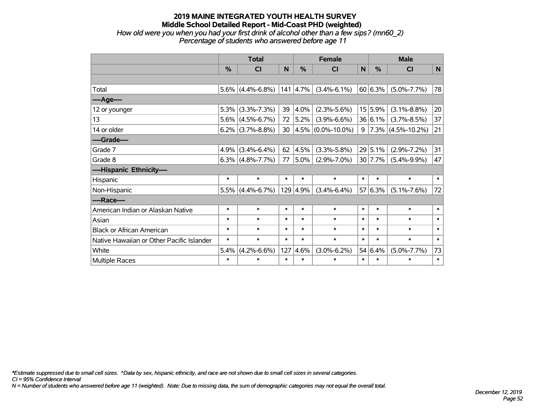*How old were you when you had your first drink of alcohol other than a few sips? (mn60\_2) Percentage of students who answered before age 11*

|                                           | <b>Total</b> |                     |        | <b>Female</b> |                           |              | <b>Male</b> |                        |              |  |
|-------------------------------------------|--------------|---------------------|--------|---------------|---------------------------|--------------|-------------|------------------------|--------------|--|
|                                           | %            | CI                  | N      | $\frac{0}{0}$ | CI                        | $\mathsf{N}$ | %           | CI                     | $\mathsf{N}$ |  |
|                                           |              |                     |        |               |                           |              |             |                        |              |  |
| Total                                     |              | $5.6\%$ (4.4%-6.8%) |        | $ 141 $ 4.7%  | $(3.4\% - 6.1\%)$         |              | 60 6.3%     | $(5.0\% - 7.7\%)$      | 78           |  |
| ----Age----                               |              |                     |        |               |                           |              |             |                        |              |  |
| 12 or younger                             | 5.3%         | $(3.3\% - 7.3\%)$   | 39     | 4.0%          | $(2.3\% - 5.6\%)$         |              | 15 5.9%     | $(3.1\% - 8.8\%)$      | 20           |  |
| 13                                        | 5.6%         | $(4.5\% - 6.7\%)$   | 72     | 5.2%          | $(3.9\% - 6.6\%)$         |              | 36 6.1%     | $(3.7\% - 8.5\%)$      | 37           |  |
| 14 or older                               |              | $6.2\%$ (3.7%-8.8%) |        |               | 30 $ 4.5\% $ (0.0%-10.0%) | 9            |             | $ 7.3\% $ (4.5%-10.2%) | 21           |  |
| ----Grade----                             |              |                     |        |               |                           |              |             |                        |              |  |
| Grade 7                                   | 4.9%         | $(3.4\% - 6.4\%)$   | 62     | 4.5%          | $(3.3\% - 5.8\%)$         |              | 29 5.1%     | $(2.9\% - 7.2\%)$      | 31           |  |
| Grade 8                                   |              | $6.3\%$ (4.8%-7.7%) | 77     | 5.0%          | $(2.9\% - 7.0\%)$         |              | 30 7.7%     | $(5.4\% - 9.9\%)$      | 47           |  |
| ----Hispanic Ethnicity----                |              |                     |        |               |                           |              |             |                        |              |  |
| Hispanic                                  | $\ast$       | $\ast$              | $\ast$ | $\ast$        | $\ast$                    | $\ast$       | $\ast$      | $\ast$                 | $\ast$       |  |
| Non-Hispanic                              | 5.5%         | $(4.4\% - 6.7\%)$   |        | 129 4.9%      | $(3.4\% - 6.4\%)$         |              | 57 6.3%     | $(5.1\% - 7.6\%)$      | 72           |  |
| ----Race----                              |              |                     |        |               |                           |              |             |                        |              |  |
| American Indian or Alaskan Native         | $\ast$       | $\ast$              | $\ast$ | $\ast$        | $\ast$                    | $\ast$       | $\ast$      | $\ast$                 | $\ast$       |  |
| Asian                                     | $\ast$       | $\ast$              | $\ast$ | $\ast$        | $\ast$                    | $\ast$       | $\ast$      | $\ast$                 | $\ast$       |  |
| <b>Black or African American</b>          | $\ast$       | $\ast$              | $\ast$ | $\ast$        | $\ast$                    | $\ast$       | $\ast$      | $\ast$                 | $\ast$       |  |
| Native Hawaiian or Other Pacific Islander | $\ast$       | $\ast$              | $\ast$ | $\ast$        | $\ast$                    | $\ast$       | $\ast$      | $\ast$                 | $\ast$       |  |
| White                                     | 5.4%         | $(4.2\% - 6.6\%)$   | 127    | 4.6%          | $(3.0\% - 6.2\%)$         |              | 54 6.4%     | $(5.0\% - 7.7\%)$      | 73           |  |
| Multiple Races                            | $\ast$       | $\ast$              | $\ast$ | $\ast$        | $\ast$                    | $\ast$       | $\ast$      | $\ast$                 | $\ast$       |  |

*\*Estimate suppressed due to small cell sizes. ^Data by sex, hispanic ethnicity, and race are not shown due to small cell sizes in several categories.*

*CI = 95% Confidence Interval*

*N = Number of students who answered before age 11 (weighted). Note: Due to missing data, the sum of demographic categories may not equal the overall total.*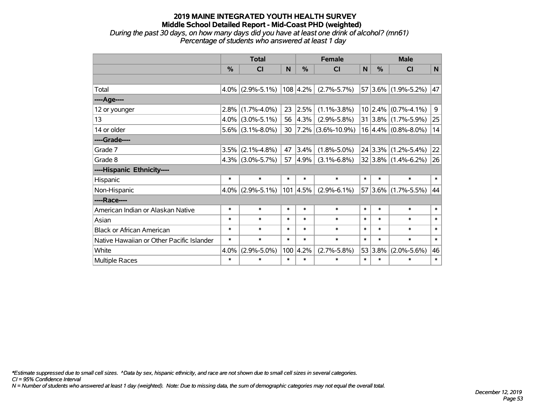*During the past 30 days, on how many days did you have at least one drink of alcohol? (mn61) Percentage of students who answered at least 1 day*

|                                           | <b>Total</b> |                     |        | <b>Female</b>    |                        |        | <b>Male</b> |                             |        |  |
|-------------------------------------------|--------------|---------------------|--------|------------------|------------------------|--------|-------------|-----------------------------|--------|--|
|                                           | $\%$         | CI                  | N      | $\%$             | <b>CI</b>              | N      | %           | <b>CI</b>                   | N      |  |
|                                           |              |                     |        |                  |                        |        |             |                             |        |  |
| Total                                     |              | $4.0\%$ (2.9%-5.1%) |        | $108 \,   4.2\%$ | $(2.7\% - 5.7\%)$      |        |             | 57 3.6% (1.9%-5.2%)         | 47     |  |
| ----Age----                               |              |                     |        |                  |                        |        |             |                             |        |  |
| 12 or younger                             | $2.8\%$      | $(1.7\% - 4.0\%)$   | 23     | 2.5%             | $(1.1\% - 3.8\%)$      |        | 10 2.4%     | $(0.7\% - 4.1\%)$           | 9      |  |
| 13                                        |              | $4.0\%$ (3.0%-5.1%) | 56     | 4.3%             | $(2.9\% - 5.8\%)$      |        |             | $31 3.8\% $ (1.7%-5.9%)     | 25     |  |
| 14 or older                               |              | $5.6\%$ (3.1%-8.0%) | 30     |                  | $ 7.2\% $ (3.6%-10.9%) |        |             | $16 4.4\%  (0.8\% - 8.0\%)$ | 14     |  |
| ----Grade----                             |              |                     |        |                  |                        |        |             |                             |        |  |
| Grade 7                                   | 3.5%         | $(2.1\% - 4.8\%)$   | 47     | 3.4%             | $(1.8\% - 5.0\%)$      |        |             | $24 3.3\% $ (1.2%-5.4%)     | 22     |  |
| Grade 8                                   |              | $4.3\%$ (3.0%-5.7%) | 57     | $ 4.9\% $        | $(3.1\% - 6.8\%)$      |        |             | $32 3.8\% (1.4\% - 6.2\%)$  | 26     |  |
| ----Hispanic Ethnicity----                |              |                     |        |                  |                        |        |             |                             |        |  |
| Hispanic                                  | $\ast$       | $\ast$              | $\ast$ | $\ast$           | $\ast$                 | $\ast$ | $\ast$      | $\ast$                      | $\ast$ |  |
| Non-Hispanic                              |              | $4.0\%$ (2.9%-5.1%) |        | $101 \,   4.5\%$ | $(2.9\% - 6.1\%)$      |        |             | $57 3.6\% $ (1.7%-5.5%)     | 44     |  |
| ----Race----                              |              |                     |        |                  |                        |        |             |                             |        |  |
| American Indian or Alaskan Native         | $\ast$       | $\ast$              | $\ast$ | $\ast$           | $\ast$                 | $\ast$ | $\ast$      | $\ast$                      | $\ast$ |  |
| Asian                                     | $\ast$       | $\ast$              | $\ast$ | $\ast$           | $\ast$                 | $\ast$ | $\ast$      | $\ast$                      | $\ast$ |  |
| <b>Black or African American</b>          | $\ast$       | $\ast$              | $\ast$ | $\ast$           | $\ast$                 | $\ast$ | $\ast$      | $\ast$                      | $\ast$ |  |
| Native Hawaiian or Other Pacific Islander | $\ast$       | $\ast$              | $\ast$ | $\ast$           | $\ast$                 | $\ast$ | $\ast$      | $\ast$                      | $\ast$ |  |
| White                                     | 4.0%         | $(2.9\% - 5.0\%)$   | 100    | 4.2%             | $(2.7\% - 5.8\%)$      |        | 53 3.8%     | $(2.0\% - 5.6\%)$           | 46     |  |
| Multiple Races                            | $\ast$       | $\ast$              | $\ast$ | $\ast$           | $\ast$                 | $\ast$ | $\ast$      | $\ast$                      | $\ast$ |  |

*\*Estimate suppressed due to small cell sizes. ^Data by sex, hispanic ethnicity, and race are not shown due to small cell sizes in several categories.*

*CI = 95% Confidence Interval*

*N = Number of students who answered at least 1 day (weighted). Note: Due to missing data, the sum of demographic categories may not equal the overall total.*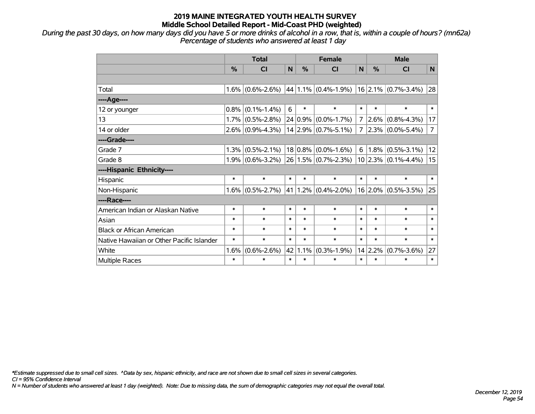*During the past 30 days, on how many days did you have 5 or more drinks of alcohol in a row, that is, within a couple of hours? (mn62a) Percentage of students who answered at least 1 day*

|                                           | <b>Total</b>  |                   |        |               | <b>Female</b>            |        | <b>Male</b>   |                                       |                |  |
|-------------------------------------------|---------------|-------------------|--------|---------------|--------------------------|--------|---------------|---------------------------------------|----------------|--|
|                                           | $\frac{0}{0}$ | <b>CI</b>         | N      | $\frac{0}{0}$ | <b>CI</b>                | N      | $\frac{0}{0}$ | <b>CI</b>                             | N.             |  |
|                                           |               |                   |        |               |                          |        |               |                                       |                |  |
| Total                                     | 1.6%          | $(0.6\% - 2.6\%)$ |        |               | $ 44 1.1\% $ (0.4%-1.9%) |        |               | $16$ 2.1% (0.7%-3.4%) 28              |                |  |
| ----Age----                               |               |                   |        |               |                          |        |               |                                       |                |  |
| 12 or younger                             | 0.8%          | $(0.1\% - 1.4\%)$ | 6      | $\ast$        | $\ast$                   | $\ast$ | $\ast$        | $\ast$                                | $\ast$         |  |
| 13                                        | 1.7%          | $(0.5\% - 2.8\%)$ |        | $24 0.9\% $   | $(0.0\% - 1.7\%)$        | 7      | $ 2.6\% $     | $(0.8\% - 4.3\%)$                     | 17             |  |
| 14 or older                               | $2.6\%$       | $(0.9\% - 4.3\%)$ |        |               | $14 2.9\% $ (0.7%-5.1%)  | 7      |               | $\left 2.3\% \right  (0.0\% - 5.4\%)$ | $\overline{7}$ |  |
| ----Grade----                             |               |                   |        |               |                          |        |               |                                       |                |  |
| Grade 7                                   | 1.3%          | $(0.5\% - 2.1\%)$ |        | $18 0.8\% $   | $(0.0\% - 1.6\%)$        | 6      |               | $1.8\%$ (0.5%-3.1%)                   | 12             |  |
| Grade 8                                   | 1.9%          | $(0.6\% - 3.2\%)$ |        |               | $26 1.5\% $ (0.7%-2.3%)  |        |               | $10 2.3\% $ (0.1%-4.4%)               | 15             |  |
| ----Hispanic Ethnicity----                |               |                   |        |               |                          |        |               |                                       |                |  |
| Hispanic                                  | $\ast$        | $\ast$            | $\ast$ | $\ast$        | $\ast$                   | $\ast$ | $\ast$        | $\ast$                                | $\ast$         |  |
| Non-Hispanic                              | 1.6%          | $(0.5\% - 2.7\%)$ | 41     | $1.2\%$       | $(0.4\% - 2.0\%)$        |        |               | $16$ 2.0% (0.5%-3.5%)                 | 25             |  |
| ----Race----                              |               |                   |        |               |                          |        |               |                                       |                |  |
| American Indian or Alaskan Native         | $\ast$        | $\ast$            | $\ast$ | $\ast$        | $\ast$                   | $\ast$ | $\ast$        | $\ast$                                | $\ast$         |  |
| Asian                                     | $\ast$        | $\ast$            | $\ast$ | $\ast$        | $\ast$                   | $\ast$ | $\ast$        | $\ast$                                | $\ast$         |  |
| <b>Black or African American</b>          | $\ast$        | $\ast$            | $\ast$ | $\ast$        | $\ast$                   | $\ast$ | $\ast$        | $\ast$                                | $\ast$         |  |
| Native Hawaiian or Other Pacific Islander | $\ast$        | $\ast$            | $\ast$ | $\ast$        | $\ast$                   | $\ast$ | $\ast$        | $\ast$                                | $\ast$         |  |
| White                                     | 1.6%          | $(0.6\% - 2.6\%)$ | 42     | 1.1%          | $(0.3\% - 1.9\%)$        |        | 14 2.2%       | $(0.7\% - 3.6\%)$                     | 27             |  |
| Multiple Races                            | $\ast$        | $\ast$            | $\ast$ | $\ast$        | $\ast$                   | $\ast$ | $\ast$        | $\ast$                                | $\ast$         |  |

*\*Estimate suppressed due to small cell sizes. ^Data by sex, hispanic ethnicity, and race are not shown due to small cell sizes in several categories.*

*CI = 95% Confidence Interval*

*N = Number of students who answered at least 1 day (weighted). Note: Due to missing data, the sum of demographic categories may not equal the overall total.*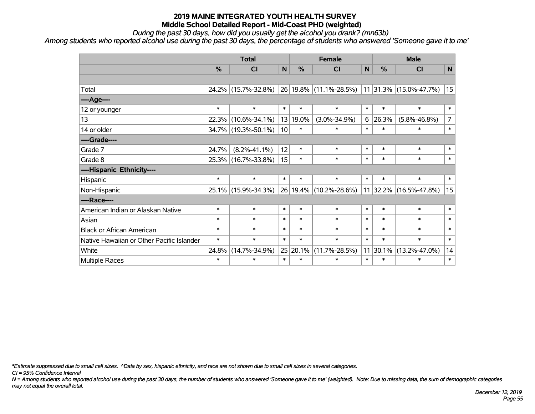*During the past 30 days, how did you usually get the alcohol you drank? (mn63b)*

*Among students who reported alcohol use during the past 30 days, the percentage of students who answered 'Someone gave it to me'*

|                                           | <b>Total</b>  |                     | <b>Female</b>   |               |                                                                                               | <b>Male</b> |               |                        |                |
|-------------------------------------------|---------------|---------------------|-----------------|---------------|-----------------------------------------------------------------------------------------------|-------------|---------------|------------------------|----------------|
|                                           | $\frac{0}{0}$ | CI                  | N               | $\frac{0}{0}$ | <b>CI</b>                                                                                     | N           | $\frac{0}{0}$ | <b>CI</b>              | $\mathsf{N}$   |
|                                           |               |                     |                 |               |                                                                                               |             |               |                        |                |
| Total                                     |               | 24.2% (15.7%-32.8%) |                 |               | $\vert$ 26 $\vert$ 19.8% $\vert$ (11.1%-28.5%) $\vert$ 11 $\vert$ 31.3% $\vert$ (15.0%-47.7%) |             |               |                        | 15             |
| ---- Age----                              |               |                     |                 |               |                                                                                               |             |               |                        |                |
| 12 or younger                             | $\ast$        | $\ast$              | $\ast$          | $\ast$        | $\ast$                                                                                        | $\ast$      | $\ast$        | $\ast$                 | $\ast$         |
| 13                                        | 22.3%         | $(10.6\% - 34.1\%)$ |                 | 13 19.0%      | $(3.0\% - 34.9\%)$                                                                            | 6           | 26.3%         | $(5.8\% - 46.8\%)$     | $\overline{7}$ |
| 14 or older                               |               | 34.7% (19.3%-50.1%) | 10 <sup>1</sup> | $\ast$        | $\ast$                                                                                        | $\ast$      | $\ast$        | $\ast$                 | $\ast$         |
| ----Grade----                             |               |                     |                 |               |                                                                                               |             |               |                        |                |
| Grade 7                                   | 24.7%         | $(8.2\% - 41.1\%)$  | 12              | $\ast$        | $\ast$                                                                                        | $\ast$      | $\ast$        | $\ast$                 | $\ast$         |
| Grade 8                                   |               | 25.3% (16.7%-33.8%) | 15              | $\ast$        | $\ast$                                                                                        | $\ast$      | $\ast$        | $\ast$                 | $\ast$         |
| ----Hispanic Ethnicity----                |               |                     |                 |               |                                                                                               |             |               |                        |                |
| Hispanic                                  | $\ast$        | $\ast$              | $\ast$          | $\ast$        | $\ast$                                                                                        | $\ast$      | $\ast$        | $\ast$                 | $\ast$         |
| Non-Hispanic                              |               | 25.1% (15.9%-34.3%) |                 |               | 26 19.4% (10.2%-28.6%)                                                                        |             |               | 11 32.2% (16.5%-47.8%) | 15             |
| ----Race----                              |               |                     |                 |               |                                                                                               |             |               |                        |                |
| American Indian or Alaskan Native         | $\ast$        | $\ast$              | $\ast$          | $\ast$        | $\ast$                                                                                        | $\ast$      | $\ast$        | $\ast$                 | $\ast$         |
| Asian                                     | $\ast$        | $\ast$              | $\ast$          | $\ast$        | $\ast$                                                                                        | $\ast$      | $\ast$        | $\ast$                 | $\ast$         |
| <b>Black or African American</b>          | $\ast$        | $\ast$              | $\ast$          | $\ast$        | $\ast$                                                                                        | $\ast$      | $\ast$        | $\ast$                 | $\ast$         |
| Native Hawaiian or Other Pacific Islander | $\ast$        | $\ast$              | $\ast$          | $\ast$        | $\ast$                                                                                        | $\ast$      | $\ast$        | $\ast$                 | $\ast$         |
| White                                     | 24.8%         | $(14.7\% - 34.9\%)$ |                 | 25 20.1%      | $(11.7\% - 28.5\%)$                                                                           | 11          | 30.1%         | $(13.2\% - 47.0\%)$    | 14             |
| Multiple Races                            | $\ast$        | $\ast$              | $\ast$          | $\ast$        | $\ast$                                                                                        | $\ast$      | $\ast$        | $\ast$                 | $\ast$         |

*\*Estimate suppressed due to small cell sizes. ^Data by sex, hispanic ethnicity, and race are not shown due to small cell sizes in several categories.*

*CI = 95% Confidence Interval*

*N = Among students who reported alcohol use during the past 30 days, the number of students who answered 'Someone gave it to me' (weighted). Note: Due to missing data, the sum of demographic categories may not equal the overall total.*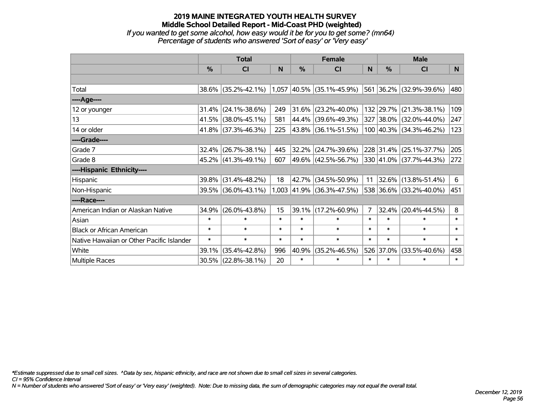#### **2019 MAINE INTEGRATED YOUTH HEALTH SURVEY Middle School Detailed Report - Mid-Coast PHD (weighted)** *If you wanted to get some alcohol, how easy would it be for you to get some? (mn64) Percentage of students who answered 'Sort of easy' or 'Very easy'*

|                                           | <b>Total</b>  |                        |        |        | <b>Female</b>               |                | <b>Male</b>   |                                  |        |  |
|-------------------------------------------|---------------|------------------------|--------|--------|-----------------------------|----------------|---------------|----------------------------------|--------|--|
|                                           | $\frac{9}{6}$ | CI                     | N      | $\%$   | <b>CI</b>                   | N              | $\frac{0}{0}$ | <b>CI</b>                        | N      |  |
|                                           |               |                        |        |        |                             |                |               |                                  |        |  |
| Total                                     |               | 38.6% (35.2%-42.1%)    |        |        | $1,057$ 40.5% (35.1%-45.9%) |                |               | 561 36.2% (32.9%-39.6%)          | 480    |  |
| ----Age----                               |               |                        |        |        |                             |                |               |                                  |        |  |
| 12 or younger                             | 31.4%         | $(24.1\% - 38.6\%)$    | 249    | 31.6%  | $(23.2\% - 40.0\%)$         |                |               | 132 29.7% (21.3%-38.1%)          | 109    |  |
| 13                                        | 41.5%         | $(38.0\% - 45.1\%)$    | 581    | 44.4%  | $(39.6\% - 49.3\%)$         |                |               | 327 38.0% (32.0%-44.0%)          | 247    |  |
| 14 or older                               |               | $41.8\%$ (37.3%-46.3%) | 225    |        | $ 43.8\% $ (36.1%-51.5%)    |                |               | $100 40.3\% $ (34.3%-46.2%)      | 123    |  |
| ----Grade----                             |               |                        |        |        |                             |                |               |                                  |        |  |
| Grade 7                                   | 32.4%         | $(26.7\% - 38.1\%)$    | 445    | 32.2%  | $(24.7\% - 39.6\%)$         |                |               | 228 31.4% (25.1%-37.7%)          | 205    |  |
| Grade 8                                   |               | $45.2\%$ (41.3%-49.1%) | 607    |        | 49.6%  (42.5%-56.7%)        |                |               | $ 330 41.0\%  (37.7\% - 44.3\%)$ | 272    |  |
| ----Hispanic Ethnicity----                |               |                        |        |        |                             |                |               |                                  |        |  |
| Hispanic                                  | 39.8%         | $(31.4\% - 48.2\%)$    | 18     | 42.7%  | $(34.5\% - 50.9\%)$         | 11             |               | $ 32.6\% $ (13.8%-51.4%)         | 6      |  |
| Non-Hispanic                              |               | 39.5% (36.0%-43.1%)    |        |        | 1,003 41.9% (36.3%-47.5%)   |                |               | 538 36.6% (33.2%-40.0%)          | 451    |  |
| ----Race----                              |               |                        |        |        |                             |                |               |                                  |        |  |
| American Indian or Alaskan Native         | 34.9%         | $(26.0\% - 43.8\%)$    | 15     | 39.1%  | $(17.2\% - 60.9\%)$         | $\overline{7}$ | 32.4%         | $(20.4\% - 44.5\%)$              | 8      |  |
| Asian                                     | $\ast$        | $\ast$                 | $\ast$ | $\ast$ | $\ast$                      | $\ast$         | $\ast$        | $\ast$                           | $\ast$ |  |
| <b>Black or African American</b>          | $\ast$        | $\ast$                 | $\ast$ | $\ast$ | $\ast$                      | $\ast$         | $\ast$        | $\ast$                           | $\ast$ |  |
| Native Hawaiian or Other Pacific Islander | $\ast$        | $\ast$                 | $\ast$ | $\ast$ | $\ast$                      | $\ast$         | $\ast$        | $\ast$                           | $\ast$ |  |
| White                                     | 39.1%         | $(35.4\% - 42.8\%)$    | 996    | 40.9%  | $(35.2\% - 46.5\%)$         |                | 526 37.0%     | $(33.5\% - 40.6\%)$              | 458    |  |
| Multiple Races                            |               | 30.5% (22.8%-38.1%)    | 20     | $\ast$ | $\ast$                      | $\ast$         | $\ast$        | $\ast$                           | $\ast$ |  |

*\*Estimate suppressed due to small cell sizes. ^Data by sex, hispanic ethnicity, and race are not shown due to small cell sizes in several categories.*

*CI = 95% Confidence Interval*

*N = Number of students who answered 'Sort of easy' or 'Very easy' (weighted). Note: Due to missing data, the sum of demographic categories may not equal the overall total.*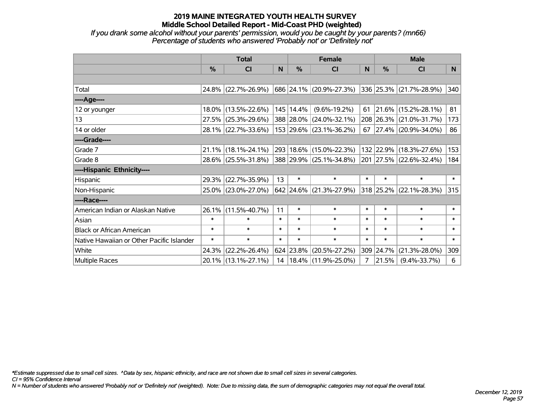*If you drank some alcohol without your parents' permission, would you be caught by your parents? (mn66) Percentage of students who answered 'Probably not' or 'Definitely not'*

|                                           | <b>Total</b>  |                     |        |               | <b>Female</b>              | <b>Male</b>    |           |                            |        |
|-------------------------------------------|---------------|---------------------|--------|---------------|----------------------------|----------------|-----------|----------------------------|--------|
|                                           | $\frac{0}{0}$ | <b>CI</b>           | N      | $\frac{9}{6}$ | <b>CI</b>                  | N              | %         | <b>CI</b>                  | N.     |
|                                           |               |                     |        |               |                            |                |           |                            |        |
| Total                                     |               | 24.8% (22.7%-26.9%) |        |               | 686 24.1% (20.9%-27.3%)    |                |           | 336 25.3% (21.7%-28.9%)    | 340    |
| ----Age----                               |               |                     |        |               |                            |                |           |                            |        |
| 12 or younger                             |               | 18.0% (13.5%-22.6%) |        | 145   14.4%   | $(9.6\% - 19.2\%)$         | 61             |           | $21.6\%$ (15.2%-28.1%)     | 81     |
| 13                                        |               | 27.5% (25.3%-29.6%) |        |               | 388 28.0% (24.0%-32.1%)    |                |           | 208 26.3% (21.0%-31.7%)    | 173    |
| 14 or older                               |               | 28.1% (22.7%-33.6%) |        |               | 153 29.6% (23.1%-36.2%)    |                |           | 67   27.4%   (20.9%-34.0%) | 86     |
| ----Grade----                             |               |                     |        |               |                            |                |           |                            |        |
| Grade 7                                   |               | 21.1% (18.1%-24.1%) |        |               | 293 18.6% (15.0%-22.3%)    |                | 132 22.9% | $(18.3\% - 27.6\%)$        | 153    |
| Grade 8                                   |               | 28.6% (25.5%-31.8%) |        |               | 388 29.9% (25.1%-34.8%)    |                |           | 201 27.5% (22.6%-32.4%)    | 184    |
| ----Hispanic Ethnicity----                |               |                     |        |               |                            |                |           |                            |        |
| Hispanic                                  | 29.3%         | $(22.7\% - 35.9\%)$ | 13     | $\ast$        | $\ast$                     | $\ast$         | $\ast$    | $\ast$                     | $\ast$ |
| Non-Hispanic                              |               | 25.0% (23.0%-27.0%) |        |               | $642$ 24.6% (21.3%-27.9%)  |                |           | 318 25.2% (22.1%-28.3%)    | 315    |
| ----Race----                              |               |                     |        |               |                            |                |           |                            |        |
| American Indian or Alaskan Native         | 26.1%         | $(11.5\% - 40.7\%)$ | 11     | $\ast$        | $\ast$                     | $\ast$         | $\ast$    | $\ast$                     | $\ast$ |
| Asian                                     | $\ast$        | $\ast$              | $\ast$ | $\ast$        | $\ast$                     | $\ast$         | $\ast$    | $\ast$                     | $\ast$ |
| <b>Black or African American</b>          | $\ast$        | $\ast$              | $\ast$ | $\ast$        | $\ast$                     | $\ast$         | $\ast$    | $\ast$                     | $\ast$ |
| Native Hawaiian or Other Pacific Islander | $\ast$        | $\ast$              | $\ast$ | $\ast$        | $\ast$                     | $\ast$         | $\ast$    | $\ast$                     | $\ast$ |
| White                                     | 24.3%         | $(22.2\% - 26.4\%)$ |        |               | 624 23.8% (20.5%-27.2%)    | 309            | 24.7%     | $(21.3\% - 28.0\%)$        | 309    |
| Multiple Races                            |               | 20.1% (13.1%-27.1%) |        |               | 14   18.4%   (11.9%-25.0%) | $\overline{7}$ | 21.5%     | $(9.4\% - 33.7\%)$         | 6      |

*\*Estimate suppressed due to small cell sizes. ^Data by sex, hispanic ethnicity, and race are not shown due to small cell sizes in several categories.*

*CI = 95% Confidence Interval*

*N = Number of students who answered 'Probably not' or 'Definitely not' (weighted). Note: Due to missing data, the sum of demographic categories may not equal the overall total.*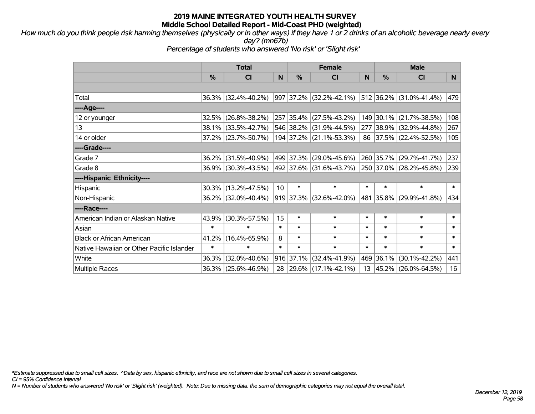*How much do you think people risk harming themselves (physically or in other ways) if they have 1 or 2 drinks of an alcoholic beverage nearly every day? (mn67b)*

*Percentage of students who answered 'No risk' or 'Slight risk'*

|                                           | <b>Total</b> |                     |        | <b>Female</b> |                                 |        | <b>Male</b>           |                         |        |  |
|-------------------------------------------|--------------|---------------------|--------|---------------|---------------------------------|--------|-----------------------|-------------------------|--------|--|
|                                           | %            | C <sub>l</sub>      | N      | $\%$          | <b>CI</b>                       | N      | $\frac{0}{0}$         | <b>CI</b>               | N.     |  |
|                                           |              |                     |        |               |                                 |        |                       |                         |        |  |
| Total                                     |              | 36.3% (32.4%-40.2%) |        |               | $997 37.2\%  (32.2\% - 42.1\%)$ |        | 512 36.2%             | $(31.0\% - 41.4\%)$     | 479    |  |
| ----Age----                               |              |                     |        |               |                                 |        |                       |                         |        |  |
| 12 or younger                             |              | 32.5% (26.8%-38.2%) |        |               | 257 35.4% (27.5%-43.2%)         |        | 149 30.1%             | $(21.7\% - 38.5\%)$     | 108    |  |
| 13                                        |              | 38.1% (33.5%-42.7%) |        |               | 546 38.2% (31.9%-44.5%)         |        | 277 38.9%             | $(32.9\% - 44.8\%)$     | 267    |  |
| 14 or older                               |              | 37.2% (23.7%-50.7%) |        |               | 194 37.2% (21.1%-53.3%)         |        |                       | 86 37.5% (22.4%-52.5%)  | 105    |  |
| ----Grade----                             |              |                     |        |               |                                 |        |                       |                         |        |  |
| Grade 7                                   |              | 36.2% (31.5%-40.9%) |        | 499 37.3%     | $(29.0\% - 45.6\%)$             |        | 260 35.7%             | $(29.7\% - 41.7\%)$     | 237    |  |
| Grade 8                                   |              | 36.9% (30.3%-43.5%) |        |               | 492 37.6% (31.6%-43.7%)         |        |                       | 250 37.0% (28.2%-45.8%) | 239    |  |
| ----Hispanic Ethnicity----                |              |                     |        |               |                                 |        |                       |                         |        |  |
| Hispanic                                  |              | 30.3% (13.2%-47.5%) | 10     | $\ast$        | $\ast$                          | $\ast$ | $\ast$                | $\ast$                  | $\ast$ |  |
| Non-Hispanic                              |              | 36.2% (32.0%-40.4%) |        |               | $919$ 37.3% (32.6%-42.0%)       |        | 481 35.8%             | $(29.9\% - 41.8\%)$     | 434    |  |
| ----Race----                              |              |                     |        |               |                                 |        |                       |                         |        |  |
| American Indian or Alaskan Native         |              | 43.9% (30.3%-57.5%) | 15     | $\ast$        | $\ast$                          | $\ast$ | $\ast$                | $\ast$                  | $\ast$ |  |
| Asian                                     | $\ast$       | $\ast$              | $\ast$ | $\ast$        | $\ast$                          | $\ast$ | $\ast$                | $\ast$                  | $\ast$ |  |
| <b>Black or African American</b>          | 41.2%        | $(16.4\% - 65.9\%)$ | 8      | $\ast$        | $\ast$                          | $\ast$ | $\ast$                | $\ast$                  | $\ast$ |  |
| Native Hawaiian or Other Pacific Islander | $\ast$       | $\ast$              | $\ast$ | $\ast$        | $\ast$                          | $\ast$ | $\ast$                | $\ast$                  | $\ast$ |  |
| White                                     | 36.3%        | $(32.0\% - 40.6\%)$ |        | 916 37.1%     | $(32.4\% - 41.9\%)$             | 469    | 36.1%                 | $(30.1\% - 42.2\%)$     | 441    |  |
| <b>Multiple Races</b>                     |              | 36.3% (25.6%-46.9%) | 28     |               | $ 29.6\% $ (17.1%-42.1%)        |        | $13 \mid 45.2\% \mid$ | $(26.0\% - 64.5\%)$     | 16     |  |

*\*Estimate suppressed due to small cell sizes. ^Data by sex, hispanic ethnicity, and race are not shown due to small cell sizes in several categories.*

*CI = 95% Confidence Interval*

*N = Number of students who answered 'No risk' or 'Slight risk' (weighted). Note: Due to missing data, the sum of demographic categories may not equal the overall total.*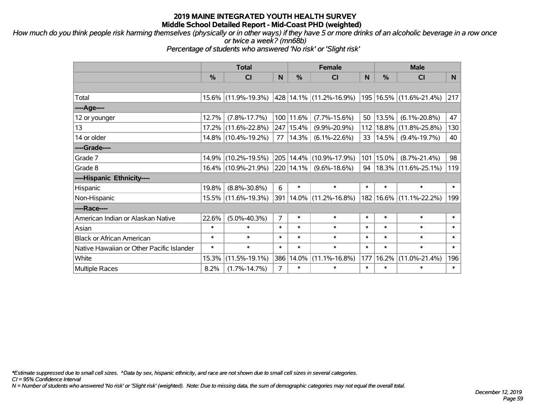*How much do you think people risk harming themselves (physically or in other ways) if they have 5 or more drinks of an alcoholic beverage in a row once or twice a week? (mn68b)*

*Percentage of students who answered 'No risk' or 'Slight risk'*

|                                           | <b>Total</b> |                     |                | <b>Female</b> | <b>Male</b>                 |                 |          |                             |        |
|-------------------------------------------|--------------|---------------------|----------------|---------------|-----------------------------|-----------------|----------|-----------------------------|--------|
|                                           | %            | <b>CI</b>           | N              | $\frac{9}{6}$ | <b>CI</b>                   | N               | %        | <b>CI</b>                   | N.     |
|                                           |              |                     |                |               |                             |                 |          |                             |        |
| Total                                     |              | 15.6% (11.9%-19.3%) |                |               | 428  14.1%  (11.2%-16.9%)   |                 |          | 195   16.5%   (11.6%-21.4%) | 217    |
| ----Age----                               |              |                     |                |               |                             |                 |          |                             |        |
| 12 or younger                             | 12.7%        | $(7.8\% - 17.7\%)$  |                | 100 11.6%     | $(7.7\% - 15.6\%)$          | 50              | 13.5%    | $(6.1\% - 20.8\%)$          | 47     |
| 13                                        |              | 17.2% (11.6%-22.8%) |                | 247 15.4%     | $(9.9\% - 20.9\%)$          | 112             | 18.8%    | $(11.8\% - 25.8\%)$         | 130    |
| 14 or older                               |              | 14.8% (10.4%-19.2%) | 77             | 14.3%         | $(6.1\% - 22.6\%)$          | 33 <sup>1</sup> | 14.5%    | $(9.4\% - 19.7\%)$          | 40     |
| ----Grade----                             |              |                     |                |               |                             |                 |          |                             |        |
| Grade 7                                   |              | 14.9% (10.2%-19.5%) |                | 205 14.4%     | $(10.9\% - 17.9\%)$         | 101             | 15.0%    | $(8.7\% - 21.4\%)$          | 98     |
| Grade 8                                   |              | 16.4% (10.9%-21.9%) |                | 220 14.1%     | $(9.6\% - 18.6\%)$          | 94              |          | $18.3\%$ (11.6%-25.1%)      | 119    |
| ----Hispanic Ethnicity----                |              |                     |                |               |                             |                 |          |                             |        |
| Hispanic                                  | 19.8%        | $(8.8\% - 30.8\%)$  | 6              | $\ast$        | $\ast$                      | $\ast$          | $\ast$   | $\ast$                      | $\ast$ |
| Non-Hispanic                              |              | 15.5% (11.6%-19.3%) |                |               | 391   14.0%   (11.2%-16.8%) | 182             | $16.6\%$ | $(11.1\% - 22.2\%)$         | 199    |
| ----Race----                              |              |                     |                |               |                             |                 |          |                             |        |
| American Indian or Alaskan Native         | 22.6%        | $(5.0\% - 40.3\%)$  | $\overline{7}$ | $\ast$        | $\ast$                      | $\ast$          | $\ast$   | $\ast$                      | $\ast$ |
| Asian                                     | $\ast$       | $\ast$              | $\ast$         | $\ast$        | $\ast$                      | $\ast$          | $\ast$   | $\ast$                      | $\ast$ |
| <b>Black or African American</b>          | $\ast$       | $\ast$              | $\ast$         | $\ast$        | $\ast$                      | $\ast$          | $\ast$   | $\ast$                      | $\ast$ |
| Native Hawaiian or Other Pacific Islander | $\ast$       | $\ast$              | $\ast$         | $\ast$        | $\ast$                      | $\ast$          | $\ast$   | $\ast$                      | $\ast$ |
| White                                     | 15.3%        | $(11.5\% - 19.1\%)$ | 386            | 14.0%         | $(11.1\% - 16.8\%)$         | 177             | 16.2%    | $(11.0\% - 21.4\%)$         | 196    |
| <b>Multiple Races</b>                     | 8.2%         | $(1.7\% - 14.7\%)$  | $\overline{7}$ | $\ast$        | $\ast$                      | $\ast$          | $\ast$   | $\ast$                      | $\ast$ |

*\*Estimate suppressed due to small cell sizes. ^Data by sex, hispanic ethnicity, and race are not shown due to small cell sizes in several categories.*

*CI = 95% Confidence Interval*

*N = Number of students who answered 'No risk' or 'Slight risk' (weighted). Note: Due to missing data, the sum of demographic categories may not equal the overall total.*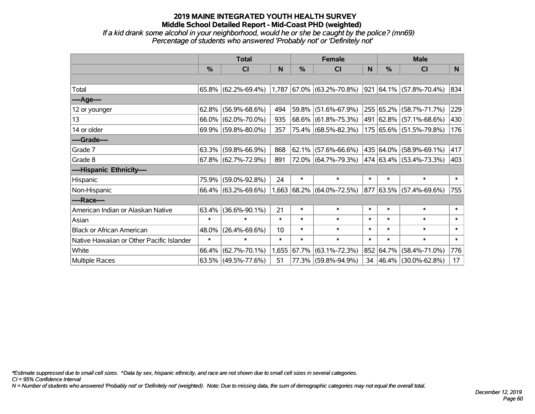*If a kid drank some alcohol in your neighborhood, would he or she be caught by the police? (mn69) Percentage of students who answered 'Probably not' or 'Definitely not'*

|                                           | <b>Total</b>  |                                                  |        | <b>Female</b> | <b>Male</b>                 |        |               |                                    |        |
|-------------------------------------------|---------------|--------------------------------------------------|--------|---------------|-----------------------------|--------|---------------|------------------------------------|--------|
|                                           | $\frac{0}{0}$ | CI                                               | N      | $\frac{0}{0}$ | <b>CI</b>                   | N      | $\frac{0}{0}$ | <b>CI</b>                          | N      |
|                                           |               |                                                  |        |               |                             |        |               |                                    |        |
| Total                                     |               | $65.8\%$ (62.2%-69.4%) 1,787 67.0% (63.2%-70.8%) |        |               |                             |        |               | $921   64.1\%   (57.8\% - 70.4\%)$ | 834    |
| ----Age----                               |               |                                                  |        |               |                             |        |               |                                    |        |
| 12 or younger                             | 62.8%         | $(56.9\% - 68.6\%)$                              | 494    | 59.8%         | $(51.6\% - 67.9\%)$         |        |               | 255 65.2% (58.7%-71.7%)            | 229    |
| 13                                        |               | 66.0% (62.0%-70.0%)                              | 935    |               | 68.6% (61.8%-75.3%)         |        |               | 491 62.8% (57.1%-68.6%)            | 430    |
| 14 or older                               |               | 69.9% (59.8%-80.0%)                              | 357    |               | 75.4% (68.5%-82.3%)         |        |               | 175 65.6% (51.5%-79.8%)            | 176    |
| ----Grade----                             |               |                                                  |        |               |                             |        |               |                                    |        |
| Grade 7                                   | 63.3%         | $(59.8\% - 66.9\%)$                              | 868    | $ 62.1\% $    | $(57.6\% - 66.6\%)$         |        |               | 435 64.0% (58.9%-69.1%)            | 417    |
| Grade 8                                   |               | $67.8\%$ (62.7%-72.9%)                           | 891    |               | 72.0% (64.7%-79.3%)         |        |               | 474 63.4% (53.4%-73.3%)            | 403    |
| ----Hispanic Ethnicity----                |               |                                                  |        |               |                             |        |               |                                    |        |
| Hispanic                                  | 75.9%         | $(59.0\% - 92.8\%)$                              | 24     | $\ast$        | $\ast$                      | $\ast$ | $\ast$        | $\ast$                             | $\ast$ |
| Non-Hispanic                              |               | 66.4% (63.2%-69.6%)                              |        |               | $1,663$ 68.2% (64.0%-72.5%) |        |               | 877 63.5% (57.4%-69.6%)            | 755    |
| ----Race----                              |               |                                                  |        |               |                             |        |               |                                    |        |
| American Indian or Alaskan Native         | 63.4%         | $(36.6\% - 90.1\%)$                              | 21     | $\ast$        | $\ast$                      | $\ast$ | $\ast$        | $\ast$                             | $\ast$ |
| Asian                                     | $\ast$        | $\ast$                                           | $\ast$ | $\ast$        | $\ast$                      | $\ast$ | $\ast$        | $\ast$                             | $\ast$ |
| <b>Black or African American</b>          | 48.0%         | $(26.4\% - 69.6\%)$                              | 10     | $\ast$        | $\ast$                      | $\ast$ | $\ast$        | $\ast$                             | $\ast$ |
| Native Hawaiian or Other Pacific Islander | $\ast$        | $\ast$                                           | $\ast$ | $\ast$        | $\ast$                      | $\ast$ | $\ast$        | $\ast$                             | $\ast$ |
| White                                     | 66.4%         | $(62.7\% - 70.1\%)$                              |        | 1,655 67.7%   | $(63.1\% - 72.3\%)$         |        |               | 852 64.7% (58.4%-71.0%)            | 776    |
| Multiple Races                            |               | 63.5% (49.5%-77.6%)                              | 51     |               | 77.3% (59.8%-94.9%)         | 34     |               | $ 46.4\% $ (30.0%-62.8%)           | 17     |

*\*Estimate suppressed due to small cell sizes. ^Data by sex, hispanic ethnicity, and race are not shown due to small cell sizes in several categories.*

*CI = 95% Confidence Interval*

*N = Number of students who answered 'Probably not' or 'Definitely not' (weighted). Note: Due to missing data, the sum of demographic categories may not equal the overall total.*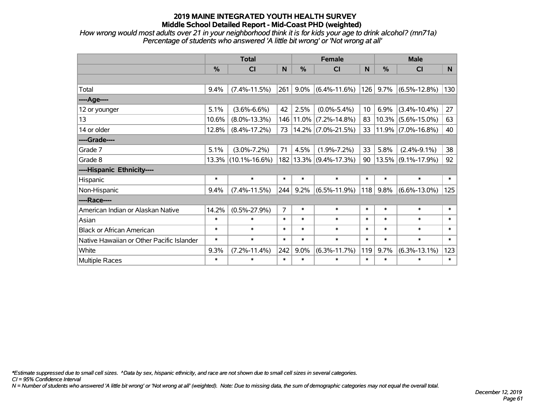*How wrong would most adults over 21 in your neighborhood think it is for kids your age to drink alcohol? (mn71a) Percentage of students who answered 'A little bit wrong' or 'Not wrong at all'*

|                                           | <b>Total</b>  |                        |                | <b>Female</b> |                            |                 | <b>Male</b> |                       |        |  |
|-------------------------------------------|---------------|------------------------|----------------|---------------|----------------------------|-----------------|-------------|-----------------------|--------|--|
|                                           | $\frac{0}{0}$ | <b>CI</b>              | N              | %             | <b>CI</b>                  | N               | %           | <b>CI</b>             | N      |  |
|                                           |               |                        |                |               |                            |                 |             |                       |        |  |
| Total                                     | 9.4%          | $(7.4\% - 11.5\%)$     | 261            | 9.0%          | $(6.4\% - 11.6\%)$         | 126             | 9.7%        | $(6.5\% - 12.8\%)$    | 130    |  |
| ----Age----                               |               |                        |                |               |                            |                 |             |                       |        |  |
| 12 or younger                             | 5.1%          | $(3.6\% - 6.6\%)$      | 42             | 2.5%          | $(0.0\% - 5.4\%)$          | 10 <sup>°</sup> | 6.9%        | $(3.4\% - 10.4\%)$    | 27     |  |
| 13                                        | 10.6%         | $(8.0\% - 13.3\%)$     |                | 146 11.0%     | $(7.2\% - 14.8\%)$         | 83              |             | $10.3\%$ (5.6%-15.0%) | 63     |  |
| 14 or older                               | 12.8%         | $(8.4\% - 17.2\%)$     | 73             |               | 14.2% (7.0%-21.5%)         | 33              |             | $11.9\%$ (7.0%-16.8%) | 40     |  |
| ----Grade----                             |               |                        |                |               |                            |                 |             |                       |        |  |
| Grade 7                                   | 5.1%          | $(3.0\% - 7.2\%)$      | 71             | 4.5%          | $(1.9\% - 7.2\%)$          | 33              | 5.8%        | $(2.4\% - 9.1\%)$     | 38     |  |
| Grade 8                                   |               | $13.3\%$ (10.1%-16.6%) |                |               | 182   13.3%   (9.4%-17.3%) | 90              |             | $13.5\%$ (9.1%-17.9%) | 92     |  |
| ----Hispanic Ethnicity----                |               |                        |                |               |                            |                 |             |                       |        |  |
| Hispanic                                  | $\ast$        | $\ast$                 | $\ast$         | $\ast$        | $\ast$                     | $\ast$          | $\ast$      | $\ast$                | $\ast$ |  |
| Non-Hispanic                              | 9.4%          | $(7.4\% - 11.5\%)$     | 244            | 9.2%          | $(6.5\% - 11.9\%)$         | 118             | 9.8%        | $(6.6\% - 13.0\%)$    | 125    |  |
| ----Race----                              |               |                        |                |               |                            |                 |             |                       |        |  |
| American Indian or Alaskan Native         | 14.2%         | $(0.5\% - 27.9\%)$     | $\overline{7}$ | $\ast$        | $\ast$                     | $\ast$          | $\ast$      | $\ast$                | $\ast$ |  |
| Asian                                     | $\ast$        | $\ast$                 | $\ast$         | $\ast$        | $\ast$                     | $\ast$          | $\ast$      | $\ast$                | $\ast$ |  |
| <b>Black or African American</b>          | $\ast$        | $\ast$                 | $\ast$         | $\ast$        | $\ast$                     | $\ast$          | $\ast$      | $\ast$                | $\ast$ |  |
| Native Hawaiian or Other Pacific Islander | $\ast$        | $\ast$                 | $\ast$         | $\ast$        | $\ast$                     | $\ast$          | $\ast$      | $\ast$                | $\ast$ |  |
| White                                     | 9.3%          | $(7.2\% - 11.4\%)$     | 242            | 9.0%          | $(6.3\% - 11.7\%)$         | 119             | 9.7%        | $(6.3\% - 13.1\%)$    | 123    |  |
| <b>Multiple Races</b>                     | $\ast$        | $\ast$                 | $\ast$         | $\ast$        | $\ast$                     | $\ast$          | $\ast$      | $\ast$                | $\ast$ |  |

*\*Estimate suppressed due to small cell sizes. ^Data by sex, hispanic ethnicity, and race are not shown due to small cell sizes in several categories.*

*CI = 95% Confidence Interval*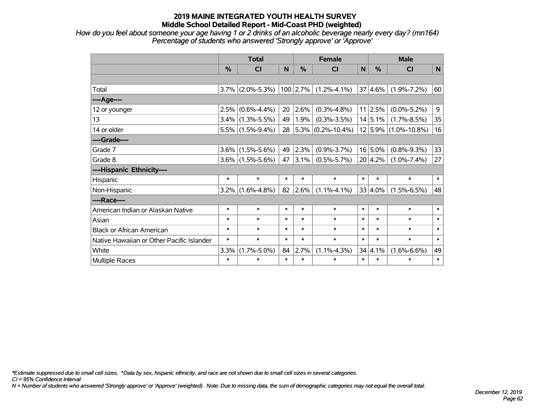*How do you feel about someone your age having 1 or 2 drinks of an alcoholic beverage nearly every day? (mn164) Percentage of students who answered 'Strongly approve' or 'Approve'*

|                                           | <b>Total</b>  |                     |        |            | <b>Female</b>             |        |             | <b>Male</b>              |        |  |  |
|-------------------------------------------|---------------|---------------------|--------|------------|---------------------------|--------|-------------|--------------------------|--------|--|--|
|                                           | $\frac{0}{0}$ | CI                  | N      | $\%$       | CI                        | N      | %           | CI                       | N      |  |  |
|                                           |               |                     |        |            |                           |        |             |                          |        |  |  |
| Total                                     | 3.7%          | $(2.0\% - 5.3\%)$   |        | $100$ 2.7% | $(1.2\% - 4.1\%)$         |        | 37 4.6%     | $(1.9\% - 7.2\%)$        | 60     |  |  |
| ----Age----                               |               |                     |        |            |                           |        |             |                          |        |  |  |
| 12 or younger                             | 2.5%          | $(0.6\% - 4.4\%)$   | 20     | 2.6%       | $(0.3\% - 4.8\%)$         |        | 11 2.5%     | $(0.0\% - 5.2\%)$        | 9      |  |  |
| 13                                        | 3.4%          | $(1.3\% - 5.5\%)$   | 49     | 1.9%       | $(0.3\% - 3.5\%)$         |        | 14 5.1%     | $(1.7\% - 8.5\%)$        | 35     |  |  |
| 14 or older                               |               | $5.5\%$ (1.5%-9.4%) |        |            | 28 $ 5.3\% $ (0.2%-10.4%) |        |             | $12 5.9\% $ (1.0%-10.8%) | 16     |  |  |
| ----Grade----                             |               |                     |        |            |                           |        |             |                          |        |  |  |
| Grade 7                                   | 3.6%          | $(1.5\% - 5.6\%)$   | 49     | 2.3%       | $(0.9\% - 3.7\%)$         |        | $16 5.0\%$  | $(0.8\% - 9.3\%)$        | 33     |  |  |
| Grade 8                                   |               | $3.6\%$ (1.5%-5.6%) | 47     | 3.1%       | $(0.5\% - 5.7\%)$         |        | $20 4.2\% $ | $(1.0\% - 7.4\%)$        | 27     |  |  |
| ----Hispanic Ethnicity----                |               |                     |        |            |                           |        |             |                          |        |  |  |
| Hispanic                                  | $\ast$        | $\ast$              | $\ast$ | $\ast$     | $\ast$                    | $\ast$ | $\ast$      | $\ast$                   | $\ast$ |  |  |
| Non-Hispanic                              | 3.2%          | $(1.6\% - 4.8\%)$   | 82     | 2.6%       | $(1.1\% - 4.1\%)$         |        | 33 4.0%     | $(1.5\% - 6.5\%)$        | 48     |  |  |
| ----Race----                              |               |                     |        |            |                           |        |             |                          |        |  |  |
| American Indian or Alaskan Native         | $\ast$        | $\ast$              | $\ast$ | $\ast$     | $\ast$                    | $\ast$ | $\ast$      | $\ast$                   | $\ast$ |  |  |
| Asian                                     | $\ast$        | $\ast$              | $\ast$ | $\ast$     | $\ast$                    | $\ast$ | $\ast$      | $\ast$                   | $\ast$ |  |  |
| <b>Black or African American</b>          | $\ast$        | $\ast$              | $\ast$ | $\ast$     | $\ast$                    | $\ast$ | $\ast$      | $\ast$                   | $\ast$ |  |  |
| Native Hawaiian or Other Pacific Islander | $\ast$        | $\ast$              | $\ast$ | $\ast$     | $\ast$                    | $\ast$ | $\ast$      | $\ast$                   | $\ast$ |  |  |
| White                                     | 3.3%          | $(1.7\% - 5.0\%)$   | 84     | 2.7%       | $(1.1\% - 4.3\%)$         |        | 34 4.1%     | $(1.6\% - 6.6\%)$        | 49     |  |  |
| Multiple Races                            | $\ast$        | $\ast$              | $\ast$ | $\ast$     | $\ast$                    | $\ast$ | $\ast$      | $\ast$                   | $\ast$ |  |  |

*\*Estimate suppressed due to small cell sizes. ^Data by sex, hispanic ethnicity, and race are not shown due to small cell sizes in several categories.*

*CI = 95% Confidence Interval*

*N = Number of students who answered 'Strongly approve' or 'Approve' (weighted). Note: Due to missing data, the sum of demographic categories may not equal the overall total.*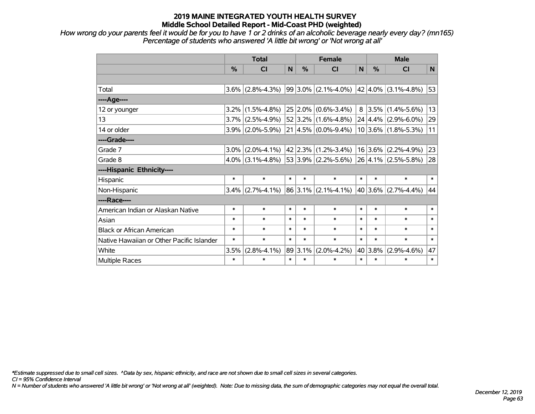*How wrong do your parents feel it would be for you to have 1 or 2 drinks of an alcoholic beverage nearly every day? (mn165) Percentage of students who answered 'A little bit wrong' or 'Not wrong at all'*

|                                           | <b>Total</b> |                   |        | <b>Female</b> |                                              |        | <b>Male</b> |                                      |        |  |
|-------------------------------------------|--------------|-------------------|--------|---------------|----------------------------------------------|--------|-------------|--------------------------------------|--------|--|
|                                           | %            | <b>CI</b>         | N      | %             | <b>CI</b>                                    | N      | %           | <b>CI</b>                            | N      |  |
|                                           |              |                   |        |               |                                              |        |             |                                      |        |  |
| Total                                     | $3.6\%$      | $(2.8\% - 4.3\%)$ |        |               | $99 3.0\% $ (2.1%-4.0%)                      |        |             | $ 42 4.0\% $ (3.1%-4.8%)             | 53     |  |
| ----Age----                               |              |                   |        |               |                                              |        |             |                                      |        |  |
| 12 or younger                             | 3.2%         | $(1.5\% - 4.8\%)$ |        |               | $25 2.0\% $ (0.6%-3.4%)                      |        | 8 3.5%      | $(1.4\% - 5.6\%)$                    | 13     |  |
| 13                                        | 3.7%         | $(2.5\% - 4.9\%)$ |        |               | $52 3.2\% $ (1.6%-4.8%)                      |        |             | $24 \mid 4.4\% \mid (2.9\% - 6.0\%)$ | 29     |  |
| 14 or older                               | $3.9\%$      | $(2.0\% - 5.9\%)$ |        |               | $21   4.5\%   (0.0\% - 9.4\%)$               |        |             | $10 3.6\% $ (1.8%-5.3%)              | 11     |  |
| ----Grade----                             |              |                   |        |               |                                              |        |             |                                      |        |  |
| Grade 7                                   | 3.0%         | $(2.0\% - 4.1\%)$ |        |               | 42 2.3% (1.2%-3.4%)                          |        | 16 3.6%     | $(2.2\% - 4.9\%)$                    | 23     |  |
| Grade 8                                   | $4.0\%$      | $(3.1\% - 4.8\%)$ |        |               | $ 53 3.9\% $ (2.2%-5.6%) 26 4.1% (2.5%-5.8%) |        |             |                                      | 28     |  |
| ----Hispanic Ethnicity----                |              |                   |        |               |                                              |        |             |                                      |        |  |
| Hispanic                                  | $\ast$       | $\ast$            | $\ast$ | $\ast$        | $\ast$                                       | $\ast$ | $\ast$      | $\ast$                               | $\ast$ |  |
| Non-Hispanic                              | $3.4\%$      | $(2.7\% - 4.1\%)$ |        |               | $86$ 3.1% (2.1%-4.1%)                        |        | 40 3.6%     | $(2.7\% - 4.4\%)$                    | 44     |  |
| ----Race----                              |              |                   |        |               |                                              |        |             |                                      |        |  |
| American Indian or Alaskan Native         | $\ast$       | $\ast$            | $\ast$ | $\ast$        | $\ast$                                       | $\ast$ | $\ast$      | $\ast$                               | $\ast$ |  |
| Asian                                     | $\ast$       | $\ast$            | $\ast$ | $\ast$        | $\ast$                                       | $\ast$ | $\ast$      | $\ast$                               | $\ast$ |  |
| <b>Black or African American</b>          | $\ast$       | $\ast$            | $\ast$ | $\ast$        | $\ast$                                       | $\ast$ | $\ast$      | $\ast$                               | $\ast$ |  |
| Native Hawaiian or Other Pacific Islander | $\ast$       | $\ast$            | $\ast$ | $\ast$        | $\ast$                                       | $\ast$ | $\ast$      | $\ast$                               | $\ast$ |  |
| White                                     | 3.5%         | $(2.8\% - 4.1\%)$ | 89     | 3.1%          | $(2.0\% - 4.2\%)$                            |        | 40 3.8%     | $(2.9\% - 4.6\%)$                    | 47     |  |
| Multiple Races                            | $\ast$       | $\ast$            | $\ast$ | $\ast$        | $\ast$                                       | $\ast$ | $\ast$      | $\ast$                               | $\ast$ |  |

*\*Estimate suppressed due to small cell sizes. ^Data by sex, hispanic ethnicity, and race are not shown due to small cell sizes in several categories.*

*CI = 95% Confidence Interval*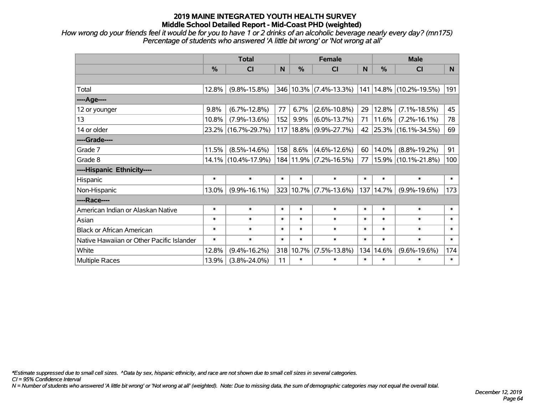*How wrong do your friends feel it would be for you to have 1 or 2 drinks of an alcoholic beverage nearly every day? (mn175) Percentage of students who answered 'A little bit wrong' or 'Not wrong at all'*

|                                           | <b>Total</b> |                     |        |               | <b>Female</b>              |        | <b>Male</b>   |                             |        |  |
|-------------------------------------------|--------------|---------------------|--------|---------------|----------------------------|--------|---------------|-----------------------------|--------|--|
|                                           | %            | CI                  | N      | %             | <b>CI</b>                  | N      | $\frac{0}{0}$ | <b>CI</b>                   | N      |  |
|                                           |              |                     |        |               |                            |        |               |                             |        |  |
| Total                                     | 12.8%        | $(9.8\% - 15.8\%)$  |        |               | $346 10.3\% $ (7.4%-13.3%) |        |               | 141   14.8%   (10.2%-19.5%) | 191    |  |
| ----Age----                               |              |                     |        |               |                            |        |               |                             |        |  |
| 12 or younger                             | 9.8%         | $(6.7\% - 12.8\%)$  | 77     | 6.7%          | $(2.6\% - 10.8\%)$         | 29     | 12.8%         | $(7.1\% - 18.5\%)$          | 45     |  |
| 13                                        | 10.8%        | $(7.9\% - 13.6\%)$  | 152    | $9.9\%$       | $(6.0\% - 13.7\%)$         | 71     | 11.6%         | $(7.2\% - 16.1\%)$          | 78     |  |
| 14 or older                               |              | 23.2% (16.7%-29.7%) |        | $117$   18.8% | $(9.9\% - 27.7\%)$         |        |               | 42 25.3% (16.1%-34.5%)      | 69     |  |
| ----Grade----                             |              |                     |        |               |                            |        |               |                             |        |  |
| Grade 7                                   | 11.5%        | $(8.5\% - 14.6\%)$  | 158    | 8.6%          | $(4.6\% - 12.6\%)$         | 60     | 14.0%         | $(8.8\% - 19.2\%)$          | 91     |  |
| Grade 8                                   |              | 14.1% (10.4%-17.9%) |        |               | 184 11.9% (7.2%-16.5%)     | 77     |               | 15.9% (10.1%-21.8%)         | 100    |  |
| ----Hispanic Ethnicity----                |              |                     |        |               |                            |        |               |                             |        |  |
| Hispanic                                  | $\ast$       | $\ast$              | $\ast$ | $\ast$        | $\ast$                     | $\ast$ | $\ast$        | $\ast$                      | $\ast$ |  |
| Non-Hispanic                              | 13.0%        | $(9.9\% - 16.1\%)$  |        |               | 323 10.7% (7.7%-13.6%)     | 137    | 14.7%         | $(9.9\% - 19.6\%)$          | 173    |  |
| ----Race----                              |              |                     |        |               |                            |        |               |                             |        |  |
| American Indian or Alaskan Native         | $\ast$       | $\ast$              | $\ast$ | $\ast$        | $\ast$                     | $\ast$ | $\ast$        | $\ast$                      | $\ast$ |  |
| Asian                                     | $\ast$       | $\ast$              | $\ast$ | $\ast$        | $\ast$                     | $\ast$ | $\ast$        | $\ast$                      | $\ast$ |  |
| <b>Black or African American</b>          | $\ast$       | $\ast$              | $\ast$ | $\ast$        | $\ast$                     | $\ast$ | $\ast$        | $\ast$                      | $\ast$ |  |
| Native Hawaiian or Other Pacific Islander | $\ast$       | $\ast$              | $\ast$ | $\ast$        | $\ast$                     | $\ast$ | $\ast$        | $\ast$                      | $\ast$ |  |
| White                                     | 12.8%        | $(9.4\% - 16.2\%)$  |        | 318 10.7%     | $(7.5\% - 13.8\%)$         | 134    | 14.6%         | $(9.6\% - 19.6\%)$          | 174    |  |
| <b>Multiple Races</b>                     | 13.9%        | $(3.8\% - 24.0\%)$  | 11     | $\ast$        | $\ast$                     | $\ast$ | $\ast$        | $\ast$                      | $\ast$ |  |

*\*Estimate suppressed due to small cell sizes. ^Data by sex, hispanic ethnicity, and race are not shown due to small cell sizes in several categories.*

*CI = 95% Confidence Interval*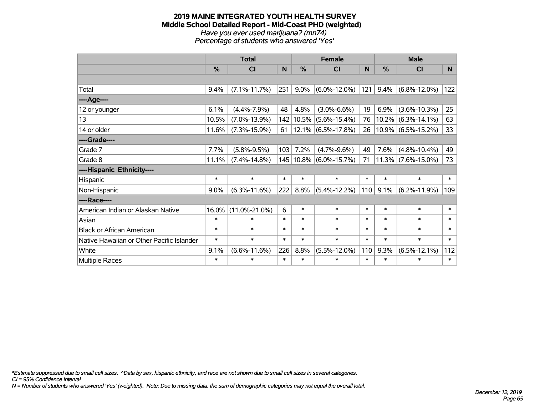#### **2019 MAINE INTEGRATED YOUTH HEALTH SURVEY Middle School Detailed Report - Mid-Coast PHD (weighted)** *Have you ever used marijuana? (mn74) Percentage of students who answered 'Yes'*

|                                           | <b>Total</b>  |                     |        | <b>Female</b> |                            |        | <b>Male</b> |                       |        |
|-------------------------------------------|---------------|---------------------|--------|---------------|----------------------------|--------|-------------|-----------------------|--------|
|                                           | $\frac{0}{0}$ | <b>CI</b>           | N      | %             | <b>CI</b>                  | N      | %           | <b>CI</b>             | N.     |
|                                           |               |                     |        |               |                            |        |             |                       |        |
| Total                                     | 9.4%          | $(7.1\% - 11.7\%)$  | 251    | 9.0%          | $(6.0\% - 12.0\%)$         | 121    | 9.4%        | $(6.8\% - 12.0\%)$    | 122    |
| ----Age----                               |               |                     |        |               |                            |        |             |                       |        |
| 12 or younger                             | 6.1%          | $(4.4\% - 7.9\%)$   | 48     | 4.8%          | $(3.0\% - 6.6\%)$          | 19     | 6.9%        | $(3.6\% - 10.3\%)$    | 25     |
| 13                                        | 10.5%         | $(7.0\% - 13.9\%)$  |        |               | 142   10.5%   (5.6%-15.4%) | 76     |             | $10.2\%$ (6.3%-14.1%) | 63     |
| 14 or older                               | 11.6%         | $(7.3\% - 15.9\%)$  | 61     |               | $12.1\%$ (6.5%-17.8%)      | 26     |             | $10.9\%$ (6.5%-15.2%) | 33     |
| ----Grade----                             |               |                     |        |               |                            |        |             |                       |        |
| Grade 7                                   | 7.7%          | $(5.8\% - 9.5\%)$   | 103    | 7.2%          | $(4.7\% - 9.6\%)$          | 49     | 7.6%        | $(4.8\% - 10.4\%)$    | 49     |
| Grade 8                                   | 11.1%         | $(7.4\% - 14.8\%)$  |        |               | 145   10.8%   (6.0%-15.7%) | 71     |             | $11.3\%$ (7.6%-15.0%) | 73     |
| ----Hispanic Ethnicity----                |               |                     |        |               |                            |        |             |                       |        |
| Hispanic                                  | $\ast$        | $\ast$              | $\ast$ | $\ast$        | $\ast$                     | $\ast$ | $\ast$      | $\ast$                | $\ast$ |
| Non-Hispanic                              | 9.0%          | $(6.3\% - 11.6\%)$  | 222    | 8.8%          | $(5.4\% - 12.2\%)$         | 110    | 9.1%        | $(6.2\% - 11.9\%)$    | 109    |
| ----Race----                              |               |                     |        |               |                            |        |             |                       |        |
| American Indian or Alaskan Native         | 16.0%         | $(11.0\% - 21.0\%)$ | 6      | $\ast$        | $\ast$                     | $\ast$ | $\ast$      | $\ast$                | $\ast$ |
| Asian                                     | $\ast$        | $\ast$              | $\ast$ | $\ast$        | $\ast$                     | $\ast$ | $\ast$      | $\ast$                | $\ast$ |
| <b>Black or African American</b>          | $\ast$        | $\ast$              | $\ast$ | $\ast$        | $\ast$                     | $\ast$ | $\ast$      | $\ast$                | $\ast$ |
| Native Hawaiian or Other Pacific Islander | $\ast$        | $\ast$              | $\ast$ | $\ast$        | $\ast$                     | $\ast$ | $\ast$      | $\ast$                | $\ast$ |
| White                                     | 9.1%          | $(6.6\% - 11.6\%)$  | 226    | 8.8%          | $(5.5\% - 12.0\%)$         | 110    | 9.3%        | $(6.5\% - 12.1\%)$    | 112    |
| <b>Multiple Races</b>                     | $\ast$        | $\ast$              | $\ast$ | $\ast$        | $\ast$                     | $\ast$ | $\ast$      | $\ast$                | $\ast$ |

*\*Estimate suppressed due to small cell sizes. ^Data by sex, hispanic ethnicity, and race are not shown due to small cell sizes in several categories.*

*CI = 95% Confidence Interval*

*N = Number of students who answered 'Yes' (weighted). Note: Due to missing data, the sum of demographic categories may not equal the overall total.*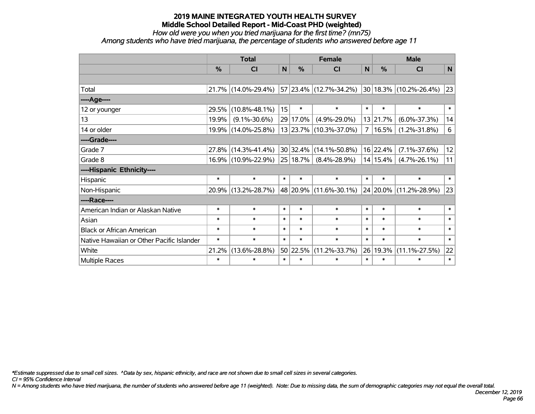*How old were you when you tried marijuana for the first time? (mn75)*

*Among students who have tried marijuana, the percentage of students who answered before age 11*

|                                           | <b>Total</b>  |                     |        |          | <b>Female</b>          | <b>Male</b>  |               |                            |              |
|-------------------------------------------|---------------|---------------------|--------|----------|------------------------|--------------|---------------|----------------------------|--------------|
|                                           | $\frac{0}{0}$ | CI                  | N      | %        | <b>CI</b>              | $\mathsf{N}$ | $\frac{0}{0}$ | <b>CI</b>                  | $\mathsf{N}$ |
|                                           |               |                     |        |          |                        |              |               |                            |              |
| Total                                     |               | 21.7% (14.0%-29.4%) |        |          | 57 23.4% (12.7%-34.2%) |              |               | $30 18.3\% $ (10.2%-26.4%) | 23           |
| ----Age----                               |               |                     |        |          |                        |              |               |                            |              |
| 12 or younger                             | 29.5%         | $(10.8\% - 48.1\%)$ | 15     | $\ast$   | $\ast$                 | $\ast$       | $\ast$        | $\ast$                     | $\ast$       |
| 13                                        | 19.9%         | $(9.1\% - 30.6\%)$  |        | 29 17.0% | $(4.9\% - 29.0\%)$     |              | 13 21.7%      | $(6.0\% - 37.3\%)$         | 14           |
| 14 or older                               |               | 19.9% (14.0%-25.8%) |        |          | 13 23.7% (10.3%-37.0%) | 7            | 16.5%         | $(1.2\% - 31.8\%)$         | 6            |
| ----Grade----                             |               |                     |        |          |                        |              |               |                            |              |
| Grade 7                                   | 27.8%         | $(14.3\% - 41.4\%)$ |        | 30 32.4% | $(14.1\% - 50.8\%)$    |              | 16 22.4%      | $(7.1\% - 37.6\%)$         | 12           |
| Grade 8                                   |               | 16.9% (10.9%-22.9%) |        | 25 18.7% | $(8.4\% - 28.9\%)$     |              | 14 15.4%      | $(4.7\% - 26.1\%)$         | 11           |
| ----Hispanic Ethnicity----                |               |                     |        |          |                        |              |               |                            |              |
| Hispanic                                  | $\ast$        | $\ast$              | $\ast$ | $\ast$   | $\ast$                 | $\ast$       | $\ast$        | $\ast$                     | $\ast$       |
| Non-Hispanic                              |               | 20.9% (13.2%-28.7%) |        | 48 20.9% | $(11.6\% - 30.1\%)$    |              |               | 24 20.0% (11.2%-28.9%)     | 23           |
| ----Race----                              |               |                     |        |          |                        |              |               |                            |              |
| American Indian or Alaskan Native         | $\ast$        | $\ast$              | $\ast$ | $\ast$   | $\ast$                 | $\ast$       | $\ast$        | $\ast$                     | $\ast$       |
| Asian                                     | $\ast$        | $\ast$              | $\ast$ | $\ast$   | $\ast$                 | $\ast$       | $\ast$        | $\ast$                     | $\ast$       |
| <b>Black or African American</b>          | $\ast$        | $\ast$              | $\ast$ | $\ast$   | $\ast$                 | $\ast$       | $\ast$        | $\ast$                     | $\ast$       |
| Native Hawaiian or Other Pacific Islander | $\ast$        | $\ast$              | $\ast$ | $\ast$   | $\ast$                 | $\ast$       | $\ast$        | $\ast$                     | $\ast$       |
| White                                     | 21.2%         | $(13.6\% - 28.8\%)$ |        | 50 22.5% | $(11.2\% - 33.7\%)$    | 26           | 19.3%         | $(11.1\% - 27.5\%)$        | 22           |
| Multiple Races                            | $\ast$        | $\ast$              | $\ast$ | $\ast$   | $\ast$                 | $\ast$       | $\ast$        | $\ast$                     | $\ast$       |

*\*Estimate suppressed due to small cell sizes. ^Data by sex, hispanic ethnicity, and race are not shown due to small cell sizes in several categories.*

*CI = 95% Confidence Interval*

*N = Among students who have tried marijuana, the number of students who answered before age 11 (weighted). Note: Due to missing data, the sum of demographic categories may not equal the overall total.*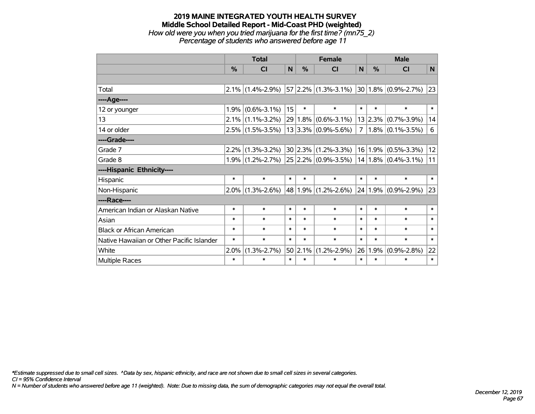#### **2019 MAINE INTEGRATED YOUTH HEALTH SURVEY Middle School Detailed Report - Mid-Coast PHD (weighted)** *How old were you when you tried marijuana for the first time? (mn75\_2)*

*Percentage of students who answered before age 11*

|                                           | <b>Total</b> |                     |        | <b>Female</b> |                            |                | <b>Male</b> |                          |              |
|-------------------------------------------|--------------|---------------------|--------|---------------|----------------------------|----------------|-------------|--------------------------|--------------|
|                                           | $\%$         | <b>CI</b>           | N      | $\%$          | <b>CI</b>                  | N              | $\%$        | <b>CI</b>                | N            |
|                                           |              |                     |        |               |                            |                |             |                          |              |
| Total                                     |              | $2.1\%$ (1.4%-2.9%) |        |               | $57 2.2\% (1.3\% - 3.1\%)$ |                |             | $ 30 1.8\% $ (0.9%-2.7%) | $ 23\rangle$ |
| ----Age----                               |              |                     |        |               |                            |                |             |                          |              |
| 12 or younger                             | 1.9%         | $(0.6\% - 3.1\%)$   | 15     | $\ast$        | $\ast$                     | $\ast$         | $\ast$      | $\ast$                   | $\ast$       |
| 13                                        | 2.1%         | $(1.1\% - 3.2\%)$   |        |               | 29 1.8% (0.6%-3.1%)        |                |             | $13 2.3\% $ (0.7%-3.9%)  | 14           |
| 14 or older                               |              | $2.5\%$ (1.5%-3.5%) |        |               | $13 3.3\% $ (0.9%-5.6%)    | 7 <sup>1</sup> |             | $1.8\%$ (0.1%-3.5%)      | 6            |
| ----Grade----                             |              |                     |        |               |                            |                |             |                          |              |
| Grade 7                                   | 2.2%         | $(1.3\% - 3.2\%)$   |        |               | $30 2.3\% (1.2\% - 3.3\%)$ |                | 16 1.9%     | $(0.5\% - 3.3\%)$        | 12           |
| Grade 8                                   |              | $1.9\%$ (1.2%-2.7%) |        |               | $25 2.2\% $ (0.9%-3.5%)    |                |             | $14 1.8\% $ (0.4%-3.1%)  | 11           |
| ----Hispanic Ethnicity----                |              |                     |        |               |                            |                |             |                          |              |
| Hispanic                                  | $\ast$       | $\ast$              | $\ast$ | $\ast$        | $\ast$                     | $\ast$         | $\ast$      | $\ast$                   | $\ast$       |
| Non-Hispanic                              | $2.0\%$      | $(1.3\% - 2.6\%)$   |        |               | 48 1.9% (1.2%-2.6%)        |                |             | $24 1.9\% $ (0.9%-2.9%)  | 23           |
| ----Race----                              |              |                     |        |               |                            |                |             |                          |              |
| American Indian or Alaskan Native         | $\ast$       | $\ast$              | $\ast$ | $\ast$        | $\ast$                     | $\ast$         | $\ast$      | $\ast$                   | $\ast$       |
| Asian                                     | $\ast$       | $\ast$              | $\ast$ | $\ast$        | $\ast$                     | $\ast$         | $\ast$      | $\ast$                   | $\ast$       |
| <b>Black or African American</b>          | $\ast$       | $\ast$              | $\ast$ | $\ast$        | $\ast$                     | $\ast$         | $\ast$      | $\ast$                   | $\ast$       |
| Native Hawaiian or Other Pacific Islander | $\ast$       | $\ast$              | $\ast$ | $\ast$        | $\ast$                     | $\ast$         | $\ast$      | $\ast$                   | $\ast$       |
| White                                     | 2.0%         | $(1.3\% - 2.7\%)$   |        | 50 2.1%       | $(1.2\% - 2.9\%)$          | 26             | 1.9%        | $(0.9\% - 2.8\%)$        | 22           |
| Multiple Races                            | $\ast$       | $\ast$              | $\ast$ | $\ast$        | $\ast$                     | $\ast$         | $\ast$      | $\ast$                   | $\ast$       |

*\*Estimate suppressed due to small cell sizes. ^Data by sex, hispanic ethnicity, and race are not shown due to small cell sizes in several categories.*

*CI = 95% Confidence Interval*

*N = Number of students who answered before age 11 (weighted). Note: Due to missing data, the sum of demographic categories may not equal the overall total.*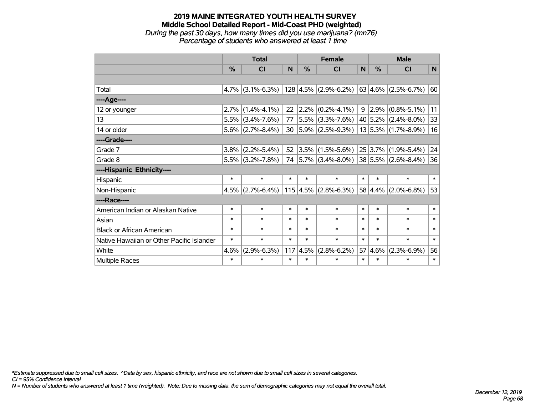*During the past 30 days, how many times did you use marijuana? (mn76) Percentage of students who answered at least 1 time*

|                                           | <b>Total</b>  |                     |        | <b>Female</b> |                                                    |        | <b>Male</b>  |                          |              |
|-------------------------------------------|---------------|---------------------|--------|---------------|----------------------------------------------------|--------|--------------|--------------------------|--------------|
|                                           | $\frac{0}{0}$ | <b>CI</b>           | N      | $\frac{0}{0}$ | <b>CI</b>                                          | N      | $\%$         | <b>CI</b>                | $\mathsf{N}$ |
|                                           |               |                     |        |               |                                                    |        |              |                          |              |
| Total                                     |               | $4.7\%$ (3.1%-6.3%) |        |               | $ 128 4.5\% $ (2.9%-6.2%) $ 63 4.6\% $ (2.5%-6.7%) |        |              |                          | 60           |
| ----Age----                               |               |                     |        |               |                                                    |        |              |                          |              |
| 12 or younger                             | 2.7%          | $(1.4\% - 4.1\%)$   | 22     | $ 2.2\% $     | $(0.2\% - 4.1\%)$                                  | 9      | 2.9%         | $(0.8\% - 5.1\%)$        | 11           |
| 13                                        | 5.5%          | $(3.4\% - 7.6\%)$   | 77     |               | $ 5.5\% $ (3.3%-7.6%)                              |        |              | $ 40 5.2\% $ (2.4%-8.0%) | 33           |
| 14 or older                               |               | $5.6\%$ (2.7%-8.4%) | 30     |               | $ 5.9\% $ (2.5%-9.3%)                              |        |              | $13 5.3\% $ (1.7%-8.9%)  | 16           |
| ----Grade----                             |               |                     |        |               |                                                    |        |              |                          |              |
| Grade 7                                   | $3.8\%$       | $(2.2\% - 5.4\%)$   | 52     | $ 3.5\% $     | $(1.5\% - 5.6\%)$                                  |        | 25 3.7%      | $(1.9\% - 5.4\%)$        | 24           |
| Grade 8                                   |               | $5.5\%$ (3.2%-7.8%) |        |               | 74 $ 5.7\% $ (3.4%-8.0%)                           |        |              | $ 38 5.5\% $ (2.6%-8.4%) | 36           |
| ----Hispanic Ethnicity----                |               |                     |        |               |                                                    |        |              |                          |              |
| Hispanic                                  | $\ast$        | $\ast$              | $\ast$ | $\ast$        | $\ast$                                             | $\ast$ | $\ast$       | $\ast$                   | $\ast$       |
| Non-Hispanic                              | 4.5%          | $(2.7\% - 6.4\%)$   |        |               | $115$ 4.5% (2.8%-6.3%)                             |        | $ 58 4.4\% $ | $(2.0\% - 6.8\%)$        | 53           |
| ----Race----                              |               |                     |        |               |                                                    |        |              |                          |              |
| American Indian or Alaskan Native         | $\ast$        | $\ast$              | $\ast$ | $\ast$        | $\ast$                                             | $\ast$ | $\ast$       | $\ast$                   | $\ast$       |
| Asian                                     | $\ast$        | $\ast$              | $\ast$ | $\ast$        | $\ast$                                             | $\ast$ | $\ast$       | $\ast$                   | $\ast$       |
| <b>Black or African American</b>          | $\ast$        | $\ast$              | $\ast$ | $\ast$        | $\ast$                                             | $\ast$ | $\ast$       | $\ast$                   | $\ast$       |
| Native Hawaiian or Other Pacific Islander | $\ast$        | $\ast$              | $\ast$ | $\ast$        | $\ast$                                             | $\ast$ | $\ast$       | $\ast$                   | $\ast$       |
| White                                     | 4.6%          | $(2.9\% - 6.3\%)$   | 117    | 4.5%          | $(2.8\% - 6.2\%)$                                  | 57     | 4.6%         | $(2.3\% - 6.9\%)$        | 56           |
| Multiple Races                            | $\ast$        | $\ast$              | $\ast$ | $\ast$        | $\ast$                                             | $\ast$ | $\ast$       | $\ast$                   | $\ast$       |

*\*Estimate suppressed due to small cell sizes. ^Data by sex, hispanic ethnicity, and race are not shown due to small cell sizes in several categories.*

*CI = 95% Confidence Interval*

*N = Number of students who answered at least 1 time (weighted). Note: Due to missing data, the sum of demographic categories may not equal the overall total.*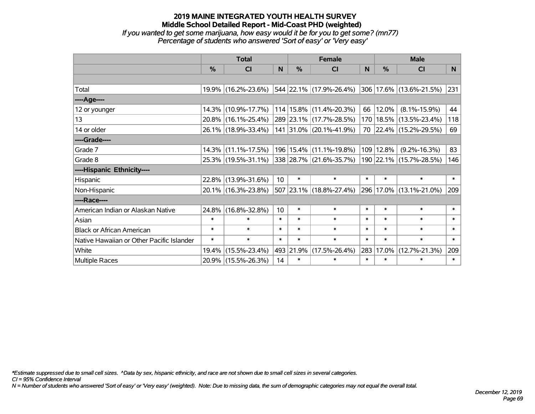*If you wanted to get some marijuana, how easy would it be for you to get some? (mn77) Percentage of students who answered 'Sort of easy' or 'Very easy'*

|                                           | <b>Total</b>  |                     |        |               | <b>Female</b>                   | <b>Male</b> |        |                         |        |
|-------------------------------------------|---------------|---------------------|--------|---------------|---------------------------------|-------------|--------|-------------------------|--------|
|                                           | $\frac{0}{0}$ | CI                  | N      | $\frac{9}{6}$ | CI                              | N           | %      | <b>CI</b>               | N.     |
|                                           |               |                     |        |               |                                 |             |        |                         |        |
| Total                                     |               | 19.9% (16.2%-23.6%) |        |               | 544  22.1%  (17.9%-26.4%)       |             |        | 306 17.6% (13.6%-21.5%) | 231    |
| ----Age----                               |               |                     |        |               |                                 |             |        |                         |        |
| 12 or younger                             | 14.3%         | $(10.9\% - 17.7\%)$ |        |               | $114 15.8\%  (11.4\% - 20.3\%)$ | 66          | 12.0%  | $(8.1\% - 15.9\%)$      | 44     |
| 13                                        |               | 20.8% (16.1%-25.4%) |        |               | 289 23.1% (17.7%-28.5%)         | 170         | 18.5%  | $(13.5\% - 23.4\%)$     | 118    |
| 14 or older                               |               | 26.1% (18.9%-33.4%) |        |               | 141 31.0% (20.1%-41.9%)         |             |        | 70 22.4% (15.2%-29.5%)  | 69     |
| ----Grade----                             |               |                     |        |               |                                 |             |        |                         |        |
| Grade 7                                   | $14.3\%$      | $(11.1\% - 17.5\%)$ |        |               | 196   15.4%   (11.1%-19.8%)     | 109         | 12.8%  | $(9.2\% - 16.3\%)$      | 83     |
| Grade 8                                   |               | 25.3% (19.5%-31.1%) |        |               | 338 28.7% (21.6%-35.7%)         |             |        | 190 22.1% (15.7%-28.5%) | 146    |
| ----Hispanic Ethnicity----                |               |                     |        |               |                                 |             |        |                         |        |
| Hispanic                                  | 22.8%         | $(13.9\% - 31.6\%)$ | 10     | $\ast$        | $\ast$                          | $\ast$      | $\ast$ | $\ast$                  | $\ast$ |
| Non-Hispanic                              |               | 20.1% (16.3%-23.8%) |        |               | 507 23.1% (18.8%-27.4%)         |             |        | 296 17.0% (13.1%-21.0%) | 209    |
| ----Race----                              |               |                     |        |               |                                 |             |        |                         |        |
| American Indian or Alaskan Native         | 24.8%         | $(16.8\% - 32.8\%)$ | 10     | $\ast$        | $\ast$                          | $\ast$      | $\ast$ | $\ast$                  | $\ast$ |
| Asian                                     | $\ast$        | $\ast$              | $\ast$ | $\ast$        | $\ast$                          | $\ast$      | $\ast$ | $\ast$                  | $\ast$ |
| <b>Black or African American</b>          | $\ast$        | $\ast$              | $\ast$ | $\ast$        | $\ast$                          | $\ast$      | $\ast$ | $\ast$                  | $\ast$ |
| Native Hawaiian or Other Pacific Islander | $\ast$        | $\ast$              | $\ast$ | $\ast$        | $\ast$                          | $\ast$      | $\ast$ | $\ast$                  | $\ast$ |
| White                                     | 19.4%         | $(15.5\% - 23.4\%)$ |        | 493 21.9%     | $(17.5\% - 26.4\%)$             | 283         | 17.0%  | $(12.7\% - 21.3\%)$     | 209    |
| <b>Multiple Races</b>                     |               | 20.9% (15.5%-26.3%) | 14     | $\ast$        | $\ast$                          | $\ast$      | $\ast$ | $\ast$                  | $\ast$ |

*\*Estimate suppressed due to small cell sizes. ^Data by sex, hispanic ethnicity, and race are not shown due to small cell sizes in several categories.*

*CI = 95% Confidence Interval*

*N = Number of students who answered 'Sort of easy' or 'Very easy' (weighted). Note: Due to missing data, the sum of demographic categories may not equal the overall total.*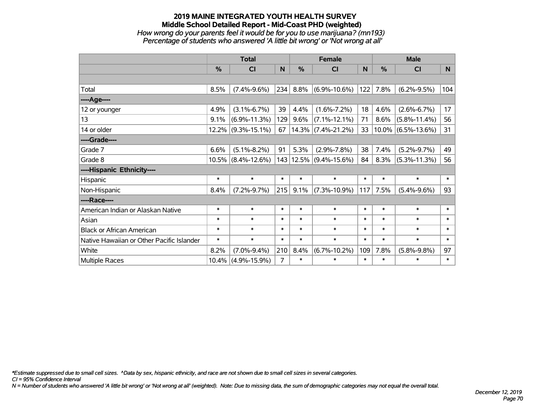#### **2019 MAINE INTEGRATED YOUTH HEALTH SURVEY Middle School Detailed Report - Mid-Coast PHD (weighted)** *How wrong do your parents feel it would be for you to use marijuana? (mn193)*

*Percentage of students who answered 'A little bit wrong' or 'Not wrong at all'*

|                                           | <b>Total</b> |                    |                |        | <b>Female</b>         |        | <b>Male</b>   |                       |        |
|-------------------------------------------|--------------|--------------------|----------------|--------|-----------------------|--------|---------------|-----------------------|--------|
|                                           | $\%$         | <b>CI</b>          | N              | %      | <b>CI</b>             | N      | $\frac{0}{0}$ | <b>CI</b>             | N      |
|                                           |              |                    |                |        |                       |        |               |                       |        |
| Total                                     | 8.5%         | $(7.4\% - 9.6\%)$  | 234            | 8.8%   | $(6.9\% - 10.6\%)$    | 122    | 7.8%          | $(6.2\% - 9.5\%)$     | 104    |
| ----Age----                               |              |                    |                |        |                       |        |               |                       |        |
| 12 or younger                             | 4.9%         | $(3.1\% - 6.7\%)$  | 39             | 4.4%   | $(1.6\% - 7.2\%)$     | 18     | 4.6%          | $(2.6\% - 6.7\%)$     | 17     |
| 13                                        | 9.1%         | $(6.9\% - 11.3\%)$ | 129            | 9.6%   | $(7.1\% - 12.1\%)$    | 71     | 8.6%          | $(5.8\% - 11.4\%)$    | 56     |
| 14 or older                               | 12.2%        | $(9.3\% - 15.1\%)$ | 67             |        | $14.3\%$ (7.4%-21.2%) | 33     |               | $10.0\%$ (6.5%-13.6%) | 31     |
| ----Grade----                             |              |                    |                |        |                       |        |               |                       |        |
| Grade 7                                   | 6.6%         | $(5.1\% - 8.2\%)$  | 91             | 5.3%   | $(2.9\% - 7.8\%)$     | 38     | 7.4%          | $(5.2\% - 9.7\%)$     | 49     |
| Grade 8                                   | 10.5%        | $(8.4\% - 12.6\%)$ | 143            |        | $12.5\%$ (9.4%-15.6%) | 84     | 8.3%          | $(5.3\% - 11.3\%)$    | 56     |
| ----Hispanic Ethnicity----                |              |                    |                |        |                       |        |               |                       |        |
| Hispanic                                  | $\ast$       | $\ast$             | $\ast$         | $\ast$ | $\ast$                | $\ast$ | $\ast$        | $\ast$                | $\ast$ |
| Non-Hispanic                              | 8.4%         | $(7.2\% - 9.7\%)$  | 215            | 9.1%   | $(7.3\% - 10.9\%)$    | 117    | 7.5%          | $(5.4\% - 9.6\%)$     | 93     |
| ----Race----                              |              |                    |                |        |                       |        |               |                       |        |
| American Indian or Alaskan Native         | $\ast$       | $\ast$             | $\ast$         | $\ast$ | $\ast$                | $\ast$ | $\ast$        | $\ast$                | $\ast$ |
| Asian                                     | $\ast$       | $\ast$             | $\ast$         | $\ast$ | $\ast$                | $\ast$ | $\ast$        | $\ast$                | $\ast$ |
| <b>Black or African American</b>          | $\ast$       | $\ast$             | $\ast$         | $\ast$ | $\ast$                | $\ast$ | $\ast$        | $\ast$                | $\ast$ |
| Native Hawaiian or Other Pacific Islander | $\ast$       | $\ast$             | $\ast$         | $\ast$ | $\ast$                | $\ast$ | $\ast$        | $\ast$                | $\ast$ |
| White                                     | 8.2%         | $(7.0\% - 9.4\%)$  | 210            | 8.4%   | $(6.7\% - 10.2\%)$    | 109    | 7.8%          | $(5.8\% - 9.8\%)$     | 97     |
| <b>Multiple Races</b>                     | 10.4%        | $(4.9\% - 15.9\%)$ | $\overline{7}$ | $\ast$ | $\ast$                | $\ast$ | $\ast$        | $\ast$                | $\ast$ |

*\*Estimate suppressed due to small cell sizes. ^Data by sex, hispanic ethnicity, and race are not shown due to small cell sizes in several categories.*

*CI = 95% Confidence Interval*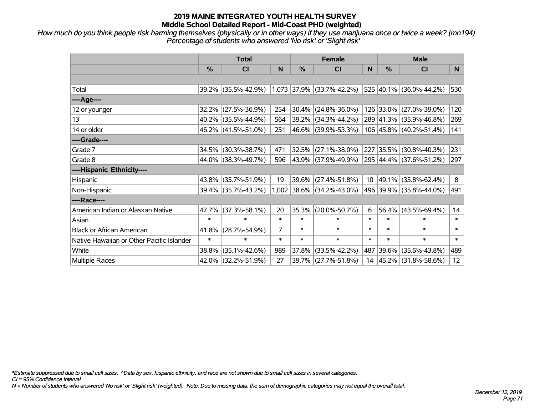*How much do you think people risk harming themselves (physically or in other ways) if they use marijuana once or twice a week? (mn194) Percentage of students who answered 'No risk' or 'Slight risk'*

|                                           | <b>Total</b>  |                                               |                |        | <b>Female</b>             |                 | <b>Male</b>   |                         |        |  |
|-------------------------------------------|---------------|-----------------------------------------------|----------------|--------|---------------------------|-----------------|---------------|-------------------------|--------|--|
|                                           | $\frac{0}{0}$ | <b>CI</b>                                     | N              | %      | <b>CI</b>                 | N               | $\frac{0}{0}$ | <b>CI</b>               | N.     |  |
|                                           |               |                                               |                |        |                           |                 |               |                         |        |  |
| Total                                     |               | 39.2% (35.5%-42.9%) 1,073 37.9% (33.7%-42.2%) |                |        |                           |                 |               | 525 40.1% (36.0%-44.2%) | 530    |  |
| ----Age----                               |               |                                               |                |        |                           |                 |               |                         |        |  |
| 12 or younger                             | 32.2%         | $(27.5\% - 36.9\%)$                           | 254            | 30.4%  | $(24.8\% - 36.0\%)$       |                 | 126 33.0%     | $(27.0\% - 39.0\%)$     | 120    |  |
| 13                                        |               | 40.2% (35.5%-44.9%)                           | 564            |        | 39.2% (34.3%-44.2%)       |                 |               | 289 41.3% (35.9%-46.8%) | 269    |  |
| 14 or older                               |               | 46.2% (41.5%-51.0%)                           | 251            |        | 46.6% (39.9%-53.3%)       |                 |               | 106 45.8% (40.2%-51.4%) | 141    |  |
| ----Grade----                             |               |                                               |                |        |                           |                 |               |                         |        |  |
| Grade 7                                   | 34.5%         | $(30.3\% - 38.7\%)$                           | 471            | 32.5%  | $(27.1\% - 38.0\%)$       | 227             | 35.5%         | $(30.8\% - 40.3\%)$     | 231    |  |
| Grade 8                                   |               | 44.0% (38.3%-49.7%)                           | 596            |        | 43.9% (37.9%-49.9%)       |                 |               | 295 44.4% (37.6%-51.2%) | 297    |  |
| ----Hispanic Ethnicity----                |               |                                               |                |        |                           |                 |               |                         |        |  |
| Hispanic                                  | 43.8%         | $(35.7\% - 51.9\%)$                           | 19             | 39.6%  | $(27.4\% - 51.8\%)$       | 10 <sup>°</sup> | 49.1%         | $(35.8\% - 62.4\%)$     | 8      |  |
| Non-Hispanic                              |               | 39.4% (35.7%-43.2%)                           |                |        | 1,002 38.6% (34.2%-43.0%) |                 |               | 496 39.9% (35.8%-44.0%) | 491    |  |
| ----Race----                              |               |                                               |                |        |                           |                 |               |                         |        |  |
| American Indian or Alaskan Native         | 47.7%         | $(37.3\% - 58.1\%)$                           | 20             | 35.3%  | $(20.0\% - 50.7\%)$       | 6               | 56.4%         | $(43.5\% - 69.4\%)$     | 14     |  |
| Asian                                     | $\ast$        | $\ast$                                        | $\ast$         | $\ast$ | $\ast$                    | $\ast$          | $\ast$        | $\ast$                  | $\ast$ |  |
| <b>Black or African American</b>          | 41.8%         | $(28.7\% - 54.9\%)$                           | $\overline{7}$ | $\ast$ | $\ast$                    | $\ast$          | $\ast$        | $\ast$                  | $\ast$ |  |
| Native Hawaiian or Other Pacific Islander | $\ast$        | $\ast$                                        | $\ast$         | $\ast$ | $\ast$                    | $\ast$          | $\ast$        | $\ast$                  | $\ast$ |  |
| White                                     | 38.8%         | $(35.1\% - 42.6\%)$                           | 989            | 37.8%  | $(33.5\% - 42.2\%)$       | 487             | 39.6%         | $(35.5\% - 43.8\%)$     | 489    |  |
| Multiple Races                            |               | 42.0% (32.2%-51.9%)                           | 27             | 39.7%  | $(27.7\% - 51.8\%)$       | 14              |               | 45.2%   (31.8%-58.6%)   | 12     |  |

*\*Estimate suppressed due to small cell sizes. ^Data by sex, hispanic ethnicity, and race are not shown due to small cell sizes in several categories.*

*CI = 95% Confidence Interval*

*N = Number of students who answered 'No risk' or 'Slight risk' (weighted). Note: Due to missing data, the sum of demographic categories may not equal the overall total.*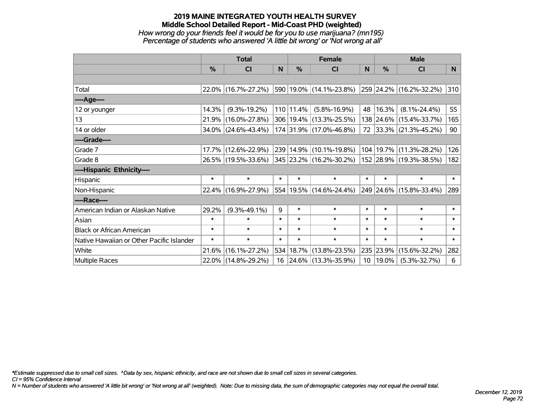#### **2019 MAINE INTEGRATED YOUTH HEALTH SURVEY Middle School Detailed Report - Mid-Coast PHD (weighted)** *How wrong do your friends feel it would be for you to use marijuana? (mn195) Percentage of students who answered 'A little bit wrong' or 'Not wrong at all'*

|                                           | <b>Total</b> |                        |        |               | <b>Female</b>           | <b>Male</b> |               |                         |                |
|-------------------------------------------|--------------|------------------------|--------|---------------|-------------------------|-------------|---------------|-------------------------|----------------|
|                                           | $\%$         | CI                     | N      | $\%$          | CI                      | N           | $\frac{0}{0}$ | <b>CI</b>               | N <sub>1</sub> |
|                                           |              |                        |        |               |                         |             |               |                         |                |
| Total                                     |              | 22.0% (16.7%-27.2%)    |        |               | 590 19.0% (14.1%-23.8%) |             |               | 259 24.2% (16.2%-32.2%) | 310            |
| ----Age----                               |              |                        |        |               |                         |             |               |                         |                |
| 12 or younger                             | 14.3%        | $(9.3\% - 19.2\%)$     |        | $110$   11.4% | $(5.8\% - 16.9\%)$      | 48          | 16.3%         | $(8.1\% - 24.4\%)$      | 55             |
| 13                                        | 21.9%        | $(16.0\% - 27.8\%)$    |        |               | 306 19.4% (13.3%-25.5%) |             |               | 138 24.6% (15.4%-33.7%) | 165            |
| 14 or older                               |              | $34.0\%$ (24.6%-43.4%) |        |               | 174 31.9% (17.0%-46.8%) |             |               | 72 33.3% (21.3%-45.2%)  | 90             |
| ----Grade----                             |              |                        |        |               |                         |             |               |                         |                |
| Grade 7                                   | 17.7%        | $(12.6\% - 22.9\%)$    |        |               | 239 14.9% (10.1%-19.8%) | 104         | 19.7%         | $(11.3\% - 28.2\%)$     | 126            |
| Grade 8                                   |              | 26.5% (19.5%-33.6%)    |        |               | 345 23.2% (16.2%-30.2%) |             |               | 152 28.9% (19.3%-38.5%) | 182            |
| ----Hispanic Ethnicity----                |              |                        |        |               |                         |             |               |                         |                |
| Hispanic                                  | $\ast$       | $\ast$                 | $\ast$ | $\ast$        | $\ast$                  | $\ast$      | $\ast$        | $\ast$                  | $\ast$         |
| Non-Hispanic                              |              | 22.4% (16.9%-27.9%)    |        |               | 554 19.5% (14.6%-24.4%) |             |               | 249 24.6% (15.8%-33.4%) | 289            |
| ----Race----                              |              |                        |        |               |                         |             |               |                         |                |
| American Indian or Alaskan Native         | 29.2%        | $(9.3\% - 49.1\%)$     | 9      | $\ast$        | $\ast$                  | $\ast$      | $\ast$        | $\ast$                  | $\ast$         |
| Asian                                     | $\ast$       | $\ast$                 | $\ast$ | $\ast$        | $\ast$                  | $\ast$      | $\ast$        | $\ast$                  | $\ast$         |
| <b>Black or African American</b>          | $\ast$       | $\ast$                 | $\ast$ | $\ast$        | $\ast$                  | $\ast$      | $\ast$        | $\ast$                  | $\ast$         |
| Native Hawaiian or Other Pacific Islander | $\ast$       | $\ast$                 | $\ast$ | $\ast$        | $\ast$                  | $\ast$      | $\ast$        | $\ast$                  | $\ast$         |
| White                                     | 21.6%        | $(16.1\% - 27.2\%)$    |        | 534 18.7%     | $(13.8\% - 23.5\%)$     | 235         | 23.9%         | $(15.6\% - 32.2\%)$     | 282            |
| Multiple Races                            |              | 22.0% (14.8%-29.2%)    |        |               | 16 24.6% (13.3%-35.9%)  | 10          | 19.0%         | $(5.3\% - 32.7\%)$      | 6              |

*\*Estimate suppressed due to small cell sizes. ^Data by sex, hispanic ethnicity, and race are not shown due to small cell sizes in several categories.*

*CI = 95% Confidence Interval*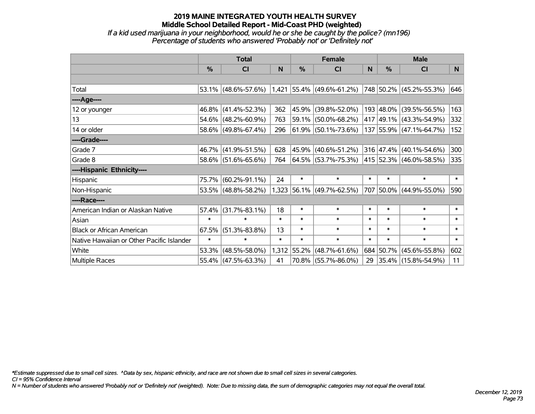#### **2019 MAINE INTEGRATED YOUTH HEALTH SURVEY Middle School Detailed Report - Mid-Coast PHD (weighted)** *If a kid used marijuana in your neighborhood, would he or she be caught by the police? (mn196)*

*Percentage of students who answered 'Probably not' or 'Definitely not'*

|                                           | <b>Total</b>  |                     |        | <b>Female</b> |                             | <b>Male</b> |               |                             |        |
|-------------------------------------------|---------------|---------------------|--------|---------------|-----------------------------|-------------|---------------|-----------------------------|--------|
|                                           | $\frac{0}{0}$ | CI                  | N      | $\frac{0}{0}$ | <b>CI</b>                   | N           | $\frac{0}{0}$ | <b>CI</b>                   | N      |
|                                           |               |                     |        |               |                             |             |               |                             |        |
| Total                                     |               | 53.1% (48.6%-57.6%) |        |               | $1,421$ 55.4% (49.6%-61.2%) |             |               | 748 50.2% (45.2%-55.3%)     | 646    |
| ----Age----                               |               |                     |        |               |                             |             |               |                             |        |
| 12 or younger                             |               | 46.8% (41.4%-52.3%) | 362    | 45.9%         | $(39.8\% - 52.0\%)$         |             | 193 48.0%     | $(39.5\% - 56.5\%)$         | 163    |
| 13                                        |               | 54.6% (48.2%-60.9%) | 763    |               | 59.1% (50.0%-68.2%)         |             |               | 417 49.1% (43.3%-54.9%)     | 332    |
| 14 or older                               |               | 58.6% (49.8%-67.4%) | 296    |               | $ 61.9\% $ (50.1%-73.6%)    |             |               | 137 55.9% (47.1%-64.7%)     | 152    |
| ----Grade----                             |               |                     |        |               |                             |             |               |                             |        |
| Grade 7                                   |               | 46.7% (41.9%-51.5%) | 628    | 45.9%         | $(40.6\% - 51.2\%)$         |             |               | $316$ 47.4% (40.1%-54.6%)   | 300    |
| Grade 8                                   |               | 58.6% (51.6%-65.6%) | 764    |               | $ 64.5\% $ (53.7%-75.3%)    |             |               | 415   52.3%   (46.0%-58.5%) | 335    |
| ----Hispanic Ethnicity----                |               |                     |        |               |                             |             |               |                             |        |
| Hispanic                                  | 75.7%         | $(60.2\% - 91.1\%)$ | 24     | $\ast$        | $\ast$                      | $\ast$      | $\ast$        | $\ast$                      | $\ast$ |
| Non-Hispanic                              |               | 53.5% (48.8%-58.2%) |        |               | 1,323 56.1% (49.7%-62.5%)   |             | 707 50.0%     | $(44.9\% - 55.0\%)$         | 590    |
| ----Race----                              |               |                     |        |               |                             |             |               |                             |        |
| American Indian or Alaskan Native         | 57.4%         | $(31.7\% - 83.1\%)$ | 18     | $\ast$        | $\ast$                      | $\ast$      | $\ast$        | $\ast$                      | $\ast$ |
| Asian                                     | $\ast$        | $\ast$              | $\ast$ | $\ast$        | $\ast$                      | $\ast$      | $\ast$        | $\ast$                      | $\ast$ |
| <b>Black or African American</b>          | 67.5%         | $(51.3\% - 83.8\%)$ | 13     | $\ast$        | $\ast$                      | $\ast$      | $\ast$        | $\ast$                      | $\ast$ |
| Native Hawaiian or Other Pacific Islander | $\ast$        | $\ast$              | $\ast$ | $\ast$        | $\ast$                      | $\ast$      | $\ast$        | $\ast$                      | $\ast$ |
| White                                     | 53.3%         | $(48.5\% - 58.0\%)$ |        | 1,312 55.2%   | $(48.7\% - 61.6\%)$         |             |               | 684 50.7% (45.6%-55.8%)     | 602    |
| Multiple Races                            |               | 55.4% (47.5%-63.3%) | 41     |               | 70.8% (55.7%-86.0%)         | 29          |               | $ 35.4\% $ (15.8%-54.9%)    | 11     |

*\*Estimate suppressed due to small cell sizes. ^Data by sex, hispanic ethnicity, and race are not shown due to small cell sizes in several categories.*

*CI = 95% Confidence Interval*

*N = Number of students who answered 'Probably not' or 'Definitely not' (weighted). Note: Due to missing data, the sum of demographic categories may not equal the overall total.*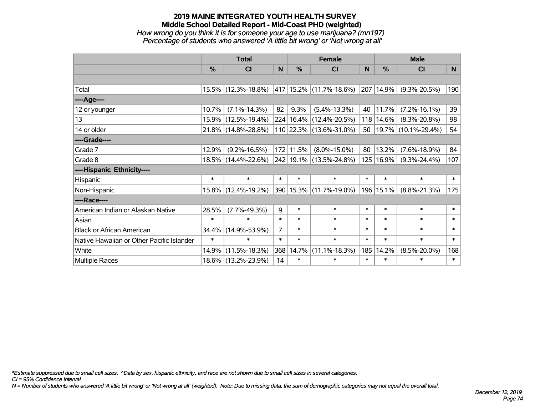*How wrong do you think it is for someone your age to use marijuana? (mn197) Percentage of students who answered 'A little bit wrong' or 'Not wrong at all'*

|                                           | <b>Total</b>  |                     |                |           | <b>Female</b>               | <b>Male</b> |           |                     |        |
|-------------------------------------------|---------------|---------------------|----------------|-----------|-----------------------------|-------------|-----------|---------------------|--------|
|                                           | $\frac{0}{0}$ | <b>CI</b>           | N              | $\%$      | <b>CI</b>                   | N           | %         | <b>CI</b>           | N      |
|                                           |               |                     |                |           |                             |             |           |                     |        |
| Total                                     |               | 15.5% (12.3%-18.8%) |                |           | 417 15.2% (11.7%-18.6%)     | 207         | 14.9%     | $(9.3\% - 20.5\%)$  | 190    |
| ----Age----                               |               |                     |                |           |                             |             |           |                     |        |
| 12 or younger                             | 10.7%         | $(7.1\% - 14.3\%)$  | 82             | 9.3%      | $(5.4\% - 13.3\%)$          | 40          | 11.7%     | $(7.2\% - 16.1\%)$  | 39     |
| 13                                        |               | 15.9% (12.5%-19.4%) |                |           | 224   16.4%   (12.4%-20.5%) | 118         | 14.6%     | $(8.3\% - 20.8\%)$  | 98     |
| 14 or older                               |               | 21.8% (14.8%-28.8%) |                |           | 110 22.3% (13.6%-31.0%)     | 50          |           | 19.7% (10.1%-29.4%) | 54     |
| ----Grade----                             |               |                     |                |           |                             |             |           |                     |        |
| Grade 7                                   | 12.9%         | $(9.2\% - 16.5\%)$  |                | 172 11.5% | $(8.0\% - 15.0\%)$          | 80          | 13.2%     | $(7.6\% - 18.9\%)$  | 84     |
| Grade 8                                   |               | 18.5% (14.4%-22.6%) |                |           | 242 19.1% (13.5%-24.8%)     |             | 125 16.9% | $(9.3\% - 24.4\%)$  | 107    |
| ----Hispanic Ethnicity----                |               |                     |                |           |                             |             |           |                     |        |
| Hispanic                                  | $\ast$        | $\ast$              | $\ast$         | $\ast$    | $\ast$                      | $\ast$      | $\ast$    | $\ast$              | $\ast$ |
| Non-Hispanic                              |               | 15.8% (12.4%-19.2%) |                |           | 390   15.3%   (11.7%-19.0%) | 196         | 15.1%     | $(8.8\% - 21.3\%)$  | 175    |
| ----Race----                              |               |                     |                |           |                             |             |           |                     |        |
| American Indian or Alaskan Native         | 28.5%         | $(7.7\% - 49.3\%)$  | 9              | $\ast$    | $\ast$                      | $\ast$      | $\ast$    | $\ast$              | $\ast$ |
| Asian                                     | $\ast$        | $\ast$              | $\ast$         | $\ast$    | $\ast$                      | $\ast$      | $\ast$    | $\ast$              | $\ast$ |
| <b>Black or African American</b>          | 34.4%         | $(14.9\% - 53.9\%)$ | $\overline{7}$ | $\ast$    | $\ast$                      | $\ast$      | $\ast$    | $\ast$              | $\ast$ |
| Native Hawaiian or Other Pacific Islander | $\ast$        | $\ast$              | $\ast$         | $\ast$    | $\ast$                      | $\ast$      | $\ast$    | $\ast$              | $\ast$ |
| White                                     | 14.9%         | $(11.5\% - 18.3\%)$ | 368            | 14.7%     | $(11.1\% - 18.3\%)$         | 185         | 14.2%     | $(8.5\% - 20.0\%)$  | 168    |
| <b>Multiple Races</b>                     |               | 18.6% (13.2%-23.9%) | 14             | $\ast$    | $\ast$                      | $\ast$      | $\ast$    | $\ast$              | $\ast$ |

*\*Estimate suppressed due to small cell sizes. ^Data by sex, hispanic ethnicity, and race are not shown due to small cell sizes in several categories.*

*CI = 95% Confidence Interval*

*N = Number of students who answered 'A little bit wrong' or 'Not wrong at all' (weighted). Note: Due to missing data, the sum of demographic categories may not equal the overall total.*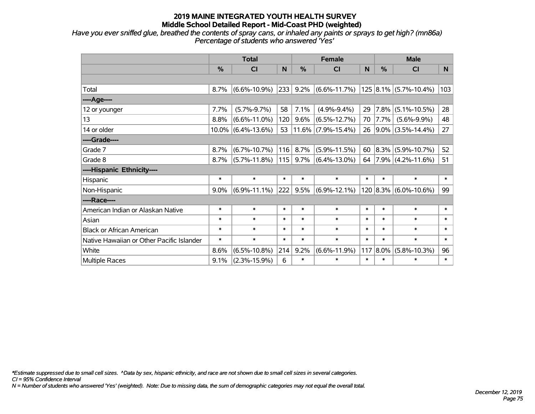*Have you ever sniffed glue, breathed the contents of spray cans, or inhaled any paints or sprays to get high? (mn86a) Percentage of students who answered 'Yes'*

|                                           | <b>Total</b> |                       |        |               | <b>Female</b>           | <b>Male</b> |             |                                |        |
|-------------------------------------------|--------------|-----------------------|--------|---------------|-------------------------|-------------|-------------|--------------------------------|--------|
|                                           | %            | <b>CI</b>             | N      | $\frac{0}{0}$ | <b>CI</b>               | N           | %           | <b>CI</b>                      | N.     |
|                                           |              |                       |        |               |                         |             |             |                                |        |
| Total                                     | 8.7%         | $(6.6\% - 10.9\%)$    | 233    | 9.2%          | $ (6.6\% - 11.7\%) $    |             |             | $125 8.1\% $ (5.7%-10.4%)      | 103    |
| ----Age----                               |              |                       |        |               |                         |             |             |                                |        |
| 12 or younger                             | 7.7%         | $(5.7\% - 9.7\%)$     | 58     | 7.1%          | $(4.9\% - 9.4\%)$       | 29          |             | $ 7.8\% $ (5.1%-10.5%)         | 28     |
| 13                                        | 8.8%         | $(6.6\% - 11.0\%)$    | 120    | 9.6%          | $(6.5\% - 12.7\%)$      | 70          | $ 7.7\% $   | $(5.6\% - 9.9\%)$              | 48     |
| 14 or older                               |              | $10.0\%$ (6.4%-13.6%) | 53     |               | $ 11.6\% $ (7.9%-15.4%) |             |             | $26$   9.0%   (3.5%-14.4%)     | 27     |
| ----Grade----                             |              |                       |        |               |                         |             |             |                                |        |
| Grade 7                                   | 8.7%         | $(6.7\% - 10.7\%)$    | 116    | 8.7%          | $(5.9\% - 11.5\%)$      | 60          |             | $ 8.3\% $ (5.9%-10.7%)         | 52     |
| Grade 8                                   | 8.7%         | $(5.7\% - 11.8\%)$    | 115    | $9.7\%$       | $(6.4\% - 13.0\%)$      |             |             | 64   7.9%   $(4.2\% - 11.6\%)$ | 51     |
| ----Hispanic Ethnicity----                |              |                       |        |               |                         |             |             |                                |        |
| Hispanic                                  | $\ast$       | $\ast$                | $\ast$ | $\ast$        | $\ast$                  | $\ast$      | *           | $\ast$                         | $\ast$ |
| Non-Hispanic                              | 9.0%         | $(6.9\% - 11.1\%)$    | 222    | 9.5%          | $ (6.9\% - 12.1\%) $    |             |             | $120$ 8.3% (6.0%-10.6%)        | 99     |
| ----Race----                              |              |                       |        |               |                         |             |             |                                |        |
| American Indian or Alaskan Native         | $\ast$       | $\ast$                | $\ast$ | $\ast$        | $\ast$                  | $\ast$      | $\ast$      | $\ast$                         | $\ast$ |
| Asian                                     | $\ast$       | $\ast$                | $\ast$ | $\ast$        | $\ast$                  | $\ast$      | $\ast$      | $\ast$                         | $\ast$ |
| <b>Black or African American</b>          | $\ast$       | $\ast$                | $\ast$ | $\ast$        | $\ast$                  | $\ast$      | $\ast$      | $\ast$                         | $\ast$ |
| Native Hawaiian or Other Pacific Islander | $\ast$       | $\ast$                | $\ast$ | $\ast$        | $\ast$                  | $\ast$      | $\ast$      | $\ast$                         | $\ast$ |
| White                                     | 8.6%         | $(6.5\% - 10.8\%)$    | 214    | 9.2%          | $(6.6\% - 11.9\%)$      |             | $117 8.0\%$ | $(5.8\% - 10.3\%)$             | 96     |
| <b>Multiple Races</b>                     | 9.1%         | $(2.3\% - 15.9\%)$    | 6      | $\ast$        | $\ast$                  | $\ast$      | *           | $\ast$                         | $\ast$ |

*\*Estimate suppressed due to small cell sizes. ^Data by sex, hispanic ethnicity, and race are not shown due to small cell sizes in several categories.*

*CI = 95% Confidence Interval*

*N = Number of students who answered 'Yes' (weighted). Note: Due to missing data, the sum of demographic categories may not equal the overall total.*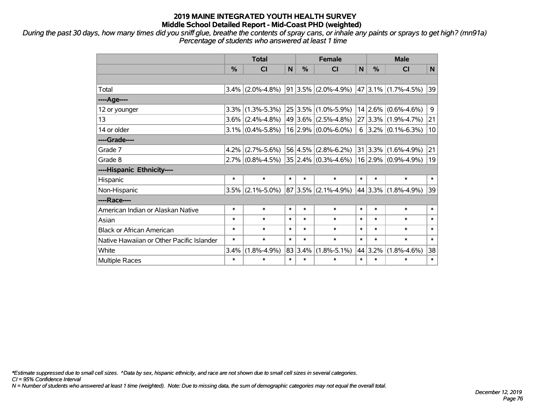*During the past 30 days, how many times did you sniff glue, breathe the contents of spray cans, or inhale any paints or sprays to get high? (mn91a) Percentage of students who answered at least 1 time*

|                                           | <b>Total</b> |                     |        | <b>Female</b> |                              |        | <b>Male</b> |                                             |        |  |
|-------------------------------------------|--------------|---------------------|--------|---------------|------------------------------|--------|-------------|---------------------------------------------|--------|--|
|                                           | $\%$         | CI                  | N      | $\frac{0}{0}$ | <b>CI</b>                    | N      | $\%$        | <b>CI</b>                                   | N      |  |
|                                           |              |                     |        |               |                              |        |             |                                             |        |  |
| Total                                     | $3.4\%$      | $(2.0\% - 4.8\%)$   |        |               | $91 3.5\% $ (2.0%-4.9%)      |        |             | $\vert$ 47 $\vert$ 3.1% $\vert$ (1.7%-4.5%) | 39     |  |
| ----Age----                               |              |                     |        |               |                              |        |             |                                             |        |  |
| 12 or younger                             | 3.3%         | $(1.3\% - 5.3\%)$   |        | 25 3.5%       | $(1.0\% - 5.9\%)$            |        |             | $14 2.6\% $ (0.6%-4.6%)                     | 9      |  |
| 13                                        |              | $3.6\%$ (2.4%-4.8%) |        |               | $49 3.6\% $ (2.5%-4.8%)      |        |             | 27 3.3% (1.9%-4.7%)                         | 21     |  |
| 14 or older                               |              | $3.1\%$ (0.4%-5.8%) |        |               | $16 2.9\% $ (0.0%-6.0%)      |        |             | $6$   3.2%   (0.1%-6.3%)                    | 10     |  |
| ----Grade----                             |              |                     |        |               |                              |        |             |                                             |        |  |
| Grade 7                                   | 4.2%         | $(2.7\% - 5.6\%)$   |        |               | $56 4.5\% $ (2.8%-6.2%)      |        |             | $31 3.3\% $ (1.6%-4.9%)                     | 21     |  |
| Grade 8                                   |              | $2.7\%$ (0.8%-4.5%) |        |               | $ 35 2.4\%  (0.3\% - 4.6\%)$ |        |             | $16$ 2.9% (0.9%-4.9%)                       | 19     |  |
| ----Hispanic Ethnicity----                |              |                     |        |               |                              |        |             |                                             |        |  |
| Hispanic                                  | $\ast$       | $\ast$              | $\ast$ | $\ast$        | $\ast$                       | $\ast$ | $\ast$      | $\ast$                                      | $\ast$ |  |
| Non-Hispanic                              | 3.5%         | $(2.1\% - 5.0\%)$   | 87     |               | $ 3.5\% $ (2.1%-4.9%)        |        | 44 3.3%     | $(1.8\% - 4.9\%)$                           | 39     |  |
| ----Race----                              |              |                     |        |               |                              |        |             |                                             |        |  |
| American Indian or Alaskan Native         | $\ast$       | $\ast$              | $\ast$ | $\ast$        | $\ast$                       | $\ast$ | $\ast$      | $\ast$                                      | $\ast$ |  |
| Asian                                     | $\ast$       | $\ast$              | $\ast$ | $\ast$        | $\ast$                       | $\ast$ | $\ast$      | $\ast$                                      | $\ast$ |  |
| <b>Black or African American</b>          | $\ast$       | $\ast$              | $\ast$ | $\ast$        | $\ast$                       | $\ast$ | $\ast$      | $\ast$                                      | $\ast$ |  |
| Native Hawaiian or Other Pacific Islander | $\ast$       | $\ast$              | $\ast$ | $\ast$        | $\ast$                       | $\ast$ | $\ast$      | $\ast$                                      | $\ast$ |  |
| White                                     | 3.4%         | $(1.8\% - 4.9\%)$   | 83     | 3.4%          | $(1.8\% - 5.1\%)$            |        | 44 3.2%     | $(1.8\% - 4.6\%)$                           | 38     |  |
| Multiple Races                            | $\ast$       | $\ast$              | $\ast$ | $\ast$        | $\ast$                       | $\ast$ | $\ast$      | $\ast$                                      | $\ast$ |  |

*\*Estimate suppressed due to small cell sizes. ^Data by sex, hispanic ethnicity, and race are not shown due to small cell sizes in several categories.*

*CI = 95% Confidence Interval*

*N = Number of students who answered at least 1 time (weighted). Note: Due to missing data, the sum of demographic categories may not equal the overall total.*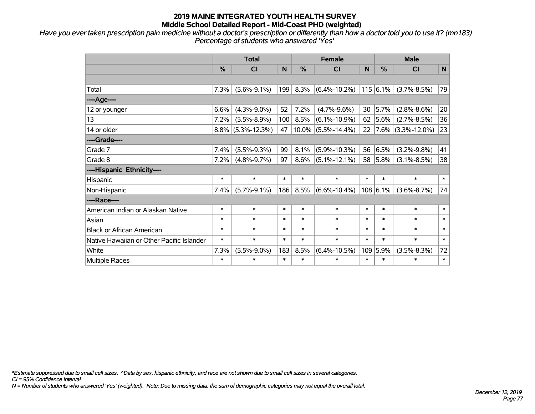*Have you ever taken prescription pain medicine without a doctor's prescription or differently than how a doctor told you to use it? (mn183) Percentage of students who answered 'Yes'*

|                                           | <b>Total</b> |                    |        |               | <b>Female</b>         |        |          | <b>Male</b>          |           |  |
|-------------------------------------------|--------------|--------------------|--------|---------------|-----------------------|--------|----------|----------------------|-----------|--|
|                                           | $\%$         | CI                 | N      | $\frac{0}{0}$ | <b>CI</b>             | N      | $\%$     | <b>CI</b>            | ${\sf N}$ |  |
|                                           |              |                    |        |               |                       |        |          |                      |           |  |
| Total                                     | 7.3%         | $(5.6\% - 9.1\%)$  | 199    | 8.3%          | $(6.4\% - 10.2\%)$    |        | 115 6.1% | $(3.7\% - 8.5\%)$    | 79        |  |
| ----Age----                               |              |                    |        |               |                       |        |          |                      |           |  |
| 12 or younger                             | 6.6%         | $(4.3\% - 9.0\%)$  | 52     | 7.2%          | $(4.7\% - 9.6\%)$     | 30     | 5.7%     | $(2.8\% - 8.6\%)$    | 20        |  |
| 13                                        | 7.2%         | $(5.5\% - 8.9\%)$  | 100    | 8.5%          | $(6.1\% - 10.9\%)$    | 62     | 5.6%     | $(2.7\% - 8.5\%)$    | 36        |  |
| 14 or older                               | 8.8%         | $(5.3\% - 12.3\%)$ | 47     |               | $10.0\%$ (5.5%-14.4%) | 22     |          | $7.6\%$ (3.3%-12.0%) | 23        |  |
| ----Grade----                             |              |                    |        |               |                       |        |          |                      |           |  |
| Grade 7                                   | 7.4%         | $(5.5\% - 9.3\%)$  | 99     | 8.1%          | $(5.9\% - 10.3\%)$    | 56     | 6.5%     | $(3.2\% - 9.8\%)$    | 41        |  |
| Grade 8                                   | 7.2%         | $(4.8\% - 9.7\%)$  | 97     | 8.6%          | $(5.1\% - 12.1\%)$    | 58     | 5.8%     | $(3.1\% - 8.5\%)$    | 38        |  |
| ----Hispanic Ethnicity----                |              |                    |        |               |                       |        |          |                      |           |  |
| Hispanic                                  | $\ast$       | $\ast$             | $\ast$ | $\ast$        | $\ast$                | $\ast$ | *        | $\ast$               | $\ast$    |  |
| Non-Hispanic                              | 7.4%         | $(5.7\% - 9.1\%)$  | 186    | 8.5%          | $(6.6\% - 10.4\%)$    |        | 108 6.1% | $(3.6\% - 8.7\%)$    | 74        |  |
| ----Race----                              |              |                    |        |               |                       |        |          |                      |           |  |
| American Indian or Alaskan Native         | $\ast$       | $\ast$             | $\ast$ | $\ast$        | $\ast$                | $\ast$ | $\ast$   | $\ast$               | $\ast$    |  |
| Asian                                     | $\ast$       | $\ast$             | $\ast$ | $\ast$        | $\ast$                | $\ast$ | *        | $\ast$               | $\ast$    |  |
| <b>Black or African American</b>          | $\ast$       | $\ast$             | $\ast$ | $\ast$        | $\ast$                | $\ast$ | $\ast$   | $\ast$               | $\ast$    |  |
| Native Hawaiian or Other Pacific Islander | $\ast$       | $\ast$             | $\ast$ | $\ast$        | $\ast$                | $\ast$ | *        | $\ast$               | $\ast$    |  |
| White                                     | 7.3%         | $(5.5\% - 9.0\%)$  | 183    | 8.5%          | $(6.4\% - 10.5\%)$    | 109    | 5.9%     | $(3.5\% - 8.3\%)$    | 72        |  |
| Multiple Races                            | $\ast$       | $\ast$             | $\ast$ | $\ast$        | $\ast$                | $\ast$ | $\ast$   | $\ast$               | $\ast$    |  |

*\*Estimate suppressed due to small cell sizes. ^Data by sex, hispanic ethnicity, and race are not shown due to small cell sizes in several categories.*

*CI = 95% Confidence Interval*

*N = Number of students who answered 'Yes' (weighted). Note: Due to missing data, the sum of demographic categories may not equal the overall total.*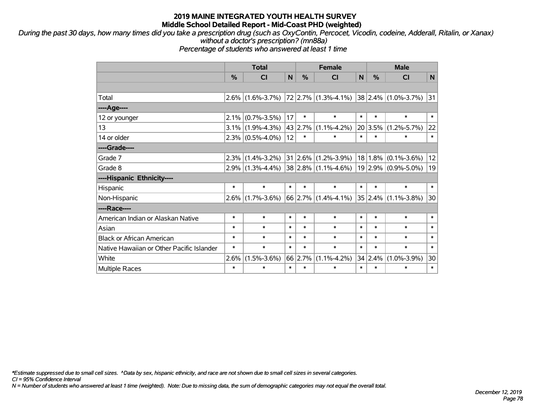*During the past 30 days, how many times did you take a prescription drug (such as OxyContin, Percocet, Vicodin, codeine, Adderall, Ritalin, or Xanax) without a doctor's prescription? (mn88a)*

*Percentage of students who answered at least 1 time*

|                                           | <b>Total</b> |                     |             | <b>Female</b> |                           |        | <b>Male</b> |                              |        |  |
|-------------------------------------------|--------------|---------------------|-------------|---------------|---------------------------|--------|-------------|------------------------------|--------|--|
|                                           | %            | <b>CI</b>           | $\mathbf N$ | %             | <b>CI</b>                 | N      | %           | <b>CI</b>                    | N      |  |
|                                           |              |                     |             |               |                           |        |             |                              |        |  |
| Total                                     |              | $2.6\%$ (1.6%-3.7%) |             |               | $ 72 2.7\% $ (1.3%-4.1%)  |        |             | $ 38 2.4\%  (1.0\% - 3.7\%)$ | 31     |  |
| ----Age----                               |              |                     |             |               |                           |        |             |                              |        |  |
| 12 or younger                             | $2.1\%$      | $(0.7\% - 3.5\%)$   | 17          | $\ast$        | $\ast$                    | $\ast$ | $\ast$      | $\ast$                       | $\ast$ |  |
| 13                                        |              | $3.1\%$ (1.9%-4.3%) | 43          | 2.7%          | $(1.1\% - 4.2\%)$         |        | 20 3.5%     | $(1.2\% - 5.7\%)$            | 22     |  |
| 14 or older                               |              | $2.3\%$ (0.5%-4.0%) | 12          | $\ast$        | $\ast$                    | $\ast$ | $\ast$      | $\ast$                       | $\ast$ |  |
| ----Grade----                             |              |                     |             |               |                           |        |             |                              |        |  |
| Grade 7                                   | $ 2.3\% $    | $(1.4\% - 3.2\%)$   |             |               | $31 2.6\% $ (1.2%-3.9%)   |        | $18 1.8\% $ | $(0.1\% - 3.6\%)$            | 12     |  |
| Grade 8                                   |              | $2.9\%$ (1.3%-4.4%) |             |               | $38 2.8\% $ (1.1%-4.6%)   |        |             | 19 2.9% (0.9%-5.0%)          | 19     |  |
| ----Hispanic Ethnicity----                |              |                     |             |               |                           |        |             |                              |        |  |
| Hispanic                                  | $\ast$       | $\ast$              | $\ast$      | $\ast$        | $\ast$                    | $\ast$ | $\ast$      | $\ast$                       | $\ast$ |  |
| Non-Hispanic                              | $2.6\%$      | $(1.7\% - 3.6\%)$   |             |               | $66$   2.7%   (1.4%-4.1%) |        | 35   2.4%   | $(1.1\% - 3.8\%)$            | 30     |  |
| ----Race----                              |              |                     |             |               |                           |        |             |                              |        |  |
| American Indian or Alaskan Native         | $\ast$       | $\ast$              | $\ast$      | $\ast$        | $\ast$                    | $\ast$ | $\ast$      | $\ast$                       | $\ast$ |  |
| Asian                                     | $\ast$       | $\ast$              | $\ast$      | $\ast$        | $\ast$                    | $\ast$ | $\ast$      | $\ast$                       | $\ast$ |  |
| <b>Black or African American</b>          | $\ast$       | $\ast$              | $\ast$      | $\ast$        | $\ast$                    | $\ast$ | $\ast$      | $\ast$                       | $\ast$ |  |
| Native Hawaiian or Other Pacific Islander | $\ast$       | $\ast$              | $\ast$      | $\ast$        | $\ast$                    | $\ast$ | $\ast$      | $\ast$                       | $\ast$ |  |
| White                                     | 2.6%         | $(1.5\% - 3.6\%)$   | 66          | 2.7%          | $(1.1\% - 4.2\%)$         |        | 34 2.4%     | $(1.0\% - 3.9\%)$            | 30     |  |
| <b>Multiple Races</b>                     | $\ast$       | $\ast$              | $\ast$      | $\ast$        | $\ast$                    | $\ast$ | $\ast$      | $\ast$                       | $\ast$ |  |

*\*Estimate suppressed due to small cell sizes. ^Data by sex, hispanic ethnicity, and race are not shown due to small cell sizes in several categories.*

*CI = 95% Confidence Interval*

*N = Number of students who answered at least 1 time (weighted). Note: Due to missing data, the sum of demographic categories may not equal the overall total.*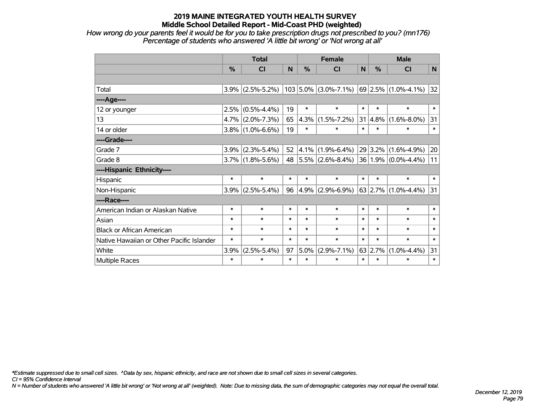*How wrong do your parents feel it would be for you to take prescription drugs not prescribed to you? (mn176) Percentage of students who answered 'A little bit wrong' or 'Not wrong at all'*

|                                           | <b>Total</b>  |                     |        | <b>Female</b> |                                                                                          |        | <b>Male</b>     |                              |        |  |
|-------------------------------------------|---------------|---------------------|--------|---------------|------------------------------------------------------------------------------------------|--------|-----------------|------------------------------|--------|--|
|                                           | $\frac{0}{0}$ | <b>CI</b>           | N      | $\frac{0}{0}$ | <b>CI</b>                                                                                | N      | $\%$            | <b>CI</b>                    | N      |  |
|                                           |               |                     |        |               |                                                                                          |        |                 |                              |        |  |
| Total                                     |               | $3.9\%$ (2.5%-5.2%) |        |               | $\vert$ 103 $\vert$ 5.0% $\vert$ (3.0%-7.1%) $\vert$ 69 $\vert$ 2.5% $\vert$ (1.0%-4.1%) |        |                 |                              | 32     |  |
| ----Age----                               |               |                     |        |               |                                                                                          |        |                 |                              |        |  |
| 12 or younger                             | 2.5%          | $(0.5\% - 4.4\%)$   | 19     | $\ast$        | $\ast$                                                                                   | $\ast$ | $\ast$          | $\ast$                       | $\ast$ |  |
| 13                                        |               | $4.7\%$ (2.0%-7.3%) | 65     | 4.3%          | $(1.5\% - 7.2\%)$                                                                        | 31     | 4.8%            | $(1.6\% - 8.0\%)$            | 31     |  |
| 14 or older                               |               | $3.8\%$ (1.0%-6.6%) | 19     | $\ast$        | $\ast$                                                                                   | $\ast$ | $\ast$          | $\ast$                       | $\ast$ |  |
| ----Grade----                             |               |                     |        |               |                                                                                          |        |                 |                              |        |  |
| Grade 7                                   | 3.9%          | $(2.3\% - 5.4\%)$   | 52     |               | $ 4.1\% $ (1.9%-6.4%)                                                                    |        | 29 3.2%         | $(1.6\% - 4.9\%)$            | 20     |  |
| Grade 8                                   |               | $3.7\%$ (1.8%-5.6%) | 48     |               | $ 5.5\% $ (2.6%-8.4%) 36 1.9% (0.0%-4.4%)                                                |        |                 |                              | 11     |  |
| ----Hispanic Ethnicity----                |               |                     |        |               |                                                                                          |        |                 |                              |        |  |
| Hispanic                                  | $\ast$        | $\ast$              | $\ast$ | $\ast$        | $\ast$                                                                                   | $\ast$ | $\ast$          | $\ast$                       | $\ast$ |  |
| Non-Hispanic                              | $3.9\%$       | $(2.5\% - 5.4\%)$   | 96     | 4.9%          | $(2.9\% - 6.9\%)$                                                                        |        |                 | $ 63 2.7\%  (1.0\% - 4.4\%)$ | 31     |  |
| ----Race----                              |               |                     |        |               |                                                                                          |        |                 |                              |        |  |
| American Indian or Alaskan Native         | $\ast$        | $\ast$              | $\ast$ | $\ast$        | $\ast$                                                                                   | $\ast$ | $\ast$          | $\ast$                       | $\ast$ |  |
| Asian                                     | $\ast$        | $\ast$              | $\ast$ | $\ast$        | $\ast$                                                                                   | $\ast$ | $\ast$          | $\ast$                       | $\ast$ |  |
| <b>Black or African American</b>          | $\ast$        | $\ast$              | $\ast$ | $\ast$        | $\ast$                                                                                   | $\ast$ | $\ast$          | $\ast$                       | $\ast$ |  |
| Native Hawaiian or Other Pacific Islander | $\ast$        | $\ast$              | $\ast$ | $\ast$        | $\ast$                                                                                   | $\ast$ | $\ast$          | $\ast$                       | $\ast$ |  |
| White                                     | 3.9%          | $(2.5\% - 5.4\%)$   | 97     | 5.0%          | $(2.9\% - 7.1\%)$                                                                        |        | $63 \mid 2.7\%$ | $(1.0\% - 4.4\%)$            | 31     |  |
| <b>Multiple Races</b>                     | $\ast$        | *                   | $\ast$ | $\ast$        | $\ast$                                                                                   | $\ast$ | $\ast$          | $\ast$                       | $\ast$ |  |

*\*Estimate suppressed due to small cell sizes. ^Data by sex, hispanic ethnicity, and race are not shown due to small cell sizes in several categories.*

*CI = 95% Confidence Interval*

*N = Number of students who answered 'A little bit wrong' or 'Not wrong at all' (weighted). Note: Due to missing data, the sum of demographic categories may not equal the overall total.*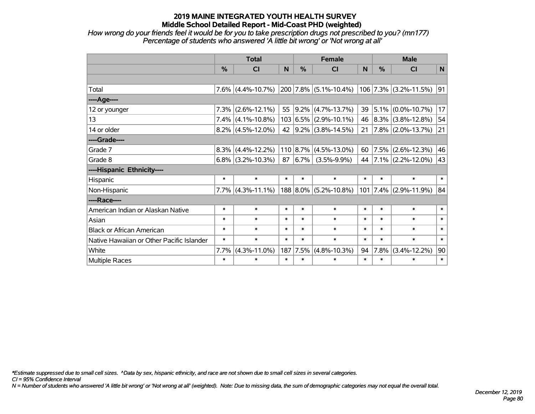*How wrong do your friends feel it would be for you to take prescription drugs not prescribed to you? (mn177) Percentage of students who answered 'A little bit wrong' or 'Not wrong at all'*

|                                           | <b>Total</b> |                      |        | <b>Female</b> |                                               |        | <b>Male</b> |                         |        |  |
|-------------------------------------------|--------------|----------------------|--------|---------------|-----------------------------------------------|--------|-------------|-------------------------|--------|--|
|                                           | %            | CI                   | N      | $\frac{0}{0}$ | <b>CI</b>                                     | N      | %           | <b>CI</b>               | N      |  |
|                                           |              |                      |        |               |                                               |        |             |                         |        |  |
| Total                                     |              | $7.6\%$ (4.4%-10.7%) |        |               | $\vert$ 200 $\vert$ 7.8% $\vert$ (5.1%-10.4%) |        |             | $106$ 7.3% (3.2%-11.5%) | 91     |  |
| ----Age----                               |              |                      |        |               |                                               |        |             |                         |        |  |
| 12 or younger                             | $7.3\%$      | $(2.6\% - 12.1\%)$   | 55     |               | $ 9.2\% $ (4.7%-13.7%)                        | 39     |             | $ 5.1\% $ (0.0%-10.7%)  | 17     |  |
| 13                                        |              | $7.4\%$ (4.1%-10.8%) |        |               | $103   6.5\%   (2.9\% - 10.1\%)$              | 46     |             | $ 8.3\% $ (3.8%-12.8%)  | 54     |  |
| 14 or older                               |              | $8.2\%$ (4.5%-12.0%) |        |               | 42 $ 9.2\% $ (3.8%-14.5%)                     | 21     |             | $7.8\%$ (2.0%-13.7%)    | 21     |  |
| ----Grade----                             |              |                      |        |               |                                               |        |             |                         |        |  |
| Grade 7                                   |              | $8.3\%$ (4.4%-12.2%) |        |               | $110 8.7\% $ (4.5%-13.0%)                     | 60     |             | 7.5% (2.6%-12.3%)       | 46     |  |
| Grade 8                                   |              | $6.8\%$ (3.2%-10.3%) |        |               | $87   6.7\%   (3.5\% - 9.9\%)$                | 44     |             | $ 7.1\% $ (2.2%-12.0%)  | 43     |  |
| ----Hispanic Ethnicity----                |              |                      |        |               |                                               |        |             |                         |        |  |
| Hispanic                                  | $\ast$       | $\ast$               | $\ast$ | $\ast$        | $\ast$                                        | $\ast$ | $\ast$      | $\ast$                  | $\ast$ |  |
| Non-Hispanic                              |              | $7.7\%$ (4.3%-11.1%) |        |               | $188 8.0\% $ (5.2%-10.8%)                     | 101    |             | $ 7.4\% $ (2.9%-11.9%)  | 84     |  |
| ----Race----                              |              |                      |        |               |                                               |        |             |                         |        |  |
| American Indian or Alaskan Native         | $\ast$       | $\ast$               | $\ast$ | $\ast$        | $\ast$                                        | $\ast$ | $\ast$      | $\ast$                  | $\ast$ |  |
| Asian                                     | $\ast$       | $\ast$               | $\ast$ | $\ast$        | $\ast$                                        | $\ast$ | $\ast$      | $\ast$                  | $\ast$ |  |
| <b>Black or African American</b>          | $\ast$       | $\ast$               | $\ast$ | $\ast$        | $\ast$                                        | $\ast$ | $\ast$      | $\ast$                  | $\ast$ |  |
| Native Hawaiian or Other Pacific Islander | $\ast$       | $\ast$               | $\ast$ | $\ast$        | $\ast$                                        | $\ast$ | $\ast$      | $\ast$                  | $\ast$ |  |
| White                                     | 7.7%         | $(4.3\% - 11.0\%)$   |        | 187 7.5%      | $(4.8\% - 10.3\%)$                            | 94     | $7.8\%$     | $(3.4\% - 12.2\%)$      | 90     |  |
| Multiple Races                            | $\ast$       | $\ast$               | $\ast$ | $\ast$        | $\ast$                                        | $\ast$ | $\ast$      | $\ast$                  | $\ast$ |  |

*\*Estimate suppressed due to small cell sizes. ^Data by sex, hispanic ethnicity, and race are not shown due to small cell sizes in several categories.*

*CI = 95% Confidence Interval*

*N = Number of students who answered 'A little bit wrong' or 'Not wrong at all' (weighted). Note: Due to missing data, the sum of demographic categories may not equal the overall total.*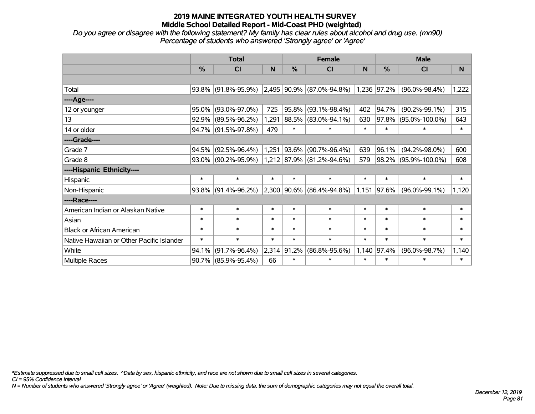*Do you agree or disagree with the following statement? My family has clear rules about alcohol and drug use. (mn90) Percentage of students who answered 'Strongly agree' or 'Agree'*

|                                           | <b>Total</b>  |                        |        |           | <b>Female</b>                          |        | <b>Male</b>   |                      |        |  |
|-------------------------------------------|---------------|------------------------|--------|-----------|----------------------------------------|--------|---------------|----------------------|--------|--|
|                                           | $\frac{0}{2}$ | CI                     | N      | %         | CI                                     | N      | $\frac{0}{0}$ | <b>CI</b>            | N      |  |
|                                           |               |                        |        |           |                                        |        |               |                      |        |  |
| Total                                     |               | 93.8% (91.8%-95.9%)    |        |           | $ 2,495 90.9\% $ (87.0%-94.8%)         |        | 1,236 97.2%   | $(96.0\% - 98.4\%)$  | 1,222  |  |
| ----Age----                               |               |                        |        |           |                                        |        |               |                      |        |  |
| 12 or younger                             | 95.0%         | $(93.0\% - 97.0\%)$    | 725    | 95.8%     | $(93.1\% - 98.4\%)$                    | 402    | 94.7%         | $(90.2\% - 99.1\%)$  | 315    |  |
| 13                                        |               | $92.9\%$ (89.5%-96.2%) | 1,291  | 88.5%     | $(83.0\% - 94.1\%)$                    | 630    | 97.8%         | $(95.0\% - 100.0\%)$ | 643    |  |
| 14 or older                               |               | 94.7% (91.5%-97.8%)    | 479    | $\ast$    | $\ast$                                 | $\ast$ | $\ast$        | $\ast$               | $\ast$ |  |
| ----Grade----                             |               |                        |        |           |                                        |        |               |                      |        |  |
| Grade 7                                   |               | 94.5% (92.5%-96.4%)    | 1,251  | $ 93.6\%$ | $(90.7\% - 96.4\%)$                    | 639    | 96.1%         | $(94.2\% - 98.0\%)$  | 600    |  |
| Grade 8                                   |               | 93.0% (90.2%-95.9%)    |        |           | $1,212$ $ 87.9\% $ $(81.2\% - 94.6\%)$ | 579    |               | 98.2% (95.9%-100.0%) | 608    |  |
| ----Hispanic Ethnicity----                |               |                        |        |           |                                        |        |               |                      |        |  |
| Hispanic                                  | $\ast$        | $\ast$                 | $\ast$ | $\ast$    | $\ast$                                 | $\ast$ | $\ast$        | $\ast$               | $\ast$ |  |
| Non-Hispanic                              |               | 93.8% (91.4%-96.2%)    |        |           | 2,300 90.6% (86.4%-94.8%)              | 1,151  | 97.6%         | $(96.0\% - 99.1\%)$  | 1,120  |  |
| ----Race----                              |               |                        |        |           |                                        |        |               |                      |        |  |
| American Indian or Alaskan Native         | $\ast$        | $\ast$                 | $\ast$ | $\ast$    | $\ast$                                 | $\ast$ | $\ast$        | $\ast$               | $\ast$ |  |
| Asian                                     | $\ast$        | $\ast$                 | $\ast$ | $\ast$    | $\ast$                                 | $\ast$ | $\ast$        | $\ast$               | $\ast$ |  |
| <b>Black or African American</b>          | $\ast$        | $\ast$                 | $\ast$ | $\ast$    | $\ast$                                 | $\ast$ | $\ast$        | $\ast$               | $\ast$ |  |
| Native Hawaiian or Other Pacific Islander | $\ast$        | $\ast$                 | $\ast$ | $\ast$    | $\ast$                                 | $\ast$ | $\ast$        | $\ast$               | $\ast$ |  |
| White                                     | 94.1%         | $(91.7\% - 96.4\%)$    | 2,314  | 91.2%     | $(86.8\% - 95.6\%)$                    | 1,140  | 97.4%         | $(96.0\% - 98.7\%)$  | 1,140  |  |
| Multiple Races                            |               | 90.7% (85.9%-95.4%)    | 66     | $\ast$    | $\ast$                                 | $\ast$ | $\ast$        | $\ast$               | $\ast$ |  |

*\*Estimate suppressed due to small cell sizes. ^Data by sex, hispanic ethnicity, and race are not shown due to small cell sizes in several categories.*

*CI = 95% Confidence Interval*

*N = Number of students who answered 'Strongly agree' or 'Agree' (weighted). Note: Due to missing data, the sum of demographic categories may not equal the overall total.*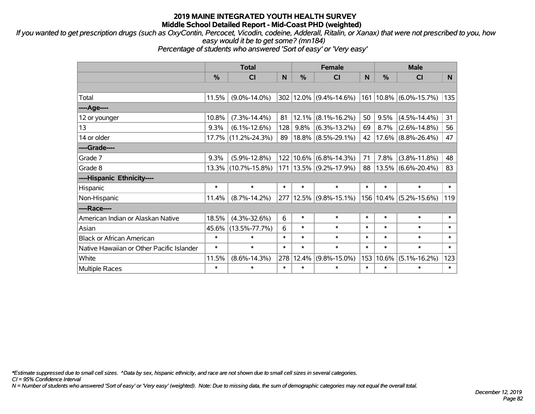*If you wanted to get prescription drugs (such as OxyContin, Percocet, Vicodin, codeine, Adderall, Ritalin, or Xanax) that were not prescribed to you, how easy would it be to get some? (mn184)*

*Percentage of students who answered 'Sort of easy' or 'Very easy'*

|                                           | <b>Total</b>  |                     |        |               | <b>Female</b>          |        | <b>Male</b> |                            |          |  |
|-------------------------------------------|---------------|---------------------|--------|---------------|------------------------|--------|-------------|----------------------------|----------|--|
|                                           | $\frac{0}{0}$ | <b>CI</b>           | N      | $\frac{0}{0}$ | <b>CI</b>              | N.     | $\%$        | <b>CI</b>                  | <b>N</b> |  |
|                                           |               |                     |        |               |                        |        |             |                            |          |  |
| Total                                     | 11.5%         | $(9.0\% - 14.0\%)$  |        |               | 302 12.0% (9.4%-14.6%) |        |             | 161   10.8%   (6.0%-15.7%) | 135      |  |
| ----Age----                               |               |                     |        |               |                        |        |             |                            |          |  |
| 12 or younger                             | 10.8%         | $(7.3\% - 14.4\%)$  | 81     | 12.1%         | $(8.1\% - 16.2\%)$     | 50     | 9.5%        | $(4.5\% - 14.4\%)$         | 31       |  |
| 13                                        | 9.3%          | $(6.1\% - 12.6\%)$  | 128    | 9.8%          | $(6.3\% - 13.2\%)$     | 69     | 8.7%        | $(2.6\% - 14.8\%)$         | 56       |  |
| 14 or older                               |               | 17.7% (11.2%-24.3%) | 89     |               | $18.8\%$ (8.5%-29.1%)  | 42     |             | $17.6\%$ (8.8%-26.4%)      | 47       |  |
| ----Grade----                             |               |                     |        |               |                        |        |             |                            |          |  |
| Grade 7                                   | 9.3%          | $(5.9\% - 12.8\%)$  | 122    | 10.6%         | $(6.8\% - 14.3\%)$     | 71     | 7.8%        | $(3.8\% - 11.8\%)$         | 48       |  |
| Grade 8                                   |               | 13.3% (10.7%-15.8%) | 171    |               | $13.5\%$ (9.2%-17.9%)  | 88     |             | $13.5\%$ (6.6%-20.4%)      | 83       |  |
| ----Hispanic Ethnicity----                |               |                     |        |               |                        |        |             |                            |          |  |
| Hispanic                                  | $\ast$        | $\ast$              | $\ast$ | $\ast$        | $\ast$                 | $\ast$ | $\ast$      | $\ast$                     | $\ast$   |  |
| Non-Hispanic                              | 11.4%         | $(8.7\% - 14.2\%)$  | 277    |               | $12.5\%$ (9.8%-15.1%)  |        |             | 156   10.4%   (5.2%-15.6%) | 119      |  |
| ----Race----                              |               |                     |        |               |                        |        |             |                            |          |  |
| American Indian or Alaskan Native         | 18.5%         | $(4.3\% - 32.6\%)$  | 6      | $\ast$        | $\ast$                 | $\ast$ | $\ast$      | $\ast$                     | $\ast$   |  |
| Asian                                     | 45.6%         | $(13.5\% - 77.7\%)$ | 6      | $\ast$        | $\ast$                 | $\ast$ | $\ast$      | $\ast$                     | $\ast$   |  |
| <b>Black or African American</b>          | $\ast$        | $\ast$              | $\ast$ | $\ast$        | $\ast$                 | $\ast$ | $\ast$      | $\ast$                     | $\ast$   |  |
| Native Hawaiian or Other Pacific Islander | $\ast$        | $\ast$              | $\ast$ | $\ast$        | $\ast$                 | $\ast$ | $\ast$      | $\ast$                     | $\ast$   |  |
| White                                     | 11.5%         | $(8.6\% - 14.3\%)$  | 278    | 12.4%         | $(9.8\% - 15.0\%)$     | 153    | 10.6%       | $(5.1\% - 16.2\%)$         | 123      |  |
| <b>Multiple Races</b>                     | $\ast$        | $\ast$              | $\ast$ | $\ast$        | *                      | $\ast$ | $\ast$      | $\ast$                     | $\ast$   |  |

*\*Estimate suppressed due to small cell sizes. ^Data by sex, hispanic ethnicity, and race are not shown due to small cell sizes in several categories.*

*CI = 95% Confidence Interval*

*N = Number of students who answered 'Sort of easy' or 'Very easy' (weighted). Note: Due to missing data, the sum of demographic categories may not equal the overall total.*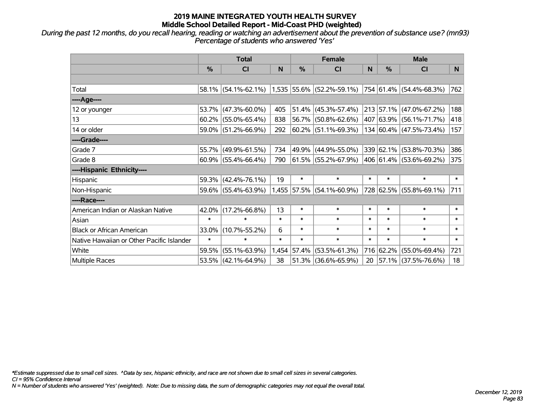*During the past 12 months, do you recall hearing, reading or watching an advertisement about the prevention of substance use? (mn93) Percentage of students who answered 'Yes'*

|                                           | <b>Total</b>  |                        |        | <b>Female</b> | <b>Male</b>                 |        |               |                          |        |
|-------------------------------------------|---------------|------------------------|--------|---------------|-----------------------------|--------|---------------|--------------------------|--------|
|                                           | $\frac{0}{0}$ | <b>CI</b>              | N      | $\%$          | CI                          | N      | $\frac{0}{0}$ | <b>CI</b>                | N      |
|                                           |               |                        |        |               |                             |        |               |                          |        |
| Total                                     |               | 58.1% (54.1%-62.1%)    |        |               | $1,535$ 55.6% (52.2%-59.1%) |        |               | 754 61.4% (54.4%-68.3%)  | 762    |
| ----Age----                               |               |                        |        |               |                             |        |               |                          |        |
| 12 or younger                             | 53.7%         | $(47.3\% - 60.0\%)$    | 405    | 51.4%         | $(45.3\% - 57.4\%)$         |        |               | 213 57.1% (47.0%-67.2%)  | 188    |
| 13                                        |               | $60.2\%$ (55.0%-65.4%) | 838    |               | 56.7% (50.8%-62.6%)         |        |               | 407 63.9% (56.1%-71.7%)  | 418    |
| 14 or older                               |               | 59.0% (51.2%-66.9%)    | 292    |               | $ 60.2\% $ (51.1%-69.3%)    |        |               | 134 60.4% (47.5%-73.4%)  | 157    |
| ----Grade----                             |               |                        |        |               |                             |        |               |                          |        |
| Grade 7                                   |               | 55.7% (49.9%-61.5%)    | 734    | 49.9%         | $(44.9\% - 55.0\%)$         |        |               | 339 62.1% (53.8%-70.3%)  | 386    |
| Grade 8                                   |               | $60.9\%$ (55.4%-66.4%) | 790    |               | 61.5% (55.2%-67.9%)         |        |               | 406 61.4% (53.6%-69.2%)  | 375    |
| ----Hispanic Ethnicity----                |               |                        |        |               |                             |        |               |                          |        |
| Hispanic                                  | 59.3%         | $(42.4\% - 76.1\%)$    | 19     | $\ast$        | $\ast$                      | $\ast$ | $\ast$        | $\ast$                   | $\ast$ |
| Non-Hispanic                              |               | 59.6% (55.4%-63.9%)    |        |               | 1,455 57.5% (54.1%-60.9%)   |        |               | 728 62.5% (55.8%-69.1%)  | 711    |
| ----Race----                              |               |                        |        |               |                             |        |               |                          |        |
| American Indian or Alaskan Native         | 42.0%         | $(17.2\% - 66.8\%)$    | 13     | $\ast$        | $\ast$                      | $\ast$ | $\ast$        | $\ast$                   | $\ast$ |
| Asian                                     | $\ast$        | $\ast$                 | $\ast$ | $\ast$        | $\ast$                      | $\ast$ | $\ast$        | $\ast$                   | $\ast$ |
| <b>Black or African American</b>          | 33.0%         | $(10.7\% - 55.2\%)$    | 6      | $\ast$        | $\ast$                      | $\ast$ | $\ast$        | $\ast$                   | $\ast$ |
| Native Hawaiian or Other Pacific Islander | $\ast$        | $\ast$                 | $\ast$ | $\ast$        | $\ast$                      | $\ast$ | $\ast$        | $\ast$                   | $\ast$ |
| White                                     | 59.5%         | $(55.1\% - 63.9\%)$    | 1,454  | 57.4%         | $(53.5\% - 61.3\%)$         | 716    | 62.2%         | $(55.0\% - 69.4\%)$      | 721    |
| Multiple Races                            |               | 53.5% (42.1%-64.9%)    | 38     |               | 51.3% (36.6%-65.9%)         | 20     |               | $ 57.1\% $ (37.5%-76.6%) | 18     |

*\*Estimate suppressed due to small cell sizes. ^Data by sex, hispanic ethnicity, and race are not shown due to small cell sizes in several categories.*

*CI = 95% Confidence Interval*

*N = Number of students who answered 'Yes' (weighted). Note: Due to missing data, the sum of demographic categories may not equal the overall total.*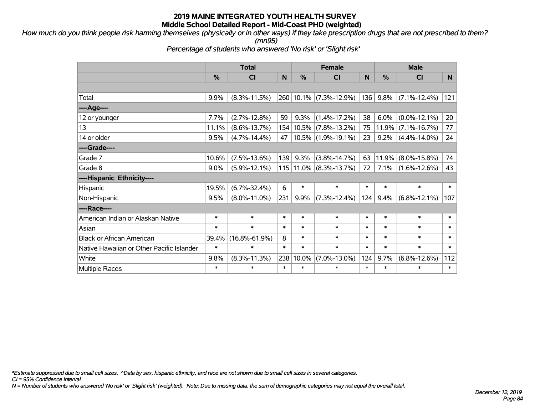*How much do you think people risk harming themselves (physically or in other ways) if they take prescription drugs that are not prescribed to them?*

*(mn95)*

*Percentage of students who answered 'No risk' or 'Slight risk'*

|                                           | <b>Total</b>  |                     |        |               | <b>Female</b>          |        | <b>Male</b>   |                    |        |  |
|-------------------------------------------|---------------|---------------------|--------|---------------|------------------------|--------|---------------|--------------------|--------|--|
|                                           | $\frac{0}{0}$ | CI                  | N      | $\frac{0}{0}$ | CI                     | N      | $\frac{0}{0}$ | CI                 | N      |  |
|                                           |               |                     |        |               |                        |        |               |                    |        |  |
| Total                                     | 9.9%          | $(8.3\% - 11.5\%)$  |        |               | 260 10.1% (7.3%-12.9%) | 136    | 9.8%          | $(7.1\% - 12.4\%)$ | 121    |  |
| ----Age----                               |               |                     |        |               |                        |        |               |                    |        |  |
| 12 or younger                             | 7.7%          | $(2.7\% - 12.8\%)$  | 59     | 9.3%          | $(1.4\% - 17.2\%)$     | 38     | 6.0%          | $(0.0\% - 12.1\%)$ | 20     |  |
| 13                                        | 11.1%         | $(8.6\% - 13.7\%)$  | 154    |               | $10.5\%$ (7.8%-13.2%)  | 75     | 11.9%         | $(7.1\% - 16.7\%)$ | 77     |  |
| 14 or older                               | 9.5%          | $(4.7\% - 14.4\%)$  | 47     |               | 10.5% (1.9%-19.1%)     | 23     | $9.2\%$       | $(4.4\% - 14.0\%)$ | 24     |  |
| ----Grade----                             |               |                     |        |               |                        |        |               |                    |        |  |
| Grade 7                                   | 10.6%         | $(7.5\% - 13.6\%)$  | 139    | 9.3%          | $(3.8\% - 14.7\%)$     | 63     | 11.9%         | $(8.0\% - 15.8\%)$ | 74     |  |
| Grade 8                                   | 9.0%          | $(5.9\% - 12.1\%)$  |        |               | 115 11.0% (8.3%-13.7%) | 72     | 7.1%          | $(1.6\% - 12.6\%)$ | 43     |  |
| ----Hispanic Ethnicity----                |               |                     |        |               |                        |        |               |                    |        |  |
| Hispanic                                  | 19.5%         | $(6.7\% - 32.4\%)$  | 6      | $\ast$        | $\ast$                 | $\ast$ | $\ast$        | $\ast$             | $\ast$ |  |
| Non-Hispanic                              | 9.5%          | $(8.0\% - 11.0\%)$  | 231    | 9.9%          | $(7.3\% - 12.4\%)$     | 124    | 9.4%          | $(6.8\% - 12.1\%)$ | 107    |  |
| ----Race----                              |               |                     |        |               |                        |        |               |                    |        |  |
| American Indian or Alaskan Native         | $\ast$        | $\ast$              | $\ast$ | $\ast$        | $\ast$                 | $\ast$ | $\ast$        | $\ast$             | $\ast$ |  |
| Asian                                     | $\ast$        | $\ast$              | $\ast$ | $\ast$        | $\ast$                 | $\ast$ | $\ast$        | $\ast$             | $\ast$ |  |
| <b>Black or African American</b>          | 39.4%         | $(16.8\% - 61.9\%)$ | 8      | $\ast$        | $\ast$                 | $\ast$ | $\ast$        | $\ast$             | $\ast$ |  |
| Native Hawaiian or Other Pacific Islander | $\ast$        | $\ast$              | $\ast$ | $\ast$        | $\ast$                 | $\ast$ | $\ast$        | $\ast$             | $\ast$ |  |
| White                                     | 9.8%          | $(8.3\% - 11.3\%)$  | 238    | 10.0%         | $(7.0\% - 13.0\%)$     | 124    | 9.7%          | $(6.8\% - 12.6\%)$ | 112    |  |
| <b>Multiple Races</b>                     | $\ast$        | $\ast$              | $\ast$ | $\ast$        | $\ast$                 | $\ast$ | $\ast$        | $\ast$             | $\ast$ |  |

*\*Estimate suppressed due to small cell sizes. ^Data by sex, hispanic ethnicity, and race are not shown due to small cell sizes in several categories.*

*CI = 95% Confidence Interval*

*N = Number of students who answered 'No risk' or 'Slight risk' (weighted). Note: Due to missing data, the sum of demographic categories may not equal the overall total.*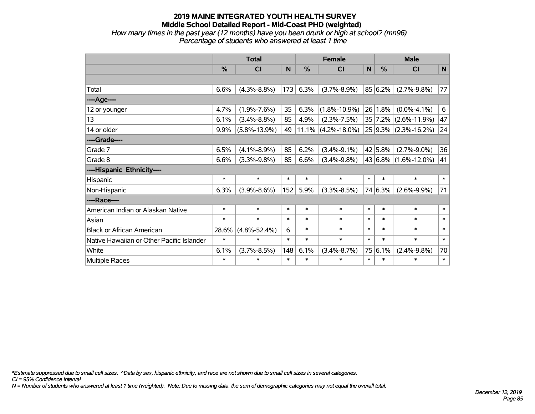*How many times in the past year (12 months) have you been drunk or high at school? (mn96) Percentage of students who answered at least 1 time*

|                                           | <b>Total</b> |                    |        |               | <b>Female</b>      |              | <b>Male</b> |                      |        |  |
|-------------------------------------------|--------------|--------------------|--------|---------------|--------------------|--------------|-------------|----------------------|--------|--|
|                                           | %            | CI                 | N      | $\frac{0}{0}$ | <b>CI</b>          | $\mathsf{N}$ | $\%$        | <b>CI</b>            | N      |  |
|                                           |              |                    |        |               |                    |              |             |                      |        |  |
| Total                                     | 6.6%         | $(4.3\% - 8.8\%)$  | 173    | 6.3%          | $(3.7\% - 8.9\%)$  |              | 85 6.2%     | $(2.7\% - 9.8\%)$    | 77     |  |
| ----Age----                               |              |                    |        |               |                    |              |             |                      |        |  |
| 12 or younger                             | 4.7%         | $(1.9\% - 7.6\%)$  | 35     | 6.3%          | $(1.8\% - 10.9\%)$ | 26           | 1.8%        | $(0.0\% - 4.1\%)$    | 6      |  |
| 13                                        | 6.1%         | $(3.4\% - 8.8\%)$  | 85     | 4.9%          | $(2.3\% - 7.5\%)$  |              | 35 7.2%     | $(2.6\% - 11.9\%)$   | 47     |  |
| 14 or older                               | 9.9%         | $(5.8\% - 13.9\%)$ | 49     | 11.1%         | $(4.2\% - 18.0\%)$ |              |             | 25 9.3% (2.3%-16.2%) | 24     |  |
| ----Grade----                             |              |                    |        |               |                    |              |             |                      |        |  |
| Grade 7                                   | 6.5%         | $(4.1\% - 8.9\%)$  | 85     | 6.2%          | $(3.4\% - 9.1\%)$  |              | 42 5.8%     | $(2.7\% - 9.0\%)$    | 36     |  |
| Grade 8                                   | 6.6%         | $(3.3\% - 9.8\%)$  | 85     | 6.6%          | $(3.4\% - 9.8\%)$  |              |             | 43 6.8% (1.6%-12.0%) | 41     |  |
| ----Hispanic Ethnicity----                |              |                    |        |               |                    |              |             |                      |        |  |
| Hispanic                                  | $\ast$       | $\ast$             | $\ast$ | $\ast$        | $\ast$             | $\ast$       | $\ast$      | $\ast$               | $\ast$ |  |
| Non-Hispanic                              | 6.3%         | $(3.9\% - 8.6\%)$  | 152    | 5.9%          | $(3.3\% - 8.5\%)$  |              | 74 6.3%     | $(2.6\% - 9.9\%)$    | 71     |  |
| ----Race----                              |              |                    |        |               |                    |              |             |                      |        |  |
| American Indian or Alaskan Native         | $\ast$       | $\ast$             | $\ast$ | $\ast$        | $\ast$             | $\ast$       | $\ast$      | $\ast$               | $\ast$ |  |
| Asian                                     | $\ast$       | $\ast$             | $\ast$ | $\ast$        | $\ast$             | $\ast$       | $\ast$      | $\ast$               | $\ast$ |  |
| <b>Black or African American</b>          | 28.6%        | $(4.8\% - 52.4\%)$ | 6      | $\ast$        | $\ast$             | $\ast$       | $\ast$      | $\ast$               | $\ast$ |  |
| Native Hawaiian or Other Pacific Islander | $\ast$       | $\ast$             | $\ast$ | $\ast$        | $\ast$             | $\ast$       | $\ast$      | $\ast$               | $\ast$ |  |
| White                                     | 6.1%         | $(3.7\% - 8.5\%)$  | 148    | 6.1%          | $(3.4\% - 8.7\%)$  | 75           | 6.1%        | $(2.4\% - 9.8\%)$    | 70     |  |
| Multiple Races                            | $\ast$       | $\ast$             | $\ast$ | $\ast$        | $\ast$             | $\ast$       | $\ast$      | $\ast$               | $\ast$ |  |

*\*Estimate suppressed due to small cell sizes. ^Data by sex, hispanic ethnicity, and race are not shown due to small cell sizes in several categories.*

*CI = 95% Confidence Interval*

*N = Number of students who answered at least 1 time (weighted). Note: Due to missing data, the sum of demographic categories may not equal the overall total.*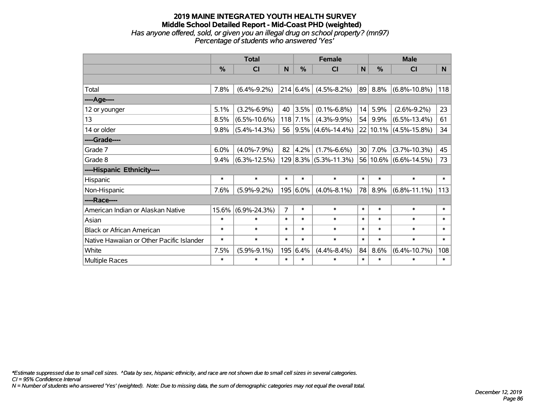### **2019 MAINE INTEGRATED YOUTH HEALTH SURVEY Middle School Detailed Report - Mid-Coast PHD (weighted)** *Has anyone offered, sold, or given you an illegal drug on school property? (mn97) Percentage of students who answered 'Yes'*

|                                           | <b>Total</b> |                    |                | <b>Female</b> |                           |                 | <b>Male</b>   |                            |        |  |
|-------------------------------------------|--------------|--------------------|----------------|---------------|---------------------------|-----------------|---------------|----------------------------|--------|--|
|                                           | %            | <b>CI</b>          | N              | %             | CI                        | $\mathsf{N}$    | $\frac{0}{0}$ | <b>CI</b>                  | N.     |  |
|                                           |              |                    |                |               |                           |                 |               |                            |        |  |
| Total                                     | 7.8%         | $(6.4\% - 9.2\%)$  |                | 214 6.4%      | $(4.5\% - 8.2\%)$         | 89              | 8.8%          | $(6.8\% - 10.8\%)$         | 118    |  |
| ---- Age----                              |              |                    |                |               |                           |                 |               |                            |        |  |
| 12 or younger                             | 5.1%         | $(3.2\% - 6.9\%)$  | 40             | 3.5%          | $(0.1\% - 6.8\%)$         | 14              | 5.9%          | $(2.6\% - 9.2\%)$          | 23     |  |
| 13                                        | 8.5%         | $(6.5\% - 10.6\%)$ |                | $118$ 7.1%    | $(4.3\% - 9.9\%)$         | 54              | 9.9%          | $(6.5\% - 13.4\%)$         | 61     |  |
| 14 or older                               | 9.8%         | $(5.4\% - 14.3\%)$ | 56             |               | $9.5\%$ (4.6%-14.4%)      |                 |               | $22 10.1\% $ (4.5%-15.8%)  | 34     |  |
| ----Grade----                             |              |                    |                |               |                           |                 |               |                            |        |  |
| Grade 7                                   | 6.0%         | $(4.0\% - 7.9\%)$  | 82             | 4.2%          | $(1.7\% - 6.6\%)$         | 30 <sup>1</sup> | 7.0%          | $(3.7\% - 10.3\%)$         | 45     |  |
| Grade 8                                   | 9.4%         | $(6.3\% - 12.5\%)$ |                |               | $129 8.3\% $ (5.3%-11.3%) |                 |               | $ 56 10.6\% $ (6.6%-14.5%) | 73     |  |
| ----Hispanic Ethnicity----                |              |                    |                |               |                           |                 |               |                            |        |  |
| Hispanic                                  | $\ast$       | $\ast$             | $\ast$         | $\ast$        | $\ast$                    | $\ast$          | $\ast$        | $\ast$                     | $\ast$ |  |
| Non-Hispanic                              | 7.6%         | $(5.9\% - 9.2\%)$  |                | 195 6.0%      | $(4.0\% - 8.1\%)$         | 78              | 8.9%          | $(6.8\% - 11.1\%)$         | 113    |  |
| ----Race----                              |              |                    |                |               |                           |                 |               |                            |        |  |
| American Indian or Alaskan Native         | 15.6%        | $(6.9\% - 24.3\%)$ | $\overline{7}$ | $\ast$        | $\ast$                    | $\ast$          | $\ast$        | $\ast$                     | $\ast$ |  |
| Asian                                     | $\ast$       | $\ast$             | $\ast$         | $\ast$        | $\ast$                    | $\ast$          | $\ast$        | $\ast$                     | $\ast$ |  |
| <b>Black or African American</b>          | $\ast$       | $\ast$             | $\ast$         | $\ast$        | $\ast$                    | $\ast$          | $\ast$        | $\ast$                     | $\ast$ |  |
| Native Hawaiian or Other Pacific Islander | $\ast$       | $\ast$             | $\ast$         | $\ast$        | $\ast$                    | $\ast$          | $\ast$        | $\ast$                     | $\ast$ |  |
| White                                     | 7.5%         | $(5.9\% - 9.1\%)$  | 195            | 6.4%          | $(4.4\% - 8.4\%)$         | 84              | 8.6%          | $(6.4\% - 10.7\%)$         | 108    |  |
| Multiple Races                            | $\ast$       | $\ast$             | $\ast$         | $\ast$        | $\ast$                    | $\ast$          | $\ast$        | $\ast$                     | $\ast$ |  |

*\*Estimate suppressed due to small cell sizes. ^Data by sex, hispanic ethnicity, and race are not shown due to small cell sizes in several categories.*

*CI = 95% Confidence Interval*

*N = Number of students who answered 'Yes' (weighted). Note: Due to missing data, the sum of demographic categories may not equal the overall total.*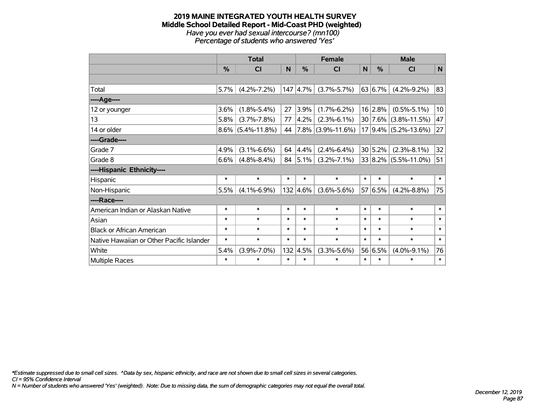#### **2019 MAINE INTEGRATED YOUTH HEALTH SURVEY Middle School Detailed Report - Mid-Coast PHD (weighted)** *Have you ever had sexual intercourse? (mn100) Percentage of students who answered 'Yes'*

|                                           | <b>Total</b>  |                    |        |              | <b>Female</b>          | <b>Male</b> |         |                           |        |
|-------------------------------------------|---------------|--------------------|--------|--------------|------------------------|-------------|---------|---------------------------|--------|
|                                           | $\frac{0}{0}$ | CI                 | N      | %            | CI                     | N           | %       | CI                        | N      |
|                                           |               |                    |        |              |                        |             |         |                           |        |
| Total                                     | 5.7%          | $(4.2\% - 7.2\%)$  |        | 147 4.7%     | $(3.7\% - 5.7\%)$      |             | 63 6.7% | $(4.2\% - 9.2\%)$         | 83     |
| ----Age----                               |               |                    |        |              |                        |             |         |                           |        |
| 12 or younger                             | 3.6%          | $(1.8\% - 5.4\%)$  | 27     | 3.9%         | $(1.7\% - 6.2\%)$      |             | 16 2.8% | $(0.5\% - 5.1\%)$         | 10     |
| 13                                        | 5.8%          | $(3.7\% - 7.8\%)$  | 77     | 4.2%         | $(2.3\% - 6.1\%)$      |             |         | $30 7.6\% $ (3.8%-11.5%)  | 47     |
| 14 or older                               | $8.6\%$       | $(5.4\% - 11.8\%)$ | 44     |              | $ 7.8\% $ (3.9%-11.6%) |             |         | $17 9.4\% $ (5.2%-13.6%)  | 27     |
| ----Grade----                             |               |                    |        |              |                        |             |         |                           |        |
| Grade 7                                   | 4.9%          | $(3.1\% - 6.6\%)$  |        | 64 4.4%      | $(2.4\% - 6.4\%)$      |             | 30 5.2% | $(2.3\% - 8.1\%)$         | 32     |
| Grade 8                                   | 6.6%          | $(4.8\% - 8.4\%)$  |        | 84 $ 5.1\% $ | $(3.2\% - 7.1\%)$      |             |         | $ 33 8.2\% $ (5.5%-11.0%) | 51     |
| ----Hispanic Ethnicity----                |               |                    |        |              |                        |             |         |                           |        |
| Hispanic                                  | $\ast$        | $\ast$             | $\ast$ | *            | $\ast$                 | $\ast$      | $\ast$  | $\ast$                    | $\ast$ |
| Non-Hispanic                              | 5.5%          | $(4.1\% - 6.9\%)$  |        | 132 4.6%     | $(3.6\% - 5.6\%)$      |             | 57 6.5% | $(4.2\% - 8.8\%)$         | 75     |
| ----Race----                              |               |                    |        |              |                        |             |         |                           |        |
| American Indian or Alaskan Native         | $\ast$        | $\ast$             | $\ast$ | $\ast$       | $\ast$                 | $\ast$      | $\ast$  | $\ast$                    | $\ast$ |
| Asian                                     | $\ast$        | $\ast$             | $\ast$ | *            | $\ast$                 | $\ast$      | $\ast$  | $\ast$                    | $\ast$ |
| <b>Black or African American</b>          | $\ast$        | $\ast$             | $\ast$ | $\ast$       | $\ast$                 | $\ast$      | $\ast$  | $\ast$                    | $\ast$ |
| Native Hawaiian or Other Pacific Islander | $\ast$        | $\ast$             | $\ast$ | $\ast$       | $\ast$                 | $\ast$      | $\ast$  | $\ast$                    | $\ast$ |
| White                                     | 5.4%          | $(3.9\% - 7.0\%)$  | 132    | 4.5%         | $(3.3\% - 5.6\%)$      |             | 56 6.5% | $(4.0\% - 9.1\%)$         | 76     |
| Multiple Races                            | $\ast$        | $\ast$             | $\ast$ | $\ast$       | $\ast$                 | $\ast$      | $\ast$  | $\ast$                    | $\ast$ |

*\*Estimate suppressed due to small cell sizes. ^Data by sex, hispanic ethnicity, and race are not shown due to small cell sizes in several categories.*

*CI = 95% Confidence Interval*

*N = Number of students who answered 'Yes' (weighted). Note: Due to missing data, the sum of demographic categories may not equal the overall total.*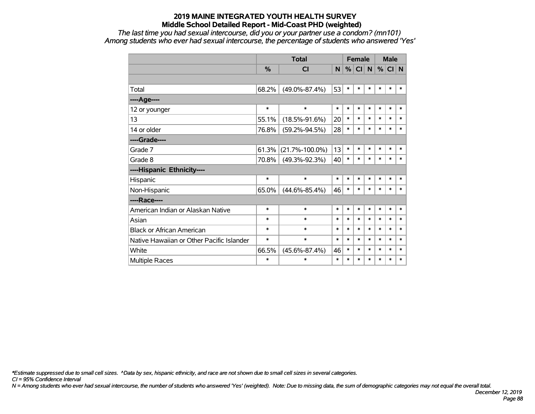*The last time you had sexual intercourse, did you or your partner use a condom? (mn101) Among students who ever had sexual intercourse, the percentage of students who answered 'Yes'*

|                                           |        | <b>Total</b>         |        | <b>Female</b> |          |        |        | <b>Male</b> |        |
|-------------------------------------------|--------|----------------------|--------|---------------|----------|--------|--------|-------------|--------|
|                                           | %      | <b>CI</b>            | N      |               | %  CI  N |        | %      | CI N        |        |
|                                           |        |                      |        |               |          |        |        |             |        |
| Total                                     | 68.2%  | $(49.0\% - 87.4\%)$  | 53     | $\ast$        | $\ast$   | $\ast$ | $\ast$ | $\ast$      | $\ast$ |
| ----Age----                               |        |                      |        |               |          |        |        |             |        |
| 12 or younger                             | $\ast$ | $\ast$               | $\ast$ | $\ast$        | $\ast$   | $\ast$ | $\ast$ | $\ast$      | $\ast$ |
| 13                                        | 55.1%  | $(18.5\% - 91.6\%)$  | 20     | $\ast$        | $\ast$   | $\ast$ | $\ast$ | $\ast$      | $\ast$ |
| 14 or older                               | 76.8%  | $(59.2\% - 94.5\%)$  | 28     | $\ast$        | $\ast$   | $\ast$ | $\ast$ | $\ast$      | $\ast$ |
| ----Grade----                             |        |                      |        |               |          |        |        |             |        |
| Grade 7                                   | 61.3%  | $(21.7\% - 100.0\%)$ | 13     | $\ast$        | $\ast$   | $\ast$ | $\ast$ | $\ast$      | $\ast$ |
| Grade 8                                   | 70.8%  | $(49.3\% - 92.3\%)$  | 40     | $\ast$        | $\ast$   | $\ast$ | $\ast$ | $\ast$      | $\ast$ |
| ----Hispanic Ethnicity----                |        |                      |        |               |          |        |        |             |        |
| Hispanic                                  | $\ast$ | $\ast$               | $\ast$ | $\ast$        | $\ast$   | *      | $\ast$ | $\ast$      | $\ast$ |
| Non-Hispanic                              | 65.0%  | $(44.6\% - 85.4\%)$  | 46     | $\ast$        | $\ast$   | $\ast$ | $\ast$ | $\ast$      | $\ast$ |
| ----Race----                              |        |                      |        |               |          |        |        |             |        |
| American Indian or Alaskan Native         | $\ast$ | $\ast$               | $\ast$ | $\ast$        | $\ast$   | $\ast$ | $\ast$ | $\ast$      | $\ast$ |
| Asian                                     | $\ast$ | $\ast$               | $\ast$ | $\ast$        | $\ast$   | $\ast$ | $\ast$ | $\ast$      | $\ast$ |
| <b>Black or African American</b>          | $\ast$ | $\ast$               | $\ast$ | $\ast$        | $\ast$   | $\ast$ | $\ast$ | $\ast$      | $\ast$ |
| Native Hawaiian or Other Pacific Islander | $\ast$ | $\ast$               | $\ast$ | $\ast$        | $\ast$   | $\ast$ | $\ast$ | $\ast$      | $\ast$ |
| White                                     | 66.5%  | $(45.6\% - 87.4\%)$  | 46     | $\ast$        | $\ast$   | $\ast$ | $\ast$ | $\ast$      | $\ast$ |
| Multiple Races                            | $\ast$ | $\ast$               | $\ast$ | $\ast$        | $\ast$   | $\ast$ | $\ast$ | $\ast$      | $\ast$ |

*\*Estimate suppressed due to small cell sizes. ^Data by sex, hispanic ethnicity, and race are not shown due to small cell sizes in several categories.*

*CI = 95% Confidence Interval*

*N = Among students who ever had sexual intercourse, the number of students who answered 'Yes' (weighted). Note: Due to missing data, the sum of demographic categories may not equal the overall total.*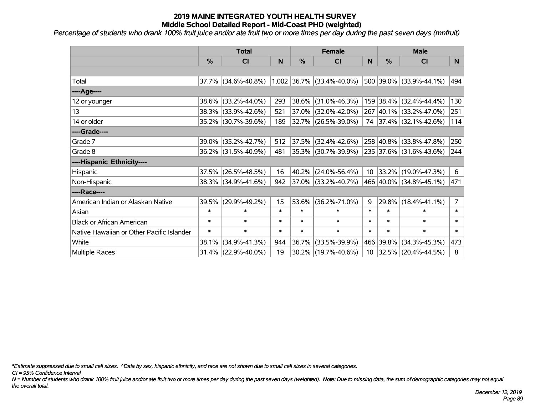*Percentage of students who drank 100% fruit juice and/or ate fruit two or more times per day during the past seven days (mnfruit)*

|                                           | <b>Total</b>  |                     |        | <b>Female</b> |                             | <b>Male</b>     |           |                          |                |
|-------------------------------------------|---------------|---------------------|--------|---------------|-----------------------------|-----------------|-----------|--------------------------|----------------|
|                                           | $\frac{0}{0}$ | <b>CI</b>           | N      | %             | <b>CI</b>                   | N               | %         | <b>CI</b>                | N              |
|                                           |               |                     |        |               |                             |                 |           |                          |                |
| Total                                     |               | 37.7% (34.6%-40.8%) |        |               | $1,002$ 36.7% (33.4%-40.0%) |                 |           | 500 39.0% (33.9%-44.1%)  | 494            |
| ----Age----                               |               |                     |        |               |                             |                 |           |                          |                |
| 12 or younger                             | 38.6%         | $(33.2\% - 44.0\%)$ | 293    | 38.6%         | $(31.0\% - 46.3\%)$         |                 |           | 159 38.4% (32.4%-44.4%)  | 130            |
| 13                                        |               | 38.3% (33.9%-42.6%) | 521    |               | $37.0\%$ (32.0%-42.0%)      |                 |           | 267 40.1% (33.2%-47.0%)  | 251            |
| 14 or older                               |               | 35.2% (30.7%-39.6%) | 189    |               | 32.7% (26.5%-39.0%)         |                 |           | 74 37.4% (32.1%-42.6%)   | 114            |
| ----Grade----                             |               |                     |        |               |                             |                 |           |                          |                |
| Grade 7                                   | 39.0%         | $(35.2\% - 42.7\%)$ | 512    | 37.5%         | $(32.4\% - 42.6\%)$         |                 |           | 258 40.8% (33.8%-47.8%)  | 250            |
| Grade 8                                   |               | 36.2% (31.5%-40.9%) | 481    |               | 35.3% (30.7%-39.9%)         |                 |           | 235 37.6% (31.6%-43.6%)  | 244            |
| ----Hispanic Ethnicity----                |               |                     |        |               |                             |                 |           |                          |                |
| <b>Hispanic</b>                           | 37.5%         | $(26.5\% - 48.5\%)$ | 16     | 40.2%         | $(24.0\% - 56.4\%)$         | 10 <sup>°</sup> |           | $ 33.2\% $ (19.0%-47.3%) | 6              |
| Non-Hispanic                              |               | 38.3% (34.9%-41.6%) | 942    |               | $ 37.0\% $ (33.2%-40.7%)    |                 |           | 466 40.0% (34.8%-45.1%)  | 471            |
| ----Race----                              |               |                     |        |               |                             |                 |           |                          |                |
| American Indian or Alaskan Native         | 39.5%         | $(29.9\% - 49.2\%)$ | 15     | 53.6%         | $(36.2\% - 71.0\%)$         | 9               | 29.8%     | $(18.4\% - 41.1\%)$      | $\overline{7}$ |
| Asian                                     | $\ast$        | $\ast$              | $\ast$ | $\ast$        | $\ast$                      | $\ast$          | $\ast$    | $\ast$                   | $\ast$         |
| <b>Black or African American</b>          | $\ast$        | $\ast$              | $\ast$ | $\ast$        | $\ast$                      | $\ast$          | $\ast$    | $\ast$                   | $\ast$         |
| Native Hawaiian or Other Pacific Islander | $\ast$        | $\ast$              | $\ast$ | $\ast$        | $\ast$                      | $\ast$          | $\ast$    | $\ast$                   | $\ast$         |
| White                                     | 38.1%         | $(34.9\% - 41.3\%)$ | 944    | 36.7%         | $(33.5\% - 39.9\%)$         |                 | 466 39.8% | $(34.3\% - 45.3\%)$      | 473            |
| Multiple Races                            |               | 31.4% (22.9%-40.0%) | 19     |               | 30.2% (19.7%-40.6%)         | 10 <sub>1</sub> | 32.5%     | $(20.4\% - 44.5\%)$      | 8              |

*\*Estimate suppressed due to small cell sizes. ^Data by sex, hispanic ethnicity, and race are not shown due to small cell sizes in several categories.*

*CI = 95% Confidence Interval*

*N = Number of students who drank 100% fruit juice and/or ate fruit two or more times per day during the past seven days (weighted). Note: Due to missing data, the sum of demographic categories may not equal the overall total.*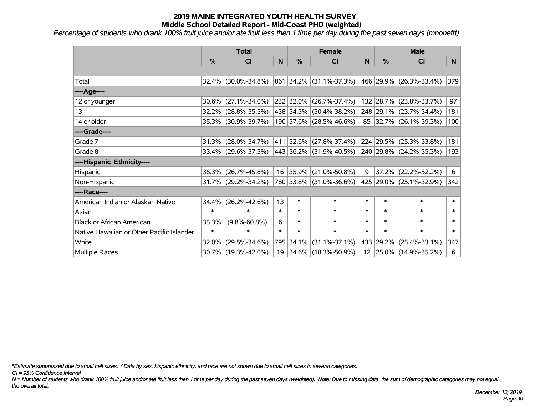*Percentage of students who drank 100% fruit juice and/or ate fruit less then 1 time per day during the past seven days (mnonefrt)*

|                                           | <b>Total</b>  |                     |        | <b>Female</b> | <b>Male</b>                  |        |           |                         |        |
|-------------------------------------------|---------------|---------------------|--------|---------------|------------------------------|--------|-----------|-------------------------|--------|
|                                           | $\frac{0}{0}$ | <b>CI</b>           | N      | $\%$          | <b>CI</b>                    | N      | %         | <b>CI</b>               | N.     |
|                                           |               |                     |        |               |                              |        |           |                         |        |
| Total                                     |               | 32.4% (30.0%-34.8%) |        |               | 861 34.2% (31.1%-37.3%)      |        |           | 466 29.9% (26.3%-33.4%) | 379    |
| ----Age----                               |               |                     |        |               |                              |        |           |                         |        |
| 12 or younger                             | 30.6%         | $(27.1\% - 34.0\%)$ |        |               | 232 32.0% (26.7%-37.4%)      |        | 132 28.7% | $(23.8\% - 33.7\%)$     | 97     |
| 13                                        | $32.2\%$      | $(28.8\% - 35.5\%)$ |        |               | 438 34.3% (30.4%-38.2%)      |        |           | 248 29.1% (23.7%-34.4%) | 181    |
| 14 or older                               |               | 35.3% (30.9%-39.7%) |        |               | 190 37.6% (28.5%-46.6%)      |        |           | 85 32.7% (26.1%-39.3%)  | 100    |
| ----Grade----                             |               |                     |        |               |                              |        |           |                         |        |
| Grade 7                                   | 31.3%         | $(28.0\% - 34.7\%)$ |        |               | 411 32.6% (27.8%-37.4%)      |        | 224 29.5% | $(25.3\% - 33.8\%)$     | 181    |
| Grade 8                                   |               | 33.4% (29.6%-37.3%) |        |               | $ 443 36.2\% $ (31.9%-40.5%) |        |           | 240 29.8% (24.2%-35.3%) | 193    |
| ----Hispanic Ethnicity----                |               |                     |        |               |                              |        |           |                         |        |
| Hispanic                                  | 36.3%         | $(26.7\% - 45.8\%)$ |        | 16 35.9%      | $(21.0\% - 50.8\%)$          | 9      | 37.2%     | $(22.2\% - 52.2\%)$     | 6      |
| Non-Hispanic                              |               | 31.7% (29.2%-34.2%) |        |               | 780 33.8% (31.0%-36.6%)      |        |           | 425 29.0% (25.1%-32.9%) | 342    |
| ----Race----                              |               |                     |        |               |                              |        |           |                         |        |
| American Indian or Alaskan Native         | 34.4%         | $(26.2\% - 42.6\%)$ | 13     | $\ast$        | $\ast$                       | $\ast$ | $\ast$    | $\ast$                  | $\ast$ |
| Asian                                     | $\ast$        | $\ast$              | $\ast$ | $\ast$        | $\ast$                       | $\ast$ | $\ast$    | $\ast$                  | $\ast$ |
| <b>Black or African American</b>          | 35.3%         | $(9.8\% - 60.8\%)$  | 6      | $\ast$        | $\ast$                       | $\ast$ | $\ast$    | $\ast$                  | $\ast$ |
| Native Hawaiian or Other Pacific Islander | $\ast$        | $\ast$              | $\ast$ | $\ast$        | $\ast$                       | $\ast$ | $\ast$    | $\ast$                  | $\ast$ |
| White                                     | 32.0%         | $(29.5\% - 34.6\%)$ |        | 795 34.1%     | $(31.1\% - 37.1\%)$          | 433    | 29.2%     | $(25.4\% - 33.1\%)$     | 347    |
| Multiple Races                            |               | 30.7% (19.3%-42.0%) |        |               | 19 34.6% (18.3%-50.9%)       |        |           | 12 25.0% (14.9%-35.2%)  | 6      |

*\*Estimate suppressed due to small cell sizes. ^Data by sex, hispanic ethnicity, and race are not shown due to small cell sizes in several categories.*

*CI = 95% Confidence Interval*

*N = Number of students who drank 100% fruit juice and/or ate fruit less then 1 time per day during the past seven days (weighted). Note: Due to missing data, the sum of demographic categories may not equal the overall total.*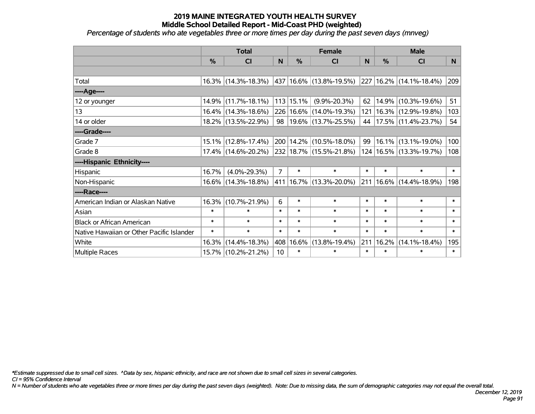*Percentage of students who ate vegetables three or more times per day during the past seven days (mnveg)*

|                                           | <b>Total</b> |                        |                 | <b>Female</b> | <b>Male</b>                 |        |               |                             |                |
|-------------------------------------------|--------------|------------------------|-----------------|---------------|-----------------------------|--------|---------------|-----------------------------|----------------|
|                                           | %            | CI                     | N               | %             | <b>CI</b>                   | N      | $\frac{0}{0}$ | <b>CI</b>                   | N <sub>1</sub> |
|                                           |              |                        |                 |               |                             |        |               |                             |                |
| Total                                     |              | $16.3\%$ (14.3%-18.3%) |                 |               | 437 16.6% (13.8%-19.5%)     | 227    |               | $16.2\%$ (14.1%-18.4%)      | 209            |
| ----Age----                               |              |                        |                 |               |                             |        |               |                             |                |
| 12 or younger                             |              | 14.9% (11.7%-18.1%)    |                 | $113$ 15.1%   | $(9.9\% - 20.3\%)$          | 62     | 14.9%         | $(10.3\% - 19.6\%)$         | 51             |
| 13                                        |              | 16.4% (14.3%-18.6%)    |                 |               | 226 16.6% (14.0%-19.3%)     | 121    |               | 16.3% (12.9%-19.8%)         | 103            |
| 14 or older                               |              | 18.2% (13.5%-22.9%)    |                 |               | 98   19.6%   (13.7%-25.5%)  | 44     |               | $17.5\%$ (11.4%-23.7%)      | 54             |
| ----Grade----                             |              |                        |                 |               |                             |        |               |                             |                |
| Grade 7                                   |              | 15.1% (12.8%-17.4%)    |                 |               | 200   14.2%   (10.5%-18.0%) | 99     |               | 16.1% (13.1%-19.0%)         | 100            |
| Grade 8                                   |              | 17.4% (14.6%-20.2%)    |                 |               | 232 18.7% (15.5%-21.8%)     |        |               | 124   16.5%   (13.3%-19.7%) | 108            |
| ----Hispanic Ethnicity----                |              |                        |                 |               |                             |        |               |                             |                |
| Hispanic                                  | 16.7%        | $(4.0\% - 29.3\%)$     | $\overline{7}$  | $\ast$        | $\ast$                      | $\ast$ | $\ast$        | $\ast$                      | $\ast$         |
| Non-Hispanic                              |              | 16.6% (14.3%-18.8%)    |                 |               | 411   16.7%   (13.3%-20.0%) | 211    |               | 16.6% (14.4%-18.9%)         | 198            |
| ----Race----                              |              |                        |                 |               |                             |        |               |                             |                |
| American Indian or Alaskan Native         | 16.3%        | $(10.7\% - 21.9\%)$    | 6               | $\ast$        | $\ast$                      | $\ast$ | $\ast$        | $\ast$                      | $\ast$         |
| Asian                                     | $\ast$       | $\ast$                 | $\ast$          | $\ast$        | $\ast$                      | $\ast$ | $\ast$        | $\ast$                      | $\ast$         |
| <b>Black or African American</b>          | $\ast$       | $\ast$                 | $\ast$          | $\ast$        | $\ast$                      | $\ast$ | $\ast$        | $\ast$                      | $\ast$         |
| Native Hawaiian or Other Pacific Islander | $\ast$       | $\ast$                 | $\ast$          | $\ast$        | $\ast$                      | $\ast$ | $\ast$        | $\ast$                      | $\ast$         |
| White                                     | 16.3%        | $(14.4\% - 18.3\%)$    | 408             | 16.6%         | $(13.8\% - 19.4\%)$         | 211    | 16.2%         | $(14.1\% - 18.4\%)$         | 195            |
| Multiple Races                            |              | 15.7% (10.2%-21.2%)    | 10 <sup>1</sup> | $\ast$        | $\ast$                      | $\ast$ | $\ast$        | *                           | $\ast$         |

*\*Estimate suppressed due to small cell sizes. ^Data by sex, hispanic ethnicity, and race are not shown due to small cell sizes in several categories.*

*CI = 95% Confidence Interval*

*N = Number of students who ate vegetables three or more times per day during the past seven days (weighted). Note: Due to missing data, the sum of demographic categories may not equal the overall total.*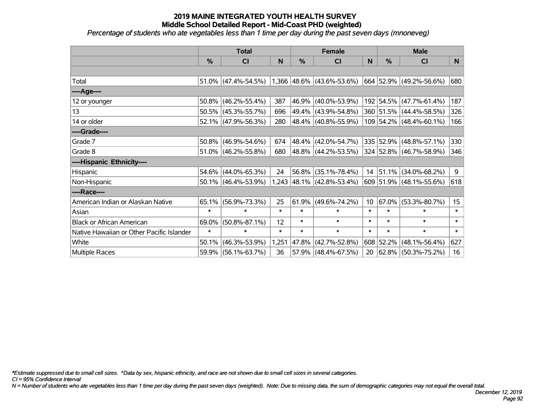*Percentage of students who ate vegetables less than 1 time per day during the past seven days (mnoneveg)*

|                                           | <b>Total</b>  |                        |        | <b>Female</b> |                                | <b>Male</b>     |               |                           |                  |
|-------------------------------------------|---------------|------------------------|--------|---------------|--------------------------------|-----------------|---------------|---------------------------|------------------|
|                                           | $\frac{0}{0}$ | <b>CI</b>              | N      | %             | <b>CI</b>                      | N               | $\frac{0}{0}$ | <b>CI</b>                 | N.               |
|                                           |               |                        |        |               |                                |                 |               |                           |                  |
| Total                                     |               | $51.0\%$ (47.4%-54.5%) |        |               | $1,366$  48.6%   (43.6%-53.6%) |                 |               | 664 52.9% (49.2%-56.6%)   | 680              |
| ----Age----                               |               |                        |        |               |                                |                 |               |                           |                  |
| 12 or younger                             | 50.8%         | $(46.2\% - 55.4\%)$    | 387    | 46.9%         | $(40.0\% - 53.9\%)$            |                 |               | 192 54.5% (47.7%-61.4%)   | 187              |
| 13                                        |               | $50.5\%$ (45.3%-55.7%) | 696    | 49.4%         | $(43.9\% - 54.8\%)$            |                 |               | 360 51.5% (44.4%-58.5%)   | 326              |
| 14 or older                               |               | 52.1% (47.9%-56.3%)    | 280    |               | 48.4% (40.8%-55.9%)            |                 |               | $109$ 54.2% (48.4%-60.1%) | 166              |
| ----Grade----                             |               |                        |        |               |                                |                 |               |                           |                  |
| Grade 7                                   | 50.8%         | $(46.9\% - 54.6\%)$    | 674    | 48.4%         | $(42.0\% - 54.7\%)$            |                 |               | 335 52.9% (48.8%-57.1%)   | 330              |
| Grade 8                                   |               | 51.0% (46.2%-55.8%)    | 680    |               | 48.8% (44.2%-53.5%)            |                 |               | 324 52.8% (46.7%-58.9%)   | 346              |
| ----Hispanic Ethnicity----                |               |                        |        |               |                                |                 |               |                           |                  |
| Hispanic                                  |               | 54.6% (44.0%-65.3%)    | 24     | 56.8%         | $(35.1\% - 78.4\%)$            |                 | $14$ 51.1%    | $(34.0\% - 68.2\%)$       | 9                |
| Non-Hispanic                              |               | $50.1\%$ (46.4%-53.9%) |        |               | $1,243$ 48.1% (42.8%-53.4%)    |                 |               | 609 51.9% (48.1%-55.6%)   | 618              |
| ----Race----                              |               |                        |        |               |                                |                 |               |                           |                  |
| American Indian or Alaskan Native         | 65.1%         | $(56.9\% - 73.3\%)$    | 25     | 61.9%         | $(49.6\% - 74.2\%)$            | 10 <sup>°</sup> | 67.0%         | $(53.3\% - 80.7\%)$       | 15 <sub>15</sub> |
| Asian                                     | $\ast$        | $\ast$                 | $\ast$ | $\ast$        | $\ast$                         | $\ast$          | $\ast$        | $\ast$                    | $\ast$           |
| <b>Black or African American</b>          | 69.0%         | $(50.8\% - 87.1\%)$    | 12     | $\ast$        | $\ast$                         | $\ast$          | $\ast$        | $\ast$                    | $\ast$           |
| Native Hawaiian or Other Pacific Islander | $\ast$        | $\ast$                 | $\ast$ | $\ast$        | $\ast$                         | $\ast$          | $\ast$        | $\ast$                    | $\ast$           |
| White                                     | 50.1%         | $(46.3\% - 53.9\%)$    | 1,251  | 47.8%         | $(42.7\% - 52.8\%)$            | 608             | 52.2%         | $(48.1\% - 56.4\%)$       | 627              |
| Multiple Races                            | 59.9%         | $(56.1\% - 63.7\%)$    | 36     | 57.9%         | $(48.4\% - 67.5\%)$            | 20              |               | $ 62.8\% $ (50.3%-75.2%)  | 16               |

*\*Estimate suppressed due to small cell sizes. ^Data by sex, hispanic ethnicity, and race are not shown due to small cell sizes in several categories.*

*CI = 95% Confidence Interval*

*N = Number of students who ate vegetables less than 1 time per day during the past seven days (weighted). Note: Due to missing data, the sum of demographic categories may not equal the overall total.*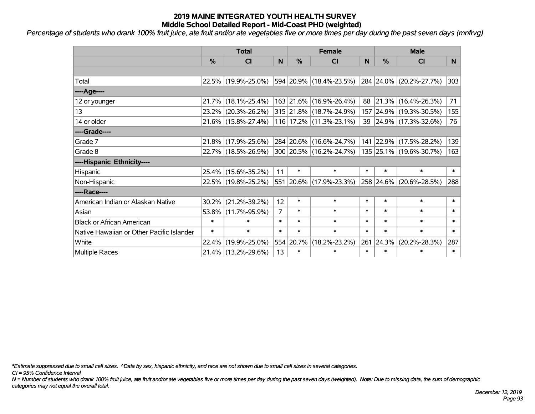*Percentage of students who drank 100% fruit juice, ate fruit and/or ate vegetables five or more times per day during the past seven days (mnfrvg)*

|                                           | <b>Total</b>  |                        |                |           | <b>Female</b>           | <b>Male</b> |               |                          |        |
|-------------------------------------------|---------------|------------------------|----------------|-----------|-------------------------|-------------|---------------|--------------------------|--------|
|                                           | $\frac{0}{0}$ | C <sub>l</sub>         | N              | %         | <b>CI</b>               | N           | $\frac{0}{0}$ | <b>CI</b>                | N      |
|                                           |               |                        |                |           |                         |             |               |                          |        |
| Total                                     |               | 22.5% (19.9%-25.0%)    |                |           | 594 20.9% (18.4%-23.5%) |             |               | 284 24.0% (20.2%-27.7%)  | 303    |
| ----Age----                               |               |                        |                |           |                         |             |               |                          |        |
| 12 or younger                             |               | 21.7% (18.1%-25.4%)    |                |           | 163 21.6% (16.9%-26.4%) | 88          |               | $ 21.3\% $ (16.4%-26.3%) | 71     |
| 13                                        |               | $23.2\%$ (20.3%-26.2%) |                |           | 315 21.8% (18.7%-24.9%) |             |               | 157 24.9% (19.3%-30.5%)  | 155    |
| 14 or older                               |               | 21.6% (15.8%-27.4%)    |                |           | 116 17.2% (11.3%-23.1%) |             |               | 39 24.9% (17.3%-32.6%)   | 76     |
| ----Grade----                             |               |                        |                |           |                         |             |               |                          |        |
| Grade 7                                   |               | 21.8% (17.9%-25.6%)    |                |           | 284 20.6% (16.6%-24.7%) |             | 141 22.9%     | $(17.5\% - 28.2\%)$      | 139    |
| Grade 8                                   |               | 22.7% (18.5%-26.9%)    |                |           | 300 20.5% (16.2%-24.7%) |             |               | 135 25.1% (19.6%-30.7%)  | 163    |
| ----Hispanic Ethnicity----                |               |                        |                |           |                         |             |               |                          |        |
| Hispanic                                  |               | 25.4% (15.6%-35.2%)    | 11             | $\ast$    | $\ast$                  | $\ast$      | $\ast$        | $\ast$                   | $\ast$ |
| Non-Hispanic                              |               | 22.5% (19.8%-25.2%)    |                |           | 551 20.6% (17.9%-23.3%) |             | 258 24.6%     | $(20.6\% - 28.5\%)$      | 288    |
| ----Race----                              |               |                        |                |           |                         |             |               |                          |        |
| American Indian or Alaskan Native         | $30.2\%$      | $(21.2\% - 39.2\%)$    | 12             | $\ast$    | $\ast$                  | $\ast$      | $\ast$        | $\ast$                   | $\ast$ |
| Asian                                     |               | 53.8% (11.7%-95.9%)    | $\overline{7}$ | $\ast$    | $\ast$                  | $\ast$      | $\ast$        | $\ast$                   | $\ast$ |
| <b>Black or African American</b>          | $\ast$        | $\ast$                 | $\ast$         | $\ast$    | $\ast$                  | $\ast$      | $\ast$        | $\ast$                   | $\ast$ |
| Native Hawaiian or Other Pacific Islander | $\ast$        | $\ast$                 | $\ast$         | $\ast$    | $\ast$                  | $\ast$      | $\ast$        | $\ast$                   | $\ast$ |
| White                                     | 22.4%         | $(19.9\% - 25.0\%)$    |                | 554 20.7% | $(18.2\% - 23.2\%)$     | 261         | 24.3%         | $(20.2\% - 28.3\%)$      | 287    |
| Multiple Races                            |               | 21.4% (13.2%-29.6%)    | 13             | $\ast$    | $\ast$                  | $\ast$      | $\ast$        | $\ast$                   | $\ast$ |

*\*Estimate suppressed due to small cell sizes. ^Data by sex, hispanic ethnicity, and race are not shown due to small cell sizes in several categories.*

*CI = 95% Confidence Interval*

*N = Number of students who drank 100% fruit juice, ate fruit and/or ate vegetables five or more times per day during the past seven days (weighted). Note: Due to missing data, the sum of demographic categories may not equal the overall total.*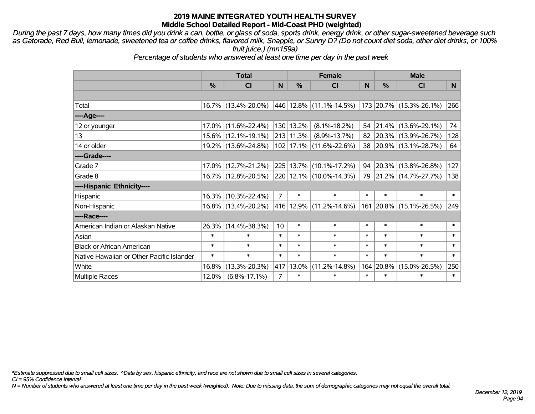*During the past 7 days, how many times did you drink a can, bottle, or glass of soda, sports drink, energy drink, or other sugar-sweetened beverage such as Gatorade, Red Bull, lemonade, sweetened tea or coffee drinks, flavored milk, Snapple, or Sunny D? (Do not count diet soda, other diet drinks, or 100% fruit juice.) (mn159a)*

*Percentage of students who answered at least one time per day in the past week*

|                                           | <b>Total</b> |                     |                | <b>Female</b> | <b>Male</b>                  |        |           |                         |        |
|-------------------------------------------|--------------|---------------------|----------------|---------------|------------------------------|--------|-----------|-------------------------|--------|
|                                           | %            | CI                  | N              | $\%$          | CI                           | N      | %         | <b>CI</b>               | N      |
|                                           |              |                     |                |               |                              |        |           |                         |        |
| Total                                     |              | 16.7% (13.4%-20.0%) |                |               | $ 446 12.8\% $ (11.1%-14.5%) |        |           | 173 20.7% (15.3%-26.1%) | 266    |
| ----Age----                               |              |                     |                |               |                              |        |           |                         |        |
| 12 or younger                             | 17.0%        | $(11.6\% - 22.4\%)$ |                | 130 13.2%     | $(8.1\% - 18.2\%)$           |        | 54 21.4%  | $(13.6\% - 29.1\%)$     | 74     |
| 13                                        |              | 15.6% (12.1%-19.1%) |                | $213$ 11.3%   | $(8.9\% - 13.7\%)$           |        |           | 82 20.3% (13.9%-26.7%)  | 128    |
| 14 or older                               |              | 19.2% (13.6%-24.8%) |                |               | 102 17.1% (11.6%-22.6%)      |        |           | 38 20.9% (13.1%-28.7%)  | 64     |
| ----Grade----                             |              |                     |                |               |                              |        |           |                         |        |
| Grade 7                                   | 17.0%        | $(12.7\% - 21.2\%)$ |                |               | 225 13.7% (10.1%-17.2%)      | 94     | 20.3%     | $(13.8\% - 26.8\%)$     | 127    |
| Grade 8                                   |              | 16.7% (12.8%-20.5%) |                |               | 220 12.1% (10.0%-14.3%)      |        |           | 79 21.2% (14.7%-27.7%)  | 138    |
| ----Hispanic Ethnicity----                |              |                     |                |               |                              |        |           |                         |        |
| Hispanic                                  | 16.3%        | $(10.3\% - 22.4\%)$ | $\overline{7}$ | $\ast$        | $\ast$                       | $\ast$ | $\ast$    | $\ast$                  | $\ast$ |
| Non-Hispanic                              |              | 16.8% (13.4%-20.2%) |                |               | 416 12.9% (11.2%-14.6%)      |        | 161 20.8% | $(15.1\% - 26.5\%)$     | 249    |
| ----Race----                              |              |                     |                |               |                              |        |           |                         |        |
| American Indian or Alaskan Native         | 26.3%        | $(14.4\% - 38.3\%)$ | 10             | $\ast$        | $\ast$                       | $\ast$ | $\ast$    | $\ast$                  | $\ast$ |
| Asian                                     | $\ast$       | $\ast$              | $\ast$         | $\ast$        | $\ast$                       | $\ast$ | $\ast$    | $\ast$                  | $\ast$ |
| <b>Black or African American</b>          | $\ast$       | $\ast$              | $\ast$         | $\ast$        | $\ast$                       | $\ast$ | $\ast$    | $\ast$                  | $\ast$ |
| Native Hawaiian or Other Pacific Islander | $\ast$       | $\ast$              | $\ast$         | $\ast$        | $\ast$                       | $\ast$ | $\ast$    | $\ast$                  | $\ast$ |
| White                                     | 16.8%        | $(13.3\% - 20.3\%)$ |                | 417 13.0%     | $(11.2\% - 14.8\%)$          |        | 164 20.8% | $(15.0\% - 26.5\%)$     | 250    |
| <b>Multiple Races</b>                     | 12.0%        | $(6.8\% - 17.1\%)$  | $\overline{7}$ | $\ast$        | $\ast$                       | $\ast$ | $\ast$    | $\ast$                  | $\ast$ |

*\*Estimate suppressed due to small cell sizes. ^Data by sex, hispanic ethnicity, and race are not shown due to small cell sizes in several categories.*

*CI = 95% Confidence Interval*

*N = Number of students who answered at least one time per day in the past week (weighted). Note: Due to missing data, the sum of demographic categories may not equal the overall total.*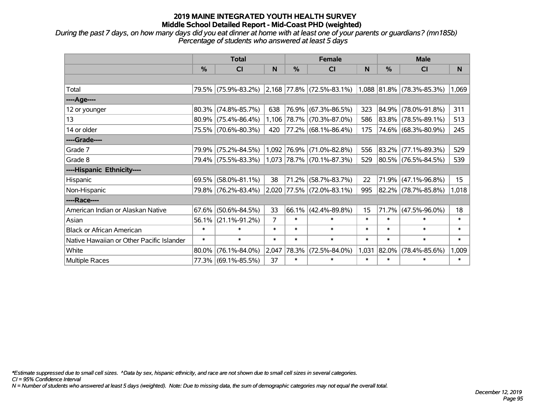*During the past 7 days, on how many days did you eat dinner at home with at least one of your parents or guardians? (mn185b) Percentage of students who answered at least 5 days*

|                                           |        | <b>Total</b>           |        |               | <b>Female</b>                      |        | <b>Male</b> |                           |        |  |
|-------------------------------------------|--------|------------------------|--------|---------------|------------------------------------|--------|-------------|---------------------------|--------|--|
|                                           | $\%$   | <b>CI</b>              | N      | $\frac{0}{0}$ | <b>CI</b>                          | N      | %           | <b>CI</b>                 | N      |  |
|                                           |        |                        |        |               |                                    |        |             |                           |        |  |
| Total                                     |        | 79.5% (75.9%-83.2%)    |        |               | $ 2,168 77.8\%  (72.5\% - 83.1\%)$ |        |             | 1,088 81.8% (78.3%-85.3%) | 1,069  |  |
| ----Age----                               |        |                        |        |               |                                    |        |             |                           |        |  |
| 12 or younger                             | 80.3%  | $(74.8\% - 85.7\%)$    | 638    | 76.9%         | $(67.3\% - 86.5\%)$                | 323    | $ 84.9\% $  | $(78.0\% - 91.8\%)$       | 311    |  |
| 13                                        |        | $80.9\%$ (75.4%-86.4%) |        |               | 1,106 78.7% (70.3%-87.0%)          | 586    | $ 83.8\% $  | $(78.5\% - 89.1\%)$       | 513    |  |
| 14 or older                               |        | 75.5% (70.6%-80.3%)    | 420    |               | 77.2% (68.1%-86.4%)                | 175    |             | 74.6% (68.3%-80.9%)       | 245    |  |
| ----Grade----                             |        |                        |        |               |                                    |        |             |                           |        |  |
| Grade 7                                   | 79.9%  | $(75.2\% - 84.5\%)$    |        | 1,092 76.9%   | $(71.0\% - 82.8\%)$                | 556    | 83.2%       | $(77.1\% - 89.3\%)$       | 529    |  |
| Grade 8                                   |        | 79.4% (75.5%-83.3%)    |        |               | 1,073 78.7% (70.1%-87.3%)          | 529    |             | 80.5% (76.5%-84.5%)       | 539    |  |
| ----Hispanic Ethnicity----                |        |                        |        |               |                                    |        |             |                           |        |  |
| Hispanic                                  | 69.5%  | $(58.0\% - 81.1\%)$    | 38     | 71.2%         | $(58.7\% - 83.7\%)$                | 22     | 71.9%       | $(47.1\% - 96.8\%)$       | 15     |  |
| Non-Hispanic                              |        | 79.8% (76.2%-83.4%)    |        |               | 2,020 77.5% (72.0%-83.1%)          | 995    |             | 82.2% (78.7%-85.8%)       | 1,018  |  |
| ----Race----                              |        |                        |        |               |                                    |        |             |                           |        |  |
| American Indian or Alaskan Native         | 67.6%  | $(50.6\% - 84.5\%)$    | 33     | 66.1%         | $(42.4\% - 89.8\%)$                | 15     | 71.7%       | $(47.5\% - 96.0\%)$       | 18     |  |
| Asian                                     | 56.1%  | $(21.1\% - 91.2\%)$    | 7      | $\ast$        | $\ast$                             | $\ast$ | $\ast$      | $\ast$                    | $\ast$ |  |
| <b>Black or African American</b>          | $\ast$ | $\ast$                 | $\ast$ | $\ast$        | $\ast$                             | $\ast$ | $\ast$      | $\ast$                    | $\ast$ |  |
| Native Hawaiian or Other Pacific Islander | $\ast$ | $\ast$                 | $\ast$ | $\ast$        | $\ast$                             | $\ast$ | $\ast$      | $\ast$                    | $\ast$ |  |
| White                                     | 80.0%  | $(76.1\% - 84.0\%)$    | 2,047  | 78.3%         | $(72.5\% - 84.0\%)$                | 1,031  | $ 82.0\% $  | $(78.4\% - 85.6\%)$       | 1,009  |  |
| <b>Multiple Races</b>                     |        | 77.3% (69.1%-85.5%)    | 37     | $\ast$        | $\ast$                             | $\ast$ | $\ast$      | $\ast$                    | $\ast$ |  |

*\*Estimate suppressed due to small cell sizes. ^Data by sex, hispanic ethnicity, and race are not shown due to small cell sizes in several categories.*

*CI = 95% Confidence Interval*

*N = Number of students who answered at least 5 days (weighted). Note: Due to missing data, the sum of demographic categories may not equal the overall total.*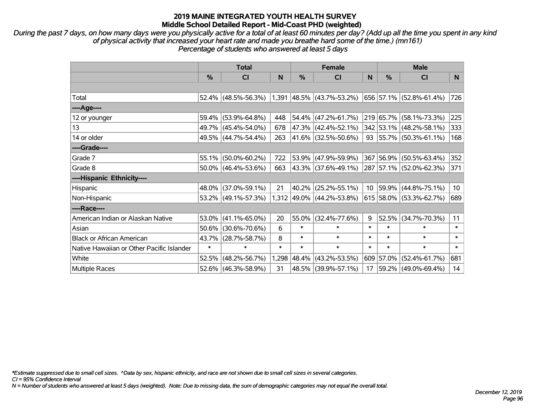*During the past 7 days, on how many days were you physically active for a total of at least 60 minutes per day? (Add up all the time you spent in any kind of physical activity that increased your heart rate and made you breathe hard some of the time.) (mn161) Percentage of students who answered at least 5 days*

|                                           | <b>Total</b> |                        |        | <b>Female</b> |                             | <b>Male</b>     |           |                                  |                |
|-------------------------------------------|--------------|------------------------|--------|---------------|-----------------------------|-----------------|-----------|----------------------------------|----------------|
|                                           | %            | <b>CI</b>              | N      | %             | <b>CI</b>                   | N               | %         | <b>CI</b>                        | N <sub>1</sub> |
|                                           |              |                        |        |               |                             |                 |           |                                  |                |
| Total                                     |              | $52.4\%$ (48.5%-56.3%) |        |               | $1,391$ 48.5% (43.7%-53.2%) |                 |           | 656 57.1% (52.8%-61.4%)          | 726            |
| ----Age----                               |              |                        |        |               |                             |                 |           |                                  |                |
| 12 or younger                             |              | 59.4% (53.9%-64.8%)    | 448    |               | $54.4\%$ (47.2%-61.7%)      |                 | 219 65.7% | $(58.1\% - 73.3\%)$              | 225            |
| 13                                        |              | 49.7% (45.4%-54.0%)    | 678    |               | 47.3% (42.4%-52.1%)         |                 |           | 342 53.1% (48.2%-58.1%)          | 333            |
| 14 or older                               |              | 49.5% (44.7%-54.4%)    | 263    |               | $ 41.6\% $ (32.5%-50.6%)    |                 |           | 93   55.7%   $(50.3\% - 61.1\%)$ | 168            |
| ----Grade----                             |              |                        |        |               |                             |                 |           |                                  |                |
| Grade 7                                   | 55.1%        | $(50.0\% - 60.2\%)$    | 722    |               | 53.9% (47.9%-59.9%)         | 367             | 56.9%     | $(50.5\% - 63.4\%)$              | 352            |
| Grade 8                                   |              | $50.0\%$ (46.4%-53.6%) | 663    |               | $ 43.3\% $ (37.6%-49.1%)    |                 |           | 287 57.1% (52.0%-62.3%)          | 371            |
| ----Hispanic Ethnicity----                |              |                        |        |               |                             |                 |           |                                  |                |
| Hispanic                                  |              | 48.0% (37.0%-59.1%)    | 21     | 40.2%         | $(25.2\% - 55.1\%)$         | 10 <sup>°</sup> | 59.9%     | $(44.8\% - 75.1\%)$              | 10             |
| Non-Hispanic                              |              | 53.2% (49.1%-57.3%)    |        |               | 1,312 49.0% (44.2%-53.8%)   |                 |           | 615 58.0% (53.3%-62.7%)          | 689            |
| ----Race----                              |              |                        |        |               |                             |                 |           |                                  |                |
| American Indian or Alaskan Native         |              | $53.0\%$ (41.1%-65.0%) | 20     | 55.0%         | $(32.4\% - 77.6\%)$         | 9               | 52.5%     | $(34.7\% - 70.3\%)$              | 11             |
| Asian                                     |              | 50.6% (30.6%-70.6%)    | 6      | $\ast$        | $\ast$                      | $\ast$          | $\ast$    | $\ast$                           | $\ast$         |
| <b>Black or African American</b>          | 43.7%        | $(28.7\% - 58.7\%)$    | 8      | $\ast$        | $\ast$                      | $\ast$          | $\ast$    | $\ast$                           | $\ast$         |
| Native Hawaiian or Other Pacific Islander | $\ast$       | $\ast$                 | $\ast$ | $\ast$        | $\ast$                      | $\ast$          | $\ast$    | $\ast$                           | $\ast$         |
| White                                     | 52.5%        | $(48.2\% - 56.7\%)$    |        | 1,298 48.4%   | $(43.2\% - 53.5\%)$         |                 | 609 57.0% | $(52.4\% - 61.7\%)$              | 681            |
| Multiple Races                            |              | 52.6% (46.3%-58.9%)    | 31     |               | 48.5% (39.9%-57.1%)         | 17              |           | $ 59.2\% $ (49.0%-69.4%)         | 14             |

*\*Estimate suppressed due to small cell sizes. ^Data by sex, hispanic ethnicity, and race are not shown due to small cell sizes in several categories.*

*CI = 95% Confidence Interval*

*N = Number of students who answered at least 5 days (weighted). Note: Due to missing data, the sum of demographic categories may not equal the overall total.*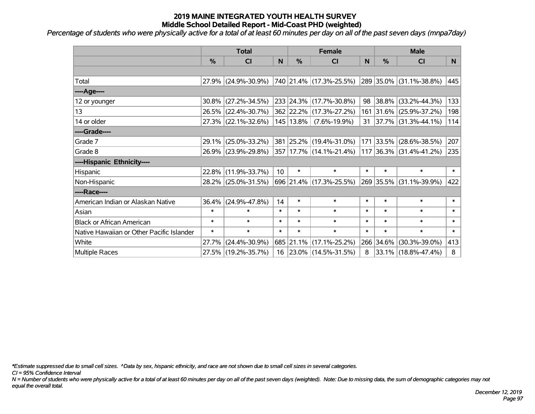*Percentage of students who were physically active for a total of at least 60 minutes per day on all of the past seven days (mnpa7day)*

|                                           | <b>Total</b>  |                                             | <b>Female</b>   |               |                           | <b>Male</b> |           |                                   |              |
|-------------------------------------------|---------------|---------------------------------------------|-----------------|---------------|---------------------------|-------------|-----------|-----------------------------------|--------------|
|                                           | $\frac{0}{0}$ | <b>CI</b>                                   | N               | $\%$          | <b>CI</b>                 | N           | %         | <b>CI</b>                         | N.           |
|                                           |               |                                             |                 |               |                           |             |           |                                   |              |
| Total                                     |               | 27.9% (24.9%-30.9%)                         |                 |               | 740  21.4%  (17.3%-25.5%) |             |           | 289 35.0% (31.1%-38.8%)           | 445          |
| ----Age----                               |               |                                             |                 |               |                           |             |           |                                   |              |
| 12 or younger                             | $30.8\%$      | $(27.2\% - 34.5\%)$                         |                 |               | 233 24.3% (17.7%-30.8%)   | 98          | 38.8%     | $(33.2\% - 44.3\%)$               | 133          |
| 13                                        |               | 26.5% (22.4%-30.7%)                         |                 |               | 362 22.2% (17.3%-27.2%)   |             |           | 161 31.6% (25.9%-37.2%)           | 198          |
| 14 or older                               |               | 27.3% (22.1%-32.6%)                         |                 | $145$   13.8% | $(7.6\% - 19.9\%)$        |             |           | $31   37.7\%   (31.3\% - 44.1\%)$ | 114          |
| ----Grade----                             |               |                                             |                 |               |                           |             |           |                                   |              |
| Grade 7                                   | 29.1%         | $(25.0\% - 33.2\%)$                         |                 |               | 381 25.2% (19.4%-31.0%)   |             | 171 33.5% | $(28.6\% - 38.5\%)$               | 207          |
| Grade 8                                   |               | 26.9% (23.9%-29.8%) 357 17.7% (14.1%-21.4%) |                 |               |                           |             |           | 117 36.3% (31.4%-41.2%)           | 235          |
| ----Hispanic Ethnicity----                |               |                                             |                 |               |                           |             |           |                                   |              |
| Hispanic                                  | 22.8%         | $(11.9\% - 33.7\%)$                         | 10 <sup>°</sup> | $\ast$        | $\ast$                    | $\ast$      | $\ast$    | $\ast$                            | $\ast$       |
| Non-Hispanic                              |               | 28.2% (25.0%-31.5%)                         |                 |               | 696 21.4% (17.3%-25.5%)   |             |           | 269 35.5% (31.1%-39.9%)           | 422          |
| ----Race----                              |               |                                             |                 |               |                           |             |           |                                   |              |
| American Indian or Alaskan Native         | 36.4%         | $(24.9\% - 47.8\%)$                         | 14              | $\ast$        | $\ast$                    | $\ast$      | $\ast$    | $\ast$                            | $\ast$       |
| Asian                                     | $\ast$        | $\ast$                                      | $\ast$          | $\ast$        | $\ast$                    | $\ast$      | $\ast$    | $\ast$                            | $\ast$       |
| <b>Black or African American</b>          | $\ast$        | $\ast$                                      | $\ast$          | $\ast$        | $\ast$                    | $\ast$      | $\ast$    | $\ast$                            | $\ast$       |
| Native Hawaiian or Other Pacific Islander | $\ast$        | $\ast$                                      | $\ast$          | $\ast$        | $\ast$                    | $\ast$      | $\ast$    | $\ast$                            | $\pmb{\ast}$ |
| White                                     | 27.7%         | $(24.4\% - 30.9\%)$                         |                 | 685 21.1%     | $(17.1\% - 25.2\%)$       | 266         | 34.6%     | $(30.3\% - 39.0\%)$               | 413          |
| Multiple Races                            |               | 27.5% (19.2%-35.7%)                         |                 |               | 16 23.0% (14.5%-31.5%)    | 8           |           | 33.1% (18.8%-47.4%)               | 8            |

*\*Estimate suppressed due to small cell sizes. ^Data by sex, hispanic ethnicity, and race are not shown due to small cell sizes in several categories.*

*CI = 95% Confidence Interval*

*N = Number of students who were physically active for a total of at least 60 minutes per day on all of the past seven days (weighted). Note: Due to missing data, the sum of demographic categories may not equal the overall total.*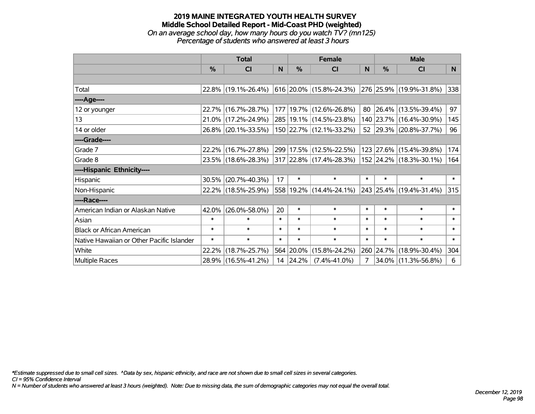#### **2019 MAINE INTEGRATED YOUTH HEALTH SURVEY Middle School Detailed Report - Mid-Coast PHD (weighted)** *On an average school day, how many hours do you watch TV? (mn125) Percentage of students who answered at least 3 hours*

|                                           | <b>Total</b>  |                     | <b>Female</b> |               |                                                      | <b>Male</b> |           |                         |        |
|-------------------------------------------|---------------|---------------------|---------------|---------------|------------------------------------------------------|-------------|-----------|-------------------------|--------|
|                                           | $\frac{0}{0}$ | CI                  | N             | $\frac{0}{0}$ | <b>CI</b>                                            | N           | %         | <b>CI</b>               | N.     |
|                                           |               |                     |               |               |                                                      |             |           |                         |        |
| Total                                     |               | 22.8% (19.1%-26.4%) |               |               | $ 616 20.0\% $ (15.8%-24.3%) 276 25.9% (19.9%-31.8%) |             |           |                         | 338    |
| ----Age----                               |               |                     |               |               |                                                      |             |           |                         |        |
| 12 or younger                             |               | 22.7% (16.7%-28.7%) |               |               | 177   19.7%   (12.6%-26.8%)                          | 80          |           | 26.4% (13.5%-39.4%)     | 97     |
| 13                                        |               | 21.0% (17.2%-24.9%) |               |               | 285 19.1% (14.5%-23.8%)                              |             |           | 140 23.7% (16.4%-30.9%) | 145    |
| 14 or older                               |               | 26.8% (20.1%-33.5%) |               |               | 150 22.7% (12.1%-33.2%)                              |             |           | 52 29.3% (20.8%-37.7%)  | 96     |
| ----Grade----                             |               |                     |               |               |                                                      |             |           |                         |        |
| Grade 7                                   | $22.2\%$      | $(16.7\% - 27.8\%)$ |               |               | 299 17.5% (12.5%-22.5%)                              |             |           | 123 27.6% (15.4%-39.8%) | 174    |
| Grade 8                                   |               | 23.5% (18.6%-28.3%) |               |               | 317 22.8% (17.4%-28.3%)                              |             |           | 152 24.2% (18.3%-30.1%) | 164    |
| ----Hispanic Ethnicity----                |               |                     |               |               |                                                      |             |           |                         |        |
| Hispanic                                  | 30.5%         | $(20.7\% - 40.3\%)$ | 17            | $\ast$        | $\ast$                                               | $\ast$      | $\ast$    | $\ast$                  | $\ast$ |
| Non-Hispanic                              |               | 22.2% (18.5%-25.9%) |               |               | 558 19.2% (14.4%-24.1%)                              |             |           | 243 25.4% (19.4%-31.4%) | 315    |
| ----Race----                              |               |                     |               |               |                                                      |             |           |                         |        |
| American Indian or Alaskan Native         | 42.0%         | $(26.0\% - 58.0\%)$ | 20            | $\ast$        | $\ast$                                               | $\ast$      | $\ast$    | $\ast$                  | $\ast$ |
| Asian                                     | $\ast$        | $\ast$              | $\ast$        | $\ast$        | $\ast$                                               | $\ast$      | $\ast$    | $\ast$                  | $\ast$ |
| <b>Black or African American</b>          | $\ast$        | $\ast$              | $\ast$        | $\ast$        | $\ast$                                               | $\ast$      | $\ast$    | $\ast$                  | $\ast$ |
| Native Hawaiian or Other Pacific Islander | $\ast$        | $\ast$              | $\ast$        | $\ast$        | $\ast$                                               | $\ast$      | $\ast$    | $\ast$                  | $\ast$ |
| White                                     | 22.2%         | $(18.7\% - 25.7\%)$ |               | 564 20.0%     | $(15.8\% - 24.2\%)$                                  |             | 260 24.7% | $(18.9\% - 30.4\%)$     | 304    |
| <b>Multiple Races</b>                     |               | 28.9% (16.5%-41.2%) |               | 14 24.2%      | $(7.4\% - 41.0\%)$                                   | 7           |           | 34.0% (11.3%-56.8%)     | 6      |

*\*Estimate suppressed due to small cell sizes. ^Data by sex, hispanic ethnicity, and race are not shown due to small cell sizes in several categories.*

*CI = 95% Confidence Interval*

*N = Number of students who answered at least 3 hours (weighted). Note: Due to missing data, the sum of demographic categories may not equal the overall total.*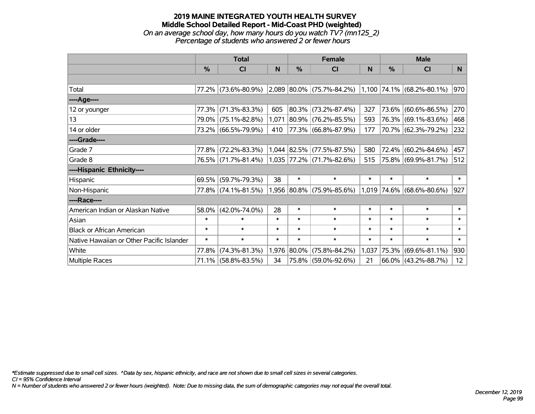### **2019 MAINE INTEGRATED YOUTH HEALTH SURVEY Middle School Detailed Report - Mid-Coast PHD (weighted)** *On an average school day, how many hours do you watch TV? (mn125\_2) Percentage of students who answered 2 or fewer hours*

|                                           | <b>Total</b>  |                     |        |               | <b>Female</b>             | <b>Male</b> |               |                             |        |
|-------------------------------------------|---------------|---------------------|--------|---------------|---------------------------|-------------|---------------|-----------------------------|--------|
|                                           | $\frac{0}{0}$ | <b>CI</b>           | N      | $\frac{0}{0}$ | <b>CI</b>                 | N           | $\frac{0}{0}$ | <b>CI</b>                   | N      |
|                                           |               |                     |        |               |                           |             |               |                             |        |
| Total                                     |               | 77.2% (73.6%-80.9%) |        |               | 2,089 80.0% (75.7%-84.2%) |             |               | $1,100$ 74.1% (68.2%-80.1%) | 970    |
| ----Age----                               |               |                     |        |               |                           |             |               |                             |        |
| 12 or younger                             | 77.3%         | $(71.3\% - 83.3\%)$ | 605    |               | 80.3% (73.2%-87.4%)       | 327         |               | 73.6% (60.6%-86.5%)         | 270    |
| 13                                        | 79.0%         | $(75.1\% - 82.8\%)$ | 1,071  |               | 80.9% (76.2%-85.5%)       | 593         |               | 76.3% (69.1%-83.6%)         | 468    |
| 14 or older                               |               | 73.2% (66.5%-79.9%) | 410    |               | 77.3% (66.8%-87.9%)       | 177         |               | 70.7% (62.3%-79.2%)         | 232    |
| ----Grade----                             |               |                     |        |               |                           |             |               |                             |        |
| Grade 7                                   | 77.8%         | $(72.2\% - 83.3\%)$ |        |               | 1,044 82.5% (77.5%-87.5%) | 580         |               | 72.4% (60.2%-84.6%)         | 457    |
| Grade 8                                   |               | 76.5% (71.7%-81.4%) |        |               | 1,035 77.2% (71.7%-82.6%) | 515         |               | 75.8% (69.9%-81.7%)         | 512    |
| ----Hispanic Ethnicity----                |               |                     |        |               |                           |             |               |                             |        |
| Hispanic                                  | 69.5%         | $(59.7\% - 79.3\%)$ | 38     | $\ast$        | $\ast$                    | $\ast$      | $\ast$        | $\ast$                      | $\ast$ |
| Non-Hispanic                              |               | 77.8% (74.1%-81.5%) |        |               | 1,956 80.8% (75.9%-85.6%) |             |               | $1,019$ 74.6% (68.6%-80.6%) | 927    |
| ----Race----                              |               |                     |        |               |                           |             |               |                             |        |
| American Indian or Alaskan Native         | 58.0%         | $(42.0\% - 74.0\%)$ | 28     | $\ast$        | $\ast$                    | $\ast$      | $\ast$        | $\ast$                      | $\ast$ |
| Asian                                     | $\ast$        | $\ast$              | $\ast$ | $\ast$        | $\ast$                    | $\ast$      | $\ast$        | $\ast$                      | $\ast$ |
| <b>Black or African American</b>          | $\ast$        | $\ast$              | $\ast$ | $\ast$        | $\ast$                    | $\ast$      | $\ast$        | $\ast$                      | $\ast$ |
| Native Hawaiian or Other Pacific Islander | $\ast$        | $\ast$              | $\ast$ | $\ast$        | $\ast$                    | $\ast$      | $\ast$        | $\ast$                      | $\ast$ |
| White                                     | 77.8%         | $(74.3\% - 81.3\%)$ | 1,976  | 80.0%         | $(75.8\% - 84.2\%)$       | 1,037       |               | 75.3% (69.6%-81.1%)         | 930    |
| <b>Multiple Races</b>                     | 71.1%         | $(58.8\% - 83.5\%)$ | 34     |               | 75.8% (59.0%-92.6%)       | 21          |               | $66.0\%$ (43.2%-88.7%)      | 12     |

*\*Estimate suppressed due to small cell sizes. ^Data by sex, hispanic ethnicity, and race are not shown due to small cell sizes in several categories.*

*CI = 95% Confidence Interval*

*N = Number of students who answered 2 or fewer hours (weighted). Note: Due to missing data, the sum of demographic categories may not equal the overall total.*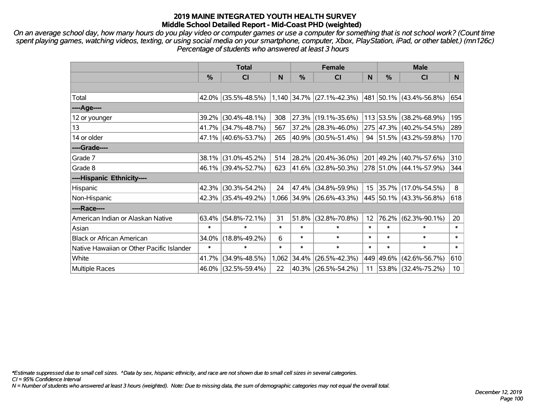*On an average school day, how many hours do you play video or computer games or use a computer for something that is not school work? (Count time spent playing games, watching videos, texting, or using social media on your smartphone, computer, Xbox, PlayStation, iPad, or other tablet.) (mn126c) Percentage of students who answered at least 3 hours*

|                                           | <b>Total</b>  |                                                  | <b>Female</b> |        |                           | <b>Male</b>     |               |                              |        |
|-------------------------------------------|---------------|--------------------------------------------------|---------------|--------|---------------------------|-----------------|---------------|------------------------------|--------|
|                                           | $\frac{0}{0}$ | <b>CI</b>                                        | N             | %      | <b>CI</b>                 | N               | $\frac{0}{0}$ | <b>CI</b>                    | N.     |
|                                           |               |                                                  |               |        |                           |                 |               |                              |        |
| Total                                     |               | $42.0\%$ (35.5%-48.5%) 1,140 34.7% (27.1%-42.3%) |               |        |                           |                 |               | 481   50.1%   (43.4%-56.8%)  | 654    |
| ----Age----                               |               |                                                  |               |        |                           |                 |               |                              |        |
| 12 or younger                             | 39.2%         | $(30.4\% - 48.1\%)$                              | 308           | 27.3%  | $(19.1\% - 35.6\%)$       |                 |               | 113 53.5% (38.2%-68.9%)      | 195    |
| 13                                        |               | 41.7% (34.7%-48.7%)                              | 567           | 37.2%  | $(28.3\% - 46.0\%)$       |                 |               | 275 47.3% (40.2%-54.5%)      | 289    |
| 14 or older                               |               | 47.1% (40.6%-53.7%)                              | 265           |        | 40.9% (30.5%-51.4%)       |                 |               | 94 51.5% $(43.2\% - 59.8\%)$ | 170    |
| ----Grade----                             |               |                                                  |               |        |                           |                 |               |                              |        |
| Grade 7                                   | 38.1%         | $(31.0\% - 45.2\%)$                              | 514           | 28.2%  | $(20.4\% - 36.0\%)$       |                 |               | 201 49.2% (40.7%-57.6%)      | 310    |
| Grade 8                                   |               | 46.1% (39.4%-52.7%)                              | 623           |        | 41.6% (32.8%-50.3%)       |                 |               | 278 51.0% (44.1%-57.9%)      | 344    |
| ----Hispanic Ethnicity----                |               |                                                  |               |        |                           |                 |               |                              |        |
| Hispanic                                  | 42.3%         | $(30.3\% - 54.2\%)$                              | 24            | 47.4%  | $(34.8\% - 59.9\%)$       | 15 <sub>1</sub> |               | $ 35.7\% $ (17.0%-54.5%)     | 8      |
| Non-Hispanic                              |               | 42.3% (35.4%-49.2%)                              |               |        | 1,066 34.9% (26.6%-43.3%) |                 |               | 445 50.1% (43.3%-56.8%)      | 618    |
| ----Race----                              |               |                                                  |               |        |                           |                 |               |                              |        |
| American Indian or Alaskan Native         |               | $63.4\%$ (54.8%-72.1%)                           | 31            | 51.8%  | $(32.8\% - 70.8\%)$       | 12              | 76.2%         | $(62.3\% - 90.1\%)$          | 20     |
| Asian                                     | $\ast$        | $\ast$                                           | $\ast$        | $\ast$ | $\ast$                    | $\ast$          | $\ast$        | $\ast$                       | $\ast$ |
| <b>Black or African American</b>          | 34.0%         | $(18.8\% - 49.2\%)$                              | 6             | $\ast$ | $\ast$                    | $\ast$          | $\ast$        | $\ast$                       | $\ast$ |
| Native Hawaiian or Other Pacific Islander | $\ast$        | $\ast$                                           | $\ast$        | $\ast$ | $\ast$                    | $\ast$          | $\ast$        | $\ast$                       | $\ast$ |
| White                                     | 41.7%         | $(34.9\% - 48.5\%)$                              | 1,062         | 34.4%  | $(26.5\% - 42.3\%)$       |                 |               | 449 49.6% (42.6%-56.7%)      | 610    |
| <b>Multiple Races</b>                     |               | 46.0% (32.5%-59.4%)                              | 22            |        | 40.3% (26.5%-54.2%)       | 11              |               | 53.8% (32.4%-75.2%)          | 10     |

*\*Estimate suppressed due to small cell sizes. ^Data by sex, hispanic ethnicity, and race are not shown due to small cell sizes in several categories.*

*CI = 95% Confidence Interval*

*N = Number of students who answered at least 3 hours (weighted). Note: Due to missing data, the sum of demographic categories may not equal the overall total.*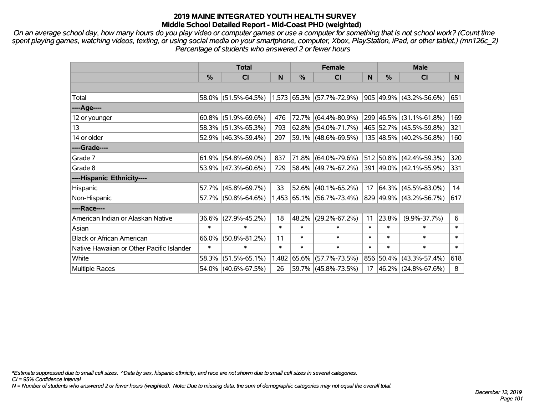*On an average school day, how many hours do you play video or computer games or use a computer for something that is not school work? (Count time spent playing games, watching videos, texting, or using social media on your smartphone, computer, Xbox, PlayStation, iPad, or other tablet.) (mn126c\_2) Percentage of students who answered 2 or fewer hours*

|                                           | <b>Total</b> |                        |        | <b>Female</b> |                             | <b>Male</b> |        |                          |        |
|-------------------------------------------|--------------|------------------------|--------|---------------|-----------------------------|-------------|--------|--------------------------|--------|
|                                           | %            | CI                     | N      | %             | <b>CI</b>                   | N           | %      | <b>CI</b>                | N.     |
|                                           |              |                        |        |               |                             |             |        |                          |        |
| Total                                     |              | $58.0\%$ (51.5%-64.5%) |        |               | $1,573$ 65.3% (57.7%-72.9%) |             |        | 905 49.9% (43.2%-56.6%)  | 651    |
| ----Age----                               |              |                        |        |               |                             |             |        |                          |        |
| 12 or younger                             | $60.8\%$     | $(51.9\% - 69.6\%)$    | 476    |               | 72.7% (64.4%-80.9%)         |             |        | 299 46.5% (31.1%-61.8%)  | 169    |
| 13                                        |              | 58.3% (51.3%-65.3%)    | 793    |               | 62.8% (54.0%-71.7%)         |             |        | 465 52.7% (45.5%-59.8%)  | 321    |
| 14 or older                               |              | 52.9% (46.3%-59.4%)    | 297    |               | $59.1\%$ (48.6%-69.5%)      |             |        | 135 48.5% (40.2%-56.8%)  | 160    |
| ----Grade----                             |              |                        |        |               |                             |             |        |                          |        |
| Grade 7                                   | 61.9%        | $(54.8\% - 69.0\%)$    | 837    |               | 71.8% (64.0%-79.6%)         |             |        | 512 50.8% (42.4%-59.3%)  | 320    |
| Grade 8                                   |              | $53.9\%$ (47.3%-60.6%) | 729    |               | 58.4% (49.7%-67.2%)         |             |        | 391 49.0% (42.1%-55.9%)  | 331    |
| ----Hispanic Ethnicity----                |              |                        |        |               |                             |             |        |                          |        |
| Hispanic                                  |              | 57.7% (45.8%-69.7%)    | 33     |               | $52.6\%$ (40.1%-65.2%)      | 17          |        | $ 64.3\% $ (45.5%-83.0%) | 14     |
| Non-Hispanic                              |              | 57.7% (50.8%-64.6%)    |        |               | 1,453 65.1% (56.7%-73.4%)   |             |        | 829 49.9% (43.2%-56.7%)  | 617    |
| ----Race----                              |              |                        |        |               |                             |             |        |                          |        |
| American Indian or Alaskan Native         | 36.6%        | $(27.9\% - 45.2\%)$    | 18     | 48.2%         | $(29.2\% - 67.2\%)$         | 11          | 23.8%  | $(9.9\% - 37.7\%)$       | 6      |
| Asian                                     | $\ast$       | $\ast$                 | $\ast$ | $\ast$        | $\ast$                      | $\ast$      | $\ast$ | $\ast$                   | $\ast$ |
| <b>Black or African American</b>          | 66.0%        | $(50.8\% - 81.2\%)$    | 11     | $\ast$        | $\ast$                      | $\ast$      | $\ast$ | $\ast$                   | $\ast$ |
| Native Hawaiian or Other Pacific Islander | $\ast$       | $\ast$                 | $\ast$ | $\ast$        | $\ast$                      | $\ast$      | $\ast$ | $\ast$                   | $\ast$ |
| White                                     | 58.3%        | $(51.5\% - 65.1\%)$    |        | 1,482 65.6%   | $(57.7\% - 73.5\%)$         |             |        | 856 50.4% (43.3%-57.4%)  | 618    |
| <b>Multiple Races</b>                     |              | 54.0% (40.6%-67.5%)    | 26     |               | 59.7% (45.8%-73.5%)         | 17          |        | 46.2% (24.8%-67.6%)      | 8      |

*\*Estimate suppressed due to small cell sizes. ^Data by sex, hispanic ethnicity, and race are not shown due to small cell sizes in several categories.*

*CI = 95% Confidence Interval*

*N = Number of students who answered 2 or fewer hours (weighted). Note: Due to missing data, the sum of demographic categories may not equal the overall total.*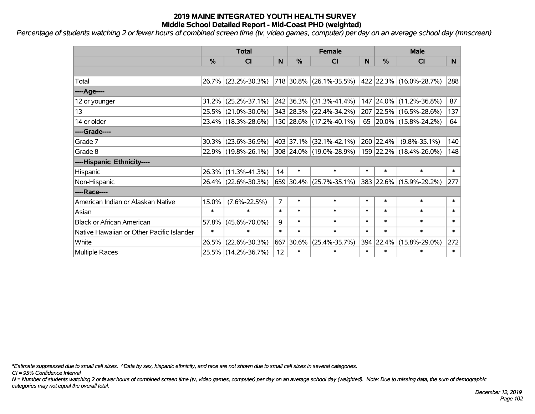*Percentage of students watching 2 or fewer hours of combined screen time (tv, video games, computer) per day on an average school day (mnscreen)*

|                                           | <b>Total</b>  |                     |                | <b>Female</b> |                         |        | <b>Male</b> |                         |        |  |
|-------------------------------------------|---------------|---------------------|----------------|---------------|-------------------------|--------|-------------|-------------------------|--------|--|
|                                           | $\frac{0}{0}$ | <b>CI</b>           | N              | %             | <b>CI</b>               | N      | %           | <b>CI</b>               | N.     |  |
|                                           |               |                     |                |               |                         |        |             |                         |        |  |
| Total                                     |               | 26.7% (23.2%-30.3%) |                |               | 718 30.8% (26.1%-35.5%) |        |             | 422 22.3% (16.0%-28.7%) | 288    |  |
| ----Age----                               |               |                     |                |               |                         |        |             |                         |        |  |
| 12 or younger                             | 31.2%         | $(25.2\% - 37.1\%)$ |                |               | 242 36.3% (31.3%-41.4%) |        |             | 147 24.0% (11.2%-36.8%) | 87     |  |
| 13                                        |               | 25.5% (21.0%-30.0%) |                |               | 343 28.3% (22.4%-34.2%) |        |             | 207 22.5% (16.5%-28.6%) | 137    |  |
| 14 or older                               |               | 23.4% (18.3%-28.6%) |                |               | 130 28.6% (17.2%-40.1%) |        |             | 65 20.0% (15.8%-24.2%)  | 64     |  |
| ----Grade----                             |               |                     |                |               |                         |        |             |                         |        |  |
| Grade 7                                   | 30.3%         | $(23.6\% - 36.9\%)$ |                |               | 403 37.1% (32.1%-42.1%) |        | 260 22.4%   | $(9.8\% - 35.1\%)$      | 140    |  |
| Grade 8                                   |               | 22.9% (19.8%-26.1%) |                |               | 308 24.0% (19.0%-28.9%) |        |             | 159 22.2% (18.4%-26.0%) | 148    |  |
| ----Hispanic Ethnicity----                |               |                     |                |               |                         |        |             |                         |        |  |
| Hispanic                                  |               | 26.3% (11.3%-41.3%) | 14             | $\ast$        | $\ast$                  | $\ast$ | $\ast$      | $\ast$                  | $\ast$ |  |
| Non-Hispanic                              |               | 26.4% (22.6%-30.3%) |                |               | 659 30.4% (25.7%-35.1%) |        |             | 383 22.6% (15.9%-29.2%) | 277    |  |
| ----Race----                              |               |                     |                |               |                         |        |             |                         |        |  |
| American Indian or Alaskan Native         | 15.0%         | $(7.6\% - 22.5\%)$  | $\overline{7}$ | $\ast$        | $\ast$                  | $\ast$ | $\ast$      | $\ast$                  | $\ast$ |  |
| Asian                                     | $\ast$        | $\ast$              | $\ast$         | $\ast$        | $\ast$                  | $\ast$ | $\ast$      | $\ast$                  | $\ast$ |  |
| <b>Black or African American</b>          | 57.8%         | $(45.6\% - 70.0\%)$ | 9              | $\ast$        | $\ast$                  | $\ast$ | $\ast$      | $\ast$                  | $\ast$ |  |
| Native Hawaiian or Other Pacific Islander | $\ast$        | $\ast$              | $\ast$         | $\ast$        | $\ast$                  | $\ast$ | $\ast$      | $\ast$                  | $\ast$ |  |
| White                                     | 26.5%         | $(22.6\% - 30.3\%)$ | 667            | 30.6%         | $(25.4\% - 35.7\%)$     | 394    | 22.4%       | $(15.8\% - 29.0\%)$     | 272    |  |
| <b>Multiple Races</b>                     |               | 25.5% (14.2%-36.7%) | 12             | $\ast$        | $\ast$                  | $\ast$ | $\ast$      | $\ast$                  | $\ast$ |  |

*\*Estimate suppressed due to small cell sizes. ^Data by sex, hispanic ethnicity, and race are not shown due to small cell sizes in several categories.*

*CI = 95% Confidence Interval*

*N = Number of students watching 2 or fewer hours of combined screen time (tv, video games, computer) per day on an average school day (weighted). Note: Due to missing data, the sum of demographic categories may not equal the overall total.*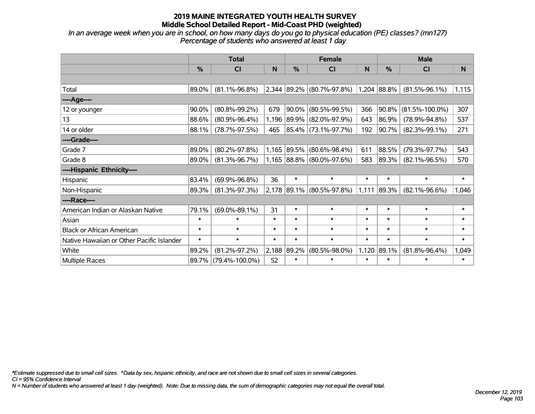*In an average week when you are in school, on how many days do you go to physical education (PE) classes? (mn127) Percentage of students who answered at least 1 day*

|                                           | <b>Total</b> |                      |        | <b>Female</b> |                             | <b>Male</b> |               |                      |        |
|-------------------------------------------|--------------|----------------------|--------|---------------|-----------------------------|-------------|---------------|----------------------|--------|
|                                           | $\%$         | CI                   | N      | %             | <b>CI</b>                   | N           | $\frac{0}{0}$ | <b>CI</b>            | N      |
|                                           |              |                      |        |               |                             |             |               |                      |        |
| Total                                     | 89.0%        | $(81.1\% - 96.8\%)$  |        |               | 2,344 89.2% (80.7%-97.8%)   |             | 1,204 88.8%   | $(81.5\% - 96.1\%)$  | 1,115  |
| ----Age----                               |              |                      |        |               |                             |             |               |                      |        |
| 12 or younger                             | 90.0%        | $(80.8\% - 99.2\%)$  | 679    |               | 90.0% (80.5%-99.5%)         | 366         | 90.8%         | $(81.5\% - 100.0\%)$ | 307    |
| 13                                        | 88.6%        | $(80.9\% - 96.4\%)$  |        |               | 1,196 89.9% (82.0%-97.9%)   | 643         | 86.9%         | $(78.9\% - 94.8\%)$  | 537    |
| 14 or older                               | 88.1%        | $(78.7\% - 97.5\%)$  | 465    |               | 85.4% (73.1%-97.7%)         | 192         | 90.7%         | $(82.3\% - 99.1\%)$  | 271    |
| ----Grade----                             |              |                      |        |               |                             |             |               |                      |        |
| Grade 7                                   | 89.0%        | $(80.2\% - 97.8\%)$  | 1,165  | 89.5%         | $(80.6\% - 98.4\%)$         | 611         | 88.5%         | $(79.3\% - 97.7\%)$  | 543    |
| Grade 8                                   | 89.0%        | $(81.3\% - 96.7\%)$  |        |               | 1,165 88.8% (80.0%-97.6%)   | 583         | 89.3%         | $(82.1\% - 96.5\%)$  | 570    |
| ----Hispanic Ethnicity----                |              |                      |        |               |                             |             |               |                      |        |
| Hispanic                                  | 83.4%        | $(69.9\% - 96.8\%)$  | 36     | $\ast$        | $\ast$                      | $\ast$      | $\ast$        | $\ast$               | $\ast$ |
| Non-Hispanic                              | 89.3%        | $(81.3\% - 97.3\%)$  |        |               | $2,178$ 89.1% (80.5%-97.8%) | 1,111       | 89.3%         | $(82.1\% - 96.6\%)$  | 1,046  |
| ----Race----                              |              |                      |        |               |                             |             |               |                      |        |
| American Indian or Alaskan Native         | 79.1%        | $(69.0\% - 89.1\%)$  | 31     | $\ast$        | $\ast$                      | $\ast$      | $\ast$        | $\ast$               | $\ast$ |
| Asian                                     | $\ast$       | $\ast$               | $\ast$ | $\ast$        | $\ast$                      | $\ast$      | $\ast$        | $\ast$               | $\ast$ |
| <b>Black or African American</b>          | $\ast$       | $\ast$               | $\ast$ | $\ast$        | $\ast$                      | $\ast$      | $\ast$        | $\ast$               | $\ast$ |
| Native Hawaiian or Other Pacific Islander | $\ast$       | $\ast$               | $\ast$ | $\ast$        | $\ast$                      | $\ast$      | $\ast$        | $\ast$               | $\ast$ |
| White                                     | 89.2%        | $(81.2\% - 97.2\%)$  | 2,188  | 89.2%         | $(80.5\% - 98.0\%)$         | 1,120       | 89.1%         | $(81.8\% - 96.4\%)$  | 1,049  |
| Multiple Races                            |              | 89.7% (79.4%-100.0%) | 52     | $\ast$        | $\ast$                      | $\ast$      | $\ast$        | $\ast$               | $\ast$ |

*\*Estimate suppressed due to small cell sizes. ^Data by sex, hispanic ethnicity, and race are not shown due to small cell sizes in several categories.*

*CI = 95% Confidence Interval*

*N = Number of students who answered at least 1 day (weighted). Note: Due to missing data, the sum of demographic categories may not equal the overall total.*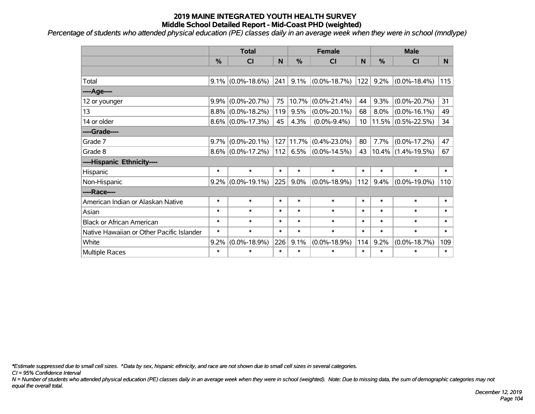*Percentage of students who attended physical education (PE) classes daily in an average week when they were in school (mndlype)*

|                                           | <b>Total</b> |                      | <b>Female</b> |                  |                    | <b>Male</b>     |        |                       |        |
|-------------------------------------------|--------------|----------------------|---------------|------------------|--------------------|-----------------|--------|-----------------------|--------|
|                                           | %            | <b>CI</b>            | N             | $\frac{0}{0}$    | <b>CI</b>          | N               | %      | <b>CI</b>             | N.     |
|                                           |              |                      |               |                  |                    |                 |        |                       |        |
| Total                                     |              | $9.1\%$ (0.0%-18.6%) | 241           | 9.1%             | $(0.0\% - 18.7\%)$ | 122             | 9.2%   | $(0.0\% - 18.4\%)$    | 115    |
| ----Age----                               |              |                      |               |                  |                    |                 |        |                       |        |
| 12 or younger                             | 9.9%         | $(0.0\% - 20.7\%)$   | 75            | 10.7%            | $(0.0\% - 21.4\%)$ | 44              | 9.3%   | $(0.0\% - 20.7\%)$    | 31     |
| 13                                        |              | $8.8\%$ (0.0%-18.2%) | 119           | 9.5%             | $(0.0\% - 20.1\%)$ | 68              | 8.0%   | $(0.0\% - 16.1\%)$    | 49     |
| 14 or older                               |              | $8.6\%$ (0.0%-17.3%) | 45            | 4.3%             | $(0.0\% - 9.4\%)$  | 10 <sup>1</sup> |        | $11.5\%$ (0.5%-22.5%) | 34     |
| ----Grade----                             |              |                      |               |                  |                    |                 |        |                       |        |
| Grade 7                                   |              | $9.7\%$ (0.0%-20.1%) |               | 127 11.7%        | $(0.4\% - 23.0\%)$ | 80              | 7.7%   | $(0.0\% - 17.2\%)$    | 47     |
| Grade 8                                   |              | $8.6\%$ (0.0%-17.2%) |               | $ 112 $ 6.5% $ $ | $(0.0\% - 14.5\%)$ | 43              |        | $10.4\%$ (1.4%-19.5%) | 67     |
| ----Hispanic Ethnicity----                |              |                      |               |                  |                    |                 |        |                       |        |
| Hispanic                                  | $\ast$       | $\ast$               | $\ast$        | $\ast$           | $\ast$             | $\ast$          | $\ast$ | $\ast$                | $\ast$ |
| Non-Hispanic                              |              | $9.2\%$ (0.0%-19.1%) | 225           | 9.0%             | $(0.0\% - 18.9\%)$ | 112             | 9.4%   | $(0.0\% - 19.0\%)$    | 110    |
| ----Race----                              |              |                      |               |                  |                    |                 |        |                       |        |
| American Indian or Alaskan Native         | $\ast$       | $\ast$               | $\ast$        | $\ast$           | $\ast$             | $\ast$          | $\ast$ | $\ast$                | $\ast$ |
| Asian                                     | $\ast$       | $\ast$               | $\ast$        | $\ast$           | $\ast$             | $\ast$          | $\ast$ | $\ast$                | $\ast$ |
| <b>Black or African American</b>          | $\ast$       | $\ast$               | $\ast$        | $\ast$           | $\ast$             | $\ast$          | $\ast$ | $\ast$                | $\ast$ |
| Native Hawaiian or Other Pacific Islander | $\ast$       | $\ast$               | $\ast$        | $\ast$           | $\ast$             | $\ast$          | $\ast$ | $\ast$                | $\ast$ |
| White                                     | 9.2%         | $(0.0\% - 18.9\%)$   | 226           | 9.1%             | $(0.0\% - 18.9\%)$ | 114             | 9.2%   | $(0.0\% - 18.7\%)$    | 109    |
| Multiple Races                            | $\ast$       | *                    | $\ast$        | $\ast$           | $\ast$             | $\ast$          | $\ast$ | $\ast$                | $\ast$ |

*\*Estimate suppressed due to small cell sizes. ^Data by sex, hispanic ethnicity, and race are not shown due to small cell sizes in several categories.*

*CI = 95% Confidence Interval*

*N = Number of students who attended physical education (PE) classes daily in an average week when they were in school (weighted). Note: Due to missing data, the sum of demographic categories may not equal the overall total.*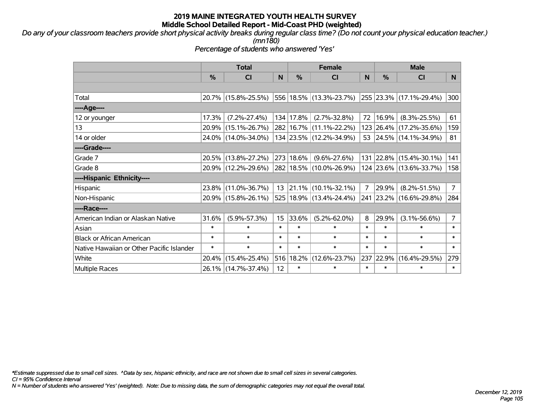*Do any of your classroom teachers provide short physical activity breaks during regular class time? (Do not count your physical education teacher.) (mn180)*

*Percentage of students who answered 'Yes'*

|                                           | <b>Total</b>  |                     | <b>Female</b> |           |                         | <b>Male</b> |           |                                 |                |
|-------------------------------------------|---------------|---------------------|---------------|-----------|-------------------------|-------------|-----------|---------------------------------|----------------|
|                                           | $\frac{0}{0}$ | <b>CI</b>           | N             | %         | <b>CI</b>               | N           | %         | <b>CI</b>                       | N.             |
|                                           |               |                     |               |           |                         |             |           |                                 |                |
| Total                                     |               | 20.7% (15.8%-25.5%) |               |           | 556 18.5% (13.3%-23.7%) |             |           | $ 255 23.3\% (17.1\% - 29.4\%)$ | 300            |
| ----Age----                               |               |                     |               |           |                         |             |           |                                 |                |
| 12 or younger                             | 17.3%         | $(7.2\% - 27.4\%)$  |               | 134 17.8% | $(2.7\% - 32.8\%)$      | 72          | 16.9%     | $(8.3\% - 25.5\%)$              | 61             |
| 13                                        | $20.9\%$      | $(15.1\% - 26.7\%)$ |               |           | 282 16.7% (11.1%-22.2%) |             |           | 123 26.4% (17.2%-35.6%)         | 159            |
| 14 or older                               |               | 24.0% (14.0%-34.0%) |               |           | 134 23.5% (12.2%-34.9%) |             |           | 53 24.5% (14.1%-34.9%)          | 81             |
| ----Grade----                             |               |                     |               |           |                         |             |           |                                 |                |
| Grade 7                                   |               | 20.5% (13.8%-27.2%) |               | 273 18.6% | $(9.6\% - 27.6\%)$      |             | 131 22.8% | $(15.4\% - 30.1\%)$             | 141            |
| Grade 8                                   |               | 20.9% (12.2%-29.6%) |               |           | 282 18.5% (10.0%-26.9%) |             |           | 124 23.6% (13.6%-33.7%)         | 158            |
| ----Hispanic Ethnicity----                |               |                     |               |           |                         |             |           |                                 |                |
| Hispanic                                  | 23.8%         | $(11.0\% - 36.7\%)$ | 13            | 21.1%     | $(10.1\% - 32.1\%)$     | 7           | 29.9%     | $(8.2\% - 51.5\%)$              | 7 <sup>7</sup> |
| Non-Hispanic                              |               | 20.9% (15.8%-26.1%) |               |           | 525 18.9% (13.4%-24.4%) |             |           | 241 23.2% (16.6%-29.8%)         | 284            |
| ----Race----                              |               |                     |               |           |                         |             |           |                                 |                |
| American Indian or Alaskan Native         | 31.6%         | $(5.9\% - 57.3\%)$  | 15            | 33.6%     | $(5.2\% - 62.0\%)$      | 8           | 29.9%     | $(3.1\% - 56.6\%)$              | $\overline{7}$ |
| Asian                                     | $\ast$        | $\ast$              | $\ast$        | $\ast$    | $\ast$                  | $\ast$      | $\ast$    | $\ast$                          | $\ast$         |
| <b>Black or African American</b>          | $\ast$        | $\ast$              | $\ast$        | $\ast$    | $\ast$                  | $\ast$      | $\ast$    | $\ast$                          | $\ast$         |
| Native Hawaiian or Other Pacific Islander | $\ast$        | $\ast$              | $\ast$        | $\ast$    | $\ast$                  | $\ast$      | $\ast$    | $\ast$                          | $\ast$         |
| White                                     | 20.4%         | $(15.4\% - 25.4\%)$ | 516           | 18.2%     | $(12.6\% - 23.7\%)$     | 237         | 22.9%     | $(16.4\% - 29.5\%)$             | 279            |
| <b>Multiple Races</b>                     | $26.1\%$      | $(14.7\% - 37.4\%)$ | 12            | $\ast$    | $\ast$                  | $\ast$      | $\ast$    | $\ast$                          | $\ast$         |

*\*Estimate suppressed due to small cell sizes. ^Data by sex, hispanic ethnicity, and race are not shown due to small cell sizes in several categories.*

*CI = 95% Confidence Interval*

*N = Number of students who answered 'Yes' (weighted). Note: Due to missing data, the sum of demographic categories may not equal the overall total.*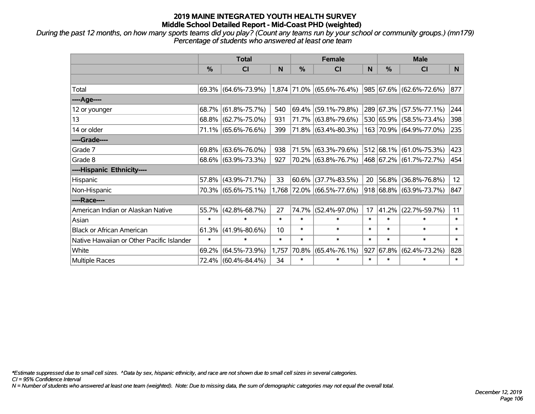*During the past 12 months, on how many sports teams did you play? (Count any teams run by your school or community groups.) (mn179) Percentage of students who answered at least one team*

|                                           | <b>Total</b>  |                                                  |        | <b>Female</b> |                           | <b>Male</b> |               |                         |        |
|-------------------------------------------|---------------|--------------------------------------------------|--------|---------------|---------------------------|-------------|---------------|-------------------------|--------|
|                                           | $\frac{0}{0}$ | <b>CI</b>                                        | N      | %             | <b>CI</b>                 | N           | $\frac{0}{0}$ | <b>CI</b>               | N.     |
|                                           |               |                                                  |        |               |                           |             |               |                         |        |
| Total                                     |               | $69.3\%$ (64.6%-73.9%) 1,874 71.0% (65.6%-76.4%) |        |               |                           |             |               | 985 67.6% (62.6%-72.6%) | 877    |
| ----Age----                               |               |                                                  |        |               |                           |             |               |                         |        |
| 12 or younger                             | 68.7%         | $(61.8\% - 75.7\%)$                              | 540    | 69.4%         | $(59.1\% - 79.8\%)$       |             | 289 67.3%     | $(57.5\% - 77.1\%)$     | 244    |
| 13                                        |               | 68.8% (62.7%-75.0%)                              | 931    |               | 71.7% (63.8%-79.6%)       |             |               | 530 65.9% (58.5%-73.4%) | 398    |
| 14 or older                               |               | 71.1% (65.6%-76.6%)                              | 399    |               | 71.8% (63.4%-80.3%)       |             |               | 163 70.9% (64.9%-77.0%) | 235    |
| ----Grade----                             |               |                                                  |        |               |                           |             |               |                         |        |
| Grade 7                                   | 69.8%         | $(63.6\% - 76.0\%)$                              | 938    | 71.5%         | $(63.3\% - 79.6\%)$       |             |               | 512 68.1% (61.0%-75.3%) | 423    |
| Grade 8                                   |               | 68.6% (63.9%-73.3%)                              | 927    |               | 70.2% (63.8%-76.7%)       |             |               | 468 67.2% (61.7%-72.7%) | 454    |
| ----Hispanic Ethnicity----                |               |                                                  |        |               |                           |             |               |                         |        |
| Hispanic                                  | 57.8%         | $(43.9\% - 71.7\%)$                              | 33     | 60.6%         | $(37.7\% - 83.5\%)$       | 20          | 56.8%         | $(36.8\% - 76.8\%)$     | 12     |
| Non-Hispanic                              |               | 70.3% (65.6%-75.1%)                              |        |               | 1,768 72.0% (66.5%-77.6%) |             |               | 918 68.8% (63.9%-73.7%) | 847    |
| ----Race----                              |               |                                                  |        |               |                           |             |               |                         |        |
| American Indian or Alaskan Native         | 55.7%         | $(42.8\% - 68.7\%)$                              | 27     | 74.7%         | $(52.4\% - 97.0\%)$       | 17          | 41.2%         | $(22.7\% - 59.7\%)$     | 11     |
| Asian                                     | $\ast$        | $\ast$                                           | $\ast$ | $\ast$        | $\ast$                    | $\ast$      | $\ast$        | $\ast$                  | $\ast$ |
| <b>Black or African American</b>          | 61.3%         | $(41.9\% - 80.6\%)$                              | 10     | $\ast$        | $\ast$                    | $\ast$      | $\ast$        | $\ast$                  | $\ast$ |
| Native Hawaiian or Other Pacific Islander | $\ast$        | $\ast$                                           | $\ast$ | $\ast$        | $\ast$                    | $\ast$      | $\ast$        | $\ast$                  | $\ast$ |
| White                                     | 69.2%         | $(64.5\% - 73.9\%)$                              | 1,757  | 70.8%         | $(65.4\% - 76.1\%)$       | 927         | 67.8%         | $(62.4\% - 73.2\%)$     | 828    |
| Multiple Races                            |               | 72.4% (60.4%-84.4%)                              | 34     | $\ast$        | $\ast$                    | $\ast$      | $\ast$        | $\ast$                  | $\ast$ |

*\*Estimate suppressed due to small cell sizes. ^Data by sex, hispanic ethnicity, and race are not shown due to small cell sizes in several categories.*

*CI = 95% Confidence Interval*

*N = Number of students who answered at least one team (weighted). Note: Due to missing data, the sum of demographic categories may not equal the overall total.*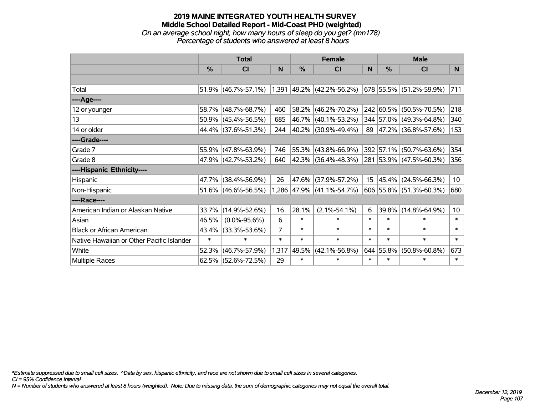### **2019 MAINE INTEGRATED YOUTH HEALTH SURVEY Middle School Detailed Report - Mid-Coast PHD (weighted)** *On an average school night, how many hours of sleep do you get? (mn178) Percentage of students who answered at least 8 hours*

|                                           | <b>Total</b> |                        | <b>Female</b>  |               |                             | <b>Male</b>      |           |                          |                 |
|-------------------------------------------|--------------|------------------------|----------------|---------------|-----------------------------|------------------|-----------|--------------------------|-----------------|
|                                           | %            | <b>CI</b>              | N              | $\frac{0}{0}$ | <b>CI</b>                   | N                | %         | <b>CI</b>                | N <sub>1</sub>  |
|                                           |              |                        |                |               |                             |                  |           |                          |                 |
| Total                                     |              | $51.9\%$ (46.7%-57.1%) |                |               | $1,391$ 49.2% (42.2%-56.2%) |                  |           | 678 55.5% (51.2%-59.9%)  | 711             |
| ----Age----                               |              |                        |                |               |                             |                  |           |                          |                 |
| 12 or younger                             | 58.7%        | $(48.7\% - 68.7\%)$    | 460            | 58.2%         | $(46.2\% - 70.2\%)$         |                  |           | 242 60.5% (50.5%-70.5%)  | 218             |
| 13                                        |              | $50.9\%$ (45.4%-56.5%) | 685            | 46.7%         | $(40.1\% - 53.2\%)$         |                  |           | 344 57.0% (49.3%-64.8%)  | 340             |
| 14 or older                               |              | 44.4% (37.6%-51.3%)    | 244            |               | $ 40.2\% $ (30.9%-49.4%)    | 89               |           | $ 47.2\% $ (36.8%-57.6%) | 153             |
| ----Grade----                             |              |                        |                |               |                             |                  |           |                          |                 |
| Grade 7                                   |              | 55.9% (47.8%-63.9%)    | 746            | 55.3%         | $(43.8\% - 66.9\%)$         |                  | 392 57.1% | $(50.7\% - 63.6\%)$      | 354             |
| Grade 8                                   |              | 47.9% (42.7%-53.2%)    | 640            |               | 42.3% (36.4%-48.3%)         |                  |           | 281 53.9% (47.5%-60.3%)  | 356             |
| ----Hispanic Ethnicity----                |              |                        |                |               |                             |                  |           |                          |                 |
| Hispanic                                  | 47.7%        | $(38.4\% - 56.9\%)$    | 26             | 47.6%         | $(37.9\% - 57.2\%)$         | 15 <sub>15</sub> | 45.4%     | $(24.5\% - 66.3\%)$      | 10 <sup>°</sup> |
| Non-Hispanic                              |              | 51.6% (46.6%-56.5%)    |                |               | 1,286 47.9% (41.1%-54.7%)   |                  |           | 606 55.8% (51.3%-60.3%)  | 680             |
| ----Race----                              |              |                        |                |               |                             |                  |           |                          |                 |
| American Indian or Alaskan Native         | 33.7%        | $(14.9\% - 52.6\%)$    | 16             | 28.1%         | $(2.1\% - 54.1\%)$          | 6                | 39.8%     | $(14.8\% - 64.9\%)$      | 10 <sub>1</sub> |
| Asian                                     | 46.5%        | $(0.0\% - 95.6\%)$     | 6              | $\ast$        | $\ast$                      | $\ast$           | $\ast$    | $\ast$                   | $\ast$          |
| <b>Black or African American</b>          | 43.4%        | $(33.3\% - 53.6\%)$    | $\overline{7}$ | $\ast$        | $\ast$                      | $\ast$           | $\ast$    | $\ast$                   | $\ast$          |
| Native Hawaiian or Other Pacific Islander | $\ast$       | $\ast$                 | $\ast$         | $\ast$        | $\ast$                      | $\ast$           | $\ast$    | $\ast$                   | $\ast$          |
| White                                     | 52.3%        | $(46.7\% - 57.9\%)$    | 1,317          | 49.5%         | $(42.1\% - 56.8\%)$         |                  | 644 55.8% | $(50.8\% - 60.8\%)$      | 673             |
| Multiple Races                            |              | 62.5% (52.6%-72.5%)    | 29             | $\ast$        | $\ast$                      | $\ast$           | $\ast$    | $\ast$                   | $\ast$          |

*\*Estimate suppressed due to small cell sizes. ^Data by sex, hispanic ethnicity, and race are not shown due to small cell sizes in several categories.*

*CI = 95% Confidence Interval*

*N = Number of students who answered at least 8 hours (weighted). Note: Due to missing data, the sum of demographic categories may not equal the overall total.*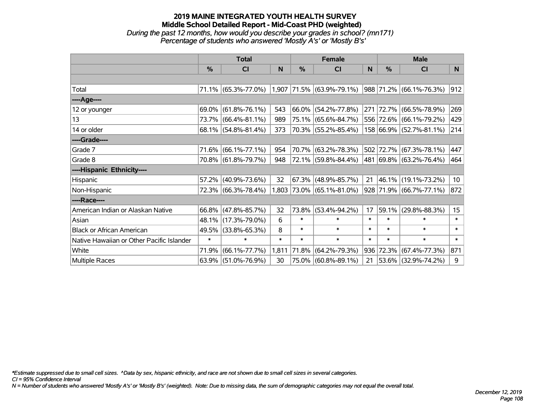### **2019 MAINE INTEGRATED YOUTH HEALTH SURVEY Middle School Detailed Report - Mid-Coast PHD (weighted)** *During the past 12 months, how would you describe your grades in school? (mn171) Percentage of students who answered 'Mostly A's' or 'Mostly B's'*

|                                           | <b>Total</b>  |                        | <b>Female</b> |        |                             | <b>Male</b> |           |                           |                  |
|-------------------------------------------|---------------|------------------------|---------------|--------|-----------------------------|-------------|-----------|---------------------------|------------------|
|                                           | $\frac{9}{6}$ | CI                     | N             | %      | <b>CI</b>                   | N           | %         | <b>CI</b>                 | N                |
|                                           |               |                        |               |        |                             |             |           |                           |                  |
| Total                                     |               | 71.1% (65.3%-77.0%)    |               |        | $1,907$ 71.5% (63.9%-79.1%) |             |           | 988 71.2% (66.1%-76.3%)   | 912              |
| ----Age----                               |               |                        |               |        |                             |             |           |                           |                  |
| 12 or younger                             | 69.0%         | $(61.8\% - 76.1\%)$    | 543           |        | 66.0% (54.2%-77.8%)         |             | 271 72.7% | $(66.5\% - 78.9\%)$       | 269              |
| 13                                        |               | 73.7% (66.4%-81.1%)    | 989           | 75.1%  | $(65.6\% - 84.7\%)$         |             |           | 556 72.6% (66.1%-79.2%)   | 429              |
| 14 or older                               |               | $68.1\%$ (54.8%-81.4%) | 373           |        | 70.3% (55.2%-85.4%)         |             |           | 158 66.9% (52.7%-81.1%)   | 214              |
| ----Grade----                             |               |                        |               |        |                             |             |           |                           |                  |
| Grade 7                                   | 71.6%         | $(66.1\% - 77.1\%)$    | 954           | 70.7%  | $(63.2\% - 78.3\%)$         |             |           | 502 72.7% (67.3%-78.1%)   | 447              |
| Grade 8                                   |               | 70.8% (61.8%-79.7%)    | 948           |        | 72.1% (59.8%-84.4%)         |             |           | 481 69.8% (63.2%-76.4%)   | 464              |
| ----Hispanic Ethnicity----                |               |                        |               |        |                             |             |           |                           |                  |
| Hispanic                                  |               | 57.2% (40.9%-73.6%)    | 32            | 67.3%  | $(48.9\% - 85.7\%)$         | 21          |           | 46.1% (19.1%-73.2%)       | 10 <sub>1</sub>  |
| Non-Hispanic                              |               | 72.3% (66.3%-78.4%)    |               |        | 1,803 73.0% (65.1%-81.0%)   |             |           | $928$ 71.9% (66.7%-77.1%) | 872              |
| ----Race----                              |               |                        |               |        |                             |             |           |                           |                  |
| American Indian or Alaskan Native         | 66.8%         | $(47.8\% - 85.7\%)$    | 32            | 73.8%  | $(53.4\% - 94.2\%)$         | 17          | 59.1%     | $(29.8\% - 88.3\%)$       | 15 <sub>15</sub> |
| Asian                                     | 48.1%         | $(17.3\% - 79.0\%)$    | 6             | $\ast$ | $\ast$                      | $\ast$      | $\ast$    | $\ast$                    | $\ast$           |
| <b>Black or African American</b>          | 49.5%         | $(33.8\% - 65.3\%)$    | 8             | $\ast$ | $\ast$                      | $\ast$      | $\ast$    | $\ast$                    | $\ast$           |
| Native Hawaiian or Other Pacific Islander | $\ast$        | $\ast$                 | $\ast$        | $\ast$ | $\ast$                      | $\ast$      | $\ast$    | $\ast$                    | $\ast$           |
| White                                     | 71.9%         | $(66.1\% -77.7\%)$     | 1,811         | 71.8%  | $(64.2\% - 79.3\%)$         | 936         |           | 72.3% (67.4%-77.3%)       | 871              |
| Multiple Races                            |               | 63.9% (51.0%-76.9%)    | 30            |        | 75.0% (60.8%-89.1%)         | 21          |           | 53.6% (32.9%-74.2%)       | 9                |

*\*Estimate suppressed due to small cell sizes. ^Data by sex, hispanic ethnicity, and race are not shown due to small cell sizes in several categories.*

*CI = 95% Confidence Interval*

*N = Number of students who answered 'Mostly A's' or 'Mostly B's' (weighted). Note: Due to missing data, the sum of demographic categories may not equal the overall total.*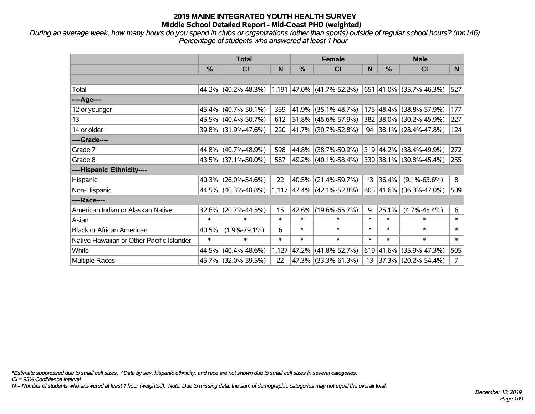*During an average week, how many hours do you spend in clubs or organizations (other than sports) outside of regular school hours? (mn146) Percentage of students who answered at least 1 hour*

|                                           | <b>Total</b> |                                                            |        | <b>Female</b> |                             |        | <b>Male</b> |                          |                |  |
|-------------------------------------------|--------------|------------------------------------------------------------|--------|---------------|-----------------------------|--------|-------------|--------------------------|----------------|--|
|                                           | %            | CI                                                         | N      | %             | <b>CI</b>                   | N      | %           | <b>CI</b>                | N <sub>1</sub> |  |
|                                           |              |                                                            |        |               |                             |        |             |                          |                |  |
| Total                                     |              | 44.2% $ (40.2\% - 48.3\%) 1,191 47.0\%  (41.7\% - 52.2\%)$ |        |               |                             |        |             | 651 41.0% (35.7%-46.3%)  | 527            |  |
| ----Age----                               |              |                                                            |        |               |                             |        |             |                          |                |  |
| 12 or younger                             | 45.4%        | $(40.7\% - 50.1\%)$                                        | 359    | 41.9%         | $(35.1\% - 48.7\%)$         |        | 175 48.4%   | $(38.8\% - 57.9\%)$      | 177            |  |
| 13                                        |              | 45.5% (40.4%-50.7%)                                        | 612    |               | $51.8\%$ (45.6%-57.9%)      |        |             | 382 38.0% (30.2%-45.9%)  | 227            |  |
| 14 or older                               |              | 39.8% (31.9%-47.6%)                                        | 220    |               | 41.7% (30.7%-52.8%)         | 94     |             | $ 38.1\% $ (28.4%-47.8%) | 124            |  |
| ----Grade----                             |              |                                                            |        |               |                             |        |             |                          |                |  |
| Grade 7                                   |              | 44.8% (40.7%-48.9%)                                        | 598    | 44.8%         | $(38.7\% - 50.9\%)$         |        |             | 319 44.2% (38.4%-49.9%)  | 272            |  |
| Grade 8                                   |              | $43.5\%$ (37.1%-50.0%)                                     | 587    |               | 49.2% (40.1%-58.4%)         |        |             | 330 38.1% (30.8%-45.4%)  | 255            |  |
| ----Hispanic Ethnicity----                |              |                                                            |        |               |                             |        |             |                          |                |  |
| Hispanic                                  | 40.3%        | $(26.0\% - 54.6\%)$                                        | 22     | 40.5%         | $(21.4\% - 59.7\%)$         | 13     | 36.4%       | $(9.1\% - 63.6\%)$       | 8              |  |
| Non-Hispanic                              |              | 44.5% (40.3%-48.8%)                                        |        |               | $1,117$ 47.4% (42.1%-52.8%) |        |             | 605 41.6% (36.3%-47.0%)  | 509            |  |
| ----Race----                              |              |                                                            |        |               |                             |        |             |                          |                |  |
| American Indian or Alaskan Native         | 32.6%        | $(20.7\% - 44.5\%)$                                        | 15     | 42.6%         | $(19.6\% - 65.7\%)$         | 9      | 25.1%       | $(4.7\% - 45.4\%)$       | 6              |  |
| Asian                                     | $\ast$       | $\ast$                                                     | $\ast$ | $\ast$        | $\ast$                      | $\ast$ | $\ast$      | $\ast$                   | $\ast$         |  |
| <b>Black or African American</b>          | 40.5%        | $(1.9\% - 79.1\%)$                                         | 6      | $\ast$        | $\ast$                      | $\ast$ | *           | $\ast$                   | $\ast$         |  |
| Native Hawaiian or Other Pacific Islander | $\ast$       | $\ast$                                                     | $\ast$ | $\ast$        | $\ast$                      | $\ast$ | $\ast$      | $\ast$                   | $\ast$         |  |
| White                                     | 44.5%        | $(40.4\% - 48.6\%)$                                        | 1,127  | 47.2%         | $(41.8\% - 52.7\%)$         |        | 619 41.6%   | $(35.9\% - 47.3\%)$      | 505            |  |
| Multiple Races                            |              | 45.7% (32.0%-59.5%)                                        | 22     |               | 47.3% (33.3%-61.3%)         | 13     |             | 37.3% (20.2%-54.4%)      | $\overline{7}$ |  |

*\*Estimate suppressed due to small cell sizes. ^Data by sex, hispanic ethnicity, and race are not shown due to small cell sizes in several categories.*

*CI = 95% Confidence Interval*

*N = Number of students who answered at least 1 hour (weighted). Note: Due to missing data, the sum of demographic categories may not equal the overall total.*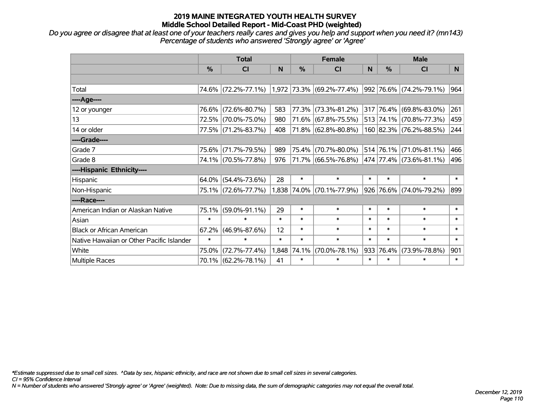*Do you agree or disagree that at least one of your teachers really cares and gives you help and support when you need it? (mn143) Percentage of students who answered 'Strongly agree' or 'Agree'*

|                                           | <b>Total</b>  |                     |        | <b>Female</b> |                             |        | <b>Male</b>   |                         |        |
|-------------------------------------------|---------------|---------------------|--------|---------------|-----------------------------|--------|---------------|-------------------------|--------|
|                                           | $\frac{0}{0}$ | <b>CI</b>           | N      | %             | <b>CI</b>                   | N      | $\frac{0}{0}$ | <b>CI</b>               | N.     |
|                                           |               |                     |        |               |                             |        |               |                         |        |
| Total                                     |               | 74.6% (72.2%-77.1%) |        |               | $1,972$ 73.3% (69.2%-77.4%) |        |               | 992 76.6% (74.2%-79.1%) | 964    |
| ----Age----                               |               |                     |        |               |                             |        |               |                         |        |
| 12 or younger                             | 76.6%         | $(72.6\% - 80.7\%)$ | 583    | 77.3%         | $(73.3\% - 81.2\%)$         |        |               | 317 76.4% (69.8%-83.0%) | 261    |
| 13                                        |               | 72.5% (70.0%-75.0%) | 980    | 71.6%         | $(67.8\% - 75.5\%)$         |        |               | 513 74.1% (70.8%-77.3%) | 459    |
| 14 or older                               |               | 77.5% (71.2%-83.7%) | 408    |               | $71.8\%$ (62.8%-80.8%)      |        |               | 160 82.3% (76.2%-88.5%) | 244    |
| ----Grade----                             |               |                     |        |               |                             |        |               |                         |        |
| Grade 7                                   |               | 75.6% (71.7%-79.5%) | 989    | 75.4%         | $(70.7\% - 80.0\%)$         |        |               | 514 76.1% (71.0%-81.1%) | 466    |
| Grade 8                                   |               | 74.1% (70.5%-77.8%) | 976    |               | 71.7% (66.5%-76.8%)         |        |               | 474 77.4% (73.6%-81.1%) | 496    |
| ----Hispanic Ethnicity----                |               |                     |        |               |                             |        |               |                         |        |
| Hispanic                                  | 64.0%         | $(54.4\% - 73.6\%)$ | 28     | $\ast$        | $\ast$                      | $\ast$ | $\ast$        | $\ast$                  | $\ast$ |
| Non-Hispanic                              |               | 75.1% (72.6%-77.7%) |        |               | 1,838 74.0% (70.1%-77.9%)   |        |               | 926 76.6% (74.0%-79.2%) | 899    |
| ----Race----                              |               |                     |        |               |                             |        |               |                         |        |
| American Indian or Alaskan Native         | 75.1%         | $(59.0\% - 91.1\%)$ | 29     | $\ast$        | $\ast$                      | $\ast$ | $\ast$        | $\ast$                  | $\ast$ |
| Asian                                     | $\ast$        | $\ast$              | $\ast$ | $\ast$        | $\ast$                      | $\ast$ | $\ast$        | $\ast$                  | $\ast$ |
| <b>Black or African American</b>          | 67.2%         | $(46.9\% - 87.6\%)$ | 12     | $\ast$        | $\ast$                      | $\ast$ | $\ast$        | $\ast$                  | $\ast$ |
| Native Hawaiian or Other Pacific Islander | $\ast$        | $\ast$              | $\ast$ | $\ast$        | $\ast$                      | $\ast$ | $\ast$        | $\ast$                  | $\ast$ |
| White                                     | 75.0%         | $(72.7\% - 77.4\%)$ | 1,848  | 74.1%         | $(70.0\% - 78.1\%)$         | 933    | 76.4%         | $(73.9\% - 78.8\%)$     | 901    |
| Multiple Races                            |               | 70.1% (62.2%-78.1%) | 41     | $\ast$        | $\ast$                      | $\ast$ | $\ast$        | $\ast$                  | $\ast$ |

*\*Estimate suppressed due to small cell sizes. ^Data by sex, hispanic ethnicity, and race are not shown due to small cell sizes in several categories.*

*CI = 95% Confidence Interval*

*N = Number of students who answered 'Strongly agree' or 'Agree' (weighted). Note: Due to missing data, the sum of demographic categories may not equal the overall total.*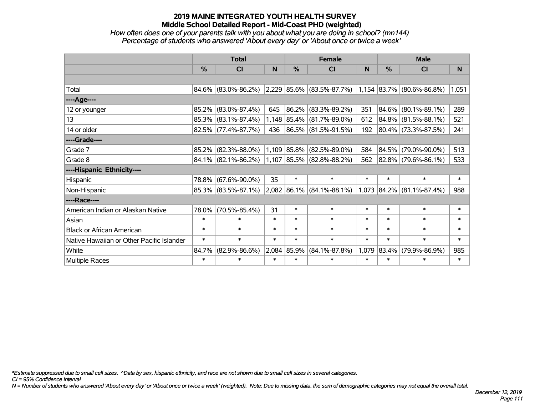### *How often does one of your parents talk with you about what you are doing in school? (mn144) Percentage of students who answered 'About every day' or 'About once or twice a week'*

|                                           | <b>Total</b>  |                        |        |        | <b>Female</b>                                                 |          | <b>Male</b>   |                     |        |
|-------------------------------------------|---------------|------------------------|--------|--------|---------------------------------------------------------------|----------|---------------|---------------------|--------|
|                                           | $\frac{0}{0}$ | <b>CI</b>              | N      | $\%$   | <b>CI</b>                                                     | <b>N</b> | $\frac{0}{0}$ | <b>CI</b>           | N      |
|                                           |               |                        |        |        |                                                               |          |               |                     |        |
| Total                                     |               | $84.6\%$ (83.0%-86.2%) |        |        | $ 2,229 85.6\% $ (83.5%-87.7%) $ 1,154 83.7\% $ (80.6%-86.8%) |          |               |                     | 1,051  |
| ----Age----                               |               |                        |        |        |                                                               |          |               |                     |        |
| 12 or younger                             | 85.2%         | $(83.0\% - 87.4\%)$    | 645    |        | 86.2% (83.3%-89.2%)                                           | 351      | 84.6%         | $(80.1\% - 89.1\%)$ | 289    |
| 13                                        |               | 85.3% (83.1%-87.4%)    |        |        | 1,148 85.4% (81.7%-89.0%)                                     | 612      |               | 84.8% (81.5%-88.1%) | 521    |
| 14 or older                               |               | 82.5% (77.4%-87.7%)    | 436    |        | 86.5% (81.5%-91.5%)                                           | 192      |               | 80.4% (73.3%-87.5%) | 241    |
| ----Grade----                             |               |                        |        |        |                                                               |          |               |                     |        |
| Grade 7                                   | 85.2%         | $(82.3\% - 88.0\%)$    |        |        | $1,109$ 85.8% (82.5%-89.0%)                                   | 584      | $ 84.5\% $    | $(79.0\% - 90.0\%)$ | 513    |
| Grade 8                                   |               | 84.1% (82.1%-86.2%)    |        |        | $1,107$ 85.5% (82.8%-88.2%)                                   | 562      |               | 82.8% (79.6%-86.1%) | 533    |
| ----Hispanic Ethnicity----                |               |                        |        |        |                                                               |          |               |                     |        |
| Hispanic                                  | 78.8%         | $(67.6\% - 90.0\%)$    | 35     | $\ast$ | $\ast$                                                        | $\ast$   | $\ast$        | $\ast$              | $\ast$ |
| Non-Hispanic                              |               | 85.3% (83.5%-87.1%)    |        |        | $2,082$ 86.1% (84.1%-88.1%)                                   | 1,073    | $ 84.2\% $    | $(81.1\% - 87.4\%)$ | 988    |
| ----Race----                              |               |                        |        |        |                                                               |          |               |                     |        |
| American Indian or Alaskan Native         | 78.0%         | $(70.5\% - 85.4\%)$    | 31     | $\ast$ | $\ast$                                                        | $\ast$   | $\ast$        | $\ast$              | $\ast$ |
| Asian                                     | $\ast$        | $\ast$                 | $\ast$ | $\ast$ | $\ast$                                                        | $\ast$   | $\ast$        | $\ast$              | $\ast$ |
| <b>Black or African American</b>          | $\ast$        | $\ast$                 | $\ast$ | $\ast$ | $\ast$                                                        | $\ast$   | $\ast$        | $\ast$              | $\ast$ |
| Native Hawaiian or Other Pacific Islander | $\ast$        | $\ast$                 | $\ast$ | $\ast$ | $\ast$                                                        | $\ast$   | $\ast$        | $\ast$              | $\ast$ |
| White                                     | 84.7%         | $(82.9\% - 86.6\%)$    | 2,084  | 85.9%  | $(84.1\% - 87.8\%)$                                           | 1,079    | $ 83.4\% $    | $(79.9\% - 86.9\%)$ | 985    |
| Multiple Races                            | $\ast$        | $\ast$                 | $\ast$ | $\ast$ | $\ast$                                                        | $\ast$   | $\ast$        | $\ast$              | $\ast$ |

*\*Estimate suppressed due to small cell sizes. ^Data by sex, hispanic ethnicity, and race are not shown due to small cell sizes in several categories.*

*CI = 95% Confidence Interval*

*N = Number of students who answered 'About every day' or 'About once or twice a week' (weighted). Note: Due to missing data, the sum of demographic categories may not equal the overall total.*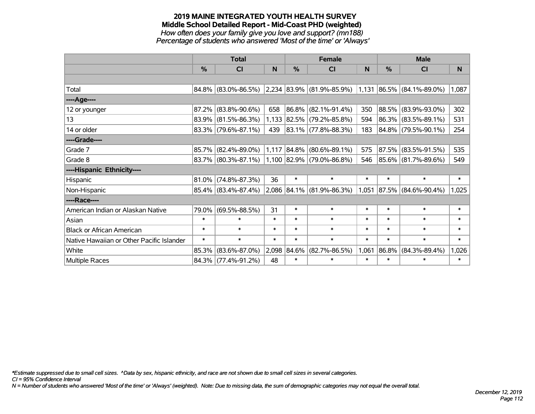#### **2019 MAINE INTEGRATED YOUTH HEALTH SURVEY Middle School Detailed Report - Mid-Coast PHD (weighted)** *How often does your family give you love and support? (mn188) Percentage of students who answered 'Most of the time' or 'Always'*

|                                           | <b>Total</b> |                        |        |               | <b>Female</b>             |        | <b>Male</b>   |                          |        |
|-------------------------------------------|--------------|------------------------|--------|---------------|---------------------------|--------|---------------|--------------------------|--------|
|                                           | %            | CI                     | N      | $\frac{0}{0}$ | CI                        | N      | $\frac{0}{0}$ | CI                       | N      |
|                                           |              |                        |        |               |                           |        |               |                          |        |
| Total                                     |              | 84.8% (83.0%-86.5%)    |        |               | 2,234 83.9% (81.9%-85.9%) | 1,131  |               | $ 86.5\% $ (84.1%-89.0%) | 1,087  |
| ----Age----                               |              |                        |        |               |                           |        |               |                          |        |
| 12 or younger                             | 87.2%        | $(83.8\% - 90.6\%)$    | 658    |               | 86.8% (82.1%-91.4%)       | 350    | $ 88.5\% $    | $(83.9\% - 93.0\%)$      | 302    |
| 13                                        |              | 83.9% (81.5%-86.3%)    | 1,133  |               | $ 82.5\% $ (79.2%-85.8%)  | 594    |               | 86.3% (83.5%-89.1%)      | 531    |
| 14 or older                               |              | $83.3\%$ (79.6%-87.1%) | 439    |               | $ 83.1\% $ (77.8%-88.3%)  | 183    |               | 84.8% (79.5%-90.1%)      | 254    |
| ----Grade----                             |              |                        |        |               |                           |        |               |                          |        |
| Grade 7                                   | 85.7%        | $(82.4\% - 89.0\%)$    |        | 1,117 84.8%   | $(80.6\% - 89.1\%)$       | 575    | $ 87.5\% $    | $(83.5\% - 91.5\%)$      | 535    |
| Grade 8                                   |              | $83.7\%$ (80.3%-87.1%) |        |               | 1,100 82.9% (79.0%-86.8%) | 546    |               | 85.6% (81.7%-89.6%)      | 549    |
| ----Hispanic Ethnicity----                |              |                        |        |               |                           |        |               |                          |        |
| Hispanic                                  | 81.0%        | $(74.8\% - 87.3\%)$    | 36     | $\ast$        | $\ast$                    | $\ast$ | $\ast$        | $\ast$                   | $\ast$ |
| Non-Hispanic                              |              | 85.4% (83.4%-87.4%)    |        |               | 2,086 84.1% (81.9%-86.3%) | 1,051  |               | 87.5% (84.6%-90.4%)      | 1,025  |
| ----Race----                              |              |                        |        |               |                           |        |               |                          |        |
| American Indian or Alaskan Native         | 79.0%        | $(69.5\% - 88.5\%)$    | 31     | $\ast$        | $\ast$                    | $\ast$ | *             | $\ast$                   | $\ast$ |
| Asian                                     | $\ast$       | $\ast$                 | $\ast$ | $\ast$        | $\ast$                    | $\ast$ | *             | $\ast$                   | $\ast$ |
| <b>Black or African American</b>          | $\ast$       | $\ast$                 | $\ast$ | $\ast$        | $\ast$                    | $\ast$ | $\ast$        | $\ast$                   | $\ast$ |
| Native Hawaiian or Other Pacific Islander | $\ast$       | $\ast$                 | $\ast$ | $\ast$        | $\ast$                    | $\ast$ | $\ast$        | $\ast$                   | $\ast$ |
| White                                     | 85.3%        | $(83.6\% - 87.0\%)$    | 2,098  | 84.6%         | $(82.7\% - 86.5\%)$       | 1,061  | 86.8%         | $(84.3\% - 89.4\%)$      | 1,026  |
| Multiple Races                            |              | 84.3% (77.4%-91.2%)    | 48     | $\ast$        | $\ast$                    | $\ast$ | $\ast$        | $\ast$                   | $\ast$ |

*\*Estimate suppressed due to small cell sizes. ^Data by sex, hispanic ethnicity, and race are not shown due to small cell sizes in several categories.*

*CI = 95% Confidence Interval*

*N = Number of students who answered 'Most of the time' or 'Always' (weighted). Note: Due to missing data, the sum of demographic categories may not equal the overall total.*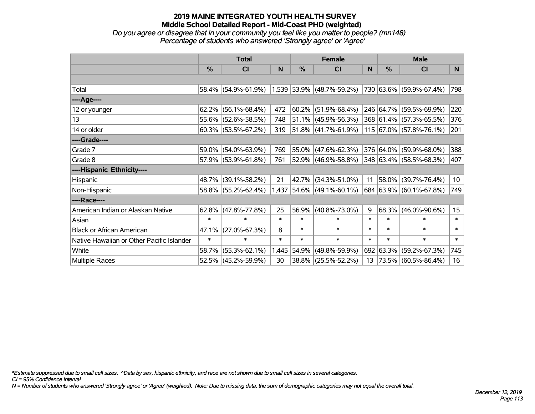*Do you agree or disagree that in your community you feel like you matter to people? (mn148) Percentage of students who answered 'Strongly agree' or 'Agree'*

|                                           | <b>Total</b> |                                                                       |        | <b>Female</b> |                             |        | <b>Male</b>   |                          |                  |  |
|-------------------------------------------|--------------|-----------------------------------------------------------------------|--------|---------------|-----------------------------|--------|---------------|--------------------------|------------------|--|
|                                           | %            | CI                                                                    | N      | $\frac{0}{0}$ | <b>CI</b>                   | N      | $\frac{0}{0}$ | <b>CI</b>                | N                |  |
|                                           |              |                                                                       |        |               |                             |        |               |                          |                  |  |
| Total                                     |              | 58.4% (54.9%-61.9%) 1,539 53.9% (48.7%-59.2%) 730 63.6% (59.9%-67.4%) |        |               |                             |        |               |                          | 798              |  |
| ----Age----                               |              |                                                                       |        |               |                             |        |               |                          |                  |  |
| 12 or younger                             | 62.2%        | $(56.1\% - 68.4\%)$                                                   | 472    |               | $60.2\%$ (51.9%-68.4%)      |        |               | 246 64.7% (59.5%-69.9%)  | 220              |  |
| 13                                        |              | 55.6% (52.6%-58.5%)                                                   | 748    |               | 51.1% (45.9%-56.3%)         |        |               | 368 61.4% (57.3%-65.5%)  | 376              |  |
| 14 or older                               |              | $60.3\%$ (53.5%-67.2%)                                                | 319    |               | $ 51.8\% $ (41.7%-61.9%)    |        |               | 115 67.0% (57.8%-76.1%)  | 201              |  |
| ----Grade----                             |              |                                                                       |        |               |                             |        |               |                          |                  |  |
| Grade 7                                   | 59.0%        | $(54.0\% - 63.9\%)$                                                   | 769    |               | 55.0% (47.6%-62.3%)         |        |               | 376 64.0% (59.9%-68.0%)  | 388              |  |
| Grade 8                                   |              | 57.9% (53.9%-61.8%)                                                   | 761    |               | 52.9% (46.9%-58.8%)         |        |               | 348 63.4% (58.5%-68.3%)  | 407              |  |
| ----Hispanic Ethnicity----                |              |                                                                       |        |               |                             |        |               |                          |                  |  |
| Hispanic                                  | 48.7%        | $(39.1\% - 58.2\%)$                                                   | 21     | 42.7%         | $(34.3\% - 51.0\%)$         | 11     | $ 58.0\% $    | $(39.7\% - 76.4\%)$      | 10 <sup>°</sup>  |  |
| Non-Hispanic                              |              | 58.8% (55.2%-62.4%)                                                   |        |               | $1,437$ 54.6% (49.1%-60.1%) |        |               | 684 63.9% (60.1%-67.8%)  | 749              |  |
| ----Race----                              |              |                                                                       |        |               |                             |        |               |                          |                  |  |
| American Indian or Alaskan Native         | 62.8%        | $(47.8\% - 77.8\%)$                                                   | 25     | 56.9%         | $(40.8\% - 73.0\%)$         | 9      | 68.3%         | $(46.0\% - 90.6\%)$      | 15 <sub>15</sub> |  |
| Asian                                     | $\ast$       | $\ast$                                                                | $\ast$ | $\ast$        | $\ast$                      | $\ast$ | $\ast$        | $\ast$                   | $\ast$           |  |
| <b>Black or African American</b>          | 47.1%        | $(27.0\% - 67.3\%)$                                                   | 8      | $\ast$        | $\ast$                      | $\ast$ | $\ast$        | $\ast$                   | $\ast$           |  |
| Native Hawaiian or Other Pacific Islander | $\ast$       | $\ast$                                                                | $\ast$ | $\ast$        | $\ast$                      | $\ast$ | $\ast$        | $\ast$                   | $\ast$           |  |
| White                                     | 58.7%        | $(55.3\% - 62.1\%)$                                                   | 1,445  | 54.9%         | $(49.8\% - 59.9\%)$         |        | 692 63.3%     | $(59.2\% - 67.3\%)$      | 745              |  |
| Multiple Races                            |              | 52.5% (45.2%-59.9%)                                                   | 30     |               | 38.8% (25.5%-52.2%)         | 13     |               | $ 73.5\% $ (60.5%-86.4%) | 16               |  |

*\*Estimate suppressed due to small cell sizes. ^Data by sex, hispanic ethnicity, and race are not shown due to small cell sizes in several categories.*

*CI = 95% Confidence Interval*

*N = Number of students who answered 'Strongly agree' or 'Agree' (weighted). Note: Due to missing data, the sum of demographic categories may not equal the overall total.*